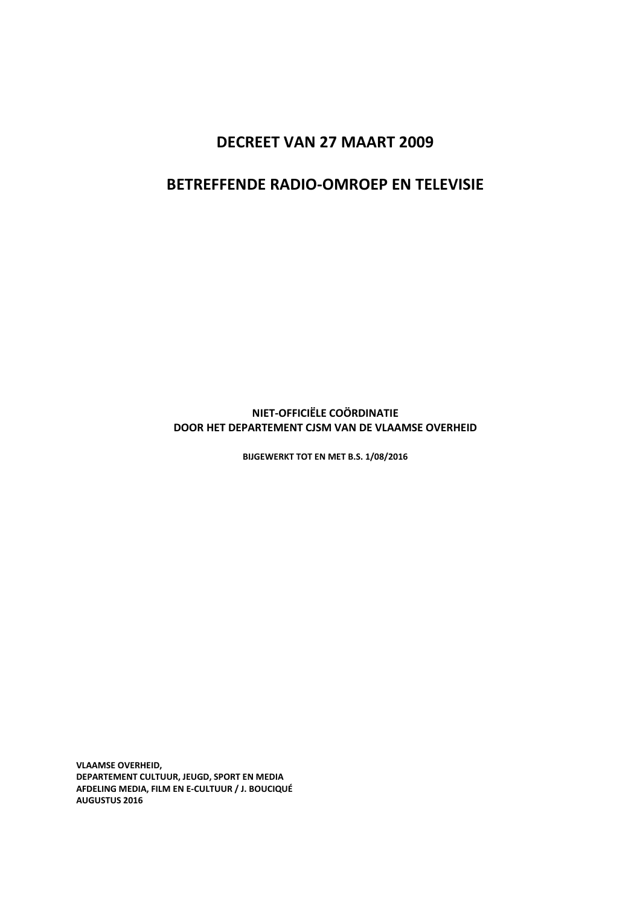# DECREET VAN 27 MAART 2009

# BETREFFENDE RADIO-OMROEP EN TELEVISIE

# NIET-OFFICIËLE COÖRDINATIE DOOR HET DEPARTEMENT CJSM VAN DE VLAAMSE OVERHEID

BIJGEWERKT TOT EN MET B.S. 1/08/2016

VLAAMSE OVERHEID, DEPARTEMENT CULTUUR, JEUGD, SPORT EN MEDIA AFDELING MEDIA, FILM EN E-CULTUUR / J. BOUCIQUÉ AUGUSTUS 2016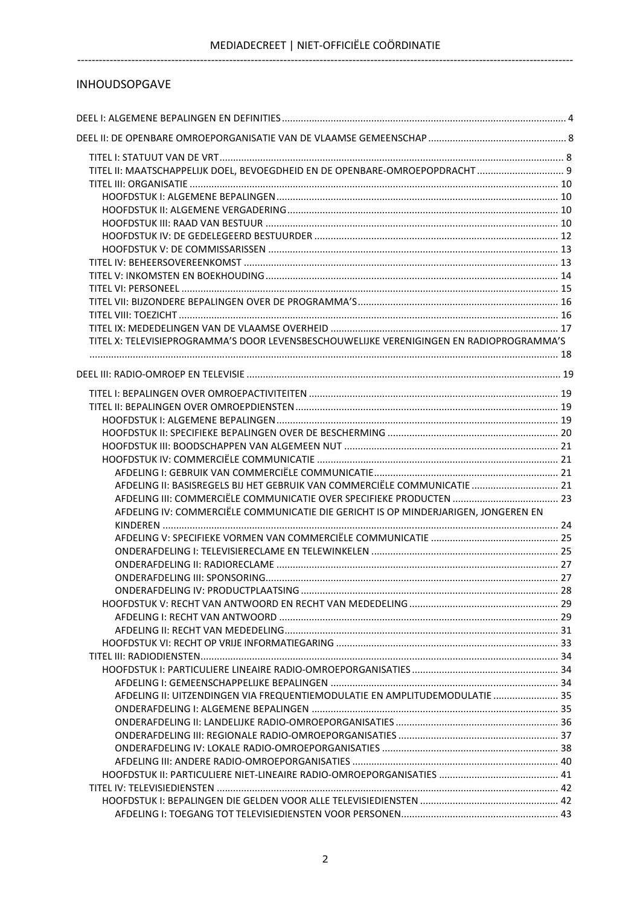# INHOUDSOPGAVE

| TITEL II: MAATSCHAPPELIJK DOEL, BEVOEGDHEID EN DE OPENBARE-OMROEPOPDRACHT 9              |  |
|------------------------------------------------------------------------------------------|--|
|                                                                                          |  |
|                                                                                          |  |
|                                                                                          |  |
|                                                                                          |  |
|                                                                                          |  |
|                                                                                          |  |
|                                                                                          |  |
|                                                                                          |  |
|                                                                                          |  |
|                                                                                          |  |
|                                                                                          |  |
|                                                                                          |  |
| TITEL X: TELEVISIEPROGRAMMA'S DOOR LEVENSBESCHOUWELIJKE VERENIGINGEN EN RADIOPROGRAMMA'S |  |
|                                                                                          |  |
|                                                                                          |  |
|                                                                                          |  |
|                                                                                          |  |
|                                                                                          |  |
|                                                                                          |  |
|                                                                                          |  |
|                                                                                          |  |
|                                                                                          |  |
| AFDELING II: BASISREGELS BIJ HET GEBRUIK VAN COMMERCIËLE COMMUNICATIE  21                |  |
| AFDELING III: COMMERCIËLE COMMUNICATIE OVER SPECIFIEKE PRODUCTEN  23                     |  |
| AFDELING IV: COMMERCIËLE COMMUNICATIE DIE GERICHT IS OP MINDERJARIGEN, JONGEREN EN       |  |
|                                                                                          |  |
|                                                                                          |  |
|                                                                                          |  |
|                                                                                          |  |
|                                                                                          |  |
|                                                                                          |  |
|                                                                                          |  |
|                                                                                          |  |
|                                                                                          |  |
|                                                                                          |  |
|                                                                                          |  |
|                                                                                          |  |
| AFDELING II: UITZENDINGEN VIA FREQUENTIEMODULATIE EN AMPLITUDEMODULATIE  35              |  |
|                                                                                          |  |
|                                                                                          |  |
|                                                                                          |  |
|                                                                                          |  |
|                                                                                          |  |
|                                                                                          |  |
|                                                                                          |  |
|                                                                                          |  |
|                                                                                          |  |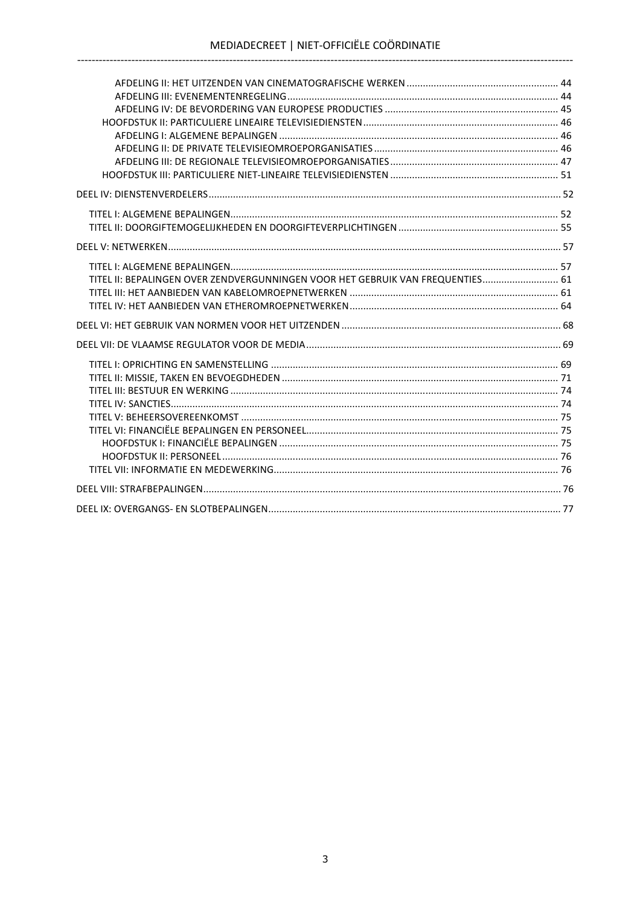| TITEL II: BEPALINGEN OVER ZENDVERGUNNINGEN VOOR HET GEBRUIK VAN FREQUENTIES 61 |  |
|--------------------------------------------------------------------------------|--|
|                                                                                |  |
|                                                                                |  |
|                                                                                |  |
|                                                                                |  |
|                                                                                |  |
|                                                                                |  |
|                                                                                |  |
|                                                                                |  |
|                                                                                |  |
|                                                                                |  |
|                                                                                |  |
|                                                                                |  |
|                                                                                |  |
|                                                                                |  |
|                                                                                |  |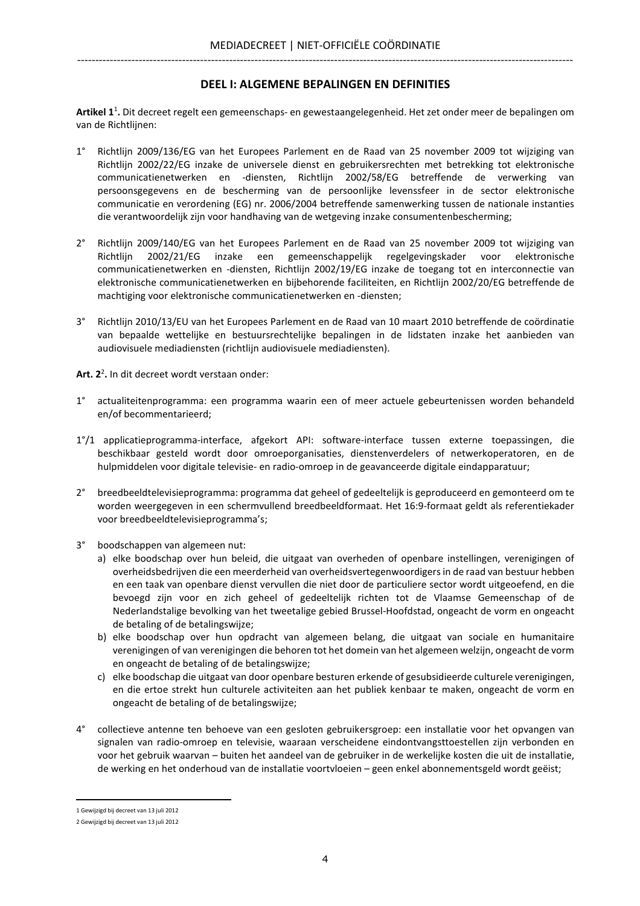## DEEL I: ALGEMENE BEPALINGEN EN DEFINITIES

Artikel 1<sup>1</sup>. Dit decreet regelt een gemeenschaps- en gewestaangelegenheid. Het zet onder meer de bepalingen om van de Richtlijnen:

- 1° Richtlijn 2009/136/EG van het Europees Parlement en de Raad van 25 november 2009 tot wijziging van Richtlijn 2002/22/EG inzake de universele dienst en gebruikersrechten met betrekking tot elektronische communicatienetwerken en -diensten, Richtlijn 2002/58/EG betreffende de verwerking van persoonsgegevens en de bescherming van de persoonlijke levenssfeer in de sector elektronische communicatie en verordening (EG) nr. 2006/2004 betreffende samenwerking tussen de nationale instanties die verantwoordelijk zijn voor handhaving van de wetgeving inzake consumentenbescherming;
- 2° Richtlijn 2009/140/EG van het Europees Parlement en de Raad van 25 november 2009 tot wijziging van Richtlijn 2002/21/EG inzake een gemeenschappelijk regelgevingskader voor elektronische communicatienetwerken en -diensten, Richtlijn 2002/19/EG inzake de toegang tot en interconnectie van elektronische communicatienetwerken en bijbehorende faciliteiten, en Richtlijn 2002/20/EG betreffende de machtiging voor elektronische communicatienetwerken en -diensten;
- 3° Richtlijn 2010/13/EU van het Europees Parlement en de Raad van 10 maart 2010 betreffende de coördinatie van bepaalde wettelijke en bestuursrechtelijke bepalingen in de lidstaten inzake het aanbieden van audiovisuele mediadiensten (richtlijn audiovisuele mediadiensten).

Art. 2<sup>2</sup>. In dit decreet wordt verstaan onder:

- 1° actualiteitenprogramma: een programma waarin een of meer actuele gebeurtenissen worden behandeld en/of becommentarieerd;
- 1°/1 applicatieprogramma-interface, afgekort API: software-interface tussen externe toepassingen, die beschikbaar gesteld wordt door omroeporganisaties, dienstenverdelers of netwerkoperatoren, en de hulpmiddelen voor digitale televisie- en radio-omroep in de geavanceerde digitale eindapparatuur;
- 2° breedbeeldtelevisieprogramma: programma dat geheel of gedeeltelijk is geproduceerd en gemonteerd om te worden weergegeven in een schermvullend breedbeeldformaat. Het 16:9-formaat geldt als referentiekader voor breedbeeldtelevisieprogramma's;
- 3° boodschappen van algemeen nut:
	- a) elke boodschap over hun beleid, die uitgaat van overheden of openbare instellingen, verenigingen of overheidsbedrijven die een meerderheid van overheidsvertegenwoordigers in de raad van bestuur hebben en een taak van openbare dienst vervullen die niet door de particuliere sector wordt uitgeoefend, en die bevoegd zijn voor en zich geheel of gedeeltelijk richten tot de Vlaamse Gemeenschap of de Nederlandstalige bevolking van het tweetalige gebied Brussel-Hoofdstad, ongeacht de vorm en ongeacht de betaling of de betalingswijze;
	- b) elke boodschap over hun opdracht van algemeen belang, die uitgaat van sociale en humanitaire verenigingen of van verenigingen die behoren tot het domein van het algemeen welzijn, ongeacht de vorm en ongeacht de betaling of de betalingswijze;
	- c) elke boodschap die uitgaat van door openbare besturen erkende of gesubsidieerde culturele verenigingen, en die ertoe strekt hun culturele activiteiten aan het publiek kenbaar te maken, ongeacht de vorm en ongeacht de betaling of de betalingswijze;
- 4° collectieve antenne ten behoeve van een gesloten gebruikersgroep: een installatie voor het opvangen van signalen van radio-omroep en televisie, waaraan verscheidene eindontvangsttoestellen zijn verbonden en voor het gebruik waarvan – buiten het aandeel van de gebruiker in de werkelijke kosten die uit de installatie, de werking en het onderhoud van de installatie voortvloeien – geen enkel abonnementsgeld wordt geëist;

<sup>1</sup> Gewijzigd bij decreet van 13 juli 2012

<sup>2</sup> Gewijzigd bij decreet van 13 juli 2012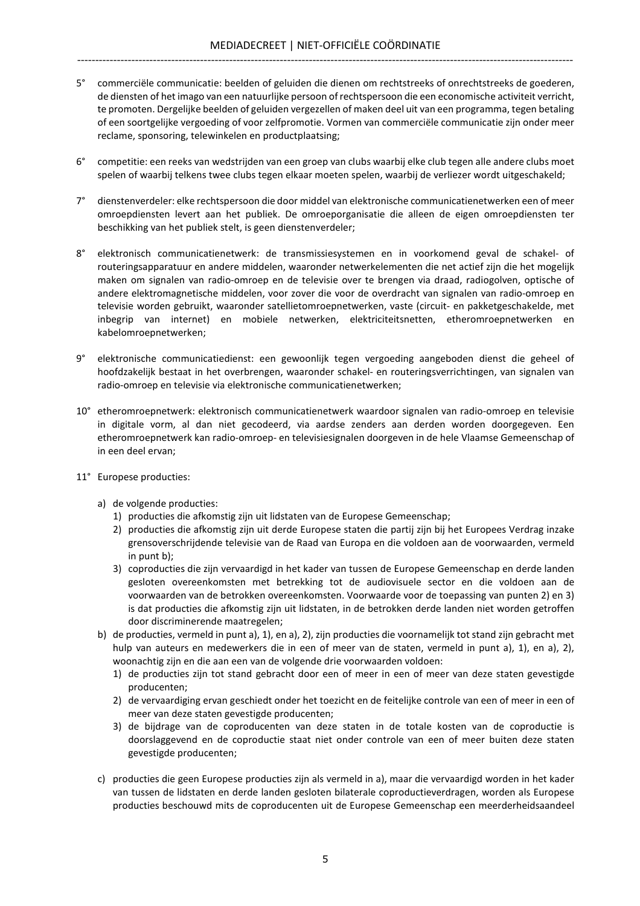- 5° commerciële communicatie: beelden of geluiden die dienen om rechtstreeks of onrechtstreeks de goederen, de diensten of het imago van een natuurlijke persoon of rechtspersoon die een economische activiteit verricht, te promoten. Dergelijke beelden of geluiden vergezellen of maken deel uit van een programma, tegen betaling of een soortgelijke vergoeding of voor zelfpromotie. Vormen van commerciële communicatie zijn onder meer reclame, sponsoring, telewinkelen en productplaatsing;
- 6° competitie: een reeks van wedstrijden van een groep van clubs waarbij elke club tegen alle andere clubs moet spelen of waarbij telkens twee clubs tegen elkaar moeten spelen, waarbij de verliezer wordt uitgeschakeld;
- 7° dienstenverdeler: elke rechtspersoon die door middel van elektronische communicatienetwerken een of meer omroepdiensten levert aan het publiek. De omroeporganisatie die alleen de eigen omroepdiensten ter beschikking van het publiek stelt, is geen dienstenverdeler;
- 8° elektronisch communicatienetwerk: de transmissiesystemen en in voorkomend geval de schakel- of routeringsapparatuur en andere middelen, waaronder netwerkelementen die net actief zijn die het mogelijk maken om signalen van radio-omroep en de televisie over te brengen via draad, radiogolven, optische of andere elektromagnetische middelen, voor zover die voor de overdracht van signalen van radio-omroep en televisie worden gebruikt, waaronder satellietomroepnetwerken, vaste (circuit- en pakketgeschakelde, met inbegrip van internet) en mobiele netwerken, elektriciteitsnetten, etheromroepnetwerken en kabelomroepnetwerken;
- 9° elektronische communicatiedienst: een gewoonlijk tegen vergoeding aangeboden dienst die geheel of hoofdzakelijk bestaat in het overbrengen, waaronder schakel- en routeringsverrichtingen, van signalen van radio-omroep en televisie via elektronische communicatienetwerken;
- 10° etheromroepnetwerk: elektronisch communicatienetwerk waardoor signalen van radio-omroep en televisie in digitale vorm, al dan niet gecodeerd, via aardse zenders aan derden worden doorgegeven. Een etheromroepnetwerk kan radio-omroep- en televisiesignalen doorgeven in de hele Vlaamse Gemeenschap of in een deel ervan;
- 11° Europese producties:
	- a) de volgende producties:
		- 1) producties die afkomstig zijn uit lidstaten van de Europese Gemeenschap;
		- 2) producties die afkomstig zijn uit derde Europese staten die partij zijn bij het Europees Verdrag inzake grensoverschrijdende televisie van de Raad van Europa en die voldoen aan de voorwaarden, vermeld in punt b);
		- 3) coproducties die zijn vervaardigd in het kader van tussen de Europese Gemeenschap en derde landen gesloten overeenkomsten met betrekking tot de audiovisuele sector en die voldoen aan de voorwaarden van de betrokken overeenkomsten. Voorwaarde voor de toepassing van punten 2) en 3) is dat producties die afkomstig zijn uit lidstaten, in de betrokken derde landen niet worden getroffen door discriminerende maatregelen;
	- b) de producties, vermeld in punt a), 1), en a), 2), zijn producties die voornamelijk tot stand zijn gebracht met hulp van auteurs en medewerkers die in een of meer van de staten, vermeld in punt a), 1), en a), 2), woonachtig zijn en die aan een van de volgende drie voorwaarden voldoen:
		- 1) de producties zijn tot stand gebracht door een of meer in een of meer van deze staten gevestigde producenten;
		- 2) de vervaardiging ervan geschiedt onder het toezicht en de feitelijke controle van een of meer in een of meer van deze staten gevestigde producenten;
		- 3) de bijdrage van de coproducenten van deze staten in de totale kosten van de coproductie is doorslaggevend en de coproductie staat niet onder controle van een of meer buiten deze staten gevestigde producenten;
	- c) producties die geen Europese producties zijn als vermeld in a), maar die vervaardigd worden in het kader van tussen de lidstaten en derde landen gesloten bilaterale coproductieverdragen, worden als Europese producties beschouwd mits de coproducenten uit de Europese Gemeenschap een meerderheidsaandeel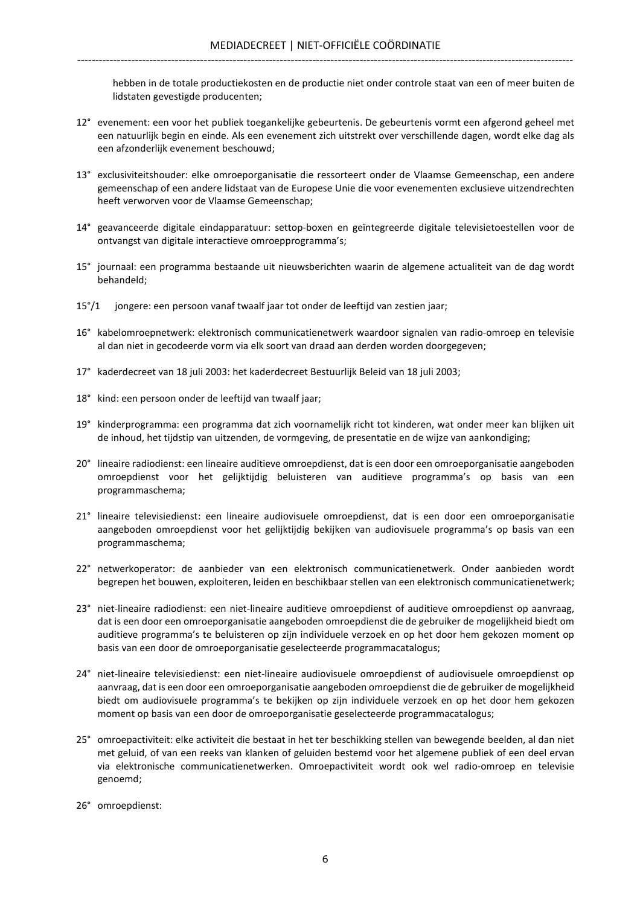hebben in de totale productiekosten en de productie niet onder controle staat van een of meer buiten de lidstaten gevestigde producenten;

- 12° evenement: een voor het publiek toegankelijke gebeurtenis. De gebeurtenis vormt een afgerond geheel met een natuurlijk begin en einde. Als een evenement zich uitstrekt over verschillende dagen, wordt elke dag als een afzonderlijk evenement beschouwd;
- 13° exclusiviteitshouder: elke omroeporganisatie die ressorteert onder de Vlaamse Gemeenschap, een andere gemeenschap of een andere lidstaat van de Europese Unie die voor evenementen exclusieve uitzendrechten heeft verworven voor de Vlaamse Gemeenschap;
- 14° geavanceerde digitale eindapparatuur: settop-boxen en geïntegreerde digitale televisietoestellen voor de ontvangst van digitale interactieve omroepprogramma's;
- 15° journaal: een programma bestaande uit nieuwsberichten waarin de algemene actualiteit van de dag wordt behandeld;
- 15°/1 jongere: een persoon vanaf twaalf jaar tot onder de leeftijd van zestien jaar;
- 16° kabelomroepnetwerk: elektronisch communicatienetwerk waardoor signalen van radio-omroep en televisie al dan niet in gecodeerde vorm via elk soort van draad aan derden worden doorgegeven;
- 17° kaderdecreet van 18 juli 2003: het kaderdecreet Bestuurlijk Beleid van 18 juli 2003;
- 18° kind: een persoon onder de leeftijd van twaalf jaar;
- 19° kinderprogramma: een programma dat zich voornamelijk richt tot kinderen, wat onder meer kan blijken uit de inhoud, het tijdstip van uitzenden, de vormgeving, de presentatie en de wijze van aankondiging;
- 20° lineaire radiodienst: een lineaire auditieve omroepdienst, dat is een door een omroeporganisatie aangeboden omroepdienst voor het gelijktijdig beluisteren van auditieve programma's op basis van een programmaschema;
- 21° lineaire televisiedienst: een lineaire audiovisuele omroepdienst, dat is een door een omroeporganisatie aangeboden omroepdienst voor het gelijktijdig bekijken van audiovisuele programma's op basis van een programmaschema;
- 22° netwerkoperator: de aanbieder van een elektronisch communicatienetwerk. Onder aanbieden wordt begrepen het bouwen, exploiteren, leiden en beschikbaar stellen van een elektronisch communicatienetwerk;
- 23° niet-lineaire radiodienst: een niet-lineaire auditieve omroepdienst of auditieve omroepdienst op aanvraag, dat is een door een omroeporganisatie aangeboden omroepdienst die de gebruiker de mogelijkheid biedt om auditieve programma's te beluisteren op zijn individuele verzoek en op het door hem gekozen moment op basis van een door de omroeporganisatie geselecteerde programmacatalogus;
- 24° niet-lineaire televisiedienst: een niet-lineaire audiovisuele omroepdienst of audiovisuele omroepdienst op aanvraag, dat is een door een omroeporganisatie aangeboden omroepdienst die de gebruiker de mogelijkheid biedt om audiovisuele programma's te bekijken op zijn individuele verzoek en op het door hem gekozen moment op basis van een door de omroeporganisatie geselecteerde programmacatalogus;
- 25° omroepactiviteit: elke activiteit die bestaat in het ter beschikking stellen van bewegende beelden, al dan niet met geluid, of van een reeks van klanken of geluiden bestemd voor het algemene publiek of een deel ervan via elektronische communicatienetwerken. Omroepactiviteit wordt ook wel radio-omroep en televisie genoemd;
- 26° omroepdienst: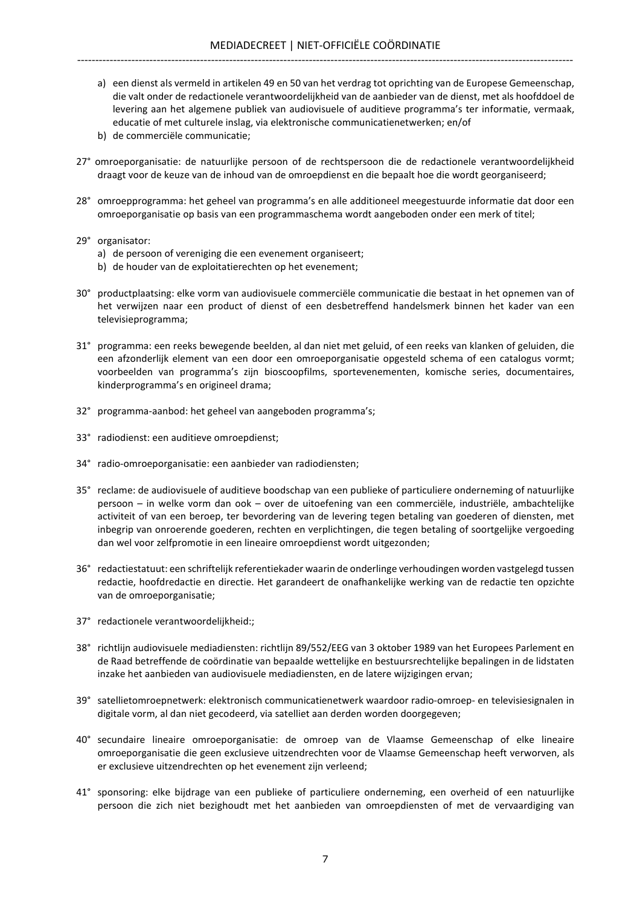- a) een dienst als vermeld in artikelen 49 en 50 van het verdrag tot oprichting van de Europese Gemeenschap, die valt onder de redactionele verantwoordelijkheid van de aanbieder van de dienst, met als hoofddoel de levering aan het algemene publiek van audiovisuele of auditieve programma's ter informatie, vermaak, educatie of met culturele inslag, via elektronische communicatienetwerken; en/of
- b) de commerciële communicatie;
- 27° omroeporganisatie: de natuurlijke persoon of de rechtspersoon die de redactionele verantwoordelijkheid draagt voor de keuze van de inhoud van de omroepdienst en die bepaalt hoe die wordt georganiseerd;
- 28° omroepprogramma: het geheel van programma's en alle additioneel meegestuurde informatie dat door een omroeporganisatie op basis van een programmaschema wordt aangeboden onder een merk of titel;
- 29° organisator:
	- a) de persoon of vereniging die een evenement organiseert;
	- b) de houder van de exploitatierechten op het evenement;
- 30° productplaatsing: elke vorm van audiovisuele commerciële communicatie die bestaat in het opnemen van of het verwijzen naar een product of dienst of een desbetreffend handelsmerk binnen het kader van een televisieprogramma;
- 31° programma: een reeks bewegende beelden, al dan niet met geluid, of een reeks van klanken of geluiden, die een afzonderlijk element van een door een omroeporganisatie opgesteld schema of een catalogus vormt; voorbeelden van programma's zijn bioscoopfilms, sportevenementen, komische series, documentaires, kinderprogramma's en origineel drama;
- 32° programma-aanbod: het geheel van aangeboden programma's;
- 33° radiodienst: een auditieve omroepdienst;
- 34° radio-omroeporganisatie: een aanbieder van radiodiensten;
- 35° reclame: de audiovisuele of auditieve boodschap van een publieke of particuliere onderneming of natuurlijke persoon – in welke vorm dan ook – over de uitoefening van een commerciële, industriële, ambachtelijke activiteit of van een beroep, ter bevordering van de levering tegen betaling van goederen of diensten, met inbegrip van onroerende goederen, rechten en verplichtingen, die tegen betaling of soortgelijke vergoeding dan wel voor zelfpromotie in een lineaire omroepdienst wordt uitgezonden;
- 36° redactiestatuut: een schriftelijk referentiekader waarin de onderlinge verhoudingen worden vastgelegd tussen redactie, hoofdredactie en directie. Het garandeert de onafhankelijke werking van de redactie ten opzichte van de omroeporganisatie;
- 37° redactionele verantwoordelijkheid:;
- 38° richtlijn audiovisuele mediadiensten: richtlijn 89/552/EEG van 3 oktober 1989 van het Europees Parlement en de Raad betreffende de coördinatie van bepaalde wettelijke en bestuursrechtelijke bepalingen in de lidstaten inzake het aanbieden van audiovisuele mediadiensten, en de latere wijzigingen ervan;
- 39° satellietomroepnetwerk: elektronisch communicatienetwerk waardoor radio-omroep- en televisiesignalen in digitale vorm, al dan niet gecodeerd, via satelliet aan derden worden doorgegeven;
- 40° secundaire lineaire omroeporganisatie: de omroep van de Vlaamse Gemeenschap of elke lineaire omroeporganisatie die geen exclusieve uitzendrechten voor de Vlaamse Gemeenschap heeft verworven, als er exclusieve uitzendrechten op het evenement zijn verleend;
- 41° sponsoring: elke bijdrage van een publieke of particuliere onderneming, een overheid of een natuurlijke persoon die zich niet bezighoudt met het aanbieden van omroepdiensten of met de vervaardiging van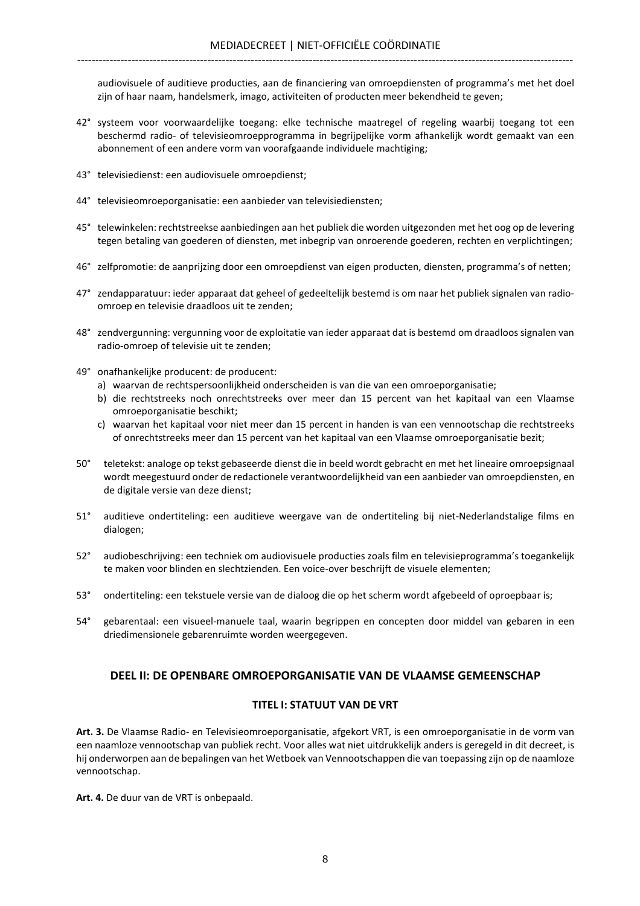audiovisuele of auditieve producties, aan de financiering van omroepdiensten of programma's met het doel zijn of haar naam, handelsmerk, imago, activiteiten of producten meer bekendheid te geven;

- 42° systeem voor voorwaardelijke toegang: elke technische maatregel of regeling waarbij toegang tot een beschermd radio- of televisieomroepprogramma in begrijpelijke vorm afhankelijk wordt gemaakt van een abonnement of een andere vorm van voorafgaande individuele machtiging;
- 43° televisiedienst: een audiovisuele omroepdienst;
- 44° televisieomroeporganisatie: een aanbieder van televisiediensten;
- 45° telewinkelen: rechtstreekse aanbiedingen aan het publiek die worden uitgezonden met het oog op de levering tegen betaling van goederen of diensten, met inbegrip van onroerende goederen, rechten en verplichtingen;
- 46° zelfpromotie: de aanprijzing door een omroepdienst van eigen producten, diensten, programma's of netten;
- 47° zendapparatuur: ieder apparaat dat geheel of gedeeltelijk bestemd is om naar het publiek signalen van radioomroep en televisie draadloos uit te zenden;
- 48° zendvergunning: vergunning voor de exploitatie van ieder apparaat dat is bestemd om draadloos signalen van radio-omroep of televisie uit te zenden;
- 49° onafhankelijke producent: de producent:
	- a) waarvan de rechtspersoonlijkheid onderscheiden is van die van een omroeporganisatie;
	- b) die rechtstreeks noch onrechtstreeks over meer dan 15 percent van het kapitaal van een Vlaamse omroeporganisatie beschikt;
	- c) waarvan het kapitaal voor niet meer dan 15 percent in handen is van een vennootschap die rechtstreeks of onrechtstreeks meer dan 15 percent van het kapitaal van een Vlaamse omroeporganisatie bezit;
- 50° teletekst: analoge op tekst gebaseerde dienst die in beeld wordt gebracht en met het lineaire omroepsignaal wordt meegestuurd onder de redactionele verantwoordelijkheid van een aanbieder van omroepdiensten, en de digitale versie van deze dienst;
- 51° auditieve ondertiteling: een auditieve weergave van de ondertiteling bij niet-Nederlandstalige films en dialogen;
- 52° audiobeschrijving: een techniek om audiovisuele producties zoals film en televisieprogramma's toegankelijk te maken voor blinden en slechtzienden. Een voice-over beschrijft de visuele elementen;
- 53° ondertiteling: een tekstuele versie van de dialoog die op het scherm wordt afgebeeld of oproepbaar is;
- 54° gebarentaal: een visueel-manuele taal, waarin begrippen en concepten door middel van gebaren in een driedimensionele gebarenruimte worden weergegeven.

# DEEL II: DE OPENBARE OMROEPORGANISATIE VAN DE VLAAMSE GEMEENSCHAP

## TITEL I: STATUUT VAN DE VRT

Art. 3. De Vlaamse Radio- en Televisieomroeporganisatie, afgekort VRT, is een omroeporganisatie in de vorm van een naamloze vennootschap van publiek recht. Voor alles wat niet uitdrukkelijk anders is geregeld in dit decreet, is hij onderworpen aan de bepalingen van het Wetboek van Vennootschappen die van toepassing zijn op de naamloze vennootschap.

Art. 4. De duur van de VRT is onbepaald.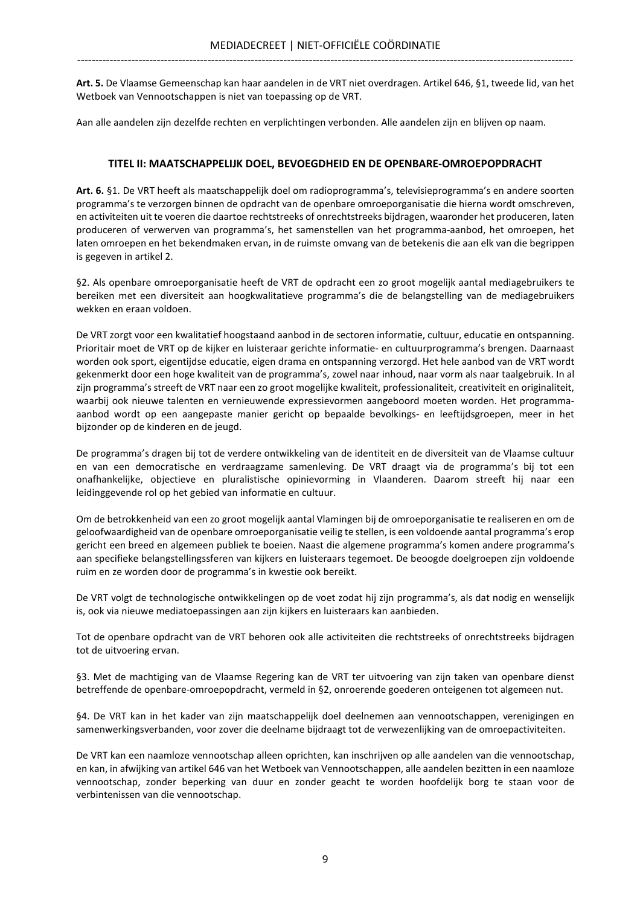Art. 5. De Vlaamse Gemeenschap kan haar aandelen in de VRT niet overdragen. Artikel 646, §1, tweede lid, van het Wetboek van Vennootschappen is niet van toepassing op de VRT.

Aan alle aandelen zijn dezelfde rechten en verplichtingen verbonden. Alle aandelen zijn en blijven op naam.

## TITEL II: MAATSCHAPPELIJK DOEL, BEVOEGDHEID EN DE OPENBARE-OMROEPOPDRACHT

Art. 6. §1. De VRT heeft als maatschappelijk doel om radioprogramma's, televisieprogramma's en andere soorten programma's te verzorgen binnen de opdracht van de openbare omroeporganisatie die hierna wordt omschreven, en activiteiten uit te voeren die daartoe rechtstreeks of onrechtstreeks bijdragen, waaronder het produceren, laten produceren of verwerven van programma's, het samenstellen van het programma-aanbod, het omroepen, het laten omroepen en het bekendmaken ervan, in de ruimste omvang van de betekenis die aan elk van die begrippen is gegeven in artikel 2.

§2. Als openbare omroeporganisatie heeft de VRT de opdracht een zo groot mogelijk aantal mediagebruikers te bereiken met een diversiteit aan hoogkwalitatieve programma's die de belangstelling van de mediagebruikers wekken en eraan voldoen.

De VRT zorgt voor een kwalitatief hoogstaand aanbod in de sectoren informatie, cultuur, educatie en ontspanning. Prioritair moet de VRT op de kijker en luisteraar gerichte informatie- en cultuurprogramma's brengen. Daarnaast worden ook sport, eigentijdse educatie, eigen drama en ontspanning verzorgd. Het hele aanbod van de VRT wordt gekenmerkt door een hoge kwaliteit van de programma's, zowel naar inhoud, naar vorm als naar taalgebruik. In al zijn programma's streeft de VRT naar een zo groot mogelijke kwaliteit, professionaliteit, creativiteit en originaliteit, waarbij ook nieuwe talenten en vernieuwende expressievormen aangeboord moeten worden. Het programmaaanbod wordt op een aangepaste manier gericht op bepaalde bevolkings- en leeftijdsgroepen, meer in het bijzonder op de kinderen en de jeugd.

De programma's dragen bij tot de verdere ontwikkeling van de identiteit en de diversiteit van de Vlaamse cultuur en van een democratische en verdraagzame samenleving. De VRT draagt via de programma's bij tot een onafhankelijke, objectieve en pluralistische opinievorming in Vlaanderen. Daarom streeft hij naar een leidinggevende rol op het gebied van informatie en cultuur.

Om de betrokkenheid van een zo groot mogelijk aantal Vlamingen bij de omroeporganisatie te realiseren en om de geloofwaardigheid van de openbare omroeporganisatie veilig te stellen, is een voldoende aantal programma's erop gericht een breed en algemeen publiek te boeien. Naast die algemene programma's komen andere programma's aan specifieke belangstellingssferen van kijkers en luisteraars tegemoet. De beoogde doelgroepen zijn voldoende ruim en ze worden door de programma's in kwestie ook bereikt.

De VRT volgt de technologische ontwikkelingen op de voet zodat hij zijn programma's, als dat nodig en wenselijk is, ook via nieuwe mediatoepassingen aan zijn kijkers en luisteraars kan aanbieden.

Tot de openbare opdracht van de VRT behoren ook alle activiteiten die rechtstreeks of onrechtstreeks bijdragen tot de uitvoering ervan.

§3. Met de machtiging van de Vlaamse Regering kan de VRT ter uitvoering van zijn taken van openbare dienst betreffende de openbare-omroepopdracht, vermeld in §2, onroerende goederen onteigenen tot algemeen nut.

§4. De VRT kan in het kader van zijn maatschappelijk doel deelnemen aan vennootschappen, verenigingen en samenwerkingsverbanden, voor zover die deelname bijdraagt tot de verwezenlijking van de omroepactiviteiten.

De VRT kan een naamloze vennootschap alleen oprichten, kan inschrijven op alle aandelen van die vennootschap, en kan, in afwijking van artikel 646 van het Wetboek van Vennootschappen, alle aandelen bezitten in een naamloze vennootschap, zonder beperking van duur en zonder geacht te worden hoofdelijk borg te staan voor de verbintenissen van die vennootschap.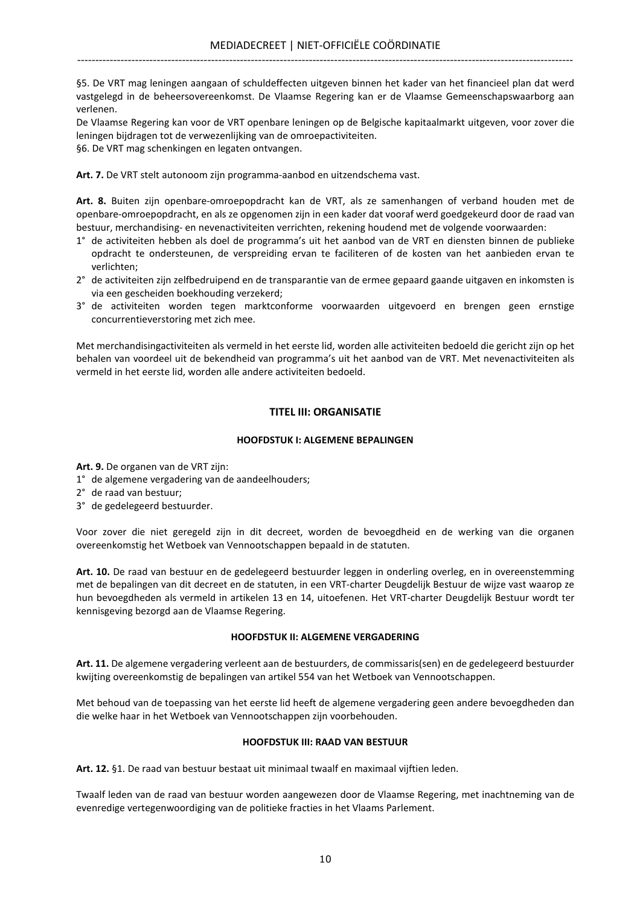§5. De VRT mag leningen aangaan of schuldeffecten uitgeven binnen het kader van het financieel plan dat werd vastgelegd in de beheersovereenkomst. De Vlaamse Regering kan er de Vlaamse Gemeenschapswaarborg aan verlenen.

De Vlaamse Regering kan voor de VRT openbare leningen op de Belgische kapitaalmarkt uitgeven, voor zover die leningen bijdragen tot de verwezenlijking van de omroepactiviteiten.

§6. De VRT mag schenkingen en legaten ontvangen.

Art. 7. De VRT stelt autonoom zijn programma-aanbod en uitzendschema vast.

Art. 8. Buiten zijn openbare-omroepopdracht kan de VRT, als ze samenhangen of verband houden met de openbare-omroepopdracht, en als ze opgenomen zijn in een kader dat vooraf werd goedgekeurd door de raad van bestuur, merchandising- en nevenactiviteiten verrichten, rekening houdend met de volgende voorwaarden:

- 1° de activiteiten hebben als doel de programma's uit het aanbod van de VRT en diensten binnen de publieke opdracht te ondersteunen, de verspreiding ervan te faciliteren of de kosten van het aanbieden ervan te verlichten;
- 2° de activiteiten zijn zelfbedruipend en de transparantie van de ermee gepaard gaande uitgaven en inkomsten is via een gescheiden boekhouding verzekerd;
- 3° de activiteiten worden tegen marktconforme voorwaarden uitgevoerd en brengen geen ernstige concurrentieverstoring met zich mee.

Met merchandisingactiviteiten als vermeld in het eerste lid, worden alle activiteiten bedoeld die gericht zijn op het behalen van voordeel uit de bekendheid van programma's uit het aanbod van de VRT. Met nevenactiviteiten als vermeld in het eerste lid, worden alle andere activiteiten bedoeld.

## TITEL III: ORGANISATIE

## HOOFDSTUK I: ALGEMENE BEPALINGEN

Art. 9. De organen van de VRT zijn:

- 1° de algemene vergadering van de aandeelhouders;
- 2° de raad van bestuur;
- 3° de gedelegeerd bestuurder.

Voor zover die niet geregeld zijn in dit decreet, worden de bevoegdheid en de werking van die organen overeenkomstig het Wetboek van Vennootschappen bepaald in de statuten.

Art. 10. De raad van bestuur en de gedelegeerd bestuurder leggen in onderling overleg, en in overeenstemming met de bepalingen van dit decreet en de statuten, in een VRT-charter Deugdelijk Bestuur de wijze vast waarop ze hun bevoegdheden als vermeld in artikelen 13 en 14, uitoefenen. Het VRT-charter Deugdelijk Bestuur wordt ter kennisgeving bezorgd aan de Vlaamse Regering.

## HOOFDSTUK II: ALGEMENE VERGADERING

Art. 11. De algemene vergadering verleent aan de bestuurders, de commissaris(sen) en de gedelegeerd bestuurder kwijting overeenkomstig de bepalingen van artikel 554 van het Wetboek van Vennootschappen.

Met behoud van de toepassing van het eerste lid heeft de algemene vergadering geen andere bevoegdheden dan die welke haar in het Wetboek van Vennootschappen zijn voorbehouden.

## HOOFDSTUK III: RAAD VAN BESTUUR

Art. 12. §1. De raad van bestuur bestaat uit minimaal twaalf en maximaal vijftien leden.

Twaalf leden van de raad van bestuur worden aangewezen door de Vlaamse Regering, met inachtneming van de evenredige vertegenwoordiging van de politieke fracties in het Vlaams Parlement.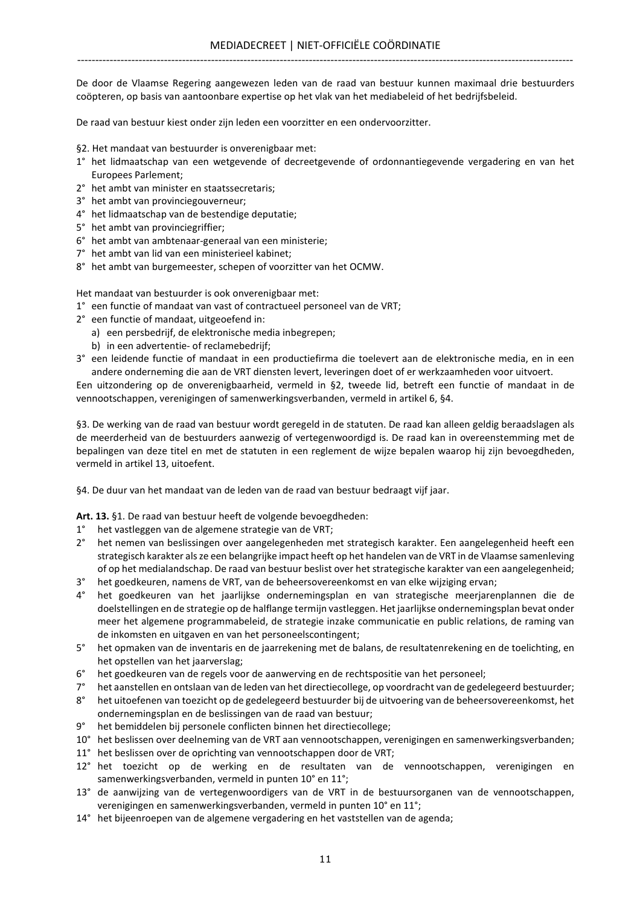De door de Vlaamse Regering aangewezen leden van de raad van bestuur kunnen maximaal drie bestuurders coöpteren, op basis van aantoonbare expertise op het vlak van het mediabeleid of het bedrijfsbeleid.

De raad van bestuur kiest onder zijn leden een voorzitter en een ondervoorzitter.

- §2. Het mandaat van bestuurder is onverenigbaar met:
- 1° het lidmaatschap van een wetgevende of decreetgevende of ordonnantiegevende vergadering en van het Europees Parlement;
- 2° het ambt van minister en staatssecretaris;
- 3° het ambt van provinciegouverneur;
- 4° het lidmaatschap van de bestendige deputatie;
- 5° het ambt van provinciegriffier;
- 6° het ambt van ambtenaar-generaal van een ministerie;
- 7° het ambt van lid van een ministerieel kabinet;
- 8° het ambt van burgemeester, schepen of voorzitter van het OCMW.

Het mandaat van bestuurder is ook onverenigbaar met:

- 1° een functie of mandaat van vast of contractueel personeel van de VRT;
- 2° een functie of mandaat, uitgeoefend in:
	- a) een persbedrijf, de elektronische media inbegrepen;
	- b) in een advertentie- of reclamebedrijf;
- 3° een leidende functie of mandaat in een productiefirma die toelevert aan de elektronische media, en in een andere onderneming die aan de VRT diensten levert, leveringen doet of er werkzaamheden voor uitvoert.

Een uitzondering op de onverenigbaarheid, vermeld in §2, tweede lid, betreft een functie of mandaat in de vennootschappen, verenigingen of samenwerkingsverbanden, vermeld in artikel 6, §4.

§3. De werking van de raad van bestuur wordt geregeld in de statuten. De raad kan alleen geldig beraadslagen als de meerderheid van de bestuurders aanwezig of vertegenwoordigd is. De raad kan in overeenstemming met de bepalingen van deze titel en met de statuten in een reglement de wijze bepalen waarop hij zijn bevoegdheden, vermeld in artikel 13, uitoefent.

§4. De duur van het mandaat van de leden van de raad van bestuur bedraagt vijf jaar.

Art. 13. §1. De raad van bestuur heeft de volgende bevoegdheden:

- 1° het vastleggen van de algemene strategie van de VRT;
- 2° het nemen van beslissingen over aangelegenheden met strategisch karakter. Een aangelegenheid heeft een strategisch karakter als ze een belangrijke impact heeft op het handelen van de VRT in de Vlaamse samenleving of op het medialandschap. De raad van bestuur beslist over het strategische karakter van een aangelegenheid;
- 3° het goedkeuren, namens de VRT, van de beheersovereenkomst en van elke wijziging ervan;
- 4° het goedkeuren van het jaarlijkse ondernemingsplan en van strategische meerjarenplannen die de doelstellingen en de strategie op de halflange termijn vastleggen. Het jaarlijkse ondernemingsplan bevat onder meer het algemene programmabeleid, de strategie inzake communicatie en public relations, de raming van de inkomsten en uitgaven en van het personeelscontingent;
- 5° het opmaken van de inventaris en de jaarrekening met de balans, de resultatenrekening en de toelichting, en het opstellen van het jaarverslag;
- 6° het goedkeuren van de regels voor de aanwerving en de rechtspositie van het personeel;
- 7° het aanstellen en ontslaan van de leden van het directiecollege, op voordracht van de gedelegeerd bestuurder;
- 8° het uitoefenen van toezicht op de gedelegeerd bestuurder bij de uitvoering van de beheersovereenkomst, het ondernemingsplan en de beslissingen van de raad van bestuur;
- 9° het bemiddelen bij personele conflicten binnen het directiecollege;
- 10° het beslissen over deelneming van de VRT aan vennootschappen, verenigingen en samenwerkingsverbanden;
- 11° het beslissen over de oprichting van vennootschappen door de VRT;
- 12° het toezicht op de werking en de resultaten van de vennootschappen, verenigingen en samenwerkingsverbanden, vermeld in punten 10° en 11°;
- 13° de aanwijzing van de vertegenwoordigers van de VRT in de bestuursorganen van de vennootschappen, verenigingen en samenwerkingsverbanden, vermeld in punten 10° en 11°;
- 14° het bijeenroepen van de algemene vergadering en het vaststellen van de agenda;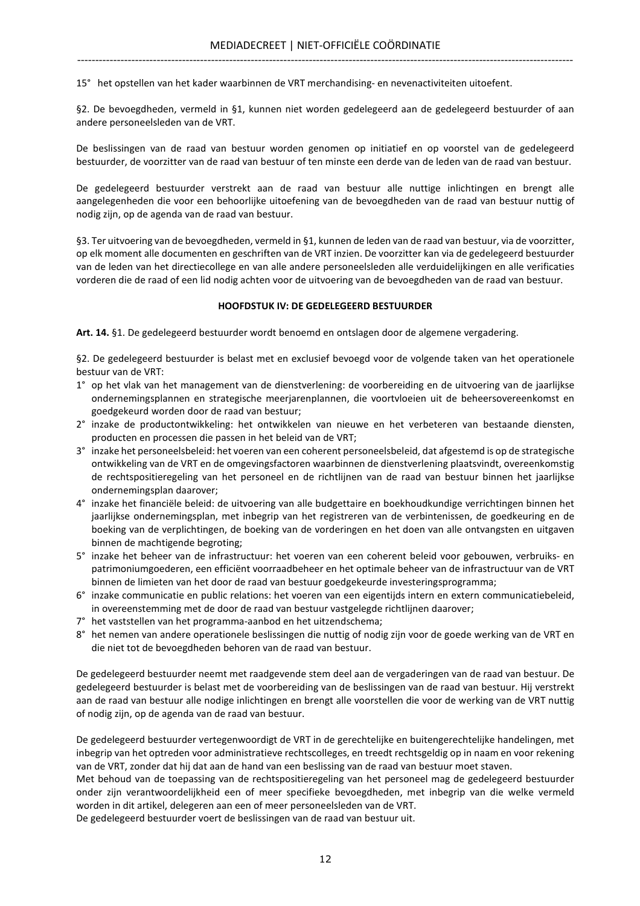15° het opstellen van het kader waarbinnen de VRT merchandising- en nevenactiviteiten uitoefent.

§2. De bevoegdheden, vermeld in §1, kunnen niet worden gedelegeerd aan de gedelegeerd bestuurder of aan andere personeelsleden van de VRT.

De beslissingen van de raad van bestuur worden genomen op initiatief en op voorstel van de gedelegeerd bestuurder, de voorzitter van de raad van bestuur of ten minste een derde van de leden van de raad van bestuur.

De gedelegeerd bestuurder verstrekt aan de raad van bestuur alle nuttige inlichtingen en brengt alle aangelegenheden die voor een behoorlijke uitoefening van de bevoegdheden van de raad van bestuur nuttig of nodig zijn, op de agenda van de raad van bestuur.

§3. Ter uitvoering van de bevoegdheden, vermeld in §1, kunnen de leden van de raad van bestuur, via de voorzitter, op elk moment alle documenten en geschriften van de VRT inzien. De voorzitter kan via de gedelegeerd bestuurder van de leden van het directiecollege en van alle andere personeelsleden alle verduidelijkingen en alle verificaties vorderen die de raad of een lid nodig achten voor de uitvoering van de bevoegdheden van de raad van bestuur.

#### HOOFDSTUK IV: DE GEDELEGEERD BESTUURDER

Art. 14. §1. De gedelegeerd bestuurder wordt benoemd en ontslagen door de algemene vergadering.

§2. De gedelegeerd bestuurder is belast met en exclusief bevoegd voor de volgende taken van het operationele bestuur van de VRT:

- 1° op het vlak van het management van de dienstverlening: de voorbereiding en de uitvoering van de jaarlijkse ondernemingsplannen en strategische meerjarenplannen, die voortvloeien uit de beheersovereenkomst en goedgekeurd worden door de raad van bestuur;
- 2° inzake de productontwikkeling: het ontwikkelen van nieuwe en het verbeteren van bestaande diensten, producten en processen die passen in het beleid van de VRT;
- 3° inzake het personeelsbeleid: het voeren van een coherent personeelsbeleid, dat afgestemd is op de strategische ontwikkeling van de VRT en de omgevingsfactoren waarbinnen de dienstverlening plaatsvindt, overeenkomstig de rechtspositieregeling van het personeel en de richtlijnen van de raad van bestuur binnen het jaarlijkse ondernemingsplan daarover;
- 4° inzake het financiële beleid: de uitvoering van alle budgettaire en boekhoudkundige verrichtingen binnen het jaarlijkse ondernemingsplan, met inbegrip van het registreren van de verbintenissen, de goedkeuring en de boeking van de verplichtingen, de boeking van de vorderingen en het doen van alle ontvangsten en uitgaven binnen de machtigende begroting;
- 5° inzake het beheer van de infrastructuur: het voeren van een coherent beleid voor gebouwen, verbruiks- en patrimoniumgoederen, een efficiënt voorraadbeheer en het optimale beheer van de infrastructuur van de VRT binnen de limieten van het door de raad van bestuur goedgekeurde investeringsprogramma;
- 6° inzake communicatie en public relations: het voeren van een eigentijds intern en extern communicatiebeleid, in overeenstemming met de door de raad van bestuur vastgelegde richtlijnen daarover;
- 7° het vaststellen van het programma-aanbod en het uitzendschema;
- 8° het nemen van andere operationele beslissingen die nuttig of nodig zijn voor de goede werking van de VRT en die niet tot de bevoegdheden behoren van de raad van bestuur.

De gedelegeerd bestuurder neemt met raadgevende stem deel aan de vergaderingen van de raad van bestuur. De gedelegeerd bestuurder is belast met de voorbereiding van de beslissingen van de raad van bestuur. Hij verstrekt aan de raad van bestuur alle nodige inlichtingen en brengt alle voorstellen die voor de werking van de VRT nuttig of nodig zijn, op de agenda van de raad van bestuur.

De gedelegeerd bestuurder vertegenwoordigt de VRT in de gerechtelijke en buitengerechtelijke handelingen, met inbegrip van het optreden voor administratieve rechtscolleges, en treedt rechtsgeldig op in naam en voor rekening van de VRT, zonder dat hij dat aan de hand van een beslissing van de raad van bestuur moet staven.

Met behoud van de toepassing van de rechtspositieregeling van het personeel mag de gedelegeerd bestuurder onder zijn verantwoordelijkheid een of meer specifieke bevoegdheden, met inbegrip van die welke vermeld worden in dit artikel, delegeren aan een of meer personeelsleden van de VRT.

De gedelegeerd bestuurder voert de beslissingen van de raad van bestuur uit.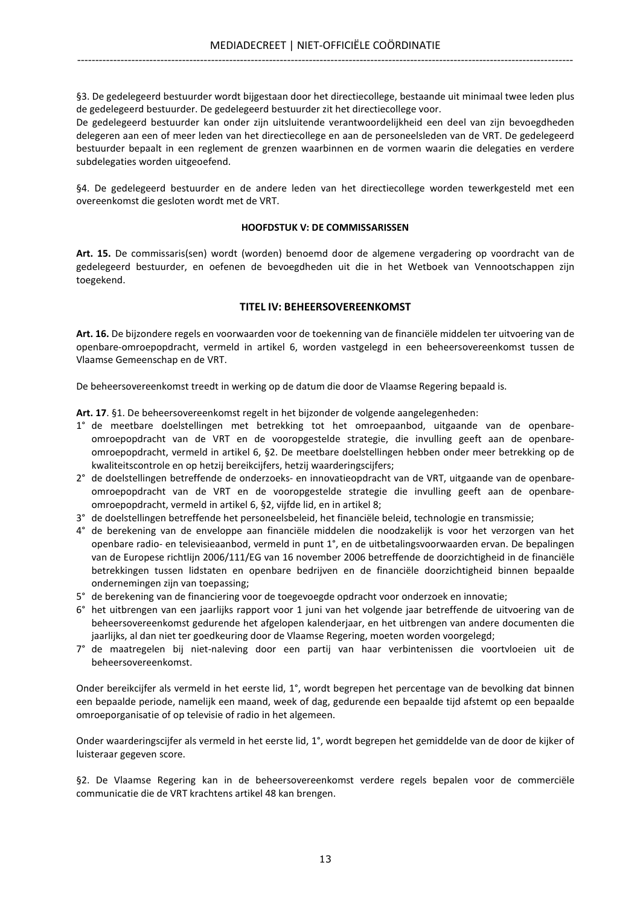§3. De gedelegeerd bestuurder wordt bijgestaan door het directiecollege, bestaande uit minimaal twee leden plus de gedelegeerd bestuurder. De gedelegeerd bestuurder zit het directiecollege voor.

De gedelegeerd bestuurder kan onder zijn uitsluitende verantwoordelijkheid een deel van zijn bevoegdheden delegeren aan een of meer leden van het directiecollege en aan de personeelsleden van de VRT. De gedelegeerd bestuurder bepaalt in een reglement de grenzen waarbinnen en de vormen waarin die delegaties en verdere subdelegaties worden uitgeoefend.

§4. De gedelegeerd bestuurder en de andere leden van het directiecollege worden tewerkgesteld met een overeenkomst die gesloten wordt met de VRT.

## HOOFDSTUK V: DE COMMISSARISSEN

Art. 15. De commissaris(sen) wordt (worden) benoemd door de algemene vergadering op voordracht van de gedelegeerd bestuurder, en oefenen de bevoegdheden uit die in het Wetboek van Vennootschappen zijn toegekend.

## TITEL IV: BEHEERSOVEREENKOMST

Art. 16. De bijzondere regels en voorwaarden voor de toekenning van de financiële middelen ter uitvoering van de openbare-omroepopdracht, vermeld in artikel 6, worden vastgelegd in een beheersovereenkomst tussen de Vlaamse Gemeenschap en de VRT.

De beheersovereenkomst treedt in werking op de datum die door de Vlaamse Regering bepaald is.

Art. 17. §1. De beheersovereenkomst regelt in het bijzonder de volgende aangelegenheden:

- 1° de meetbare doelstellingen met betrekking tot het omroepaanbod, uitgaande van de openbareomroepopdracht van de VRT en de vooropgestelde strategie, die invulling geeft aan de openbareomroepopdracht, vermeld in artikel 6, §2. De meetbare doelstellingen hebben onder meer betrekking op de kwaliteitscontrole en op hetzij bereikcijfers, hetzij waarderingscijfers;
- 2° de doelstellingen betreffende de onderzoeks- en innovatieopdracht van de VRT, uitgaande van de openbareomroepopdracht van de VRT en de vooropgestelde strategie die invulling geeft aan de openbareomroepopdracht, vermeld in artikel 6, §2, vijfde lid, en in artikel 8;
- 3° de doelstellingen betreffende het personeelsbeleid, het financiële beleid, technologie en transmissie;
- 4° de berekening van de enveloppe aan financiële middelen die noodzakelijk is voor het verzorgen van het openbare radio- en televisieaanbod, vermeld in punt 1°, en de uitbetalingsvoorwaarden ervan. De bepalingen van de Europese richtlijn 2006/111/EG van 16 november 2006 betreffende de doorzichtigheid in de financiële betrekkingen tussen lidstaten en openbare bedrijven en de financiële doorzichtigheid binnen bepaalde ondernemingen zijn van toepassing;
- 5° de berekening van de financiering voor de toegevoegde opdracht voor onderzoek en innovatie;
- 6° het uitbrengen van een jaarlijks rapport voor 1 juni van het volgende jaar betreffende de uitvoering van de beheersovereenkomst gedurende het afgelopen kalenderjaar, en het uitbrengen van andere documenten die jaarlijks, al dan niet ter goedkeuring door de Vlaamse Regering, moeten worden voorgelegd;
- 7° de maatregelen bij niet-naleving door een partij van haar verbintenissen die voortvloeien uit de beheersovereenkomst.

Onder bereikcijfer als vermeld in het eerste lid, 1°, wordt begrepen het percentage van de bevolking dat binnen een bepaalde periode, namelijk een maand, week of dag, gedurende een bepaalde tijd afstemt op een bepaalde omroeporganisatie of op televisie of radio in het algemeen.

Onder waarderingscijfer als vermeld in het eerste lid, 1°, wordt begrepen het gemiddelde van de door de kijker of luisteraar gegeven score.

§2. De Vlaamse Regering kan in de beheersovereenkomst verdere regels bepalen voor de commerciële communicatie die de VRT krachtens artikel 48 kan brengen.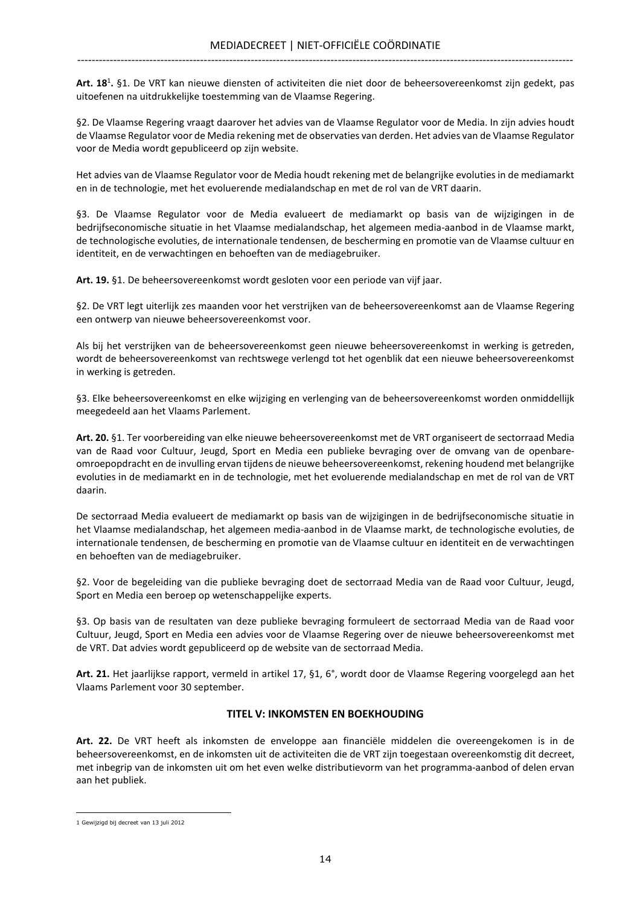Art. 18<sup>1</sup>. §1. De VRT kan nieuwe diensten of activiteiten die niet door de beheersovereenkomst zijn gedekt, pas uitoefenen na uitdrukkelijke toestemming van de Vlaamse Regering.

§2. De Vlaamse Regering vraagt daarover het advies van de Vlaamse Regulator voor de Media. In zijn advies houdt de Vlaamse Regulator voor de Media rekening met de observaties van derden. Het advies van de Vlaamse Regulator voor de Media wordt gepubliceerd op zijn website.

Het advies van de Vlaamse Regulator voor de Media houdt rekening met de belangrijke evoluties in de mediamarkt en in de technologie, met het evoluerende medialandschap en met de rol van de VRT daarin.

§3. De Vlaamse Regulator voor de Media evalueert de mediamarkt op basis van de wijzigingen in de bedrijfseconomische situatie in het Vlaamse medialandschap, het algemeen media-aanbod in de Vlaamse markt, de technologische evoluties, de internationale tendensen, de bescherming en promotie van de Vlaamse cultuur en identiteit, en de verwachtingen en behoeften van de mediagebruiker.

Art. 19. §1. De beheersovereenkomst wordt gesloten voor een periode van vijf jaar.

§2. De VRT legt uiterlijk zes maanden voor het verstrijken van de beheersovereenkomst aan de Vlaamse Regering een ontwerp van nieuwe beheersovereenkomst voor.

Als bij het verstrijken van de beheersovereenkomst geen nieuwe beheersovereenkomst in werking is getreden, wordt de beheersovereenkomst van rechtswege verlengd tot het ogenblik dat een nieuwe beheersovereenkomst in werking is getreden.

§3. Elke beheersovereenkomst en elke wijziging en verlenging van de beheersovereenkomst worden onmiddellijk meegedeeld aan het Vlaams Parlement.

Art. 20. §1. Ter voorbereiding van elke nieuwe beheersovereenkomst met de VRT organiseert de sectorraad Media van de Raad voor Cultuur, Jeugd, Sport en Media een publieke bevraging over de omvang van de openbareomroepopdracht en de invulling ervan tijdens de nieuwe beheersovereenkomst, rekening houdend met belangrijke evoluties in de mediamarkt en in de technologie, met het evoluerende medialandschap en met de rol van de VRT daarin.

De sectorraad Media evalueert de mediamarkt op basis van de wijzigingen in de bedrijfseconomische situatie in het Vlaamse medialandschap, het algemeen media-aanbod in de Vlaamse markt, de technologische evoluties, de internationale tendensen, de bescherming en promotie van de Vlaamse cultuur en identiteit en de verwachtingen en behoeften van de mediagebruiker.

§2. Voor de begeleiding van die publieke bevraging doet de sectorraad Media van de Raad voor Cultuur, Jeugd, Sport en Media een beroep op wetenschappelijke experts.

§3. Op basis van de resultaten van deze publieke bevraging formuleert de sectorraad Media van de Raad voor Cultuur, Jeugd, Sport en Media een advies voor de Vlaamse Regering over de nieuwe beheersovereenkomst met de VRT. Dat advies wordt gepubliceerd op de website van de sectorraad Media.

Art. 21. Het jaarlijkse rapport, vermeld in artikel 17, §1, 6°, wordt door de Vlaamse Regering voorgelegd aan het Vlaams Parlement voor 30 september.

## TITEL V: INKOMSTEN EN BOEKHOUDING

Art. 22. De VRT heeft als inkomsten de enveloppe aan financiële middelen die overeengekomen is in de beheersovereenkomst, en de inkomsten uit de activiteiten die de VRT zijn toegestaan overeenkomstig dit decreet, met inbegrip van de inkomsten uit om het even welke distributievorm van het programma-aanbod of delen ervan aan het publiek.

<sup>1</sup> Gewijzigd bij decreet van 13 juli 2012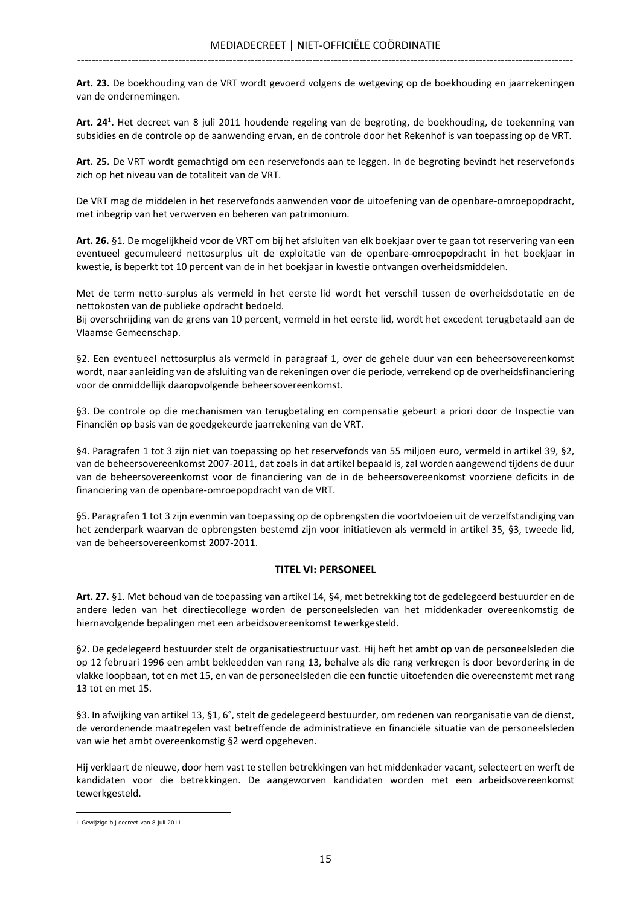Art. 23. De boekhouding van de VRT wordt gevoerd volgens de wetgeving op de boekhouding en jaarrekeningen van de ondernemingen.

Art. 24<sup>1</sup>. Het decreet van 8 juli 2011 houdende regeling van de begroting, de boekhouding, de toekenning van subsidies en de controle op de aanwending ervan, en de controle door het Rekenhof is van toepassing op de VRT.

Art. 25. De VRT wordt gemachtigd om een reservefonds aan te leggen. In de begroting bevindt het reservefonds zich op het niveau van de totaliteit van de VRT.

De VRT mag de middelen in het reservefonds aanwenden voor de uitoefening van de openbare-omroepopdracht, met inbegrip van het verwerven en beheren van patrimonium.

Art. 26. §1. De mogelijkheid voor de VRT om bij het afsluiten van elk boekjaar over te gaan tot reservering van een eventueel gecumuleerd nettosurplus uit de exploitatie van de openbare-omroepopdracht in het boekjaar in kwestie, is beperkt tot 10 percent van de in het boekjaar in kwestie ontvangen overheidsmiddelen.

Met de term netto-surplus als vermeld in het eerste lid wordt het verschil tussen de overheidsdotatie en de nettokosten van de publieke opdracht bedoeld.

Bij overschrijding van de grens van 10 percent, vermeld in het eerste lid, wordt het excedent terugbetaald aan de Vlaamse Gemeenschap.

§2. Een eventueel nettosurplus als vermeld in paragraaf 1, over de gehele duur van een beheersovereenkomst wordt, naar aanleiding van de afsluiting van de rekeningen over die periode, verrekend op de overheidsfinanciering voor de onmiddellijk daaropvolgende beheersovereenkomst.

§3. De controle op die mechanismen van terugbetaling en compensatie gebeurt a priori door de Inspectie van Financiën op basis van de goedgekeurde jaarrekening van de VRT.

§4. Paragrafen 1 tot 3 zijn niet van toepassing op het reservefonds van 55 miljoen euro, vermeld in artikel 39, §2, van de beheersovereenkomst 2007-2011, dat zoals in dat artikel bepaald is, zal worden aangewend tijdens de duur van de beheersovereenkomst voor de financiering van de in de beheersovereenkomst voorziene deficits in de financiering van de openbare-omroepopdracht van de VRT.

§5. Paragrafen 1 tot 3 zijn evenmin van toepassing op de opbrengsten die voortvloeien uit de verzelfstandiging van het zenderpark waarvan de opbrengsten bestemd zijn voor initiatieven als vermeld in artikel 35, §3, tweede lid, van de beheersovereenkomst 2007-2011.

## TITEL VI: PERSONEEL

Art. 27. §1. Met behoud van de toepassing van artikel 14, §4, met betrekking tot de gedelegeerd bestuurder en de andere leden van het directiecollege worden de personeelsleden van het middenkader overeenkomstig de hiernavolgende bepalingen met een arbeidsovereenkomst tewerkgesteld.

§2. De gedelegeerd bestuurder stelt de organisatiestructuur vast. Hij heft het ambt op van de personeelsleden die op 12 februari 1996 een ambt bekleedden van rang 13, behalve als die rang verkregen is door bevordering in de vlakke loopbaan, tot en met 15, en van de personeelsleden die een functie uitoefenden die overeenstemt met rang 13 tot en met 15.

§3. In afwijking van artikel 13, §1, 6°, stelt de gedelegeerd bestuurder, om redenen van reorganisatie van de dienst, de verordenende maatregelen vast betreffende de administratieve en financiële situatie van de personeelsleden van wie het ambt overeenkomstig §2 werd opgeheven.

Hij verklaart de nieuwe, door hem vast te stellen betrekkingen van het middenkader vacant, selecteert en werft de kandidaten voor die betrekkingen. De aangeworven kandidaten worden met een arbeidsovereenkomst tewerkgesteld.

<sup>1</sup> Gewijzigd bij decreet van 8 juli 2011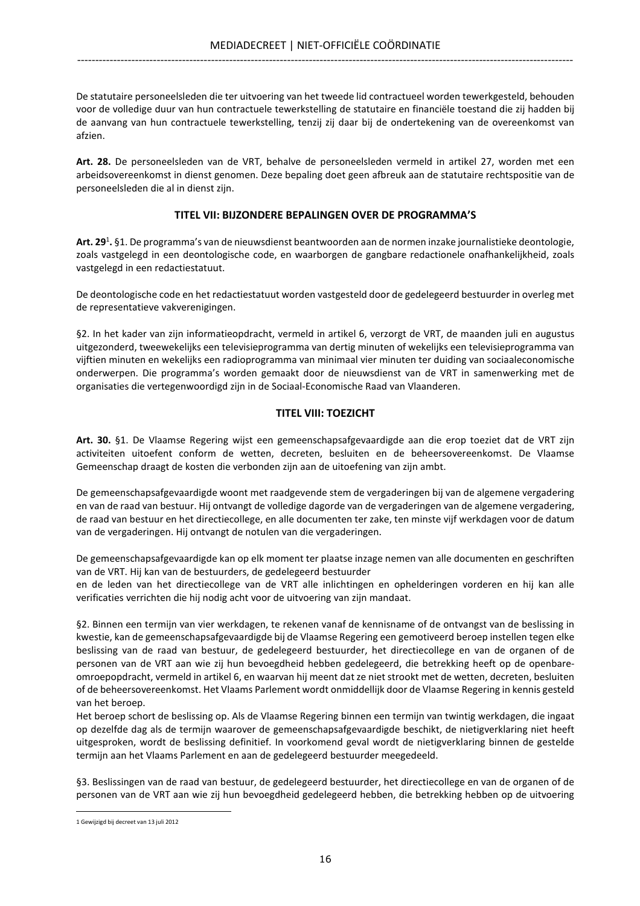De statutaire personeelsleden die ter uitvoering van het tweede lid contractueel worden tewerkgesteld, behouden voor de volledige duur van hun contractuele tewerkstelling de statutaire en financiële toestand die zij hadden bij de aanvang van hun contractuele tewerkstelling, tenzij zij daar bij de ondertekening van de overeenkomst van afzien.

Art. 28. De personeelsleden van de VRT, behalve de personeelsleden vermeld in artikel 27, worden met een arbeidsovereenkomst in dienst genomen. Deze bepaling doet geen afbreuk aan de statutaire rechtspositie van de personeelsleden die al in dienst zijn.

## TITEL VII: BIJZONDERE BEPALINGEN OVER DE PROGRAMMA'S

Art. 29<sup>1</sup>. §1. De programma's van de nieuwsdienst beantwoorden aan de normen inzake journalistieke deontologie, zoals vastgelegd in een deontologische code, en waarborgen de gangbare redactionele onafhankelijkheid, zoals vastgelegd in een redactiestatuut.

De deontologische code en het redactiestatuut worden vastgesteld door de gedelegeerd bestuurder in overleg met de representatieve vakverenigingen.

§2. In het kader van zijn informatieopdracht, vermeld in artikel 6, verzorgt de VRT, de maanden juli en augustus uitgezonderd, tweewekelijks een televisieprogramma van dertig minuten of wekelijks een televisieprogramma van vijftien minuten en wekelijks een radioprogramma van minimaal vier minuten ter duiding van sociaaleconomische onderwerpen. Die programma's worden gemaakt door de nieuwsdienst van de VRT in samenwerking met de organisaties die vertegenwoordigd zijn in de Sociaal-Economische Raad van Vlaanderen.

## TITEL VIII: TOEZICHT

Art. 30. §1. De Vlaamse Regering wijst een gemeenschapsafgevaardigde aan die erop toeziet dat de VRT zijn activiteiten uitoefent conform de wetten, decreten, besluiten en de beheersovereenkomst. De Vlaamse Gemeenschap draagt de kosten die verbonden zijn aan de uitoefening van zijn ambt.

De gemeenschapsafgevaardigde woont met raadgevende stem de vergaderingen bij van de algemene vergadering en van de raad van bestuur. Hij ontvangt de volledige dagorde van de vergaderingen van de algemene vergadering, de raad van bestuur en het directiecollege, en alle documenten ter zake, ten minste vijf werkdagen voor de datum van de vergaderingen. Hij ontvangt de notulen van die vergaderingen.

De gemeenschapsafgevaardigde kan op elk moment ter plaatse inzage nemen van alle documenten en geschriften van de VRT. Hij kan van de bestuurders, de gedelegeerd bestuurder

en de leden van het directiecollege van de VRT alle inlichtingen en ophelderingen vorderen en hij kan alle verificaties verrichten die hij nodig acht voor de uitvoering van zijn mandaat.

§2. Binnen een termijn van vier werkdagen, te rekenen vanaf de kennisname of de ontvangst van de beslissing in kwestie, kan de gemeenschapsafgevaardigde bij de Vlaamse Regering een gemotiveerd beroep instellen tegen elke beslissing van de raad van bestuur, de gedelegeerd bestuurder, het directiecollege en van de organen of de personen van de VRT aan wie zij hun bevoegdheid hebben gedelegeerd, die betrekking heeft op de openbareomroepopdracht, vermeld in artikel 6, en waarvan hij meent dat ze niet strookt met de wetten, decreten, besluiten of de beheersovereenkomst. Het Vlaams Parlement wordt onmiddellijk door de Vlaamse Regering in kennis gesteld van het beroep.

Het beroep schort de beslissing op. Als de Vlaamse Regering binnen een termijn van twintig werkdagen, die ingaat op dezelfde dag als de termijn waarover de gemeenschapsafgevaardigde beschikt, de nietigverklaring niet heeft uitgesproken, wordt de beslissing definitief. In voorkomend geval wordt de nietigverklaring binnen de gestelde termijn aan het Vlaams Parlement en aan de gedelegeerd bestuurder meegedeeld.

§3. Beslissingen van de raad van bestuur, de gedelegeerd bestuurder, het directiecollege en van de organen of de personen van de VRT aan wie zij hun bevoegdheid gedelegeerd hebben, die betrekking hebben op de uitvoering

<sup>1</sup> Gewijzigd bij decreet van 13 juli 2012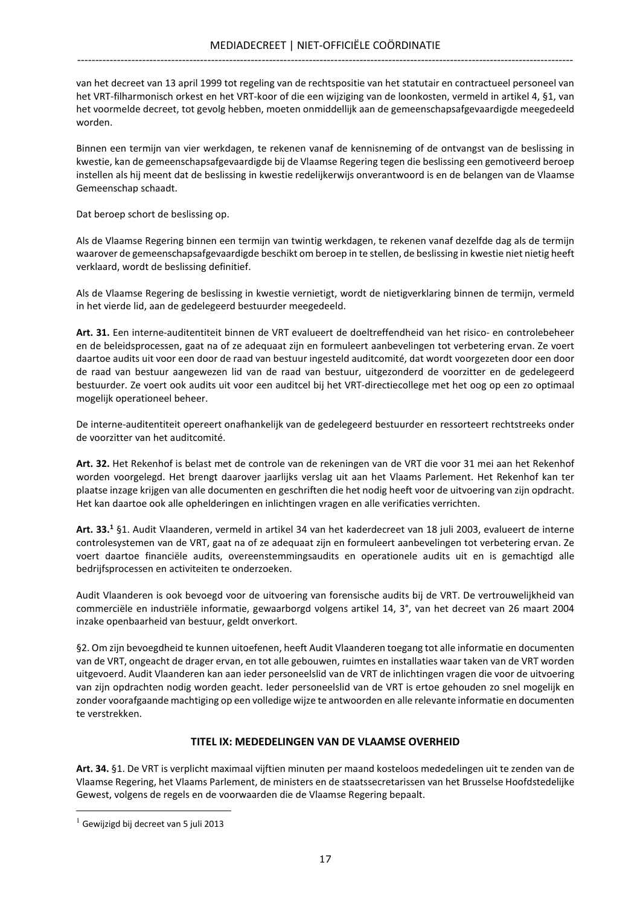van het decreet van 13 april 1999 tot regeling van de rechtspositie van het statutair en contractueel personeel van het VRT-filharmonisch orkest en het VRT-koor of die een wijziging van de loonkosten, vermeld in artikel 4, §1, van het voormelde decreet, tot gevolg hebben, moeten onmiddellijk aan de gemeenschapsafgevaardigde meegedeeld worden.

Binnen een termijn van vier werkdagen, te rekenen vanaf de kennisneming of de ontvangst van de beslissing in kwestie, kan de gemeenschapsafgevaardigde bij de Vlaamse Regering tegen die beslissing een gemotiveerd beroep instellen als hij meent dat de beslissing in kwestie redelijkerwijs onverantwoord is en de belangen van de Vlaamse Gemeenschap schaadt.

Dat beroep schort de beslissing op.

Als de Vlaamse Regering binnen een termijn van twintig werkdagen, te rekenen vanaf dezelfde dag als de termijn waarover de gemeenschapsafgevaardigde beschikt om beroep in te stellen, de beslissing in kwestie niet nietig heeft verklaard, wordt de beslissing definitief.

Als de Vlaamse Regering de beslissing in kwestie vernietigt, wordt de nietigverklaring binnen de termijn, vermeld in het vierde lid, aan de gedelegeerd bestuurder meegedeeld.

Art. 31. Een interne-auditentiteit binnen de VRT evalueert de doeltreffendheid van het risico- en controlebeheer en de beleidsprocessen, gaat na of ze adequaat zijn en formuleert aanbevelingen tot verbetering ervan. Ze voert daartoe audits uit voor een door de raad van bestuur ingesteld auditcomité, dat wordt voorgezeten door een door de raad van bestuur aangewezen lid van de raad van bestuur, uitgezonderd de voorzitter en de gedelegeerd bestuurder. Ze voert ook audits uit voor een auditcel bij het VRT-directiecollege met het oog op een zo optimaal mogelijk operationeel beheer.

De interne-auditentiteit opereert onafhankelijk van de gedelegeerd bestuurder en ressorteert rechtstreeks onder de voorzitter van het auditcomité.

Art. 32. Het Rekenhof is belast met de controle van de rekeningen van de VRT die voor 31 mei aan het Rekenhof worden voorgelegd. Het brengt daarover jaarlijks verslag uit aan het Vlaams Parlement. Het Rekenhof kan ter plaatse inzage krijgen van alle documenten en geschriften die het nodig heeft voor de uitvoering van zijn opdracht. Het kan daartoe ook alle ophelderingen en inlichtingen vragen en alle verificaties verrichten.

Art. 33.<sup>1</sup> §1. Audit Vlaanderen, vermeld in artikel 34 van het kaderdecreet van 18 juli 2003, evalueert de interne controlesystemen van de VRT, gaat na of ze adequaat zijn en formuleert aanbevelingen tot verbetering ervan. Ze voert daartoe financiële audits, overeenstemmingsaudits en operationele audits uit en is gemachtigd alle bedrijfsprocessen en activiteiten te onderzoeken.

Audit Vlaanderen is ook bevoegd voor de uitvoering van forensische audits bij de VRT. De vertrouwelijkheid van commerciële en industriële informatie, gewaarborgd volgens artikel 14, 3°, van het decreet van 26 maart 2004 inzake openbaarheid van bestuur, geldt onverkort.

§2. Om zijn bevoegdheid te kunnen uitoefenen, heeft Audit Vlaanderen toegang tot alle informatie en documenten van de VRT, ongeacht de drager ervan, en tot alle gebouwen, ruimtes en installaties waar taken van de VRT worden uitgevoerd. Audit Vlaanderen kan aan ieder personeelslid van de VRT de inlichtingen vragen die voor de uitvoering van zijn opdrachten nodig worden geacht. Ieder personeelslid van de VRT is ertoe gehouden zo snel mogelijk en zonder voorafgaande machtiging op een volledige wijze te antwoorden en alle relevante informatie en documenten te verstrekken.

## TITEL IX: MEDEDELINGEN VAN DE VLAAMSE OVERHEID

Art. 34. §1. De VRT is verplicht maximaal vijftien minuten per maand kosteloos mededelingen uit te zenden van de Vlaamse Regering, het Vlaams Parlement, de ministers en de staatssecretarissen van het Brusselse Hoofdstedelijke Gewest, volgens de regels en de voorwaarden die de Vlaamse Regering bepaalt.  $\overline{a}$ 

 $1$  Gewijzigd bij decreet van 5 juli 2013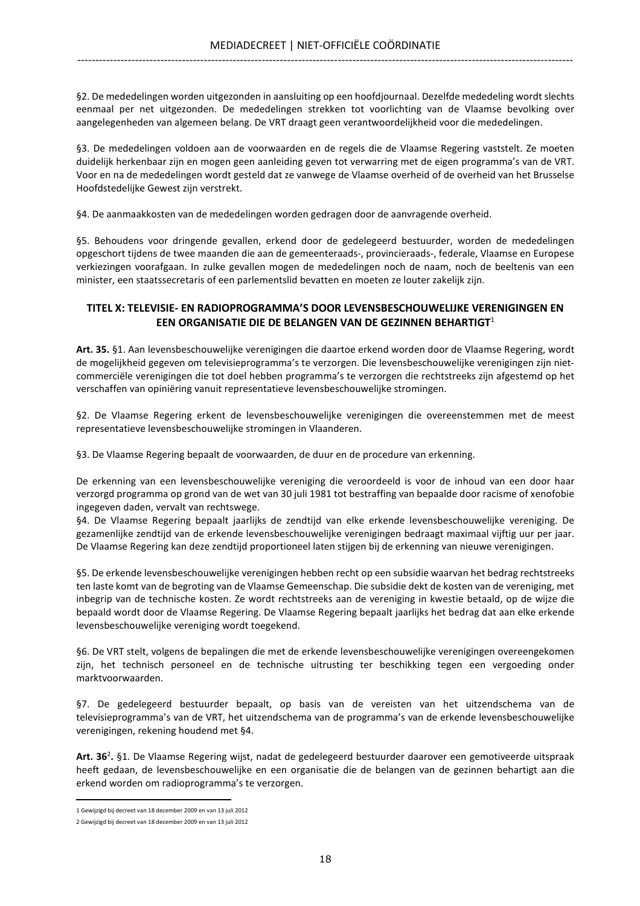§2. De mededelingen worden uitgezonden in aansluiting op een hoofdjournaal. Dezelfde mededeling wordt slechts eenmaal per net uitgezonden. De mededelingen strekken tot voorlichting van de Vlaamse bevolking over aangelegenheden van algemeen belang. De VRT draagt geen verantwoordelijkheid voor die mededelingen.

§3. De mededelingen voldoen aan de voorwaarden en de regels die de Vlaamse Regering vaststelt. Ze moeten duidelijk herkenbaar zijn en mogen geen aanleiding geven tot verwarring met de eigen programma's van de VRT. Voor en na de mededelingen wordt gesteld dat ze vanwege de Vlaamse overheid of de overheid van het Brusselse Hoofdstedelijke Gewest zijn verstrekt.

§4. De aanmaakkosten van de mededelingen worden gedragen door de aanvragende overheid.

§5. Behoudens voor dringende gevallen, erkend door de gedelegeerd bestuurder, worden de mededelingen opgeschort tijdens de twee maanden die aan de gemeenteraads-, provincieraads-, federale, Vlaamse en Europese verkiezingen voorafgaan. In zulke gevallen mogen de mededelingen noch de naam, noch de beeltenis van een minister, een staatssecretaris of een parlementslid bevatten en moeten ze louter zakelijk zijn.

## TITEL X: TELEVISIE- EN RADIOPROGRAMMA'S DOOR LEVENSBESCHOUWELIJKE VERENIGINGEN EN EEN ORGANISATIE DIE DE BELANGEN VAN DE GEZINNEN BEHARTIGT<sup>1</sup>

Art. 35. §1. Aan levensbeschouwelijke verenigingen die daartoe erkend worden door de Vlaamse Regering, wordt de mogelijkheid gegeven om televisieprogramma's te verzorgen. Die levensbeschouwelijke verenigingen zijn nietcommerciële verenigingen die tot doel hebben programma's te verzorgen die rechtstreeks zijn afgestemd op het verschaffen van opiniëring vanuit representatieve levensbeschouwelijke stromingen.

§2. De Vlaamse Regering erkent de levensbeschouwelijke verenigingen die overeenstemmen met de meest representatieve levensbeschouwelijke stromingen in Vlaanderen.

§3. De Vlaamse Regering bepaalt de voorwaarden, de duur en de procedure van erkenning.

De erkenning van een levensbeschouwelijke vereniging die veroordeeld is voor de inhoud van een door haar verzorgd programma op grond van de wet van 30 juli 1981 tot bestraffing van bepaalde door racisme of xenofobie ingegeven daden, vervalt van rechtswege.

§4. De Vlaamse Regering bepaalt jaarlijks de zendtijd van elke erkende levensbeschouwelijke vereniging. De gezamenlijke zendtijd van de erkende levensbeschouwelijke verenigingen bedraagt maximaal vijftig uur per jaar. De Vlaamse Regering kan deze zendtijd proportioneel laten stijgen bij de erkenning van nieuwe verenigingen.

§5. De erkende levensbeschouwelijke verenigingen hebben recht op een subsidie waarvan het bedrag rechtstreeks ten laste komt van de begroting van de Vlaamse Gemeenschap. Die subsidie dekt de kosten van de vereniging, met inbegrip van de technische kosten. Ze wordt rechtstreeks aan de vereniging in kwestie betaald, op de wijze die bepaald wordt door de Vlaamse Regering. De Vlaamse Regering bepaalt jaarlijks het bedrag dat aan elke erkende levensbeschouwelijke vereniging wordt toegekend.

§6. De VRT stelt, volgens de bepalingen die met de erkende levensbeschouwelijke verenigingen overeengekomen zijn, het technisch personeel en de technische uitrusting ter beschikking tegen een vergoeding onder marktvoorwaarden.

§7. De gedelegeerd bestuurder bepaalt, op basis van de vereisten van het uitzendschema van de televisieprogramma's van de VRT, het uitzendschema van de programma's van de erkende levensbeschouwelijke verenigingen, rekening houdend met §4.

Art. 36<sup>2</sup>. §1. De Vlaamse Regering wijst, nadat de gedelegeerd bestuurder daarover een gemotiveerde uitspraak heeft gedaan, de levensbeschouwelijke en een organisatie die de belangen van de gezinnen behartigt aan die erkend worden om radioprogramma's te verzorgen.

<sup>1</sup> Gewijzigd bij decreet van 18 december 2009 en van 13 juli 2012

<sup>2</sup> Gewijzigd bij decreet van 18 december 2009 en van 13 juli 2012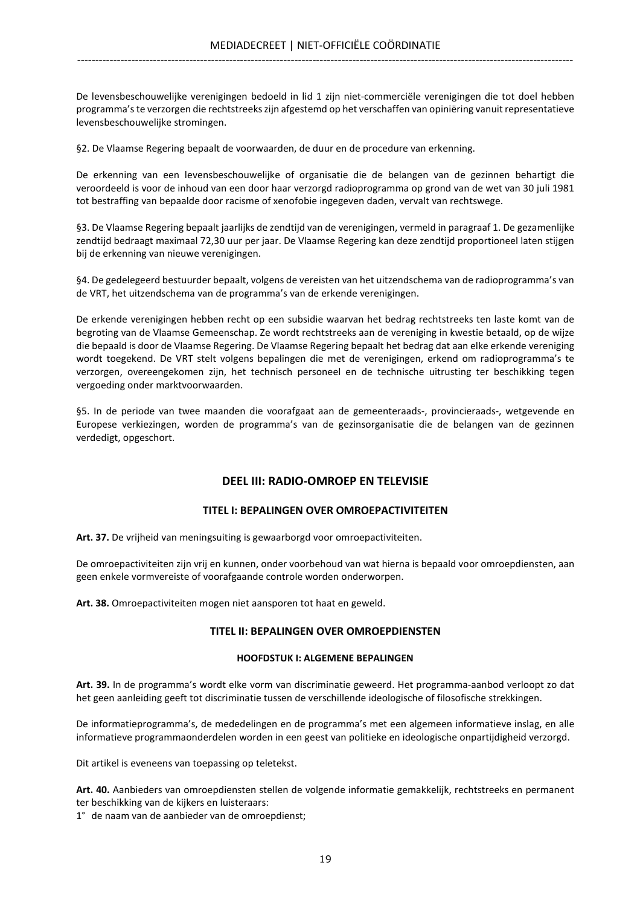De levensbeschouwelijke verenigingen bedoeld in lid 1 zijn niet-commerciële verenigingen die tot doel hebben programma's te verzorgen die rechtstreeks zijn afgestemd op het verschaffen van opiniëring vanuit representatieve levensbeschouwelijke stromingen.

§2. De Vlaamse Regering bepaalt de voorwaarden, de duur en de procedure van erkenning.

De erkenning van een levensbeschouwelijke of organisatie die de belangen van de gezinnen behartigt die veroordeeld is voor de inhoud van een door haar verzorgd radioprogramma op grond van de wet van 30 juli 1981 tot bestraffing van bepaalde door racisme of xenofobie ingegeven daden, vervalt van rechtswege.

§3. De Vlaamse Regering bepaalt jaarlijks de zendtijd van de verenigingen, vermeld in paragraaf 1. De gezamenlijke zendtijd bedraagt maximaal 72,30 uur per jaar. De Vlaamse Regering kan deze zendtijd proportioneel laten stijgen bij de erkenning van nieuwe verenigingen.

§4. De gedelegeerd bestuurder bepaalt, volgens de vereisten van het uitzendschema van de radioprogramma's van de VRT, het uitzendschema van de programma's van de erkende verenigingen.

De erkende verenigingen hebben recht op een subsidie waarvan het bedrag rechtstreeks ten laste komt van de begroting van de Vlaamse Gemeenschap. Ze wordt rechtstreeks aan de vereniging in kwestie betaald, op de wijze die bepaald is door de Vlaamse Regering. De Vlaamse Regering bepaalt het bedrag dat aan elke erkende vereniging wordt toegekend. De VRT stelt volgens bepalingen die met de verenigingen, erkend om radioprogramma's te verzorgen, overeengekomen zijn, het technisch personeel en de technische uitrusting ter beschikking tegen vergoeding onder marktvoorwaarden.

§5. In de periode van twee maanden die voorafgaat aan de gemeenteraads-, provincieraads-, wetgevende en Europese verkiezingen, worden de programma's van de gezinsorganisatie die de belangen van de gezinnen verdedigt, opgeschort.

## DEEL III: RADIO-OMROEP EN TELEVISIE

## TITEL I: BEPALINGEN OVER OMROEPACTIVITEITEN

Art. 37. De vrijheid van meningsuiting is gewaarborgd voor omroepactiviteiten.

De omroepactiviteiten zijn vrij en kunnen, onder voorbehoud van wat hierna is bepaald voor omroepdiensten, aan geen enkele vormvereiste of voorafgaande controle worden onderworpen.

Art. 38. Omroepactiviteiten mogen niet aansporen tot haat en geweld.

## TITEL II: BEPALINGEN OVER OMROEPDIENSTEN

#### HOOFDSTUK I: ALGEMENE BEPALINGEN

Art. 39. In de programma's wordt elke vorm van discriminatie geweerd. Het programma-aanbod verloopt zo dat het geen aanleiding geeft tot discriminatie tussen de verschillende ideologische of filosofische strekkingen.

De informatieprogramma's, de mededelingen en de programma's met een algemeen informatieve inslag, en alle informatieve programmaonderdelen worden in een geest van politieke en ideologische onpartijdigheid verzorgd.

Dit artikel is eveneens van toepassing op teletekst.

Art. 40. Aanbieders van omroepdiensten stellen de volgende informatie gemakkelijk, rechtstreeks en permanent ter beschikking van de kijkers en luisteraars:

1° de naam van de aanbieder van de omroepdienst;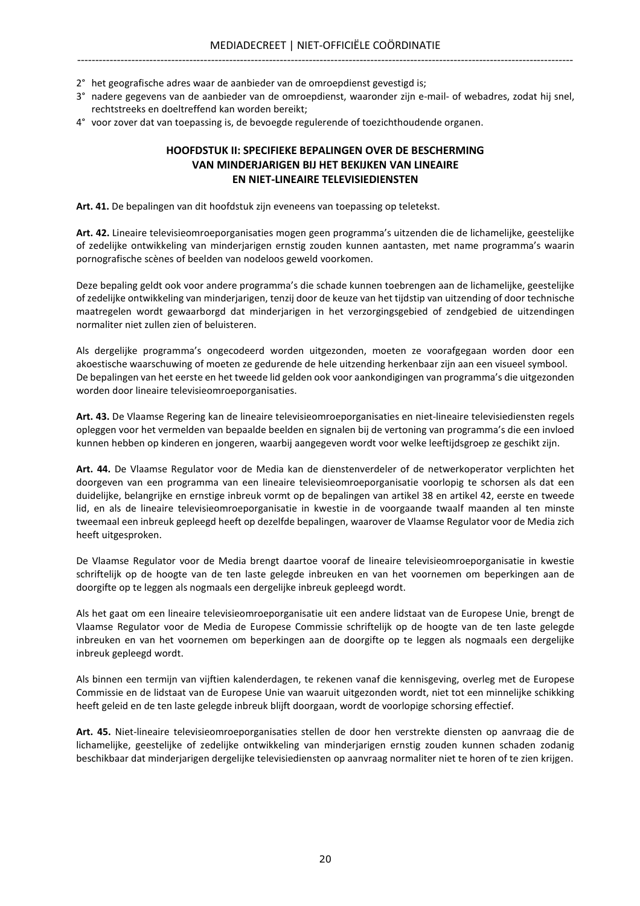- 2° het geografische adres waar de aanbieder van de omroepdienst gevestigd is;
- 3° nadere gegevens van de aanbieder van de omroepdienst, waaronder zijn e-mail- of webadres, zodat hij snel, rechtstreeks en doeltreffend kan worden bereikt;
- 4° voor zover dat van toepassing is, de bevoegde regulerende of toezichthoudende organen.

## HOOFDSTUK II: SPECIFIEKE BEPALINGEN OVER DE BESCHERMING VAN MINDERJARIGEN BIJ HET BEKIJKEN VAN LINEAIRE EN NIET-LINEAIRE TELEVISIEDIENSTEN

Art. 41. De bepalingen van dit hoofdstuk zijn eveneens van toepassing op teletekst.

Art. 42. Lineaire televisieomroeporganisaties mogen geen programma's uitzenden die de lichamelijke, geestelijke of zedelijke ontwikkeling van minderjarigen ernstig zouden kunnen aantasten, met name programma's waarin pornografische scènes of beelden van nodeloos geweld voorkomen.

Deze bepaling geldt ook voor andere programma's die schade kunnen toebrengen aan de lichamelijke, geestelijke of zedelijke ontwikkeling van minderjarigen, tenzij door de keuze van het tijdstip van uitzending of door technische maatregelen wordt gewaarborgd dat minderjarigen in het verzorgingsgebied of zendgebied de uitzendingen normaliter niet zullen zien of beluisteren.

Als dergelijke programma's ongecodeerd worden uitgezonden, moeten ze voorafgegaan worden door een akoestische waarschuwing of moeten ze gedurende de hele uitzending herkenbaar zijn aan een visueel symbool. De bepalingen van het eerste en het tweede lid gelden ook voor aankondigingen van programma's die uitgezonden worden door lineaire televisieomroeporganisaties.

Art. 43. De Vlaamse Regering kan de lineaire televisieomroeporganisaties en niet-lineaire televisiediensten regels opleggen voor het vermelden van bepaalde beelden en signalen bij de vertoning van programma's die een invloed kunnen hebben op kinderen en jongeren, waarbij aangegeven wordt voor welke leeftijdsgroep ze geschikt zijn.

Art. 44. De Vlaamse Regulator voor de Media kan de dienstenverdeler of de netwerkoperator verplichten het doorgeven van een programma van een lineaire televisieomroeporganisatie voorlopig te schorsen als dat een duidelijke, belangrijke en ernstige inbreuk vormt op de bepalingen van artikel 38 en artikel 42, eerste en tweede lid, en als de lineaire televisieomroeporganisatie in kwestie in de voorgaande twaalf maanden al ten minste tweemaal een inbreuk gepleegd heeft op dezelfde bepalingen, waarover de Vlaamse Regulator voor de Media zich heeft uitgesproken.

De Vlaamse Regulator voor de Media brengt daartoe vooraf de lineaire televisieomroeporganisatie in kwestie schriftelijk op de hoogte van de ten laste gelegde inbreuken en van het voornemen om beperkingen aan de doorgifte op te leggen als nogmaals een dergelijke inbreuk gepleegd wordt.

Als het gaat om een lineaire televisieomroeporganisatie uit een andere lidstaat van de Europese Unie, brengt de Vlaamse Regulator voor de Media de Europese Commissie schriftelijk op de hoogte van de ten laste gelegde inbreuken en van het voornemen om beperkingen aan de doorgifte op te leggen als nogmaals een dergelijke inbreuk gepleegd wordt.

Als binnen een termijn van vijftien kalenderdagen, te rekenen vanaf die kennisgeving, overleg met de Europese Commissie en de lidstaat van de Europese Unie van waaruit uitgezonden wordt, niet tot een minnelijke schikking heeft geleid en de ten laste gelegde inbreuk blijft doorgaan, wordt de voorlopige schorsing effectief.

Art. 45. Niet-lineaire televisieomroeporganisaties stellen de door hen verstrekte diensten op aanvraag die de lichamelijke, geestelijke of zedelijke ontwikkeling van minderjarigen ernstig zouden kunnen schaden zodanig beschikbaar dat minderjarigen dergelijke televisiediensten op aanvraag normaliter niet te horen of te zien krijgen.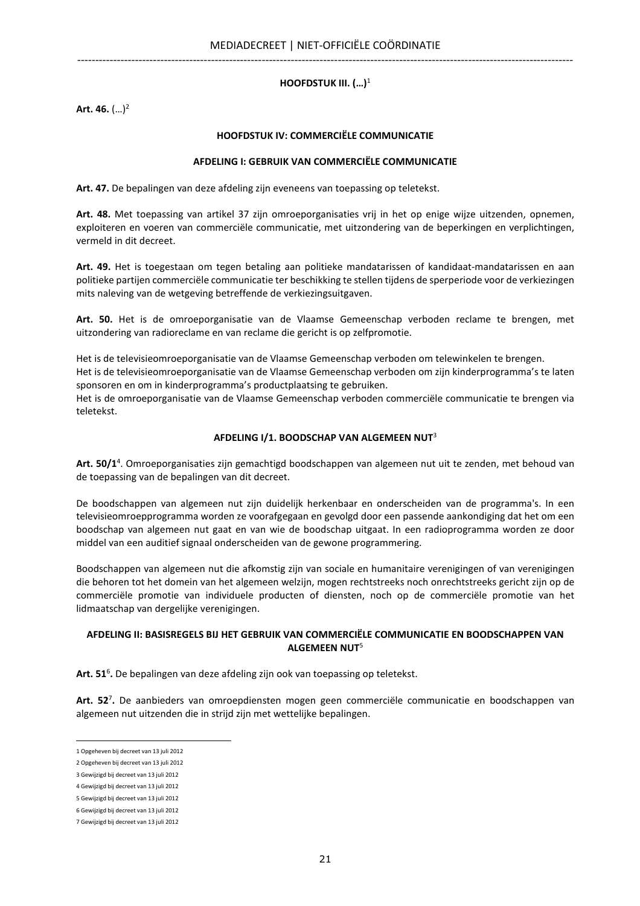## HOOFDSTUK III.  $(...)$ <sup>1</sup>

Art. 46.  $(...)^2$ 

## HOOFDSTUK IV: COMMERCIËLE COMMUNICATIE

#### AFDELING I: GEBRUIK VAN COMMERCIËLE COMMUNICATIE

Art. 47. De bepalingen van deze afdeling zijn eveneens van toepassing op teletekst.

Art. 48. Met toepassing van artikel 37 zijn omroeporganisaties vrij in het op enige wijze uitzenden, opnemen, exploiteren en voeren van commerciële communicatie, met uitzondering van de beperkingen en verplichtingen, vermeld in dit decreet.

Art. 49. Het is toegestaan om tegen betaling aan politieke mandatarissen of kandidaat-mandatarissen en aan politieke partijen commerciële communicatie ter beschikking te stellen tijdens de sperperiode voor de verkiezingen mits naleving van de wetgeving betreffende de verkiezingsuitgaven.

Art. 50. Het is de omroeporganisatie van de Vlaamse Gemeenschap verboden reclame te brengen, met uitzondering van radioreclame en van reclame die gericht is op zelfpromotie.

Het is de televisieomroeporganisatie van de Vlaamse Gemeenschap verboden om telewinkelen te brengen. Het is de televisieomroeporganisatie van de Vlaamse Gemeenschap verboden om zijn kinderprogramma's te laten sponsoren en om in kinderprogramma's productplaatsing te gebruiken.

Het is de omroeporganisatie van de Vlaamse Gemeenschap verboden commerciële communicatie te brengen via teletekst.

#### AFDELING I/1. BOODSCHAP VAN ALGEMEEN NUT<sup>3</sup>

Art. 50/1<sup>4</sup>. Omroeporganisaties zijn gemachtigd boodschappen van algemeen nut uit te zenden, met behoud van de toepassing van de bepalingen van dit decreet.

De boodschappen van algemeen nut zijn duidelijk herkenbaar en onderscheiden van de programma's. In een televisieomroepprogramma worden ze voorafgegaan en gevolgd door een passende aankondiging dat het om een boodschap van algemeen nut gaat en van wie de boodschap uitgaat. In een radioprogramma worden ze door middel van een auditief signaal onderscheiden van de gewone programmering.

Boodschappen van algemeen nut die afkomstig zijn van sociale en humanitaire verenigingen of van verenigingen die behoren tot het domein van het algemeen welzijn, mogen rechtstreeks noch onrechtstreeks gericht zijn op de commerciële promotie van individuele producten of diensten, noch op de commerciële promotie van het lidmaatschap van dergelijke verenigingen.

## AFDELING II: BASISREGELS BIJ HET GEBRUIK VAN COMMERCIËLE COMMUNICATIE EN BOODSCHAPPEN VAN  $AI$  GFMFFN NUT<sup>5</sup>

Art. 51<sup>6</sup>. De bepalingen van deze afdeling zijn ook van toepassing op teletekst.

Art. 52<sup>7</sup>. De aanbieders van omroepdiensten mogen geen commerciële communicatie en boodschappen van algemeen nut uitzenden die in strijd zijn met wettelijke bepalingen.

<sup>1</sup> Opgeheven bij decreet van 13 juli 2012

<sup>2</sup> Opgeheven bij decreet van 13 juli 2012

<sup>3</sup> Gewijzigd bij decreet van 13 juli 2012

<sup>4</sup> Gewijzigd bij decreet van 13 juli 2012

<sup>5</sup> Gewijzigd bij decreet van 13 juli 2012

<sup>6</sup> Gewijzigd bij decreet van 13 juli 2012

<sup>7</sup> Gewijzigd bij decreet van 13 juli 2012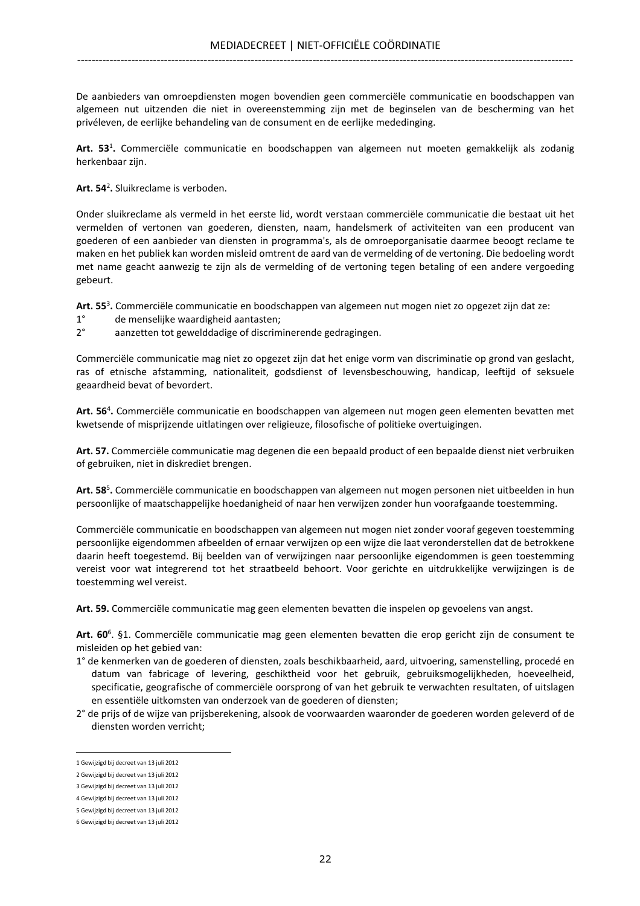De aanbieders van omroepdiensten mogen bovendien geen commerciële communicatie en boodschappen van algemeen nut uitzenden die niet in overeenstemming zijn met de beginselen van de bescherming van het privéleven, de eerlijke behandeling van de consument en de eerlijke mededinging.

Art. 53<sup>1</sup>. Commerciële communicatie en boodschappen van algemeen nut moeten gemakkelijk als zodanig herkenbaar zijn.

Art. 54<sup>2</sup>. Sluikreclame is verboden.

Onder sluikreclame als vermeld in het eerste lid, wordt verstaan commerciële communicatie die bestaat uit het vermelden of vertonen van goederen, diensten, naam, handelsmerk of activiteiten van een producent van goederen of een aanbieder van diensten in programma's, als de omroeporganisatie daarmee beoogt reclame te maken en het publiek kan worden misleid omtrent de aard van de vermelding of de vertoning. Die bedoeling wordt met name geacht aanwezig te zijn als de vermelding of de vertoning tegen betaling of een andere vergoeding gebeurt.

Art. 55<sup>3</sup>. Commerciële communicatie en boodschappen van algemeen nut mogen niet zo opgezet zijn dat ze:

- 1° de menselijke waardigheid aantasten;
- 2° aanzetten tot gewelddadige of discriminerende gedragingen.

Commerciële communicatie mag niet zo opgezet zijn dat het enige vorm van discriminatie op grond van geslacht, ras of etnische afstamming, nationaliteit, godsdienst of levensbeschouwing, handicap, leeftijd of seksuele geaardheid bevat of bevordert.

Art. 56<sup>4</sup>. Commerciële communicatie en boodschappen van algemeen nut mogen geen elementen bevatten met kwetsende of misprijzende uitlatingen over religieuze, filosofische of politieke overtuigingen.

Art. 57. Commerciële communicatie mag degenen die een bepaald product of een bepaalde dienst niet verbruiken of gebruiken, niet in diskrediet brengen.

Art. 58<sup>5</sup>. Commerciële communicatie en boodschappen van algemeen nut mogen personen niet uitbeelden in hun persoonlijke of maatschappelijke hoedanigheid of naar hen verwijzen zonder hun voorafgaande toestemming.

Commerciële communicatie en boodschappen van algemeen nut mogen niet zonder vooraf gegeven toestemming persoonlijke eigendommen afbeelden of ernaar verwijzen op een wijze die laat veronderstellen dat de betrokkene daarin heeft toegestemd. Bij beelden van of verwijzingen naar persoonlijke eigendommen is geen toestemming vereist voor wat integrerend tot het straatbeeld behoort. Voor gerichte en uitdrukkelijke verwijzingen is de toestemming wel vereist.

Art. 59. Commerciële communicatie mag geen elementen bevatten die inspelen op gevoelens van angst.

Art. 60<sup>6</sup>. §1. Commerciële communicatie mag geen elementen bevatten die erop gericht zijn de consument te misleiden op het gebied van:

- 1° de kenmerken van de goederen of diensten, zoals beschikbaarheid, aard, uitvoering, samenstelling, procedé en datum van fabricage of levering, geschiktheid voor het gebruik, gebruiksmogelijkheden, hoeveelheid, specificatie, geografische of commerciële oorsprong of van het gebruik te verwachten resultaten, of uitslagen en essentiële uitkomsten van onderzoek van de goederen of diensten;
- 2° de prijs of de wijze van prijsberekening, alsook de voorwaarden waaronder de goederen worden geleverd of de diensten worden verricht;

<sup>1</sup> Gewijzigd bij decreet van 13 juli 2012

<sup>2</sup> Gewijzigd bij decreet van 13 juli 2012

<sup>3</sup> Gewijzigd bij decreet van 13 juli 2012

<sup>4</sup> Gewijzigd bij decreet van 13 juli 2012 5 Gewijzigd bij decreet van 13 juli 2012

<sup>6</sup> Gewijzigd bij decreet van 13 juli 2012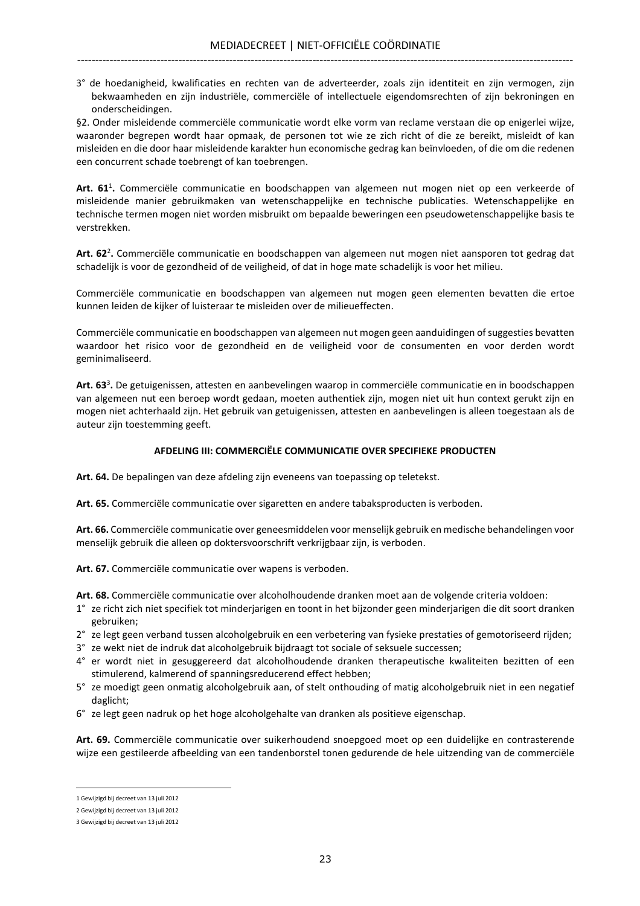3° de hoedanigheid, kwalificaties en rechten van de adverteerder, zoals zijn identiteit en zijn vermogen, zijn bekwaamheden en zijn industriële, commerciële of intellectuele eigendomsrechten of zijn bekroningen en onderscheidingen.

§2. Onder misleidende commerciële communicatie wordt elke vorm van reclame verstaan die op enigerlei wijze, waaronder begrepen wordt haar opmaak, de personen tot wie ze zich richt of die ze bereikt, misleidt of kan misleiden en die door haar misleidende karakter hun economische gedrag kan beïnvloeden, of die om die redenen een concurrent schade toebrengt of kan toebrengen.

Art. 61<sup>1</sup>. Commerciële communicatie en boodschappen van algemeen nut mogen niet op een verkeerde of misleidende manier gebruikmaken van wetenschappelijke en technische publicaties. Wetenschappelijke en technische termen mogen niet worden misbruikt om bepaalde beweringen een pseudowetenschappelijke basis te verstrekken.

Art. 62<sup>2</sup>. Commerciële communicatie en boodschappen van algemeen nut mogen niet aansporen tot gedrag dat schadelijk is voor de gezondheid of de veiligheid, of dat in hoge mate schadelijk is voor het milieu.

Commerciële communicatie en boodschappen van algemeen nut mogen geen elementen bevatten die ertoe kunnen leiden de kijker of luisteraar te misleiden over de milieueffecten.

Commerciële communicatie en boodschappen van algemeen nut mogen geen aanduidingen of suggesties bevatten waardoor het risico voor de gezondheid en de veiligheid voor de consumenten en voor derden wordt geminimaliseerd.

Art. 63<sup>3</sup>. De getuigenissen, attesten en aanbevelingen waarop in commerciële communicatie en in boodschappen van algemeen nut een beroep wordt gedaan, moeten authentiek zijn, mogen niet uit hun context gerukt zijn en mogen niet achterhaald zijn. Het gebruik van getuigenissen, attesten en aanbevelingen is alleen toegestaan als de auteur zijn toestemming geeft.

## AFDELING III: COMMERCIËLE COMMUNICATIE OVER SPECIFIEKE PRODUCTEN

Art. 64. De bepalingen van deze afdeling zijn eveneens van toepassing op teletekst.

Art. 65. Commerciële communicatie over sigaretten en andere tabaksproducten is verboden.

Art. 66. Commerciële communicatie over geneesmiddelen voor menselijk gebruik en medische behandelingen voor menselijk gebruik die alleen op doktersvoorschrift verkrijgbaar zijn, is verboden.

Art. 67. Commerciële communicatie over wapens is verboden.

Art. 68. Commerciële communicatie over alcoholhoudende dranken moet aan de volgende criteria voldoen:

- 1° ze richt zich niet specifiek tot minderjarigen en toont in het bijzonder geen minderjarigen die dit soort dranken gebruiken;
- 2° ze legt geen verband tussen alcoholgebruik en een verbetering van fysieke prestaties of gemotoriseerd rijden;
- 3° ze wekt niet de indruk dat alcoholgebruik bijdraagt tot sociale of seksuele successen;
- 4° er wordt niet in gesuggereerd dat alcoholhoudende dranken therapeutische kwaliteiten bezitten of een stimulerend, kalmerend of spanningsreducerend effect hebben;
- 5° ze moedigt geen onmatig alcoholgebruik aan, of stelt onthouding of matig alcoholgebruik niet in een negatief daglicht;
- 6° ze legt geen nadruk op het hoge alcoholgehalte van dranken als positieve eigenschap.

Art. 69. Commerciële communicatie over suikerhoudend snoepgoed moet op een duidelijke en contrasterende wijze een gestileerde afbeelding van een tandenborstel tonen gedurende de hele uitzending van de commerciële

<sup>1</sup> Gewijzigd bij decreet van 13 juli 2012

<sup>2</sup> Gewijzigd bij decreet van 13 juli 2012

<sup>3</sup> Gewijzigd bij decreet van 13 juli 2012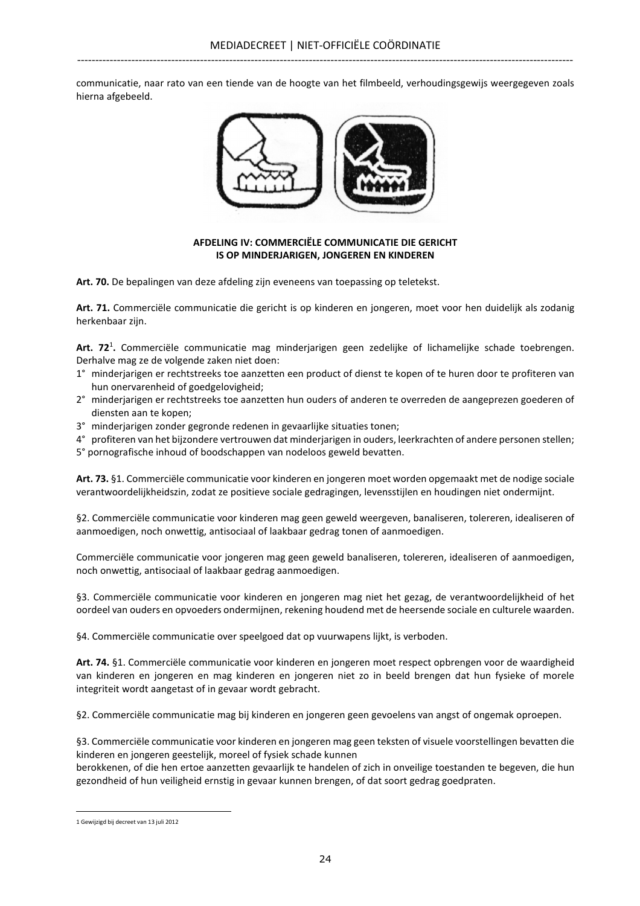communicatie, naar rato van een tiende van de hoogte van het filmbeeld, verhoudingsgewijs weergegeven zoals hierna afgebeeld.



## AFDELING IV: COMMERCIËLE COMMUNICATIE DIE GERICHT IS OP MINDERJARIGEN, JONGEREN EN KINDEREN

Art. 70. De bepalingen van deze afdeling zijn eveneens van toepassing op teletekst.

Art. 71. Commerciële communicatie die gericht is op kinderen en jongeren, moet voor hen duidelijk als zodanig herkenbaar zijn.

Art. 72<sup>1</sup>. Commerciële communicatie mag minderjarigen geen zedelijke of lichamelijke schade toebrengen. Derhalve mag ze de volgende zaken niet doen:

- 1° minderjarigen er rechtstreeks toe aanzetten een product of dienst te kopen of te huren door te profiteren van hun onervarenheid of goedgelovigheid;
- 2° minderjarigen er rechtstreeks toe aanzetten hun ouders of anderen te overreden de aangeprezen goederen of diensten aan te kopen;
- 3° minderjarigen zonder gegronde redenen in gevaarlijke situaties tonen;
- 4° profiteren van het bijzondere vertrouwen dat minderjarigen in ouders, leerkrachten of andere personen stellen;

5° pornografische inhoud of boodschappen van nodeloos geweld bevatten.

Art. 73. §1. Commerciële communicatie voor kinderen en jongeren moet worden opgemaakt met de nodige sociale verantwoordelijkheidszin, zodat ze positieve sociale gedragingen, levensstijlen en houdingen niet ondermijnt.

§2. Commerciële communicatie voor kinderen mag geen geweld weergeven, banaliseren, tolereren, idealiseren of aanmoedigen, noch onwettig, antisociaal of laakbaar gedrag tonen of aanmoedigen.

Commerciële communicatie voor jongeren mag geen geweld banaliseren, tolereren, idealiseren of aanmoedigen, noch onwettig, antisociaal of laakbaar gedrag aanmoedigen.

§3. Commerciële communicatie voor kinderen en jongeren mag niet het gezag, de verantwoordelijkheid of het oordeel van ouders en opvoeders ondermijnen, rekening houdend met de heersende sociale en culturele waarden.

§4. Commerciële communicatie over speelgoed dat op vuurwapens lijkt, is verboden.

Art. 74. §1. Commerciële communicatie voor kinderen en jongeren moet respect opbrengen voor de waardigheid van kinderen en jongeren en mag kinderen en jongeren niet zo in beeld brengen dat hun fysieke of morele integriteit wordt aangetast of in gevaar wordt gebracht.

§2. Commerciële communicatie mag bij kinderen en jongeren geen gevoelens van angst of ongemak oproepen.

§3. Commerciële communicatie voor kinderen en jongeren mag geen teksten of visuele voorstellingen bevatten die kinderen en jongeren geestelijk, moreel of fysiek schade kunnen

berokkenen, of die hen ertoe aanzetten gevaarlijk te handelen of zich in onveilige toestanden te begeven, die hun gezondheid of hun veiligheid ernstig in gevaar kunnen brengen, of dat soort gedrag goedpraten.

<sup>1</sup> Gewijzigd bij decreet van 13 juli 2012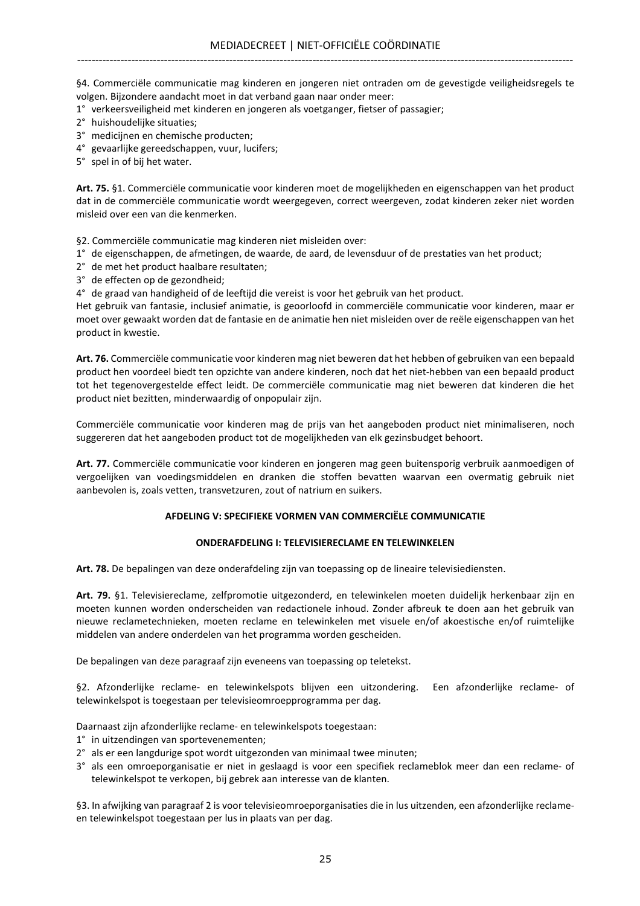§4. Commerciële communicatie mag kinderen en jongeren niet ontraden om de gevestigde veiligheidsregels te volgen. Bijzondere aandacht moet in dat verband gaan naar onder meer:

- 1° verkeersveiligheid met kinderen en jongeren als voetganger, fietser of passagier;
- 2° huishoudelijke situaties;
- 3° medicijnen en chemische producten;
- 4° gevaarlijke gereedschappen, vuur, lucifers;
- 5° spel in of bij het water.

Art. 75. §1. Commerciële communicatie voor kinderen moet de mogelijkheden en eigenschappen van het product dat in de commerciële communicatie wordt weergegeven, correct weergeven, zodat kinderen zeker niet worden misleid over een van die kenmerken.

§2. Commerciële communicatie mag kinderen niet misleiden over:

- 1° de eigenschappen, de afmetingen, de waarde, de aard, de levensduur of de prestaties van het product;
- 2° de met het product haalbare resultaten;
- 3° de effecten op de gezondheid;
- 4° de graad van handigheid of de leeftijd die vereist is voor het gebruik van het product.

Het gebruik van fantasie, inclusief animatie, is geoorloofd in commerciële communicatie voor kinderen, maar er moet over gewaakt worden dat de fantasie en de animatie hen niet misleiden over de reële eigenschappen van het product in kwestie.

Art. 76. Commerciële communicatie voor kinderen mag niet beweren dat het hebben of gebruiken van een bepaald product hen voordeel biedt ten opzichte van andere kinderen, noch dat het niet-hebben van een bepaald product tot het tegenovergestelde effect leidt. De commerciële communicatie mag niet beweren dat kinderen die het product niet bezitten, minderwaardig of onpopulair zijn.

Commerciële communicatie voor kinderen mag de prijs van het aangeboden product niet minimaliseren, noch suggereren dat het aangeboden product tot de mogelijkheden van elk gezinsbudget behoort.

Art. 77. Commerciële communicatie voor kinderen en jongeren mag geen buitensporig verbruik aanmoedigen of vergoelijken van voedingsmiddelen en dranken die stoffen bevatten waarvan een overmatig gebruik niet aanbevolen is, zoals vetten, transvetzuren, zout of natrium en suikers.

## AFDELING V: SPECIFIEKE VORMEN VAN COMMERCIËLE COMMUNICATIE

## ONDERAFDELING I: TELEVISIERECLAME EN TELEWINKELEN

Art. 78. De bepalingen van deze onderafdeling zijn van toepassing op de lineaire televisiediensten.

Art. 79. §1. Televisiereclame, zelfpromotie uitgezonderd, en telewinkelen moeten duidelijk herkenbaar zijn en moeten kunnen worden onderscheiden van redactionele inhoud. Zonder afbreuk te doen aan het gebruik van nieuwe reclametechnieken, moeten reclame en telewinkelen met visuele en/of akoestische en/of ruimtelijke middelen van andere onderdelen van het programma worden gescheiden.

De bepalingen van deze paragraaf zijn eveneens van toepassing op teletekst.

§2. Afzonderlijke reclame- en telewinkelspots blijven een uitzondering. Een afzonderlijke reclame- of telewinkelspot is toegestaan per televisieomroepprogramma per dag.

Daarnaast zijn afzonderlijke reclame- en telewinkelspots toegestaan:

- 1° in uitzendingen van sportevenementen;
- 2° als er een langdurige spot wordt uitgezonden van minimaal twee minuten;
- 3° als een omroeporganisatie er niet in geslaagd is voor een specifiek reclameblok meer dan een reclame- of telewinkelspot te verkopen, bij gebrek aan interesse van de klanten.

§3. In afwijking van paragraaf 2 is voor televisieomroeporganisaties die in lus uitzenden, een afzonderlijke reclameen telewinkelspot toegestaan per lus in plaats van per dag.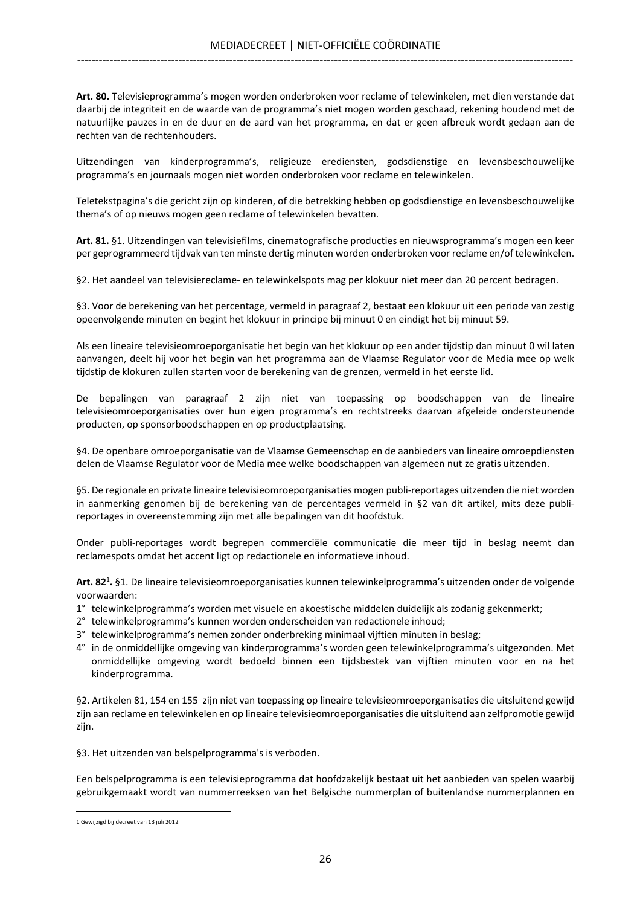Art. 80. Televisieprogramma's mogen worden onderbroken voor reclame of telewinkelen, met dien verstande dat daarbij de integriteit en de waarde van de programma's niet mogen worden geschaad, rekening houdend met de natuurlijke pauzes in en de duur en de aard van het programma, en dat er geen afbreuk wordt gedaan aan de rechten van de rechtenhouders.

Uitzendingen van kinderprogramma's, religieuze erediensten, godsdienstige en levensbeschouwelijke programma's en journaals mogen niet worden onderbroken voor reclame en telewinkelen.

Teletekstpagina's die gericht zijn op kinderen, of die betrekking hebben op godsdienstige en levensbeschouwelijke thema's of op nieuws mogen geen reclame of telewinkelen bevatten.

Art. 81. §1. Uitzendingen van televisiefilms, cinematografische producties en nieuwsprogramma's mogen een keer per geprogrammeerd tijdvak van ten minste dertig minuten worden onderbroken voor reclame en/of telewinkelen.

§2. Het aandeel van televisiereclame- en telewinkelspots mag per klokuur niet meer dan 20 percent bedragen.

§3. Voor de berekening van het percentage, vermeld in paragraaf 2, bestaat een klokuur uit een periode van zestig opeenvolgende minuten en begint het klokuur in principe bij minuut 0 en eindigt het bij minuut 59.

Als een lineaire televisieomroeporganisatie het begin van het klokuur op een ander tijdstip dan minuut 0 wil laten aanvangen, deelt hij voor het begin van het programma aan de Vlaamse Regulator voor de Media mee op welk tijdstip de klokuren zullen starten voor de berekening van de grenzen, vermeld in het eerste lid.

De bepalingen van paragraaf 2 zijn niet van toepassing op boodschappen van de lineaire televisieomroeporganisaties over hun eigen programma's en rechtstreeks daarvan afgeleide ondersteunende producten, op sponsorboodschappen en op productplaatsing.

§4. De openbare omroeporganisatie van de Vlaamse Gemeenschap en de aanbieders van lineaire omroepdiensten delen de Vlaamse Regulator voor de Media mee welke boodschappen van algemeen nut ze gratis uitzenden.

§5. De regionale en private lineaire televisieomroeporganisaties mogen publi-reportages uitzenden die niet worden in aanmerking genomen bij de berekening van de percentages vermeld in §2 van dit artikel, mits deze publireportages in overeenstemming zijn met alle bepalingen van dit hoofdstuk.

Onder publi-reportages wordt begrepen commerciële communicatie die meer tijd in beslag neemt dan reclamespots omdat het accent ligt op redactionele en informatieve inhoud.

Art. 82<sup>1</sup>. §1. De lineaire televisieomroeporganisaties kunnen telewinkelprogramma's uitzenden onder de volgende voorwaarden:

- 1° telewinkelprogramma's worden met visuele en akoestische middelen duidelijk als zodanig gekenmerkt;
- 2° telewinkelprogramma's kunnen worden onderscheiden van redactionele inhoud;
- 3° telewinkelprogramma's nemen zonder onderbreking minimaal vijftien minuten in beslag;
- 4° in de onmiddellijke omgeving van kinderprogramma's worden geen telewinkelprogramma's uitgezonden. Met onmiddellijke omgeving wordt bedoeld binnen een tijdsbestek van vijftien minuten voor en na het kinderprogramma.

§2. Artikelen 81, 154 en 155 zijn niet van toepassing op lineaire televisieomroeporganisaties die uitsluitend gewijd zijn aan reclame en telewinkelen en op lineaire televisieomroeporganisaties die uitsluitend aan zelfpromotie gewijd zijn.

§3. Het uitzenden van belspelprogramma's is verboden.

Een belspelprogramma is een televisieprogramma dat hoofdzakelijk bestaat uit het aanbieden van spelen waarbij gebruikgemaakt wordt van nummerreeksen van het Belgische nummerplan of buitenlandse nummerplannen en

<sup>1</sup> Gewijzigd bij decreet van 13 juli 2012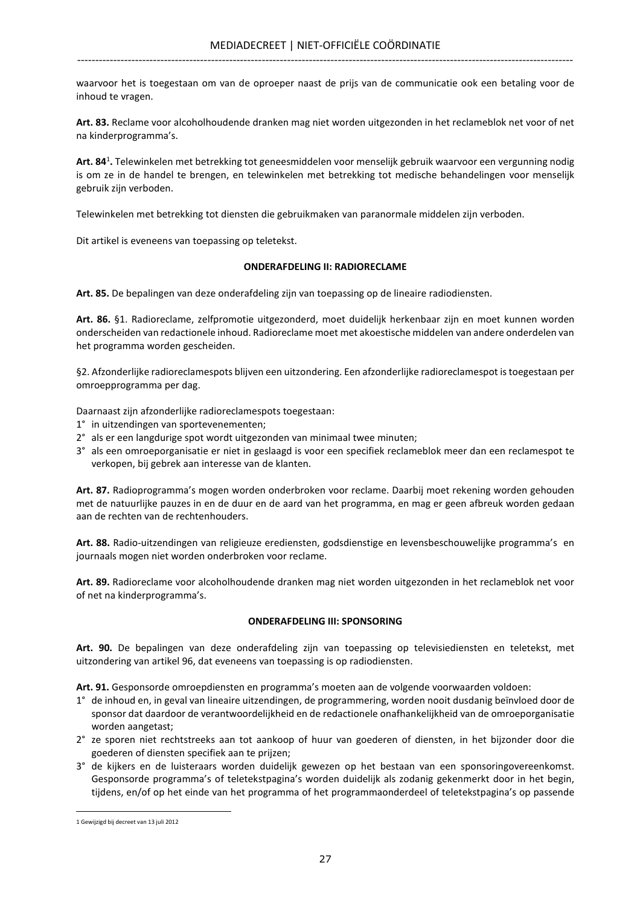waarvoor het is toegestaan om van de oproeper naast de prijs van de communicatie ook een betaling voor de inhoud te vragen.

Art. 83. Reclame voor alcoholhoudende dranken mag niet worden uitgezonden in het reclameblok net voor of net na kinderprogramma's.

Art. 84<sup>1</sup>. Telewinkelen met betrekking tot geneesmiddelen voor menselijk gebruik waarvoor een vergunning nodig is om ze in de handel te brengen, en telewinkelen met betrekking tot medische behandelingen voor menselijk gebruik zijn verboden.

Telewinkelen met betrekking tot diensten die gebruikmaken van paranormale middelen zijn verboden.

Dit artikel is eveneens van toepassing op teletekst.

## ONDERAFDELING II: RADIORECLAME

Art. 85. De bepalingen van deze onderafdeling zijn van toepassing op de lineaire radiodiensten.

Art. 86. §1. Radioreclame, zelfpromotie uitgezonderd, moet duidelijk herkenbaar zijn en moet kunnen worden onderscheiden van redactionele inhoud. Radioreclame moet met akoestische middelen van andere onderdelen van het programma worden gescheiden.

§2. Afzonderlijke radioreclamespots blijven een uitzondering. Een afzonderlijke radioreclamespot is toegestaan per omroepprogramma per dag.

Daarnaast zijn afzonderlijke radioreclamespots toegestaan:

- 1° in uitzendingen van sportevenementen;
- 2° als er een langdurige spot wordt uitgezonden van minimaal twee minuten;
- 3° als een omroeporganisatie er niet in geslaagd is voor een specifiek reclameblok meer dan een reclamespot te verkopen, bij gebrek aan interesse van de klanten.

Art. 87. Radioprogramma's mogen worden onderbroken voor reclame. Daarbij moet rekening worden gehouden met de natuurlijke pauzes in en de duur en de aard van het programma, en mag er geen afbreuk worden gedaan aan de rechten van de rechtenhouders.

Art. 88. Radio-uitzendingen van religieuze erediensten, godsdienstige en levensbeschouwelijke programma's en journaals mogen niet worden onderbroken voor reclame.

Art. 89. Radioreclame voor alcoholhoudende dranken mag niet worden uitgezonden in het reclameblok net voor of net na kinderprogramma's.

## ONDERAFDELING III: SPONSORING

Art. 90. De bepalingen van deze onderafdeling zijn van toepassing op televisiediensten en teletekst, met uitzondering van artikel 96, dat eveneens van toepassing is op radiodiensten.

Art. 91. Gesponsorde omroepdiensten en programma's moeten aan de volgende voorwaarden voldoen:

- 1° de inhoud en, in geval van lineaire uitzendingen, de programmering, worden nooit dusdanig beïnvloed door de sponsor dat daardoor de verantwoordelijkheid en de redactionele onafhankelijkheid van de omroeporganisatie worden aangetast;
- 2° ze sporen niet rechtstreeks aan tot aankoop of huur van goederen of diensten, in het bijzonder door die goederen of diensten specifiek aan te prijzen;
- 3° de kijkers en de luisteraars worden duidelijk gewezen op het bestaan van een sponsoringovereenkomst. Gesponsorde programma's of teletekstpagina's worden duidelijk als zodanig gekenmerkt door in het begin, tijdens, en/of op het einde van het programma of het programmaonderdeel of teletekstpagina's op passende

<sup>1</sup> Gewijzigd bij decreet van 13 juli 2012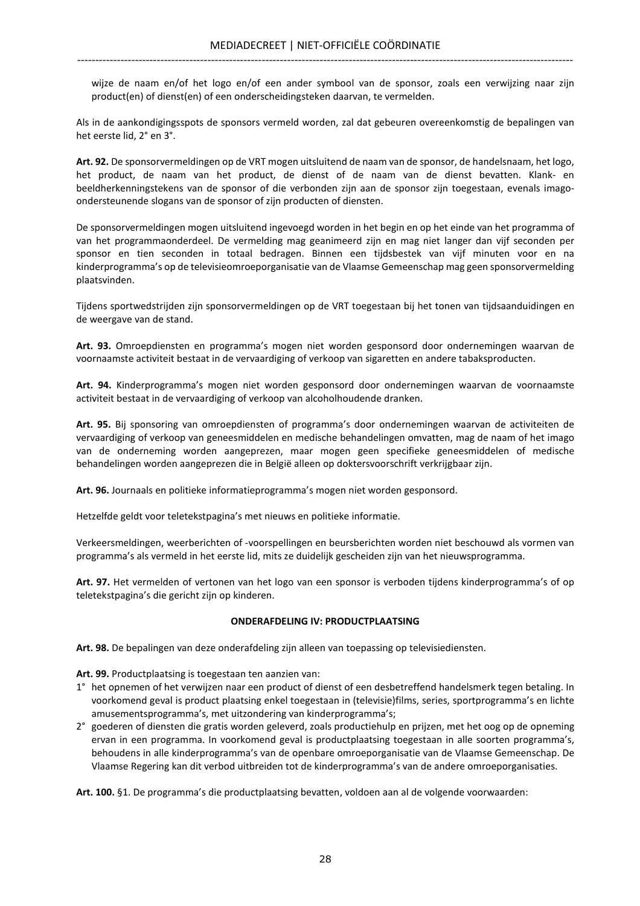wijze de naam en/of het logo en/of een ander symbool van de sponsor, zoals een verwijzing naar zijn product(en) of dienst(en) of een onderscheidingsteken daarvan, te vermelden.

Als in de aankondigingsspots de sponsors vermeld worden, zal dat gebeuren overeenkomstig de bepalingen van het eerste lid, 2° en 3°.

Art. 92. De sponsorvermeldingen op de VRT mogen uitsluitend de naam van de sponsor, de handelsnaam, het logo, het product, de naam van het product, de dienst of de naam van de dienst bevatten. Klank- en beeldherkenningstekens van de sponsor of die verbonden zijn aan de sponsor zijn toegestaan, evenals imagoondersteunende slogans van de sponsor of zijn producten of diensten.

De sponsorvermeldingen mogen uitsluitend ingevoegd worden in het begin en op het einde van het programma of van het programmaonderdeel. De vermelding mag geanimeerd zijn en mag niet langer dan vijf seconden per sponsor en tien seconden in totaal bedragen. Binnen een tijdsbestek van vijf minuten voor en na kinderprogramma's op de televisieomroeporganisatie van de Vlaamse Gemeenschap mag geen sponsorvermelding plaatsvinden.

Tijdens sportwedstrijden zijn sponsorvermeldingen op de VRT toegestaan bij het tonen van tijdsaanduidingen en de weergave van de stand.

Art. 93. Omroepdiensten en programma's mogen niet worden gesponsord door ondernemingen waarvan de voornaamste activiteit bestaat in de vervaardiging of verkoop van sigaretten en andere tabaksproducten.

Art. 94. Kinderprogramma's mogen niet worden gesponsord door ondernemingen waarvan de voornaamste activiteit bestaat in de vervaardiging of verkoop van alcoholhoudende dranken.

Art. 95. Bij sponsoring van omroepdiensten of programma's door ondernemingen waarvan de activiteiten de vervaardiging of verkoop van geneesmiddelen en medische behandelingen omvatten, mag de naam of het imago van de onderneming worden aangeprezen, maar mogen geen specifieke geneesmiddelen of medische behandelingen worden aangeprezen die in België alleen op doktersvoorschrift verkrijgbaar zijn.

Art. 96. Journaals en politieke informatieprogramma's mogen niet worden gesponsord.

Hetzelfde geldt voor teletekstpagina's met nieuws en politieke informatie.

Verkeersmeldingen, weerberichten of -voorspellingen en beursberichten worden niet beschouwd als vormen van programma's als vermeld in het eerste lid, mits ze duidelijk gescheiden zijn van het nieuwsprogramma.

Art. 97. Het vermelden of vertonen van het logo van een sponsor is verboden tijdens kinderprogramma's of op teletekstpagina's die gericht zijn op kinderen.

## ONDERAFDELING IV: PRODUCTPLAATSING

Art. 98. De bepalingen van deze onderafdeling zijn alleen van toepassing op televisiediensten.

Art. 99. Productplaatsing is toegestaan ten aanzien van:

- 1° het opnemen of het verwijzen naar een product of dienst of een desbetreffend handelsmerk tegen betaling. In voorkomend geval is product plaatsing enkel toegestaan in (televisie)films, series, sportprogramma's en lichte amusementsprogramma's, met uitzondering van kinderprogramma's;
- 2° goederen of diensten die gratis worden geleverd, zoals productiehulp en prijzen, met het oog op de opneming ervan in een programma. In voorkomend geval is productplaatsing toegestaan in alle soorten programma's, behoudens in alle kinderprogramma's van de openbare omroeporganisatie van de Vlaamse Gemeenschap. De Vlaamse Regering kan dit verbod uitbreiden tot de kinderprogramma's van de andere omroeporganisaties.

Art. 100. §1. De programma's die productplaatsing bevatten, voldoen aan al de volgende voorwaarden: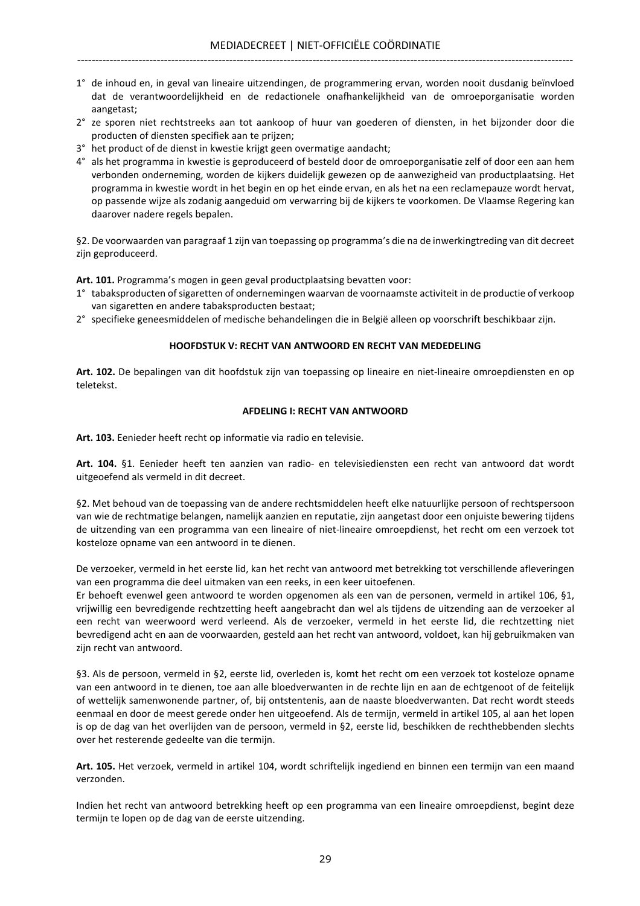- 1° de inhoud en, in geval van lineaire uitzendingen, de programmering ervan, worden nooit dusdanig beïnvloed dat de verantwoordelijkheid en de redactionele onafhankelijkheid van de omroeporganisatie worden aangetast;
- 2° ze sporen niet rechtstreeks aan tot aankoop of huur van goederen of diensten, in het bijzonder door die producten of diensten specifiek aan te prijzen;
- 3° het product of de dienst in kwestie krijgt geen overmatige aandacht;
- 4° als het programma in kwestie is geproduceerd of besteld door de omroeporganisatie zelf of door een aan hem verbonden onderneming, worden de kijkers duidelijk gewezen op de aanwezigheid van productplaatsing. Het programma in kwestie wordt in het begin en op het einde ervan, en als het na een reclamepauze wordt hervat, op passende wijze als zodanig aangeduid om verwarring bij de kijkers te voorkomen. De Vlaamse Regering kan daarover nadere regels bepalen.

§2. De voorwaarden van paragraaf 1 zijn van toepassing op programma's die na de inwerkingtreding van dit decreet zijn geproduceerd.

Art. 101. Programma's mogen in geen geval productplaatsing bevatten voor:

- 1° tabaksproducten of sigaretten of ondernemingen waarvan de voornaamste activiteit in de productie of verkoop van sigaretten en andere tabaksproducten bestaat;
- 2° specifieke geneesmiddelen of medische behandelingen die in België alleen op voorschrift beschikbaar zijn.

## HOOFDSTUK V: RECHT VAN ANTWOORD EN RECHT VAN MEDEDELING

Art. 102. De bepalingen van dit hoofdstuk zijn van toepassing op lineaire en niet-lineaire omroepdiensten en op teletekst.

## AFDELING I: RECHT VAN ANTWOORD

Art. 103. Eenieder heeft recht op informatie via radio en televisie.

Art. 104. §1. Eenieder heeft ten aanzien van radio- en televisiediensten een recht van antwoord dat wordt uitgeoefend als vermeld in dit decreet.

§2. Met behoud van de toepassing van de andere rechtsmiddelen heeft elke natuurlijke persoon of rechtspersoon van wie de rechtmatige belangen, namelijk aanzien en reputatie, zijn aangetast door een onjuiste bewering tijdens de uitzending van een programma van een lineaire of niet-lineaire omroepdienst, het recht om een verzoek tot kosteloze opname van een antwoord in te dienen.

De verzoeker, vermeld in het eerste lid, kan het recht van antwoord met betrekking tot verschillende afleveringen van een programma die deel uitmaken van een reeks, in een keer uitoefenen.

Er behoeft evenwel geen antwoord te worden opgenomen als een van de personen, vermeld in artikel 106, §1, vrijwillig een bevredigende rechtzetting heeft aangebracht dan wel als tijdens de uitzending aan de verzoeker al een recht van weerwoord werd verleend. Als de verzoeker, vermeld in het eerste lid, die rechtzetting niet bevredigend acht en aan de voorwaarden, gesteld aan het recht van antwoord, voldoet, kan hij gebruikmaken van zijn recht van antwoord.

§3. Als de persoon, vermeld in §2, eerste lid, overleden is, komt het recht om een verzoek tot kosteloze opname van een antwoord in te dienen, toe aan alle bloedverwanten in de rechte lijn en aan de echtgenoot of de feitelijk of wettelijk samenwonende partner, of, bij ontstentenis, aan de naaste bloedverwanten. Dat recht wordt steeds eenmaal en door de meest gerede onder hen uitgeoefend. Als de termijn, vermeld in artikel 105, al aan het lopen is op de dag van het overlijden van de persoon, vermeld in §2, eerste lid, beschikken de rechthebbenden slechts over het resterende gedeelte van die termijn.

Art. 105. Het verzoek, vermeld in artikel 104, wordt schriftelijk ingediend en binnen een termijn van een maand verzonden.

Indien het recht van antwoord betrekking heeft op een programma van een lineaire omroepdienst, begint deze termijn te lopen op de dag van de eerste uitzending.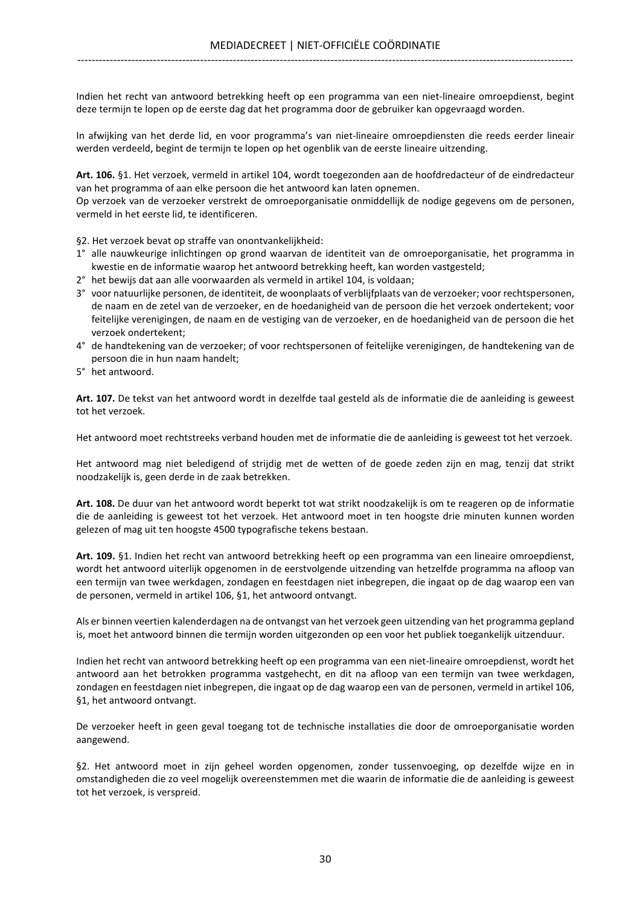Indien het recht van antwoord betrekking heeft op een programma van een niet-lineaire omroepdienst, begint deze termijn te lopen op de eerste dag dat het programma door de gebruiker kan opgevraagd worden.

In afwijking van het derde lid, en voor programma's van niet-lineaire omroepdiensten die reeds eerder lineair werden verdeeld, begint de termijn te lopen op het ogenblik van de eerste lineaire uitzending.

Art. 106. §1. Het verzoek, vermeld in artikel 104, wordt toegezonden aan de hoofdredacteur of de eindredacteur van het programma of aan elke persoon die het antwoord kan laten opnemen.

Op verzoek van de verzoeker verstrekt de omroeporganisatie onmiddellijk de nodige gegevens om de personen, vermeld in het eerste lid, te identificeren.

§2. Het verzoek bevat op straffe van onontvankelijkheid:

- 1° alle nauwkeurige inlichtingen op grond waarvan de identiteit van de omroeporganisatie, het programma in kwestie en de informatie waarop het antwoord betrekking heeft, kan worden vastgesteld;
- 2° het bewijs dat aan alle voorwaarden als vermeld in artikel 104, is voldaan;
- 3° voor natuurlijke personen, de identiteit, de woonplaats of verblijfplaats van de verzoeker; voor rechtspersonen, de naam en de zetel van de verzoeker, en de hoedanigheid van de persoon die het verzoek ondertekent; voor feitelijke verenigingen, de naam en de vestiging van de verzoeker, en de hoedanigheid van de persoon die het verzoek ondertekent;
- 4° de handtekening van de verzoeker; of voor rechtspersonen of feitelijke verenigingen, de handtekening van de persoon die in hun naam handelt;
- 5° het antwoord.

Art. 107. De tekst van het antwoord wordt in dezelfde taal gesteld als de informatie die de aanleiding is geweest tot het verzoek.

Het antwoord moet rechtstreeks verband houden met de informatie die de aanleiding is geweest tot het verzoek.

Het antwoord mag niet beledigend of strijdig met de wetten of de goede zeden zijn en mag, tenzij dat strikt noodzakelijk is, geen derde in de zaak betrekken.

Art. 108. De duur van het antwoord wordt beperkt tot wat strikt noodzakelijk is om te reageren op de informatie die de aanleiding is geweest tot het verzoek. Het antwoord moet in ten hoogste drie minuten kunnen worden gelezen of mag uit ten hoogste 4500 typografische tekens bestaan.

Art. 109. §1. Indien het recht van antwoord betrekking heeft op een programma van een lineaire omroepdienst, wordt het antwoord uiterlijk opgenomen in de eerstvolgende uitzending van hetzelfde programma na afloop van een termijn van twee werkdagen, zondagen en feestdagen niet inbegrepen, die ingaat op de dag waarop een van de personen, vermeld in artikel 106, §1, het antwoord ontvangt.

Als er binnen veertien kalenderdagen na de ontvangst van het verzoek geen uitzending van het programma gepland is, moet het antwoord binnen die termijn worden uitgezonden op een voor het publiek toegankelijk uitzenduur.

Indien het recht van antwoord betrekking heeft op een programma van een niet-lineaire omroepdienst, wordt het antwoord aan het betrokken programma vastgehecht, en dit na afloop van een termijn van twee werkdagen, zondagen en feestdagen niet inbegrepen, die ingaat op de dag waarop een van de personen, vermeld in artikel 106, §1, het antwoord ontvangt.

De verzoeker heeft in geen geval toegang tot de technische installaties die door de omroeporganisatie worden aangewend.

§2. Het antwoord moet in zijn geheel worden opgenomen, zonder tussenvoeging, op dezelfde wijze en in omstandigheden die zo veel mogelijk overeenstemmen met die waarin de informatie die de aanleiding is geweest tot het verzoek, is verspreid.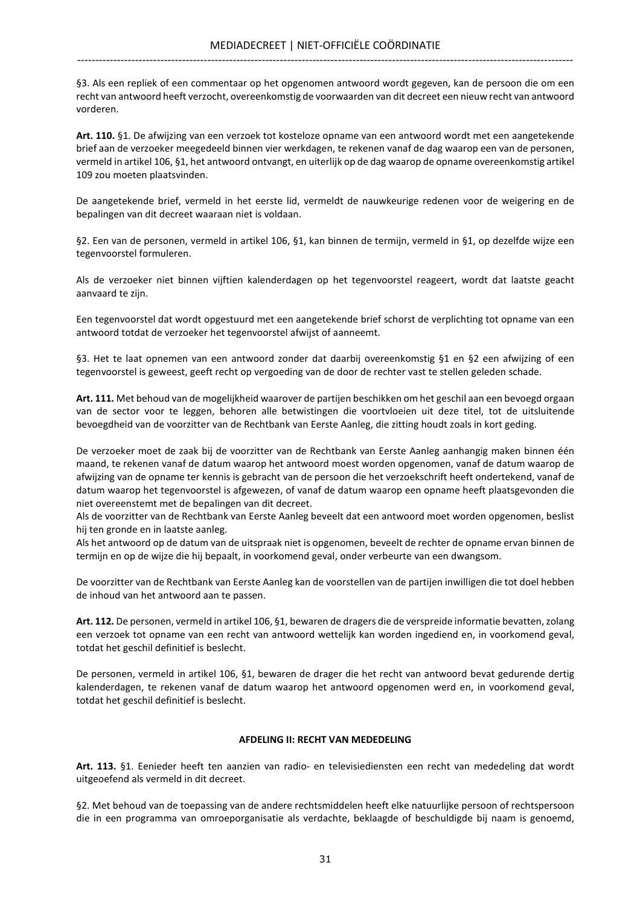§3. Als een repliek of een commentaar op het opgenomen antwoord wordt gegeven, kan de persoon die om een recht van antwoord heeft verzocht, overeenkomstig de voorwaarden van dit decreet een nieuw recht van antwoord vorderen.

Art. 110. §1. De afwijzing van een verzoek tot kosteloze opname van een antwoord wordt met een aangetekende brief aan de verzoeker meegedeeld binnen vier werkdagen, te rekenen vanaf de dag waarop een van de personen, vermeld in artikel 106, §1, het antwoord ontvangt, en uiterlijk op de dag waarop de opname overeenkomstig artikel 109 zou moeten plaatsvinden.

De aangetekende brief, vermeld in het eerste lid, vermeldt de nauwkeurige redenen voor de weigering en de bepalingen van dit decreet waaraan niet is voldaan.

§2. Een van de personen, vermeld in artikel 106, §1, kan binnen de termijn, vermeld in §1, op dezelfde wijze een tegenvoorstel formuleren.

Als de verzoeker niet binnen vijftien kalenderdagen op het tegenvoorstel reageert, wordt dat laatste geacht aanvaard te zijn.

Een tegenvoorstel dat wordt opgestuurd met een aangetekende brief schorst de verplichting tot opname van een antwoord totdat de verzoeker het tegenvoorstel afwijst of aanneemt.

§3. Het te laat opnemen van een antwoord zonder dat daarbij overeenkomstig §1 en §2 een afwijzing of een tegenvoorstel is geweest, geeft recht op vergoeding van de door de rechter vast te stellen geleden schade.

Art. 111. Met behoud van de mogelijkheid waarover de partijen beschikken om het geschil aan een bevoegd orgaan van de sector voor te leggen, behoren alle betwistingen die voortvloeien uit deze titel, tot de uitsluitende bevoegdheid van de voorzitter van de Rechtbank van Eerste Aanleg, die zitting houdt zoals in kort geding.

De verzoeker moet de zaak bij de voorzitter van de Rechtbank van Eerste Aanleg aanhangig maken binnen één maand, te rekenen vanaf de datum waarop het antwoord moest worden opgenomen, vanaf de datum waarop de afwijzing van de opname ter kennis is gebracht van de persoon die het verzoekschrift heeft ondertekend, vanaf de datum waarop het tegenvoorstel is afgewezen, of vanaf de datum waarop een opname heeft plaatsgevonden die niet overeenstemt met de bepalingen van dit decreet.

Als de voorzitter van de Rechtbank van Eerste Aanleg beveelt dat een antwoord moet worden opgenomen, beslist hij ten gronde en in laatste aanleg.

Als het antwoord op de datum van de uitspraak niet is opgenomen, beveelt de rechter de opname ervan binnen de termijn en op de wijze die hij bepaalt, in voorkomend geval, onder verbeurte van een dwangsom.

De voorzitter van de Rechtbank van Eerste Aanleg kan de voorstellen van de partijen inwilligen die tot doel hebben de inhoud van het antwoord aan te passen.

Art. 112. De personen, vermeld in artikel 106, §1, bewaren de dragers die de verspreide informatie bevatten, zolang een verzoek tot opname van een recht van antwoord wettelijk kan worden ingediend en, in voorkomend geval, totdat het geschil definitief is beslecht.

De personen, vermeld in artikel 106, §1, bewaren de drager die het recht van antwoord bevat gedurende dertig kalenderdagen, te rekenen vanaf de datum waarop het antwoord opgenomen werd en, in voorkomend geval, totdat het geschil definitief is beslecht.

## AFDELING II: RECHT VAN MEDEDELING

Art. 113. §1. Eenieder heeft ten aanzien van radio- en televisiediensten een recht van mededeling dat wordt uitgeoefend als vermeld in dit decreet.

§2. Met behoud van de toepassing van de andere rechtsmiddelen heeft elke natuurlijke persoon of rechtspersoon die in een programma van omroeporganisatie als verdachte, beklaagde of beschuldigde bij naam is genoemd,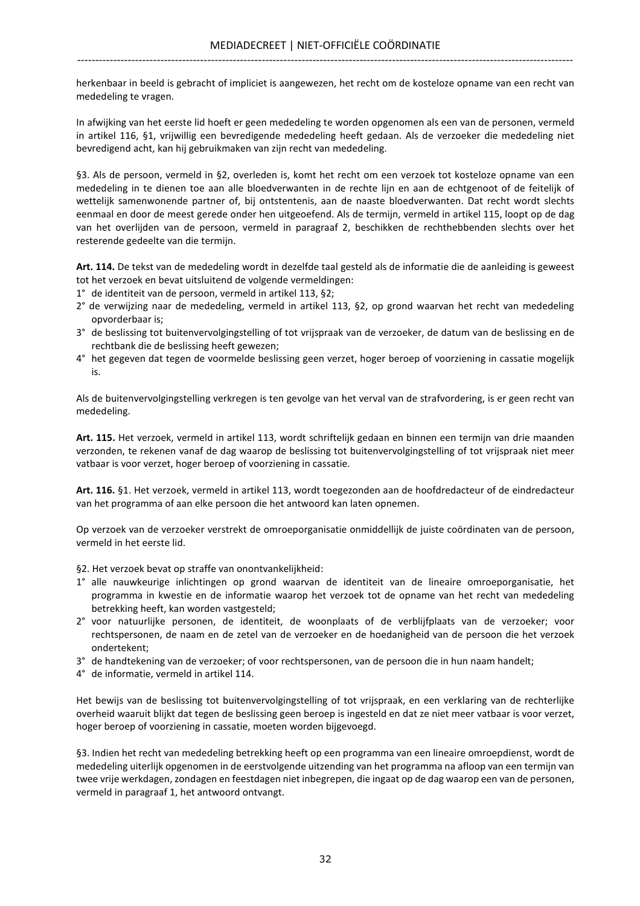herkenbaar in beeld is gebracht of impliciet is aangewezen, het recht om de kosteloze opname van een recht van mededeling te vragen.

In afwijking van het eerste lid hoeft er geen mededeling te worden opgenomen als een van de personen, vermeld in artikel 116, §1, vrijwillig een bevredigende mededeling heeft gedaan. Als de verzoeker die mededeling niet bevredigend acht, kan hij gebruikmaken van zijn recht van mededeling.

§3. Als de persoon, vermeld in §2, overleden is, komt het recht om een verzoek tot kosteloze opname van een mededeling in te dienen toe aan alle bloedverwanten in de rechte lijn en aan de echtgenoot of de feitelijk of wettelijk samenwonende partner of, bij ontstentenis, aan de naaste bloedverwanten. Dat recht wordt slechts eenmaal en door de meest gerede onder hen uitgeoefend. Als de termijn, vermeld in artikel 115, loopt op de dag van het overlijden van de persoon, vermeld in paragraaf 2, beschikken de rechthebbenden slechts over het resterende gedeelte van die termijn.

Art. 114. De tekst van de mededeling wordt in dezelfde taal gesteld als de informatie die de aanleiding is geweest tot het verzoek en bevat uitsluitend de volgende vermeldingen:

- 1° de identiteit van de persoon, vermeld in artikel 113, §2;
- 2° de verwijzing naar de mededeling, vermeld in artikel 113, §2, op grond waarvan het recht van mededeling opvorderbaar is;
- 3° de beslissing tot buitenvervolgingstelling of tot vrijspraak van de verzoeker, de datum van de beslissing en de rechtbank die de beslissing heeft gewezen;
- 4° het gegeven dat tegen de voormelde beslissing geen verzet, hoger beroep of voorziening in cassatie mogelijk is.

Als de buitenvervolgingstelling verkregen is ten gevolge van het verval van de strafvordering, is er geen recht van mededeling.

Art. 115. Het verzoek, vermeld in artikel 113, wordt schriftelijk gedaan en binnen een termijn van drie maanden verzonden, te rekenen vanaf de dag waarop de beslissing tot buitenvervolgingstelling of tot vrijspraak niet meer vatbaar is voor verzet, hoger beroep of voorziening in cassatie.

Art. 116. §1. Het verzoek, vermeld in artikel 113, wordt toegezonden aan de hoofdredacteur of de eindredacteur van het programma of aan elke persoon die het antwoord kan laten opnemen.

Op verzoek van de verzoeker verstrekt de omroeporganisatie onmiddellijk de juiste coördinaten van de persoon, vermeld in het eerste lid.

§2. Het verzoek bevat op straffe van onontvankelijkheid:

- 1° alle nauwkeurige inlichtingen op grond waarvan de identiteit van de lineaire omroeporganisatie, het programma in kwestie en de informatie waarop het verzoek tot de opname van het recht van mededeling betrekking heeft, kan worden vastgesteld;
- 2° voor natuurlijke personen, de identiteit, de woonplaats of de verblijfplaats van de verzoeker; voor rechtspersonen, de naam en de zetel van de verzoeker en de hoedanigheid van de persoon die het verzoek ondertekent;
- 3° de handtekening van de verzoeker; of voor rechtspersonen, van de persoon die in hun naam handelt;

4° de informatie, vermeld in artikel 114.

Het bewijs van de beslissing tot buitenvervolgingstelling of tot vrijspraak, en een verklaring van de rechterlijke overheid waaruit blijkt dat tegen de beslissing geen beroep is ingesteld en dat ze niet meer vatbaar is voor verzet, hoger beroep of voorziening in cassatie, moeten worden bijgevoegd.

§3. Indien het recht van mededeling betrekking heeft op een programma van een lineaire omroepdienst, wordt de mededeling uiterlijk opgenomen in de eerstvolgende uitzending van het programma na afloop van een termijn van twee vrije werkdagen, zondagen en feestdagen niet inbegrepen, die ingaat op de dag waarop een van de personen, vermeld in paragraaf 1, het antwoord ontvangt.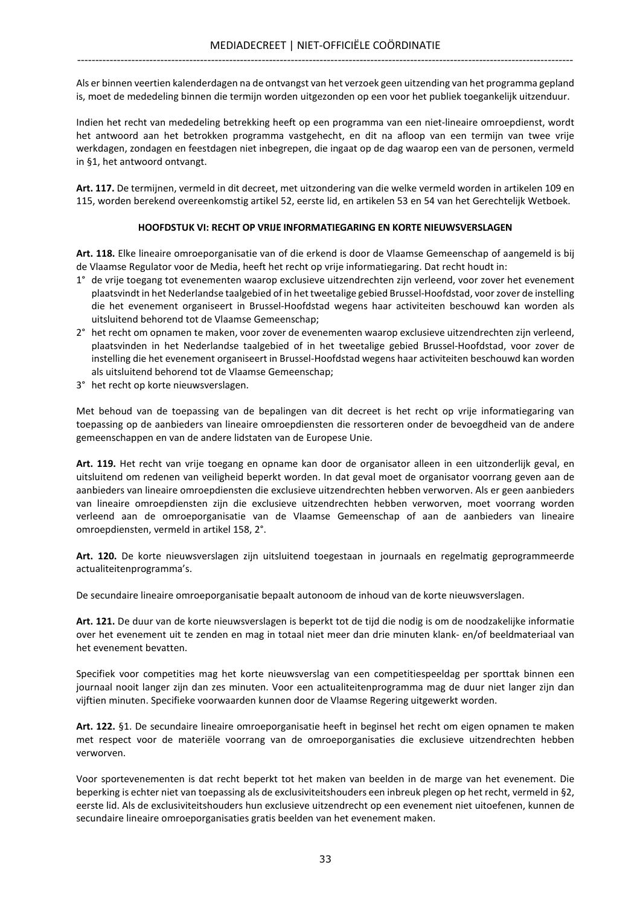Als er binnen veertien kalenderdagen na de ontvangst van het verzoek geen uitzending van het programma gepland is, moet de mededeling binnen die termijn worden uitgezonden op een voor het publiek toegankelijk uitzenduur.

Indien het recht van mededeling betrekking heeft op een programma van een niet-lineaire omroepdienst, wordt het antwoord aan het betrokken programma vastgehecht, en dit na afloop van een termijn van twee vrije werkdagen, zondagen en feestdagen niet inbegrepen, die ingaat op de dag waarop een van de personen, vermeld in §1, het antwoord ontvangt.

Art. 117. De termijnen, vermeld in dit decreet, met uitzondering van die welke vermeld worden in artikelen 109 en 115, worden berekend overeenkomstig artikel 52, eerste lid, en artikelen 53 en 54 van het Gerechtelijk Wetboek.

## HOOFDSTUK VI: RECHT OP VRIJE INFORMATIEGARING EN KORTE NIEUWSVERSLAGEN

Art. 118. Elke lineaire omroeporganisatie van of die erkend is door de Vlaamse Gemeenschap of aangemeld is bij de Vlaamse Regulator voor de Media, heeft het recht op vrije informatiegaring. Dat recht houdt in:

- 1° de vrije toegang tot evenementen waarop exclusieve uitzendrechten zijn verleend, voor zover het evenement plaatsvindt in het Nederlandse taalgebied of in het tweetalige gebied Brussel-Hoofdstad, voor zover de instelling die het evenement organiseert in Brussel-Hoofdstad wegens haar activiteiten beschouwd kan worden als uitsluitend behorend tot de Vlaamse Gemeenschap;
- 2° het recht om opnamen te maken, voor zover de evenementen waarop exclusieve uitzendrechten zijn verleend, plaatsvinden in het Nederlandse taalgebied of in het tweetalige gebied Brussel-Hoofdstad, voor zover de instelling die het evenement organiseert in Brussel-Hoofdstad wegens haar activiteiten beschouwd kan worden als uitsluitend behorend tot de Vlaamse Gemeenschap;
- 3° het recht op korte nieuwsverslagen.

Met behoud van de toepassing van de bepalingen van dit decreet is het recht op vrije informatiegaring van toepassing op de aanbieders van lineaire omroepdiensten die ressorteren onder de bevoegdheid van de andere gemeenschappen en van de andere lidstaten van de Europese Unie.

Art. 119. Het recht van vrije toegang en opname kan door de organisator alleen in een uitzonderlijk geval, en uitsluitend om redenen van veiligheid beperkt worden. In dat geval moet de organisator voorrang geven aan de aanbieders van lineaire omroepdiensten die exclusieve uitzendrechten hebben verworven. Als er geen aanbieders van lineaire omroepdiensten zijn die exclusieve uitzendrechten hebben verworven, moet voorrang worden verleend aan de omroeporganisatie van de Vlaamse Gemeenschap of aan de aanbieders van lineaire omroepdiensten, vermeld in artikel 158, 2°.

Art. 120. De korte nieuwsverslagen zijn uitsluitend toegestaan in journaals en regelmatig geprogrammeerde actualiteitenprogramma's.

De secundaire lineaire omroeporganisatie bepaalt autonoom de inhoud van de korte nieuwsverslagen.

Art. 121. De duur van de korte nieuwsverslagen is beperkt tot de tijd die nodig is om de noodzakelijke informatie over het evenement uit te zenden en mag in totaal niet meer dan drie minuten klank- en/of beeldmateriaal van het evenement bevatten.

Specifiek voor competities mag het korte nieuwsverslag van een competitiespeeldag per sporttak binnen een journaal nooit langer zijn dan zes minuten. Voor een actualiteitenprogramma mag de duur niet langer zijn dan vijftien minuten. Specifieke voorwaarden kunnen door de Vlaamse Regering uitgewerkt worden.

Art. 122. §1. De secundaire lineaire omroeporganisatie heeft in beginsel het recht om eigen opnamen te maken met respect voor de materiële voorrang van de omroeporganisaties die exclusieve uitzendrechten hebben verworven.

Voor sportevenementen is dat recht beperkt tot het maken van beelden in de marge van het evenement. Die beperking is echter niet van toepassing als de exclusiviteitshouders een inbreuk plegen op het recht, vermeld in §2, eerste lid. Als de exclusiviteitshouders hun exclusieve uitzendrecht op een evenement niet uitoefenen, kunnen de secundaire lineaire omroeporganisaties gratis beelden van het evenement maken.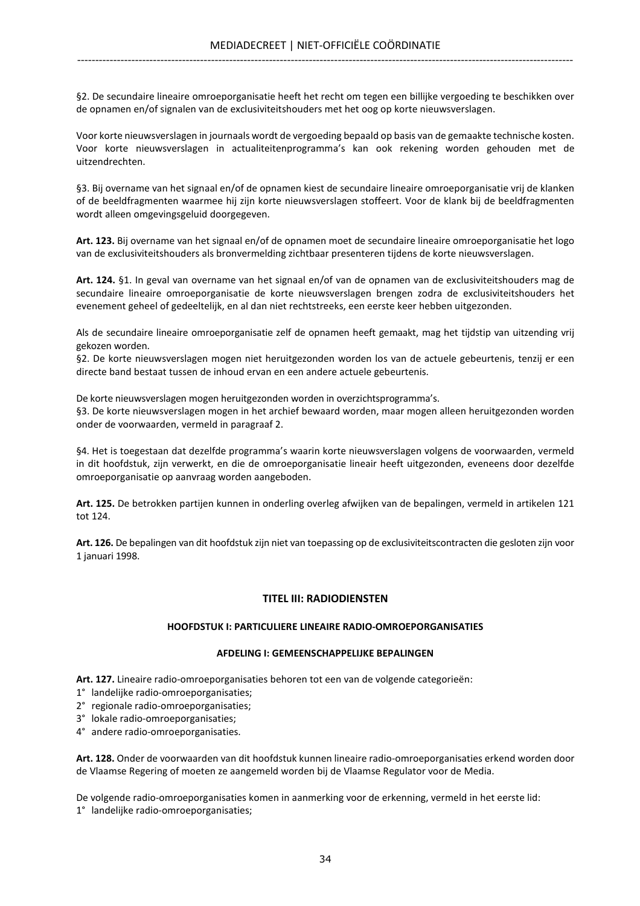§2. De secundaire lineaire omroeporganisatie heeft het recht om tegen een billijke vergoeding te beschikken over de opnamen en/of signalen van de exclusiviteitshouders met het oog op korte nieuwsverslagen.

Voor korte nieuwsverslagen in journaals wordt de vergoeding bepaald op basis van de gemaakte technische kosten. Voor korte nieuwsverslagen in actualiteitenprogramma's kan ook rekening worden gehouden met de uitzendrechten.

§3. Bij overname van het signaal en/of de opnamen kiest de secundaire lineaire omroeporganisatie vrij de klanken of de beeldfragmenten waarmee hij zijn korte nieuwsverslagen stoffeert. Voor de klank bij de beeldfragmenten wordt alleen omgevingsgeluid doorgegeven.

Art. 123. Bij overname van het signaal en/of de opnamen moet de secundaire lineaire omroeporganisatie het logo van de exclusiviteitshouders als bronvermelding zichtbaar presenteren tijdens de korte nieuwsverslagen.

Art. 124. §1. In geval van overname van het signaal en/of van de opnamen van de exclusiviteitshouders mag de secundaire lineaire omroeporganisatie de korte nieuwsverslagen brengen zodra de exclusiviteitshouders het evenement geheel of gedeeltelijk, en al dan niet rechtstreeks, een eerste keer hebben uitgezonden.

Als de secundaire lineaire omroeporganisatie zelf de opnamen heeft gemaakt, mag het tijdstip van uitzending vrij gekozen worden.

§2. De korte nieuwsverslagen mogen niet heruitgezonden worden los van de actuele gebeurtenis, tenzij er een directe band bestaat tussen de inhoud ervan en een andere actuele gebeurtenis.

De korte nieuwsverslagen mogen heruitgezonden worden in overzichtsprogramma's.

§3. De korte nieuwsverslagen mogen in het archief bewaard worden, maar mogen alleen heruitgezonden worden onder de voorwaarden, vermeld in paragraaf 2.

§4. Het is toegestaan dat dezelfde programma's waarin korte nieuwsverslagen volgens de voorwaarden, vermeld in dit hoofdstuk, zijn verwerkt, en die de omroeporganisatie lineair heeft uitgezonden, eveneens door dezelfde omroeporganisatie op aanvraag worden aangeboden.

Art. 125. De betrokken partijen kunnen in onderling overleg afwijken van de bepalingen, vermeld in artikelen 121 tot 124.

Art. 126. De bepalingen van dit hoofdstuk zijn niet van toepassing op de exclusiviteitscontracten die gesloten zijn voor 1 januari 1998.

## TITEL III: RADIODIENSTEN

## HOOFDSTUK I: PARTICULIERE LINEAIRE RADIO-OMROEPORGANISATIES

## AFDELING I: GEMEENSCHAPPELIJKE BEPALINGEN

Art. 127. Lineaire radio-omroeporganisaties behoren tot een van de volgende categorieën:

- 1° landelijke radio-omroeporganisaties;
- 2° regionale radio-omroeporganisaties;
- 3° lokale radio-omroeporganisaties;
- 4° andere radio-omroeporganisaties.

Art. 128. Onder de voorwaarden van dit hoofdstuk kunnen lineaire radio-omroeporganisaties erkend worden door de Vlaamse Regering of moeten ze aangemeld worden bij de Vlaamse Regulator voor de Media.

De volgende radio-omroeporganisaties komen in aanmerking voor de erkenning, vermeld in het eerste lid: 1° landelijke radio-omroeporganisaties;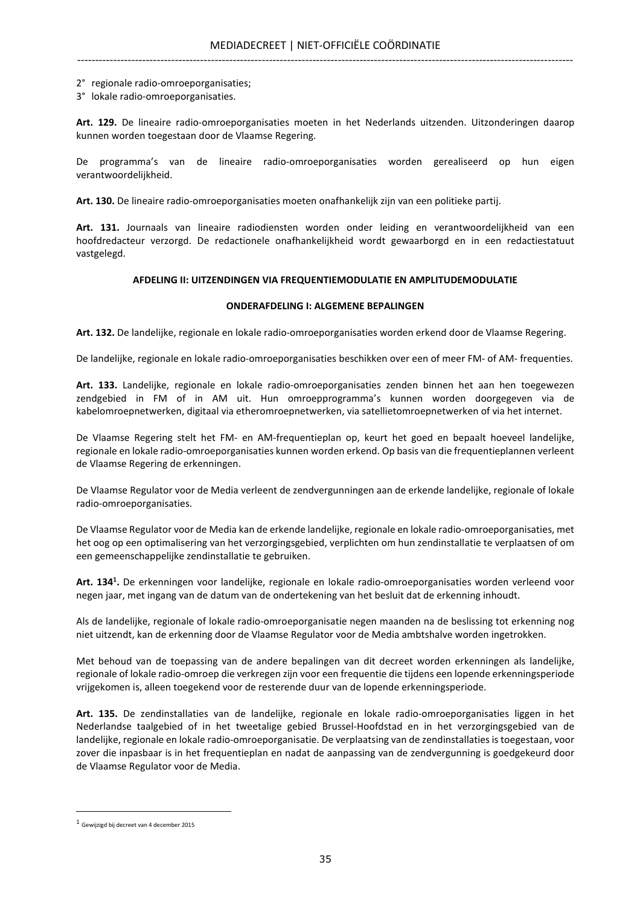- 2° regionale radio-omroeporganisaties;
- 3° lokale radio-omroeporganisaties.

Art. 129. De lineaire radio-omroeporganisaties moeten in het Nederlands uitzenden. Uitzonderingen daarop kunnen worden toegestaan door de Vlaamse Regering.

De programma's van de lineaire radio-omroeporganisaties worden gerealiseerd op hun eigen verantwoordelijkheid.

Art. 130. De lineaire radio-omroeporganisaties moeten onafhankelijk zijn van een politieke partij.

Art. 131. Journaals van lineaire radiodiensten worden onder leiding en verantwoordelijkheid van een hoofdredacteur verzorgd. De redactionele onafhankelijkheid wordt gewaarborgd en in een redactiestatuut vastgelegd.

#### AFDELING II: UITZENDINGEN VIA FREQUENTIEMODULATIE EN AMPLITUDEMODULATIE

#### ONDERAFDELING I: ALGEMENE BEPALINGEN

Art. 132. De landelijke, regionale en lokale radio-omroeporganisaties worden erkend door de Vlaamse Regering.

De landelijke, regionale en lokale radio-omroeporganisaties beschikken over een of meer FM- of AM- frequenties.

Art. 133. Landelijke, regionale en lokale radio-omroeporganisaties zenden binnen het aan hen toegewezen zendgebied in FM of in AM uit. Hun omroepprogramma's kunnen worden doorgegeven via de kabelomroepnetwerken, digitaal via etheromroepnetwerken, via satellietomroepnetwerken of via het internet.

De Vlaamse Regering stelt het FM- en AM-frequentieplan op, keurt het goed en bepaalt hoeveel landelijke, regionale en lokale radio-omroeporganisaties kunnen worden erkend. Op basis van die frequentieplannen verleent de Vlaamse Regering de erkenningen.

De Vlaamse Regulator voor de Media verleent de zendvergunningen aan de erkende landelijke, regionale of lokale radio-omroeporganisaties.

De Vlaamse Regulator voor de Media kan de erkende landelijke, regionale en lokale radio-omroeporganisaties, met het oog op een optimalisering van het verzorgingsgebied, verplichten om hun zendinstallatie te verplaatsen of om een gemeenschappelijke zendinstallatie te gebruiken.

Art. 134<sup>1</sup>. De erkenningen voor landelijke, regionale en lokale radio-omroeporganisaties worden verleend voor negen jaar, met ingang van de datum van de ondertekening van het besluit dat de erkenning inhoudt.

Als de landelijke, regionale of lokale radio-omroeporganisatie negen maanden na de beslissing tot erkenning nog niet uitzendt, kan de erkenning door de Vlaamse Regulator voor de Media ambtshalve worden ingetrokken.

Met behoud van de toepassing van de andere bepalingen van dit decreet worden erkenningen als landelijke, regionale of lokale radio-omroep die verkregen zijn voor een frequentie die tijdens een lopende erkenningsperiode vrijgekomen is, alleen toegekend voor de resterende duur van de lopende erkenningsperiode.

Art. 135. De zendinstallaties van de landelijke, regionale en lokale radio-omroeporganisaties liggen in het Nederlandse taalgebied of in het tweetalige gebied Brussel-Hoofdstad en in het verzorgingsgebied van de landelijke, regionale en lokale radio-omroeporganisatie. De verplaatsing van de zendinstallaties is toegestaan, voor zover die inpasbaar is in het frequentieplan en nadat de aanpassing van de zendvergunning is goedgekeurd door de Vlaamse Regulator voor de Media.

<sup>1</sup> Gewijzigd bij decreet van 4 december 2015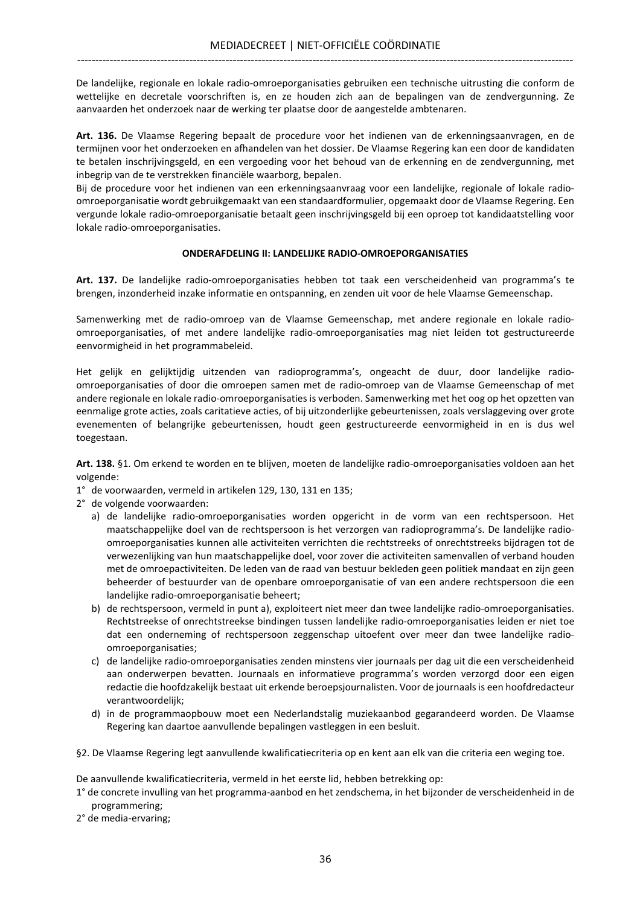De landelijke, regionale en lokale radio-omroeporganisaties gebruiken een technische uitrusting die conform de wettelijke en decretale voorschriften is, en ze houden zich aan de bepalingen van de zendvergunning. Ze aanvaarden het onderzoek naar de werking ter plaatse door de aangestelde ambtenaren.

Art. 136. De Vlaamse Regering bepaalt de procedure voor het indienen van de erkenningsaanvragen, en de termijnen voor het onderzoeken en afhandelen van het dossier. De Vlaamse Regering kan een door de kandidaten te betalen inschrijvingsgeld, en een vergoeding voor het behoud van de erkenning en de zendvergunning, met inbegrip van de te verstrekken financiële waarborg, bepalen.

Bij de procedure voor het indienen van een erkenningsaanvraag voor een landelijke, regionale of lokale radioomroeporganisatie wordt gebruikgemaakt van een standaardformulier, opgemaakt door de Vlaamse Regering. Een vergunde lokale radio-omroeporganisatie betaalt geen inschrijvingsgeld bij een oproep tot kandidaatstelling voor lokale radio-omroeporganisaties.

## ONDERAFDELING II: LANDELIJKE RADIO-OMROEPORGANISATIES

Art. 137. De landelijke radio-omroeporganisaties hebben tot taak een verscheidenheid van programma's te brengen, inzonderheid inzake informatie en ontspanning, en zenden uit voor de hele Vlaamse Gemeenschap.

Samenwerking met de radio-omroep van de Vlaamse Gemeenschap, met andere regionale en lokale radioomroeporganisaties, of met andere landelijke radio-omroeporganisaties mag niet leiden tot gestructureerde eenvormigheid in het programmabeleid.

Het gelijk en gelijktijdig uitzenden van radioprogramma's, ongeacht de duur, door landelijke radioomroeporganisaties of door die omroepen samen met de radio-omroep van de Vlaamse Gemeenschap of met andere regionale en lokale radio-omroeporganisaties is verboden. Samenwerking met het oog op het opzetten van eenmalige grote acties, zoals caritatieve acties, of bij uitzonderlijke gebeurtenissen, zoals verslaggeving over grote evenementen of belangrijke gebeurtenissen, houdt geen gestructureerde eenvormigheid in en is dus wel toegestaan.

Art. 138. §1. Om erkend te worden en te blijven, moeten de landelijke radio-omroeporganisaties voldoen aan het volgende:

- 1° de voorwaarden, vermeld in artikelen 129, 130, 131 en 135;
- 2° de volgende voorwaarden:
	- a) de landelijke radio-omroeporganisaties worden opgericht in de vorm van een rechtspersoon. Het maatschappelijke doel van de rechtspersoon is het verzorgen van radioprogramma's. De landelijke radioomroeporganisaties kunnen alle activiteiten verrichten die rechtstreeks of onrechtstreeks bijdragen tot de verwezenlijking van hun maatschappelijke doel, voor zover die activiteiten samenvallen of verband houden met de omroepactiviteiten. De leden van de raad van bestuur bekleden geen politiek mandaat en zijn geen beheerder of bestuurder van de openbare omroeporganisatie of van een andere rechtspersoon die een landelijke radio-omroeporganisatie beheert;
	- b) de rechtspersoon, vermeld in punt a), exploiteert niet meer dan twee landelijke radio-omroeporganisaties. Rechtstreekse of onrechtstreekse bindingen tussen landelijke radio-omroeporganisaties leiden er niet toe dat een onderneming of rechtspersoon zeggenschap uitoefent over meer dan twee landelijke radioomroeporganisaties;
	- c) de landelijke radio-omroeporganisaties zenden minstens vier journaals per dag uit die een verscheidenheid aan onderwerpen bevatten. Journaals en informatieve programma's worden verzorgd door een eigen redactie die hoofdzakelijk bestaat uit erkende beroepsjournalisten. Voor de journaals is een hoofdredacteur verantwoordelijk;
	- d) in de programmaopbouw moet een Nederlandstalig muziekaanbod gegarandeerd worden. De Vlaamse Regering kan daartoe aanvullende bepalingen vastleggen in een besluit.
- §2. De Vlaamse Regering legt aanvullende kwalificatiecriteria op en kent aan elk van die criteria een weging toe.

De aanvullende kwalificatiecriteria, vermeld in het eerste lid, hebben betrekking op:

- 1° de concrete invulling van het programma-aanbod en het zendschema, in het bijzonder de verscheidenheid in de programmering;
- 2° de media-ervaring;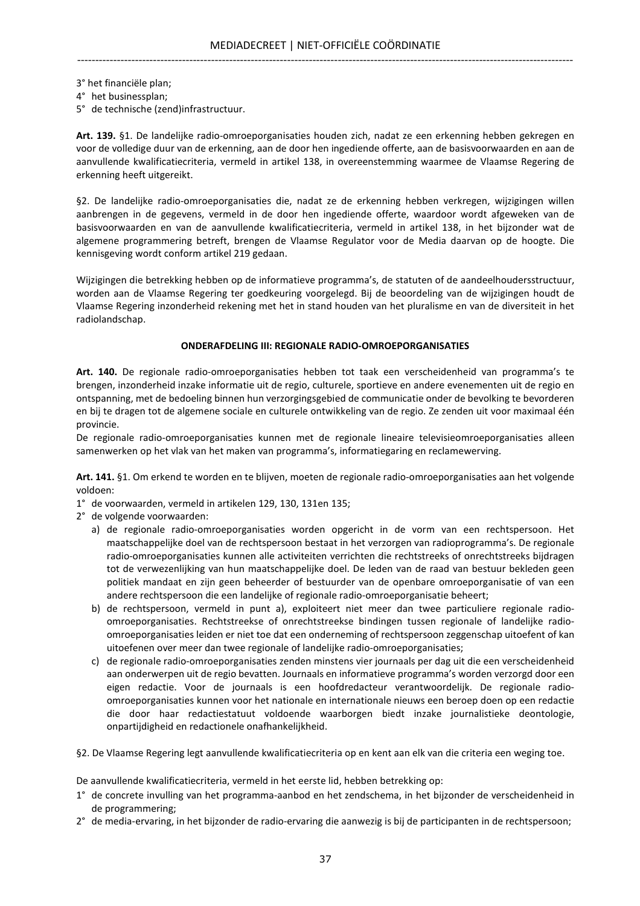3° het financiële plan;

4° het businessplan;

5° de technische (zend)infrastructuur.

Art. 139. §1. De landelijke radio-omroeporganisaties houden zich, nadat ze een erkenning hebben gekregen en voor de volledige duur van de erkenning, aan de door hen ingediende offerte, aan de basisvoorwaarden en aan de aanvullende kwalificatiecriteria, vermeld in artikel 138, in overeenstemming waarmee de Vlaamse Regering de erkenning heeft uitgereikt.

§2. De landelijke radio-omroeporganisaties die, nadat ze de erkenning hebben verkregen, wijzigingen willen aanbrengen in de gegevens, vermeld in de door hen ingediende offerte, waardoor wordt afgeweken van de basisvoorwaarden en van de aanvullende kwalificatiecriteria, vermeld in artikel 138, in het bijzonder wat de algemene programmering betreft, brengen de Vlaamse Regulator voor de Media daarvan op de hoogte. Die kennisgeving wordt conform artikel 219 gedaan.

Wijzigingen die betrekking hebben op de informatieve programma's, de statuten of de aandeelhoudersstructuur, worden aan de Vlaamse Regering ter goedkeuring voorgelegd. Bij de beoordeling van de wijzigingen houdt de Vlaamse Regering inzonderheid rekening met het in stand houden van het pluralisme en van de diversiteit in het radiolandschap.

#### ONDERAFDELING III: REGIONALE RADIO-OMROEPORGANISATIES

Art. 140. De regionale radio-omroeporganisaties hebben tot taak een verscheidenheid van programma's te brengen, inzonderheid inzake informatie uit de regio, culturele, sportieve en andere evenementen uit de regio en ontspanning, met de bedoeling binnen hun verzorgingsgebied de communicatie onder de bevolking te bevorderen en bij te dragen tot de algemene sociale en culturele ontwikkeling van de regio. Ze zenden uit voor maximaal één provincie.

De regionale radio-omroeporganisaties kunnen met de regionale lineaire televisieomroeporganisaties alleen samenwerken op het vlak van het maken van programma's, informatiegaring en reclamewerving.

Art. 141. §1. Om erkend te worden en te blijven, moeten de regionale radio-omroeporganisaties aan het volgende voldoen:

- 1° de voorwaarden, vermeld in artikelen 129, 130, 131en 135;
- 2° de volgende voorwaarden:
	- a) de regionale radio-omroeporganisaties worden opgericht in de vorm van een rechtspersoon. Het maatschappelijke doel van de rechtspersoon bestaat in het verzorgen van radioprogramma's. De regionale radio-omroeporganisaties kunnen alle activiteiten verrichten die rechtstreeks of onrechtstreeks bijdragen tot de verwezenlijking van hun maatschappelijke doel. De leden van de raad van bestuur bekleden geen politiek mandaat en zijn geen beheerder of bestuurder van de openbare omroeporganisatie of van een andere rechtspersoon die een landelijke of regionale radio-omroeporganisatie beheert;
	- b) de rechtspersoon, vermeld in punt a), exploiteert niet meer dan twee particuliere regionale radioomroeporganisaties. Rechtstreekse of onrechtstreekse bindingen tussen regionale of landelijke radioomroeporganisaties leiden er niet toe dat een onderneming of rechtspersoon zeggenschap uitoefent of kan uitoefenen over meer dan twee regionale of landelijke radio-omroeporganisaties;
	- c) de regionale radio-omroeporganisaties zenden minstens vier journaals per dag uit die een verscheidenheid aan onderwerpen uit de regio bevatten. Journaals en informatieve programma's worden verzorgd door een eigen redactie. Voor de journaals is een hoofdredacteur verantwoordelijk. De regionale radioomroeporganisaties kunnen voor het nationale en internationale nieuws een beroep doen op een redactie die door haar redactiestatuut voldoende waarborgen biedt inzake journalistieke deontologie, onpartijdigheid en redactionele onafhankelijkheid.

§2. De Vlaamse Regering legt aanvullende kwalificatiecriteria op en kent aan elk van die criteria een weging toe.

De aanvullende kwalificatiecriteria, vermeld in het eerste lid, hebben betrekking op:

- 1° de concrete invulling van het programma-aanbod en het zendschema, in het bijzonder de verscheidenheid in de programmering;
- 2° de media-ervaring, in het bijzonder de radio-ervaring die aanwezig is bij de participanten in de rechtspersoon;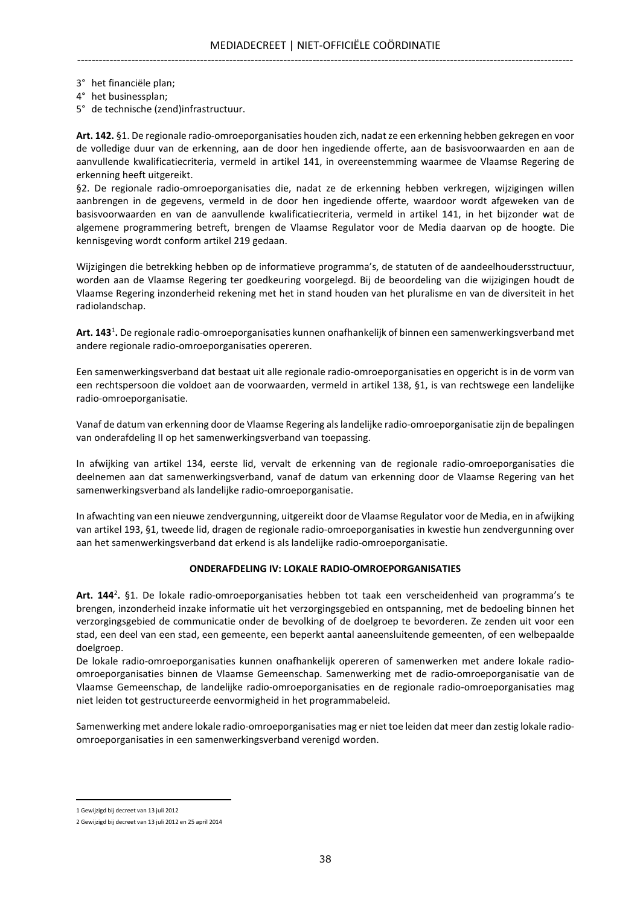3° het financiële plan;

- 4° het businessplan;
- 5° de technische (zend)infrastructuur.

Art. 142. §1. De regionale radio-omroeporganisaties houden zich, nadat ze een erkenning hebben gekregen en voor de volledige duur van de erkenning, aan de door hen ingediende offerte, aan de basisvoorwaarden en aan de aanvullende kwalificatiecriteria, vermeld in artikel 141, in overeenstemming waarmee de Vlaamse Regering de erkenning heeft uitgereikt.

§2. De regionale radio-omroeporganisaties die, nadat ze de erkenning hebben verkregen, wijzigingen willen aanbrengen in de gegevens, vermeld in de door hen ingediende offerte, waardoor wordt afgeweken van de basisvoorwaarden en van de aanvullende kwalificatiecriteria, vermeld in artikel 141, in het bijzonder wat de algemene programmering betreft, brengen de Vlaamse Regulator voor de Media daarvan op de hoogte. Die kennisgeving wordt conform artikel 219 gedaan.

Wijzigingen die betrekking hebben op de informatieve programma's, de statuten of de aandeelhoudersstructuur, worden aan de Vlaamse Regering ter goedkeuring voorgelegd. Bij de beoordeling van die wijzigingen houdt de Vlaamse Regering inzonderheid rekening met het in stand houden van het pluralisme en van de diversiteit in het radiolandschap.

Art. 143<sup>1</sup>. De regionale radio-omroeporganisaties kunnen onafhankelijk of binnen een samenwerkingsverband met andere regionale radio-omroeporganisaties opereren.

Een samenwerkingsverband dat bestaat uit alle regionale radio-omroeporganisaties en opgericht is in de vorm van een rechtspersoon die voldoet aan de voorwaarden, vermeld in artikel 138, §1, is van rechtswege een landelijke radio-omroeporganisatie.

Vanaf de datum van erkenning door de Vlaamse Regering als landelijke radio-omroeporganisatie zijn de bepalingen van onderafdeling II op het samenwerkingsverband van toepassing.

In afwijking van artikel 134, eerste lid, vervalt de erkenning van de regionale radio-omroeporganisaties die deelnemen aan dat samenwerkingsverband, vanaf de datum van erkenning door de Vlaamse Regering van het samenwerkingsverband als landelijke radio-omroeporganisatie.

In afwachting van een nieuwe zendvergunning, uitgereikt door de Vlaamse Regulator voor de Media, en in afwijking van artikel 193, §1, tweede lid, dragen de regionale radio-omroeporganisaties in kwestie hun zendvergunning over aan het samenwerkingsverband dat erkend is als landelijke radio-omroeporganisatie.

#### ONDERAFDELING IV: LOKALE RADIO-OMROEPORGANISATIES

Art. 144<sup>2</sup>. §1. De lokale radio-omroeporganisaties hebben tot taak een verscheidenheid van programma's te brengen, inzonderheid inzake informatie uit het verzorgingsgebied en ontspanning, met de bedoeling binnen het verzorgingsgebied de communicatie onder de bevolking of de doelgroep te bevorderen. Ze zenden uit voor een stad, een deel van een stad, een gemeente, een beperkt aantal aaneensluitende gemeenten, of een welbepaalde doelgroep.

De lokale radio-omroeporganisaties kunnen onafhankelijk opereren of samenwerken met andere lokale radioomroeporganisaties binnen de Vlaamse Gemeenschap. Samenwerking met de radio-omroeporganisatie van de Vlaamse Gemeenschap, de landelijke radio-omroeporganisaties en de regionale radio-omroeporganisaties mag niet leiden tot gestructureerde eenvormigheid in het programmabeleid.

Samenwerking met andere lokale radio-omroeporganisaties mag er niet toe leiden dat meer dan zestig lokale radioomroeporganisaties in een samenwerkingsverband verenigd worden.

1 Gewijzigd bij decreet van 13 juli 2012

<sup>2</sup> Gewijzigd bij decreet van 13 juli 2012 en 25 april 2014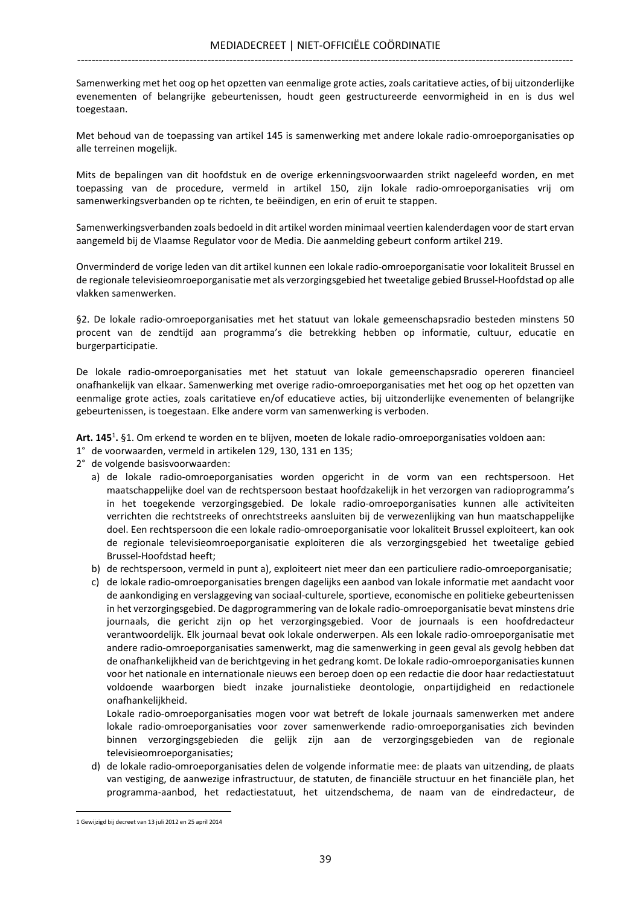Samenwerking met het oog op het opzetten van eenmalige grote acties, zoals caritatieve acties, of bij uitzonderlijke evenementen of belangrijke gebeurtenissen, houdt geen gestructureerde eenvormigheid in en is dus wel toegestaan.

Met behoud van de toepassing van artikel 145 is samenwerking met andere lokale radio-omroeporganisaties op alle terreinen mogelijk.

Mits de bepalingen van dit hoofdstuk en de overige erkenningsvoorwaarden strikt nageleefd worden, en met toepassing van de procedure, vermeld in artikel 150, zijn lokale radio-omroeporganisaties vrij om samenwerkingsverbanden op te richten, te beëindigen, en erin of eruit te stappen.

Samenwerkingsverbanden zoals bedoeld in dit artikel worden minimaal veertien kalenderdagen voor de start ervan aangemeld bij de Vlaamse Regulator voor de Media. Die aanmelding gebeurt conform artikel 219.

Onverminderd de vorige leden van dit artikel kunnen een lokale radio-omroeporganisatie voor lokaliteit Brussel en de regionale televisieomroeporganisatie met als verzorgingsgebied het tweetalige gebied Brussel-Hoofdstad op alle vlakken samenwerken.

§2. De lokale radio-omroeporganisaties met het statuut van lokale gemeenschapsradio besteden minstens 50 procent van de zendtijd aan programma's die betrekking hebben op informatie, cultuur, educatie en burgerparticipatie.

De lokale radio-omroeporganisaties met het statuut van lokale gemeenschapsradio opereren financieel onafhankelijk van elkaar. Samenwerking met overige radio-omroeporganisaties met het oog op het opzetten van eenmalige grote acties, zoals caritatieve en/of educatieve acties, bij uitzonderlijke evenementen of belangrijke gebeurtenissen, is toegestaan. Elke andere vorm van samenwerking is verboden.

Art. 145<sup>1</sup>. §1. Om erkend te worden en te blijven, moeten de lokale radio-omroeporganisaties voldoen aan:

- 1° de voorwaarden, vermeld in artikelen 129, 130, 131 en 135;
- 2° de volgende basisvoorwaarden:
	- a) de lokale radio-omroeporganisaties worden opgericht in de vorm van een rechtspersoon. Het maatschappelijke doel van de rechtspersoon bestaat hoofdzakelijk in het verzorgen van radioprogramma's in het toegekende verzorgingsgebied. De lokale radio-omroeporganisaties kunnen alle activiteiten verrichten die rechtstreeks of onrechtstreeks aansluiten bij de verwezenlijking van hun maatschappelijke doel. Een rechtspersoon die een lokale radio-omroeporganisatie voor lokaliteit Brussel exploiteert, kan ook de regionale televisieomroeporganisatie exploiteren die als verzorgingsgebied het tweetalige gebied Brussel-Hoofdstad heeft;
	- b) de rechtspersoon, vermeld in punt a), exploiteert niet meer dan een particuliere radio-omroeporganisatie;
	- c) de lokale radio-omroeporganisaties brengen dagelijks een aanbod van lokale informatie met aandacht voor de aankondiging en verslaggeving van sociaal-culturele, sportieve, economische en politieke gebeurtenissen in het verzorgingsgebied. De dagprogrammering van de lokale radio-omroeporganisatie bevat minstens drie journaals, die gericht zijn op het verzorgingsgebied. Voor de journaals is een hoofdredacteur verantwoordelijk. Elk journaal bevat ook lokale onderwerpen. Als een lokale radio-omroeporganisatie met andere radio-omroeporganisaties samenwerkt, mag die samenwerking in geen geval als gevolg hebben dat de onafhankelijkheid van de berichtgeving in het gedrang komt. De lokale radio-omroeporganisaties kunnen voor het nationale en internationale nieuws een beroep doen op een redactie die door haar redactiestatuut voldoende waarborgen biedt inzake journalistieke deontologie, onpartijdigheid en redactionele onafhankelijkheid.

 Lokale radio-omroeporganisaties mogen voor wat betreft de lokale journaals samenwerken met andere lokale radio-omroeporganisaties voor zover samenwerkende radio-omroeporganisaties zich bevinden binnen verzorgingsgebieden die gelijk zijn aan de verzorgingsgebieden van de regionale televisieomroeporganisaties;

d) de lokale radio-omroeporganisaties delen de volgende informatie mee: de plaats van uitzending, de plaats van vestiging, de aanwezige infrastructuur, de statuten, de financiële structuur en het financiële plan, het programma-aanbod, het redactiestatuut, het uitzendschema, de naam van de eindredacteur, de

<sup>1</sup> Gewijzigd bij decreet van 13 juli 2012 en 25 april 2014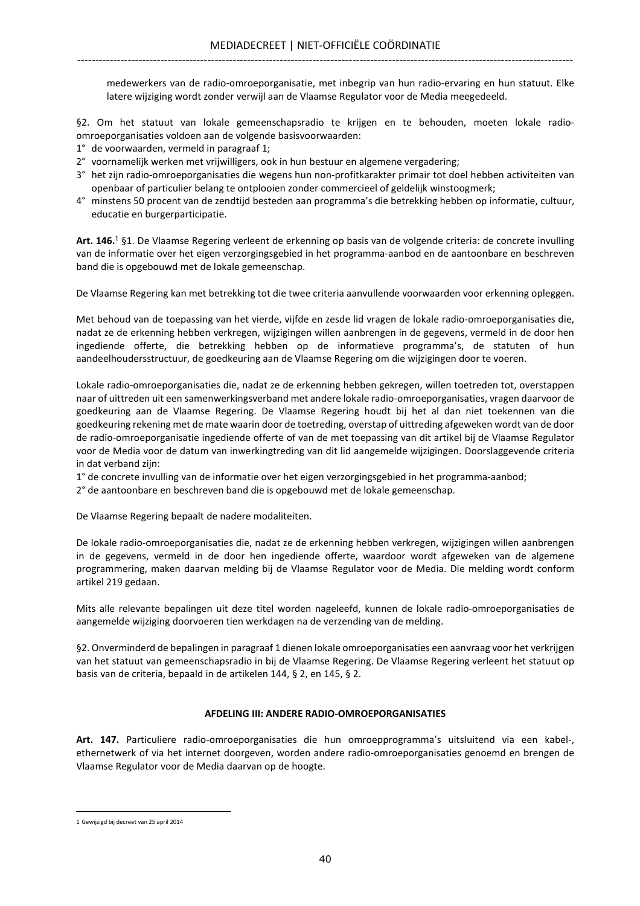medewerkers van de radio-omroeporganisatie, met inbegrip van hun radio-ervaring en hun statuut. Elke latere wijziging wordt zonder verwijl aan de Vlaamse Regulator voor de Media meegedeeld.

§2. Om het statuut van lokale gemeenschapsradio te krijgen en te behouden, moeten lokale radioomroeporganisaties voldoen aan de volgende basisvoorwaarden:

- 1° de voorwaarden, vermeld in paragraaf 1;
- 2° voornamelijk werken met vrijwilligers, ook in hun bestuur en algemene vergadering;
- 3° het zijn radio-omroeporganisaties die wegens hun non-profitkarakter primair tot doel hebben activiteiten van openbaar of particulier belang te ontplooien zonder commercieel of geldelijk winstoogmerk;
- 4° minstens 50 procent van de zendtijd besteden aan programma's die betrekking hebben op informatie, cultuur, educatie en burgerparticipatie.

Art. 146.<sup>1</sup> §1. De Vlaamse Regering verleent de erkenning op basis van de volgende criteria: de concrete invulling van de informatie over het eigen verzorgingsgebied in het programma-aanbod en de aantoonbare en beschreven band die is opgebouwd met de lokale gemeenschap.

De Vlaamse Regering kan met betrekking tot die twee criteria aanvullende voorwaarden voor erkenning opleggen.

Met behoud van de toepassing van het vierde, vijfde en zesde lid vragen de lokale radio-omroeporganisaties die, nadat ze de erkenning hebben verkregen, wijzigingen willen aanbrengen in de gegevens, vermeld in de door hen ingediende offerte, die betrekking hebben op de informatieve programma's, de statuten of hun aandeelhoudersstructuur, de goedkeuring aan de Vlaamse Regering om die wijzigingen door te voeren.

Lokale radio-omroeporganisaties die, nadat ze de erkenning hebben gekregen, willen toetreden tot, overstappen naar of uittreden uit een samenwerkingsverband met andere lokale radio-omroeporganisaties, vragen daarvoor de goedkeuring aan de Vlaamse Regering. De Vlaamse Regering houdt bij het al dan niet toekennen van die goedkeuring rekening met de mate waarin door de toetreding, overstap of uittreding afgeweken wordt van de door de radio-omroeporganisatie ingediende offerte of van de met toepassing van dit artikel bij de Vlaamse Regulator voor de Media voor de datum van inwerkingtreding van dit lid aangemelde wijzigingen. Doorslaggevende criteria in dat verband zijn:

1° de concrete invulling van de informatie over het eigen verzorgingsgebied in het programma-aanbod;

2° de aantoonbare en beschreven band die is opgebouwd met de lokale gemeenschap.

De Vlaamse Regering bepaalt de nadere modaliteiten.

De lokale radio-omroeporganisaties die, nadat ze de erkenning hebben verkregen, wijzigingen willen aanbrengen in de gegevens, vermeld in de door hen ingediende offerte, waardoor wordt afgeweken van de algemene programmering, maken daarvan melding bij de Vlaamse Regulator voor de Media. Die melding wordt conform artikel 219 gedaan.

Mits alle relevante bepalingen uit deze titel worden nageleefd, kunnen de lokale radio-omroeporganisaties de aangemelde wijziging doorvoeren tien werkdagen na de verzending van de melding.

§2. Onverminderd de bepalingen in paragraaf 1 dienen lokale omroeporganisaties een aanvraag voor het verkrijgen van het statuut van gemeenschapsradio in bij de Vlaamse Regering. De Vlaamse Regering verleent het statuut op basis van de criteria, bepaald in de artikelen 144, § 2, en 145, § 2.

## AFDELING III: ANDERE RADIO-OMROEPORGANISATIES

Art. 147. Particuliere radio-omroeporganisaties die hun omroepprogramma's uitsluitend via een kabel-, ethernetwerk of via het internet doorgeven, worden andere radio-omroeporganisaties genoemd en brengen de Vlaamse Regulator voor de Media daarvan op de hoogte.

<sup>1</sup> Gewijzigd bij decreet van 25 april 2014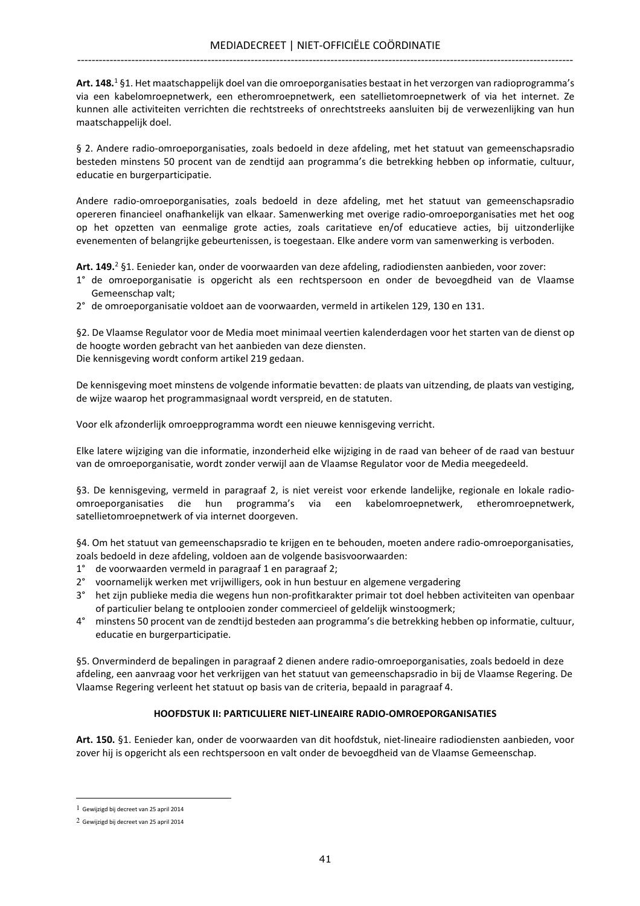**Art. 148.**<sup>1</sup>§1. Het maatschappelijk doel van die omroeporganisaties bestaat in het verzorgen van radioprogramma′s via een kabelomroepnetwerk, een etheromroepnetwerk, een satellietomroepnetwerk of via het internet. Ze kunnen alle activiteiten verrichten die rechtstreeks of onrechtstreeks aansluiten bij de verwezenlijking van hun maatschappelijk doel.

§ 2. Andere radio-omroeporganisaties, zoals bedoeld in deze afdeling, met het statuut van gemeenschapsradio besteden minstens 50 procent van de zendtijd aan programma's die betrekking hebben op informatie, cultuur, educatie en burgerparticipatie.

Andere radio-omroeporganisaties, zoals bedoeld in deze afdeling, met het statuut van gemeenschapsradio opereren financieel onafhankelijk van elkaar. Samenwerking met overige radio-omroeporganisaties met het oog op het opzetten van eenmalige grote acties, zoals caritatieve en/of educatieve acties, bij uitzonderlijke evenementen of belangrijke gebeurtenissen, is toegestaan. Elke andere vorm van samenwerking is verboden.

Art. 149.<sup>2</sup> §1. Eenieder kan, onder de voorwaarden van deze afdeling, radiodiensten aanbieden, voor zover:

- 1° de omroeporganisatie is opgericht als een rechtspersoon en onder de bevoegdheid van de Vlaamse Gemeenschap valt;
- 2° de omroeporganisatie voldoet aan de voorwaarden, vermeld in artikelen 129, 130 en 131.

§2. De Vlaamse Regulator voor de Media moet minimaal veertien kalenderdagen voor het starten van de dienst op de hoogte worden gebracht van het aanbieden van deze diensten. Die kennisgeving wordt conform artikel 219 gedaan.

De kennisgeving moet minstens de volgende informatie bevatten: de plaats van uitzending, de plaats van vestiging, de wijze waarop het programmasignaal wordt verspreid, en de statuten.

Voor elk afzonderlijk omroepprogramma wordt een nieuwe kennisgeving verricht.

Elke latere wijziging van die informatie, inzonderheid elke wijziging in de raad van beheer of de raad van bestuur van de omroeporganisatie, wordt zonder verwijl aan de Vlaamse Regulator voor de Media meegedeeld.

§3. De kennisgeving, vermeld in paragraaf 2, is niet vereist voor erkende landelijke, regionale en lokale radioomroeporganisaties die hun programma's via een kabelomroepnetwerk, etheromroepnetwerk, satellietomroepnetwerk of via internet doorgeven.

§4. Om het statuut van gemeenschapsradio te krijgen en te behouden, moeten andere radio-omroeporganisaties, zoals bedoeld in deze afdeling, voldoen aan de volgende basisvoorwaarden:

- 1° de voorwaarden vermeld in paragraaf 1 en paragraaf 2;
- 2° voornamelijk werken met vrijwilligers, ook in hun bestuur en algemene vergadering
- 3° het zijn publieke media die wegens hun non-profitkarakter primair tot doel hebben activiteiten van openbaar of particulier belang te ontplooien zonder commercieel of geldelijk winstoogmerk;
- 4° minstens 50 procent van de zendtijd besteden aan programma's die betrekking hebben op informatie, cultuur, educatie en burgerparticipatie.

§5. Onverminderd de bepalingen in paragraaf 2 dienen andere radio-omroeporganisaties, zoals bedoeld in deze afdeling, een aanvraag voor het verkrijgen van het statuut van gemeenschapsradio in bij de Vlaamse Regering. De Vlaamse Regering verleent het statuut op basis van de criteria, bepaald in paragraaf 4.

## HOOFDSTUK II: PARTICULIERE NIET-LINEAIRE RADIO-OMROEPORGANISATIES

Art. 150. §1. Eenieder kan, onder de voorwaarden van dit hoofdstuk, niet-lineaire radiodiensten aanbieden, voor zover hij is opgericht als een rechtspersoon en valt onder de bevoegdheid van de Vlaamse Gemeenschap.

l.

<sup>1</sup> Gewijzigd bij decreet van 25 april 2014

<sup>2</sup> Gewijzigd bij decreet van 25 april 2014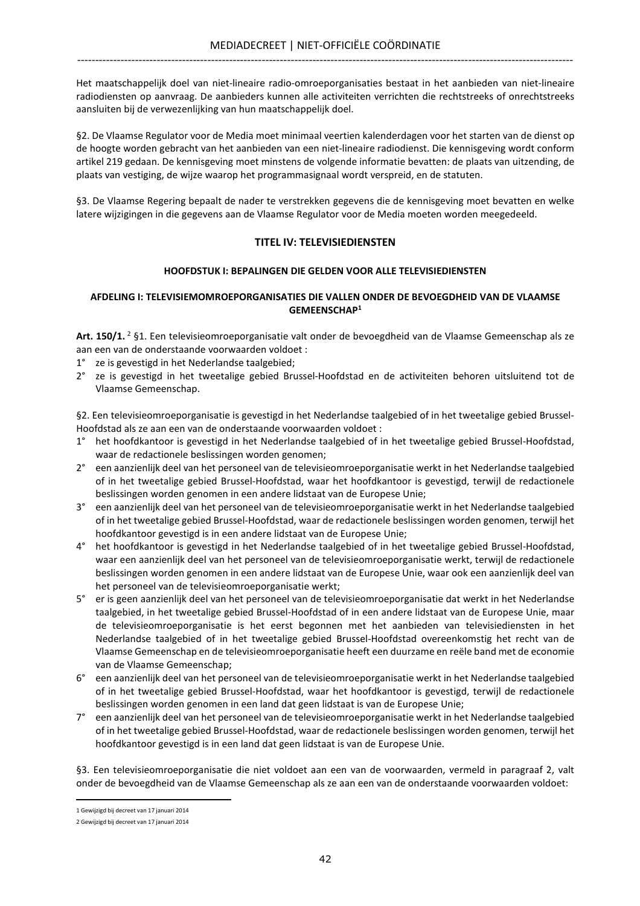Het maatschappelijk doel van niet-lineaire radio-omroeporganisaties bestaat in het aanbieden van niet-lineaire radiodiensten op aanvraag. De aanbieders kunnen alle activiteiten verrichten die rechtstreeks of onrechtstreeks aansluiten bij de verwezenlijking van hun maatschappelijk doel.

§2. De Vlaamse Regulator voor de Media moet minimaal veertien kalenderdagen voor het starten van de dienst op de hoogte worden gebracht van het aanbieden van een niet-lineaire radiodienst. Die kennisgeving wordt conform artikel 219 gedaan. De kennisgeving moet minstens de volgende informatie bevatten: de plaats van uitzending, de plaats van vestiging, de wijze waarop het programmasignaal wordt verspreid, en de statuten.

§3. De Vlaamse Regering bepaalt de nader te verstrekken gegevens die de kennisgeving moet bevatten en welke latere wijzigingen in die gegevens aan de Vlaamse Regulator voor de Media moeten worden meegedeeld.

## TITEL IV: TELEVISIEDIENSTEN

### HOOFDSTUK I: BEPALINGEN DIE GELDEN VOOR ALLE TELEVISIEDIENSTEN

#### AFDELING I: TELEVISIEMOMROEPORGANISATIES DIE VALLEN ONDER DE BEVOEGDHEID VAN DE VLAAMSE GEMEENSCHAP<sup>1</sup>

Art. 150/1.<sup>2</sup> §1. Een televisieomroeporganisatie valt onder de bevoegdheid van de Vlaamse Gemeenschap als ze aan een van de onderstaande voorwaarden voldoet :

- 1° ze is gevestigd in het Nederlandse taalgebied;
- 2° ze is gevestigd in het tweetalige gebied Brussel-Hoofdstad en de activiteiten behoren uitsluitend tot de Vlaamse Gemeenschap.

§2. Een televisieomroeporganisatie is gevestigd in het Nederlandse taalgebied of in het tweetalige gebied Brussel-Hoofdstad als ze aan een van de onderstaande voorwaarden voldoet :

- 1° het hoofdkantoor is gevestigd in het Nederlandse taalgebied of in het tweetalige gebied Brussel-Hoofdstad, waar de redactionele beslissingen worden genomen;
- 2° een aanzienlijk deel van het personeel van de televisieomroeporganisatie werkt in het Nederlandse taalgebied of in het tweetalige gebied Brussel-Hoofdstad, waar het hoofdkantoor is gevestigd, terwijl de redactionele beslissingen worden genomen in een andere lidstaat van de Europese Unie;
- 3° een aanzienlijk deel van het personeel van de televisieomroeporganisatie werkt in het Nederlandse taalgebied of in het tweetalige gebied Brussel-Hoofdstad, waar de redactionele beslissingen worden genomen, terwijl het hoofdkantoor gevestigd is in een andere lidstaat van de Europese Unie;
- 4° het hoofdkantoor is gevestigd in het Nederlandse taalgebied of in het tweetalige gebied Brussel-Hoofdstad, waar een aanzienlijk deel van het personeel van de televisieomroeporganisatie werkt, terwijl de redactionele beslissingen worden genomen in een andere lidstaat van de Europese Unie, waar ook een aanzienlijk deel van het personeel van de televisieomroeporganisatie werkt;
- 5° er is geen aanzienlijk deel van het personeel van de televisieomroeporganisatie dat werkt in het Nederlandse taalgebied, in het tweetalige gebied Brussel-Hoofdstad of in een andere lidstaat van de Europese Unie, maar de televisieomroeporganisatie is het eerst begonnen met het aanbieden van televisiediensten in het Nederlandse taalgebied of in het tweetalige gebied Brussel-Hoofdstad overeenkomstig het recht van de Vlaamse Gemeenschap en de televisieomroeporganisatie heeft een duurzame en reële band met de economie van de Vlaamse Gemeenschap;
- 6° een aanzienlijk deel van het personeel van de televisieomroeporganisatie werkt in het Nederlandse taalgebied of in het tweetalige gebied Brussel-Hoofdstad, waar het hoofdkantoor is gevestigd, terwijl de redactionele beslissingen worden genomen in een land dat geen lidstaat is van de Europese Unie;
- 7° een aanzienlijk deel van het personeel van de televisieomroeporganisatie werkt in het Nederlandse taalgebied of in het tweetalige gebied Brussel-Hoofdstad, waar de redactionele beslissingen worden genomen, terwijl het hoofdkantoor gevestigd is in een land dat geen lidstaat is van de Europese Unie.

§3. Een televisieomroeporganisatie die niet voldoet aan een van de voorwaarden, vermeld in paragraaf 2, valt onder de bevoegdheid van de Vlaamse Gemeenschap als ze aan een van de onderstaande voorwaarden voldoet:

<sup>1</sup> Gewijzigd bij decreet van 17 januari 2014

<sup>2</sup> Gewijzigd bij decreet van 17 januari 2014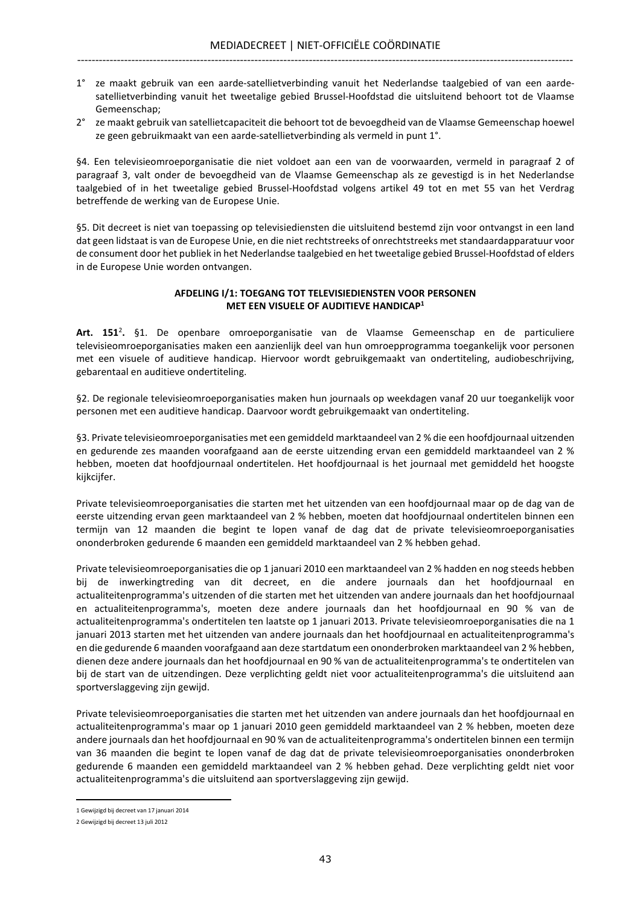- 1° ze maakt gebruik van een aarde-satellietverbinding vanuit het Nederlandse taalgebied of van een aardesatellietverbinding vanuit het tweetalige gebied Brussel-Hoofdstad die uitsluitend behoort tot de Vlaamse Gemeenschap;
- 2° ze maakt gebruik van satellietcapaciteit die behoort tot de bevoegdheid van de Vlaamse Gemeenschap hoewel ze geen gebruikmaakt van een aarde-satellietverbinding als vermeld in punt 1°.

§4. Een televisieomroeporganisatie die niet voldoet aan een van de voorwaarden, vermeld in paragraaf 2 of paragraaf 3, valt onder de bevoegdheid van de Vlaamse Gemeenschap als ze gevestigd is in het Nederlandse taalgebied of in het tweetalige gebied Brussel-Hoofdstad volgens artikel 49 tot en met 55 van het Verdrag betreffende de werking van de Europese Unie.

§5. Dit decreet is niet van toepassing op televisiediensten die uitsluitend bestemd zijn voor ontvangst in een land dat geen lidstaat is van de Europese Unie, en die niet rechtstreeks of onrechtstreeks met standaardapparatuur voor de consument door het publiek in het Nederlandse taalgebied en het tweetalige gebied Brussel-Hoofdstad of elders in de Europese Unie worden ontvangen.

### AFDELING I/1: TOEGANG TOT TELEVISIEDIENSTEN VOOR PERSONEN MET EEN VISUELE OF AUDITIEVE HANDICAP<sup>1</sup>

Art. 151<sup>2</sup>. §1. De openbare omroeporganisatie van de Vlaamse Gemeenschap en de particuliere televisieomroeporganisaties maken een aanzienlijk deel van hun omroepprogramma toegankelijk voor personen met een visuele of auditieve handicap. Hiervoor wordt gebruikgemaakt van ondertiteling, audiobeschrijving, gebarentaal en auditieve ondertiteling.

§2. De regionale televisieomroeporganisaties maken hun journaals op weekdagen vanaf 20 uur toegankelijk voor personen met een auditieve handicap. Daarvoor wordt gebruikgemaakt van ondertiteling.

§3. Private televisieomroeporganisaties met een gemiddeld marktaandeel van 2 % die een hoofdjournaal uitzenden en gedurende zes maanden voorafgaand aan de eerste uitzending ervan een gemiddeld marktaandeel van 2 % hebben, moeten dat hoofdjournaal ondertitelen. Het hoofdjournaal is het journaal met gemiddeld het hoogste kijkcijfer.

Private televisieomroeporganisaties die starten met het uitzenden van een hoofdjournaal maar op de dag van de eerste uitzending ervan geen marktaandeel van 2 % hebben, moeten dat hoofdjournaal ondertitelen binnen een termijn van 12 maanden die begint te lopen vanaf de dag dat de private televisieomroeporganisaties ononderbroken gedurende 6 maanden een gemiddeld marktaandeel van 2 % hebben gehad.

Private televisieomroeporganisaties die op 1 januari 2010 een marktaandeel van 2 % hadden en nog steeds hebben bij de inwerkingtreding van dit decreet, en die andere journaals dan het hoofdjournaal en actualiteitenprogramma's uitzenden of die starten met het uitzenden van andere journaals dan het hoofdjournaal en actualiteitenprogramma's, moeten deze andere journaals dan het hoofdjournaal en 90 % van de actualiteitenprogramma's ondertitelen ten laatste op 1 januari 2013. Private televisieomroeporganisaties die na 1 januari 2013 starten met het uitzenden van andere journaals dan het hoofdjournaal en actualiteitenprogramma's en die gedurende 6 maanden voorafgaand aan deze startdatum een ononderbroken marktaandeel van 2 % hebben, dienen deze andere journaals dan het hoofdjournaal en 90 % van de actualiteitenprogramma's te ondertitelen van bij de start van de uitzendingen. Deze verplichting geldt niet voor actualiteitenprogramma's die uitsluitend aan sportverslaggeving zijn gewijd.

Private televisieomroeporganisaties die starten met het uitzenden van andere journaals dan het hoofdjournaal en actualiteitenprogramma's maar op 1 januari 2010 geen gemiddeld marktaandeel van 2 % hebben, moeten deze andere journaals dan het hoofdjournaal en 90 % van de actualiteitenprogramma's ondertitelen binnen een termijn van 36 maanden die begint te lopen vanaf de dag dat de private televisieomroeporganisaties ononderbroken gedurende 6 maanden een gemiddeld marktaandeel van 2 % hebben gehad. Deze verplichting geldt niet voor actualiteitenprogramma's die uitsluitend aan sportverslaggeving zijn gewijd.

<sup>1</sup> Gewijzigd bij decreet van 17 januari 2014

<sup>2</sup> Gewijzigd bij decreet 13 juli 2012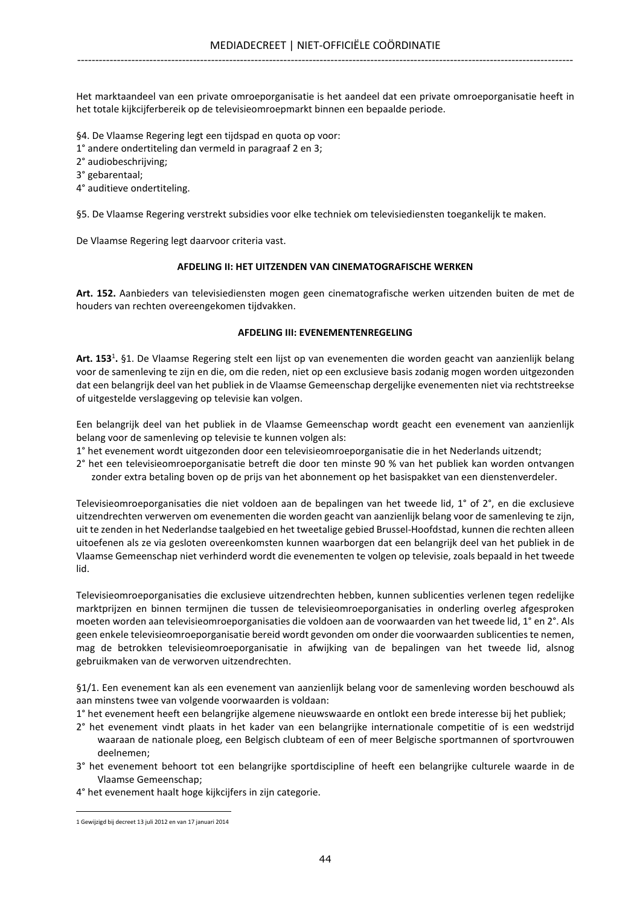Het marktaandeel van een private omroeporganisatie is het aandeel dat een private omroeporganisatie heeft in het totale kijkcijferbereik op de televisieomroepmarkt binnen een bepaalde periode.

§4. De Vlaamse Regering legt een tijdspad en quota op voor:

1° andere ondertiteling dan vermeld in paragraaf 2 en 3;

2° audiobeschrijving;

3° gebarentaal;

4° auditieve ondertiteling.

§5. De Vlaamse Regering verstrekt subsidies voor elke techniek om televisiediensten toegankelijk te maken.

De Vlaamse Regering legt daarvoor criteria vast.

#### AFDELING II: HET UITZENDEN VAN CINEMATOGRAFISCHE WERKEN

Art. 152. Aanbieders van televisiediensten mogen geen cinematografische werken uitzenden buiten de met de houders van rechten overeengekomen tijdvakken.

#### AFDELING III: EVENEMENTENREGELING

Art. 153<sup>1</sup>. §1. De Vlaamse Regering stelt een lijst op van evenementen die worden geacht van aanzienlijk belang voor de samenleving te zijn en die, om die reden, niet op een exclusieve basis zodanig mogen worden uitgezonden dat een belangrijk deel van het publiek in de Vlaamse Gemeenschap dergelijke evenementen niet via rechtstreekse of uitgestelde verslaggeving op televisie kan volgen.

Een belangrijk deel van het publiek in de Vlaamse Gemeenschap wordt geacht een evenement van aanzienlijk belang voor de samenleving op televisie te kunnen volgen als:

- 1° het evenement wordt uitgezonden door een televisieomroeporganisatie die in het Nederlands uitzendt;
- 2° het een televisieomroeporganisatie betreft die door ten minste 90 % van het publiek kan worden ontvangen zonder extra betaling boven op de prijs van het abonnement op het basispakket van een dienstenverdeler.

Televisieomroeporganisaties die niet voldoen aan de bepalingen van het tweede lid, 1° of 2°, en die exclusieve uitzendrechten verwerven om evenementen die worden geacht van aanzienlijk belang voor de samenleving te zijn, uit te zenden in het Nederlandse taalgebied en het tweetalige gebied Brussel-Hoofdstad, kunnen die rechten alleen uitoefenen als ze via gesloten overeenkomsten kunnen waarborgen dat een belangrijk deel van het publiek in de Vlaamse Gemeenschap niet verhinderd wordt die evenementen te volgen op televisie, zoals bepaald in het tweede lid.

Televisieomroeporganisaties die exclusieve uitzendrechten hebben, kunnen sublicenties verlenen tegen redelijke marktprijzen en binnen termijnen die tussen de televisieomroeporganisaties in onderling overleg afgesproken moeten worden aan televisieomroeporganisaties die voldoen aan de voorwaarden van het tweede lid, 1° en 2°. Als geen enkele televisieomroeporganisatie bereid wordt gevonden om onder die voorwaarden sublicenties te nemen, mag de betrokken televisieomroeporganisatie in afwijking van de bepalingen van het tweede lid, alsnog gebruikmaken van de verworven uitzendrechten.

§1/1. Een evenement kan als een evenement van aanzienlijk belang voor de samenleving worden beschouwd als aan minstens twee van volgende voorwaarden is voldaan:

1° het evenement heeft een belangrijke algemene nieuwswaarde en ontlokt een brede interesse bij het publiek;

- 2° het evenement vindt plaats in het kader van een belangrijke internationale competitie of is een wedstrijd waaraan de nationale ploeg, een Belgisch clubteam of een of meer Belgische sportmannen of sportvrouwen deelnemen;
- 3° het evenement behoort tot een belangrijke sportdiscipline of heeft een belangrijke culturele waarde in de Vlaamse Gemeenschap;
- 4° het evenement haalt hoge kijkcijfers in zijn categorie.

<sup>1</sup> Gewijzigd bij decreet 13 juli 2012 en van 17 januari 2014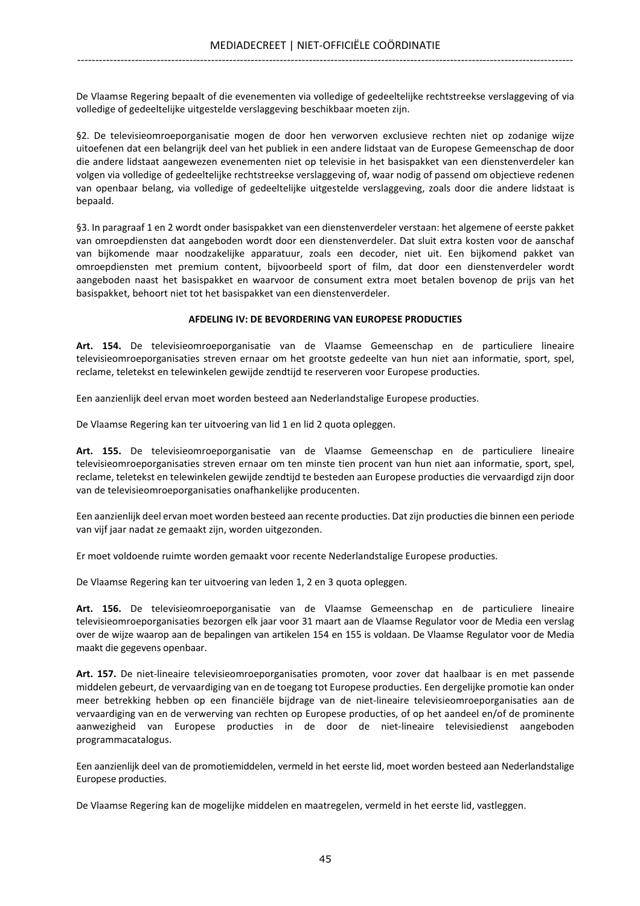De Vlaamse Regering bepaalt of die evenementen via volledige of gedeeltelijke rechtstreekse verslaggeving of via volledige of gedeeltelijke uitgestelde verslaggeving beschikbaar moeten zijn.

§2. De televisieomroeporganisatie mogen de door hen verworven exclusieve rechten niet op zodanige wijze uitoefenen dat een belangrijk deel van het publiek in een andere lidstaat van de Europese Gemeenschap de door die andere lidstaat aangewezen evenementen niet op televisie in het basispakket van een dienstenverdeler kan volgen via volledige of gedeeltelijke rechtstreekse verslaggeving of, waar nodig of passend om objectieve redenen van openbaar belang, via volledige of gedeeltelijke uitgestelde verslaggeving, zoals door die andere lidstaat is bepaald.

§3. In paragraaf 1 en 2 wordt onder basispakket van een dienstenverdeler verstaan: het algemene of eerste pakket van omroepdiensten dat aangeboden wordt door een dienstenverdeler. Dat sluit extra kosten voor de aanschaf van bijkomende maar noodzakelijke apparatuur, zoals een decoder, niet uit. Een bijkomend pakket van omroepdiensten met premium content, bijvoorbeeld sport of film, dat door een dienstenverdeler wordt aangeboden naast het basispakket en waarvoor de consument extra moet betalen bovenop de prijs van het basispakket, behoort niet tot het basispakket van een dienstenverdeler.

### AFDELING IV: DE BEVORDERING VAN EUROPESE PRODUCTIES

Art. 154. De televisieomroeporganisatie van de Vlaamse Gemeenschap en de particuliere lineaire televisieomroeporganisaties streven ernaar om het grootste gedeelte van hun niet aan informatie, sport, spel, reclame, teletekst en telewinkelen gewijde zendtijd te reserveren voor Europese producties.

Een aanzienlijk deel ervan moet worden besteed aan Nederlandstalige Europese producties.

De Vlaamse Regering kan ter uitvoering van lid 1 en lid 2 quota opleggen.

Art. 155. De televisieomroeporganisatie van de Vlaamse Gemeenschap en de particuliere lineaire televisieomroeporganisaties streven ernaar om ten minste tien procent van hun niet aan informatie, sport, spel, reclame, teletekst en telewinkelen gewijde zendtijd te besteden aan Europese producties die vervaardigd zijn door van de televisieomroeporganisaties onafhankelijke producenten.

Een aanzienlijk deel ervan moet worden besteed aan recente producties. Dat zijn producties die binnen een periode van vijf jaar nadat ze gemaakt zijn, worden uitgezonden.

Er moet voldoende ruimte worden gemaakt voor recente Nederlandstalige Europese producties.

De Vlaamse Regering kan ter uitvoering van leden 1, 2 en 3 quota opleggen.

Art. 156. De televisieomroeporganisatie van de Vlaamse Gemeenschap en de particuliere lineaire televisieomroeporganisaties bezorgen elk jaar voor 31 maart aan de Vlaamse Regulator voor de Media een verslag over de wijze waarop aan de bepalingen van artikelen 154 en 155 is voldaan. De Vlaamse Regulator voor de Media maakt die gegevens openbaar.

Art. 157. De niet-lineaire televisieomroeporganisaties promoten, voor zover dat haalbaar is en met passende middelen gebeurt, de vervaardiging van en de toegang tot Europese producties. Een dergelijke promotie kan onder meer betrekking hebben op een financiële bijdrage van de niet-lineaire televisieomroeporganisaties aan de vervaardiging van en de verwerving van rechten op Europese producties, of op het aandeel en/of de prominente aanwezigheid van Europese producties in de door de niet-lineaire televisiedienst aangeboden programmacatalogus.

Een aanzienlijk deel van de promotiemiddelen, vermeld in het eerste lid, moet worden besteed aan Nederlandstalige Europese producties.

De Vlaamse Regering kan de mogelijke middelen en maatregelen, vermeld in het eerste lid, vastleggen.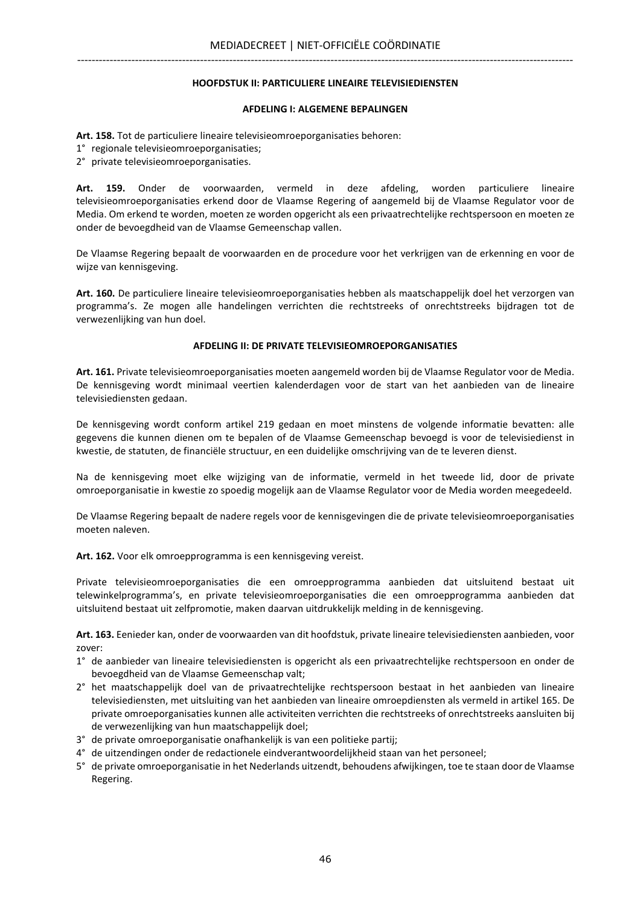#### HOOFDSTUK II: PARTICULIERE LINEAIRE TELEVISIEDIENSTEN

#### AFDELING I: ALGEMENE BEPALINGEN

Art. 158. Tot de particuliere lineaire televisieomroeporganisaties behoren:

- 1° regionale televisieomroeporganisaties;
- 2° private televisieomroeporganisaties.

Art. 159. Onder de voorwaarden, vermeld in deze afdeling, worden particuliere lineaire televisieomroeporganisaties erkend door de Vlaamse Regering of aangemeld bij de Vlaamse Regulator voor de Media. Om erkend te worden, moeten ze worden opgericht als een privaatrechtelijke rechtspersoon en moeten ze onder de bevoegdheid van de Vlaamse Gemeenschap vallen.

De Vlaamse Regering bepaalt de voorwaarden en de procedure voor het verkrijgen van de erkenning en voor de wijze van kennisgeving.

Art. 160. De particuliere lineaire televisieomroeporganisaties hebben als maatschappelijk doel het verzorgen van programma's. Ze mogen alle handelingen verrichten die rechtstreeks of onrechtstreeks bijdragen tot de verwezenlijking van hun doel.

#### AFDELING II: DE PRIVATE TELEVISIEOMROEPORGANISATIES

Art. 161. Private televisieomroeporganisaties moeten aangemeld worden bij de Vlaamse Regulator voor de Media. De kennisgeving wordt minimaal veertien kalenderdagen voor de start van het aanbieden van de lineaire televisiediensten gedaan.

De kennisgeving wordt conform artikel 219 gedaan en moet minstens de volgende informatie bevatten: alle gegevens die kunnen dienen om te bepalen of de Vlaamse Gemeenschap bevoegd is voor de televisiedienst in kwestie, de statuten, de financiële structuur, en een duidelijke omschrijving van de te leveren dienst.

Na de kennisgeving moet elke wijziging van de informatie, vermeld in het tweede lid, door de private omroeporganisatie in kwestie zo spoedig mogelijk aan de Vlaamse Regulator voor de Media worden meegedeeld.

De Vlaamse Regering bepaalt de nadere regels voor de kennisgevingen die de private televisieomroeporganisaties moeten naleven.

Art. 162. Voor elk omroepprogramma is een kennisgeving vereist.

Private televisieomroeporganisaties die een omroepprogramma aanbieden dat uitsluitend bestaat uit telewinkelprogramma's, en private televisieomroeporganisaties die een omroepprogramma aanbieden dat uitsluitend bestaat uit zelfpromotie, maken daarvan uitdrukkelijk melding in de kennisgeving.

Art. 163. Eenieder kan, onder de voorwaarden van dit hoofdstuk, private lineaire televisiediensten aanbieden, voor zover:

- 1° de aanbieder van lineaire televisiediensten is opgericht als een privaatrechtelijke rechtspersoon en onder de bevoegdheid van de Vlaamse Gemeenschap valt;
- 2° het maatschappelijk doel van de privaatrechtelijke rechtspersoon bestaat in het aanbieden van lineaire televisiediensten, met uitsluiting van het aanbieden van lineaire omroepdiensten als vermeld in artikel 165. De private omroeporganisaties kunnen alle activiteiten verrichten die rechtstreeks of onrechtstreeks aansluiten bij de verwezenlijking van hun maatschappelijk doel;
- 3° de private omroeporganisatie onafhankelijk is van een politieke partij;
- 4° de uitzendingen onder de redactionele eindverantwoordelijkheid staan van het personeel;
- 5° de private omroeporganisatie in het Nederlands uitzendt, behoudens afwijkingen, toe te staan door de Vlaamse Regering.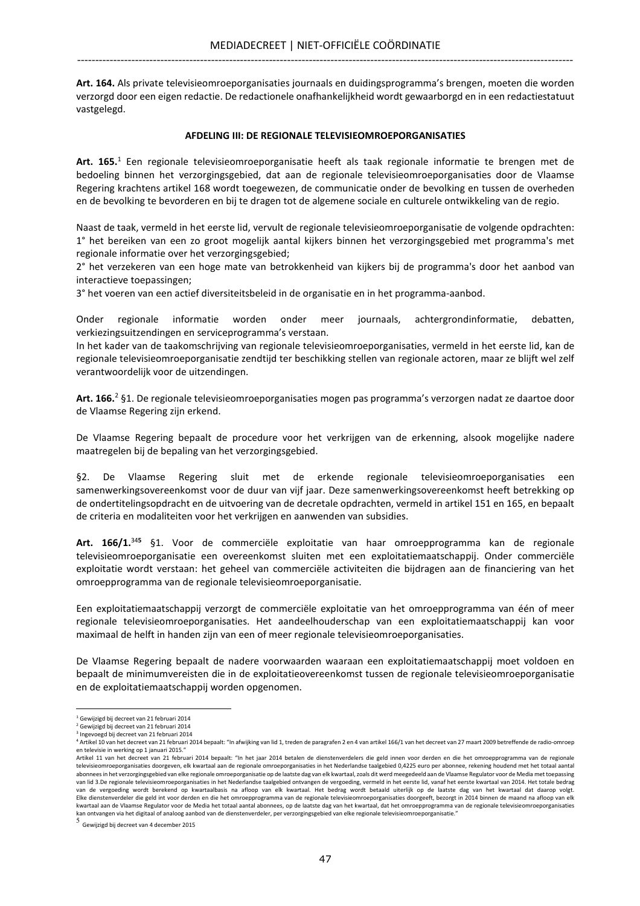Art. 164. Als private televisieomroeporganisaties journaals en duidingsprogramma's brengen, moeten die worden verzorgd door een eigen redactie. De redactionele onafhankelijkheid wordt gewaarborgd en in een redactiestatuut vastgelegd.

#### AFDELING III: DE REGIONALE TELEVISIEOMROEPORGANISATIES

Art. 165.<sup>1</sup> Een regionale televisieomroeporganisatie heeft als taak regionale informatie te brengen met de bedoeling binnen het verzorgingsgebied, dat aan de regionale televisieomroeporganisaties door de Vlaamse Regering krachtens artikel 168 wordt toegewezen, de communicatie onder de bevolking en tussen de overheden en de bevolking te bevorderen en bij te dragen tot de algemene sociale en culturele ontwikkeling van de regio.

Naast de taak, vermeld in het eerste lid, vervult de regionale televisieomroeporganisatie de volgende opdrachten: 1° het bereiken van een zo groot mogelijk aantal kijkers binnen het verzorgingsgebied met programma's met regionale informatie over het verzorgingsgebied;

2° het verzekeren van een hoge mate van betrokkenheid van kijkers bij de programma's door het aanbod van interactieve toepassingen;

3° het voeren van een actief diversiteitsbeleid in de organisatie en in het programma-aanbod.

Onder regionale informatie worden onder meer journaals, achtergrondinformatie, debatten, verkiezingsuitzendingen en serviceprogramma's verstaan.

In het kader van de taakomschrijving van regionale televisieomroeporganisaties, vermeld in het eerste lid, kan de regionale televisieomroeporganisatie zendtijd ter beschikking stellen van regionale actoren, maar ze blijft wel zelf verantwoordelijk voor de uitzendingen.

Art. 166.<sup>2</sup> §1. De regionale televisieomroeporganisaties mogen pas programma's verzorgen nadat ze daartoe door de Vlaamse Regering zijn erkend.

De Vlaamse Regering bepaalt de procedure voor het verkrijgen van de erkenning, alsook mogelijke nadere maatregelen bij de bepaling van het verzorgingsgebied.

§2. De Vlaamse Regering sluit met de erkende regionale televisieomroeporganisaties een samenwerkingsovereenkomst voor de duur van vijf jaar. Deze samenwerkingsovereenkomst heeft betrekking op de ondertitelingsopdracht en de uitvoering van de decretale opdrachten, vermeld in artikel 151 en 165, en bepaalt de criteria en modaliteiten voor het verkrijgen en aanwenden van subsidies.

Art. 166/1.<sup>345</sup> §1. Voor de commerciële exploitatie van haar omroepprogramma kan de regionale televisieomroeporganisatie een overeenkomst sluiten met een exploitatiemaatschappij. Onder commerciële exploitatie wordt verstaan: het geheel van commerciële activiteiten die bijdragen aan de financiering van het omroepprogramma van de regionale televisieomroeporganisatie.

Een exploitatiemaatschappij verzorgt de commerciële exploitatie van het omroepprogramma van één of meer regionale televisieomroeporganisaties. Het aandeelhouderschap van een exploitatiemaatschappij kan voor maximaal de helft in handen zijn van een of meer regionale televisieomroeporganisaties.

De Vlaamse Regering bepaalt de nadere voorwaarden waaraan een exploitatiemaatschappij moet voldoen en bepaalt de minimumvereisten die in de exploitatieovereenkomst tussen de regionale televisieomroeporganisatie en de exploitatiemaatschappij worden opgenomen.

<sup>1</sup> Gewijzigd bij decreet van 21 februari 2014

<sup>&</sup>lt;sup>2</sup> Gewijzigd bij decreet van 21 februari 2014

<sup>3</sup> Ingevoegd bij decreet van 21 februari 2014

<sup>4</sup> Artikel 10 van het decreet van 21 februari 2014 bepaalt: "In afwijking van lid 1, treden de paragrafen 2 en 4 van artikel 166/1 van het decreet van 27 maart 2009 betreffende de radio-omroep en televisie in werking op 1 januari 2015."

Artikel 11 van het decreet van 21 februari 2014 bepaalt: "In het jaar 2014 betalen de dienstenverdelers die geld innen voor derden en die het omroepprogramma van de regionale televisieomroeporganisaties doorgeven, elk kwartaal aan de regionale omroeporganisaties in het Nederlandse taalgebied 0,4225 euro per abonnee, rekening houdend met het totaal aantal abonnees in het verzorgingsgebied van elke regionale omroeporganisatie op de laatste dag van elk kwartaal, zoals dit werd meegedeeld aan de Vlaamse Regulator voor de Media met toepassing van lid 3.De regionale televisieomroeporganisaties in het Nederlandse taalgebied ontvangen de vergoeding, vermeld in het eerste lid, vanaf het eerste kwartaal van 2014. Het totale bedrag van de vergoeding wordt berekend op kwartaalbasis na afloop van elk kwartaal. Het bedrag wordt betaald uiterlijk op de laatste dag van het kwartaal dat daarop volgt.<br>Elke dienstenverdeler die geld int voor derden en die he kwartaal aan de Vlaamse Regulator voor de Media het totaal aantal abonnees, op de laatste dag van het kwartaal, dat het omroepprogramma van de regionale televisieomroeporganisaties kan ontvangen via het digitaal of analoog aanbod van de dienstenverdeler, per verzorgingsgebied van elke regionale televisieomroeporganisatie."

<sup>5</sup> Gewijzigd bij decreet van 4 december 2015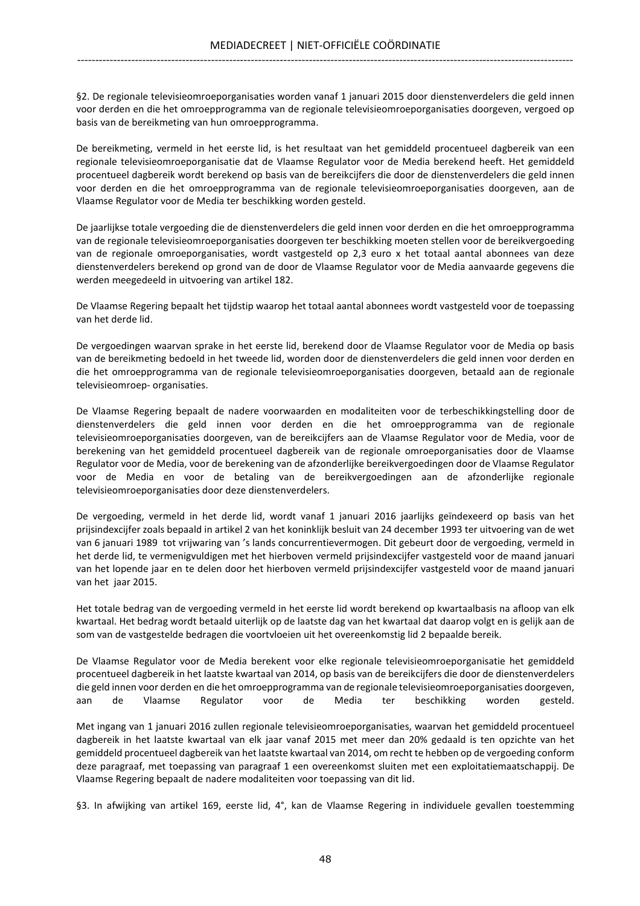§2. De regionale televisieomroeporganisaties worden vanaf 1 januari 2015 door dienstenverdelers die geld innen voor derden en die het omroepprogramma van de regionale televisieomroeporganisaties doorgeven, vergoed op basis van de bereikmeting van hun omroepprogramma.

De bereikmeting, vermeld in het eerste lid, is het resultaat van het gemiddeld procentueel dagbereik van een regionale televisieomroeporganisatie dat de Vlaamse Regulator voor de Media berekend heeft. Het gemiddeld procentueel dagbereik wordt berekend op basis van de bereikcijfers die door de dienstenverdelers die geld innen voor derden en die het omroepprogramma van de regionale televisieomroeporganisaties doorgeven, aan de Vlaamse Regulator voor de Media ter beschikking worden gesteld.

De jaarlijkse totale vergoeding die de dienstenverdelers die geld innen voor derden en die het omroepprogramma van de regionale televisieomroeporganisaties doorgeven ter beschikking moeten stellen voor de bereikvergoeding van de regionale omroeporganisaties, wordt vastgesteld op 2,3 euro x het totaal aantal abonnees van deze dienstenverdelers berekend op grond van de door de Vlaamse Regulator voor de Media aanvaarde gegevens die werden meegedeeld in uitvoering van artikel 182.

De Vlaamse Regering bepaalt het tijdstip waarop het totaal aantal abonnees wordt vastgesteld voor de toepassing van het derde lid.

De vergoedingen waarvan sprake in het eerste lid, berekend door de Vlaamse Regulator voor de Media op basis van de bereikmeting bedoeld in het tweede lid, worden door de dienstenverdelers die geld innen voor derden en die het omroepprogramma van de regionale televisieomroeporganisaties doorgeven, betaald aan de regionale televisieomroep- organisaties.

De Vlaamse Regering bepaalt de nadere voorwaarden en modaliteiten voor de terbeschikkingstelling door de dienstenverdelers die geld innen voor derden en die het omroepprogramma van de regionale televisieomroeporganisaties doorgeven, van de bereikcijfers aan de Vlaamse Regulator voor de Media, voor de berekening van het gemiddeld procentueel dagbereik van de regionale omroeporganisaties door de Vlaamse Regulator voor de Media, voor de berekening van de afzonderlijke bereikvergoedingen door de Vlaamse Regulator voor de Media en voor de betaling van de bereikvergoedingen aan de afzonderlijke regionale televisieomroeporganisaties door deze dienstenverdelers.

De vergoeding, vermeld in het derde lid, wordt vanaf 1 januari 2016 jaarlijks geïndexeerd op basis van het prijsindexcijfer zoals bepaald in artikel 2 van het koninklijk besluit van 24 december 1993 ter uitvoering van de wet van 6 januari 1989 tot vrijwaring van 's lands concurrentievermogen. Dit gebeurt door de vergoeding, vermeld in het derde lid, te vermenigvuldigen met het hierboven vermeld prijsindexcijfer vastgesteld voor de maand januari van het lopende jaar en te delen door het hierboven vermeld prijsindexcijfer vastgesteld voor de maand januari van het jaar 2015.

Het totale bedrag van de vergoeding vermeld in het eerste lid wordt berekend op kwartaalbasis na afloop van elk kwartaal. Het bedrag wordt betaald uiterlijk op de laatste dag van het kwartaal dat daarop volgt en is gelijk aan de som van de vastgestelde bedragen die voortvloeien uit het overeenkomstig lid 2 bepaalde bereik.

De Vlaamse Regulator voor de Media berekent voor elke regionale televisieomroeporganisatie het gemiddeld procentueel dagbereik in het laatste kwartaal van 2014, op basis van de bereikcijfers die door de dienstenverdelers die geld innen voor derden en die het omroepprogramma van de regionale televisieomroeporganisaties doorgeven, aan de Vlaamse Regulator voor de Media ter beschikking worden gesteld.

Met ingang van 1 januari 2016 zullen regionale televisieomroeporganisaties, waarvan het gemiddeld procentueel dagbereik in het laatste kwartaal van elk jaar vanaf 2015 met meer dan 20% gedaald is ten opzichte van het gemiddeld procentueel dagbereik van het laatste kwartaal van 2014, om recht te hebben op de vergoeding conform deze paragraaf, met toepassing van paragraaf 1 een overeenkomst sluiten met een exploitatiemaatschappij. De Vlaamse Regering bepaalt de nadere modaliteiten voor toepassing van dit lid.

§3. In afwijking van artikel 169, eerste lid, 4°, kan de Vlaamse Regering in individuele gevallen toestemming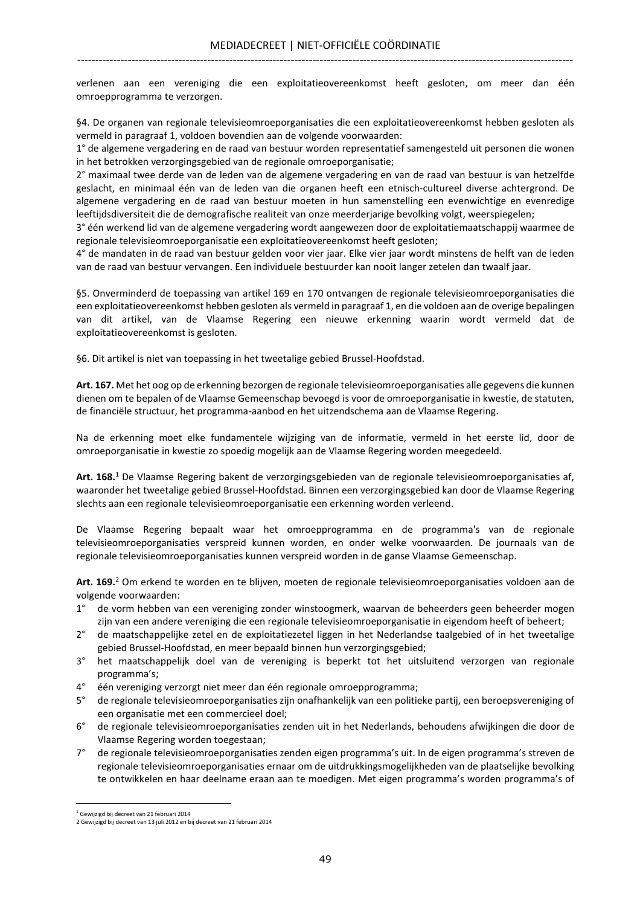verlenen aan een vereniging die een exploitatieovereenkomst heeft gesloten, om meer dan één omroepprogramma te verzorgen.

§4. De organen van regionale televisieomroeporganisaties die een exploitatieovereenkomst hebben gesloten als vermeld in paragraaf 1, voldoen bovendien aan de volgende voorwaarden:

1° de algemene vergadering en de raad van bestuur worden representatief samengesteld uit personen die wonen in het betrokken verzorgingsgebied van de regionale omroeporganisatie;

2° maximaal twee derde van de leden van de algemene vergadering en van de raad van bestuur is van hetzelfde geslacht, en minimaal één van de leden van die organen heeft een etnisch-cultureel diverse achtergrond. De algemene vergadering en de raad van bestuur moeten in hun samenstelling een evenwichtige en evenredige leeftijdsdiversiteit die de demografische realiteit van onze meerderjarige bevolking volgt, weerspiegelen;

3° één werkend lid van de algemene vergadering wordt aangewezen door de exploitatiemaatschappij waarmee de regionale televisieomroeporganisatie een exploitatieovereenkomst heeft gesloten;

4° de mandaten in de raad van bestuur gelden voor vier jaar. Elke vier jaar wordt minstens de helft van de leden van de raad van bestuur vervangen. Een individuele bestuurder kan nooit langer zetelen dan twaalf jaar.

§5. Onverminderd de toepassing van artikel 169 en 170 ontvangen de regionale televisieomroeporganisaties die een exploitatieovereenkomst hebben gesloten als vermeld in paragraaf 1, en die voldoen aan de overige bepalingen van dit artikel, van de Vlaamse Regering een nieuwe erkenning waarin wordt vermeld dat de exploitatieovereenkomst is gesloten.

§6. Dit artikel is niet van toepassing in het tweetalige gebied Brussel-Hoofdstad.

Art. 167. Met het oog op de erkenning bezorgen de regionale televisieomroeporganisaties alle gegevens die kunnen dienen om te bepalen of de Vlaamse Gemeenschap bevoegd is voor de omroeporganisatie in kwestie, de statuten, de financiële structuur, het programma-aanbod en het uitzendschema aan de Vlaamse Regering.

Na de erkenning moet elke fundamentele wijziging van de informatie, vermeld in het eerste lid, door de omroeporganisatie in kwestie zo spoedig mogelijk aan de Vlaamse Regering worden meegedeeld.

Art. 168.<sup>1</sup> De Vlaamse Regering bakent de verzorgingsgebieden van de regionale televisieomroeporganisaties af, waaronder het tweetalige gebied Brussel-Hoofdstad. Binnen een verzorgingsgebied kan door de Vlaamse Regering slechts aan een regionale televisieomroeporganisatie een erkenning worden verleend.

De Vlaamse Regering bepaalt waar het omroepprogramma en de programma's van de regionale televisieomroeporganisaties verspreid kunnen worden, en onder welke voorwaarden. De journaals van de regionale televisieomroeporganisaties kunnen verspreid worden in de ganse Vlaamse Gemeenschap.

Art. 169.<sup>2</sup> Om erkend te worden en te blijven, moeten de regionale televisieomroeporganisaties voldoen aan de volgende voorwaarden:

- 1° de vorm hebben van een vereniging zonder winstoogmerk, waarvan de beheerders geen beheerder mogen zijn van een andere vereniging die een regionale televisieomroeporganisatie in eigendom heeft of beheert;
- 2° de maatschappelijke zetel en de exploitatiezetel liggen in het Nederlandse taalgebied of in het tweetalige gebied Brussel-Hoofdstad, en meer bepaald binnen hun verzorgingsgebied;
- 3° het maatschappelijk doel van de vereniging is beperkt tot het uitsluitend verzorgen van regionale programma's;
- 4° één vereniging verzorgt niet meer dan één regionale omroepprogramma;
- 5° de regionale televisieomroeporganisaties zijn onafhankelijk van een politieke partij, een beroepsvereniging of een organisatie met een commercieel doel;
- 6° de regionale televisieomroeporganisaties zenden uit in het Nederlands, behoudens afwijkingen die door de Vlaamse Regering worden toegestaan;
- 7° de regionale televisieomroeporganisaties zenden eigen programma's uit. In de eigen programma's streven de regionale televisieomroeporganisaties ernaar om de uitdrukkingsmogelijkheden van de plaatselijke bevolking te ontwikkelen en haar deelname eraan aan te moedigen. Met eigen programma's worden programma's of

l.

<sup>&</sup>lt;sup>1</sup> Gewijzigd bij decreet van 21 februari 2014

<sup>2</sup> Gewijzigd bij decreet van 13 juli 2012 en bij decreet van 21 februari 2014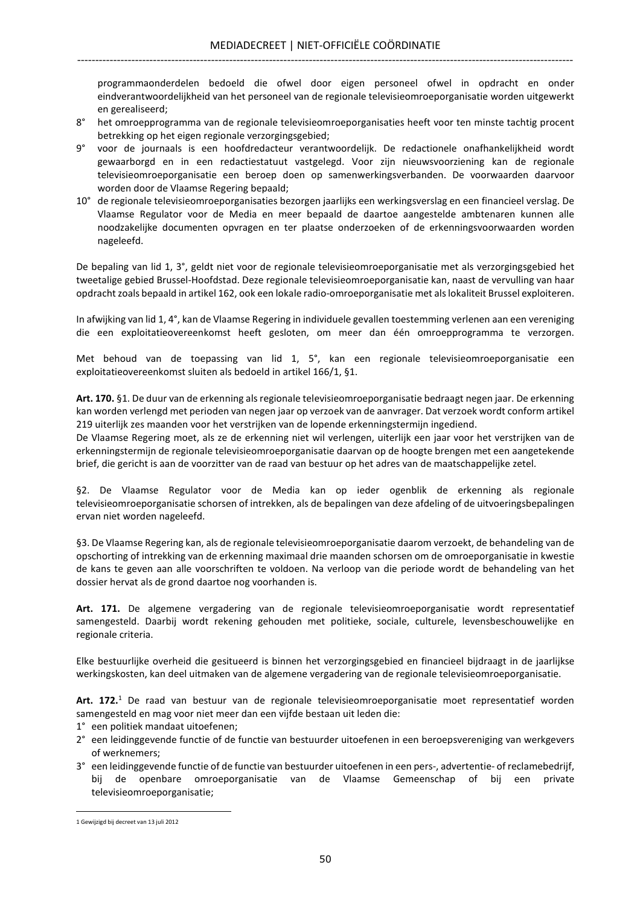programmaonderdelen bedoeld die ofwel door eigen personeel ofwel in opdracht en onder eindverantwoordelijkheid van het personeel van de regionale televisieomroeporganisatie worden uitgewerkt en gerealiseerd;

- 8° het omroepprogramma van de regionale televisieomroeporganisaties heeft voor ten minste tachtig procent betrekking op het eigen regionale verzorgingsgebied;
- 9° voor de journaals is een hoofdredacteur verantwoordelijk. De redactionele onafhankelijkheid wordt gewaarborgd en in een redactiestatuut vastgelegd. Voor zijn nieuwsvoorziening kan de regionale televisieomroeporganisatie een beroep doen op samenwerkingsverbanden. De voorwaarden daarvoor worden door de Vlaamse Regering bepaald;
- 10° de regionale televisieomroeporganisaties bezorgen jaarlijks een werkingsverslag en een financieel verslag. De Vlaamse Regulator voor de Media en meer bepaald de daartoe aangestelde ambtenaren kunnen alle noodzakelijke documenten opvragen en ter plaatse onderzoeken of de erkenningsvoorwaarden worden nageleefd.

De bepaling van lid 1, 3°, geldt niet voor de regionale televisieomroeporganisatie met als verzorgingsgebied het tweetalige gebied Brussel-Hoofdstad. Deze regionale televisieomroeporganisatie kan, naast de vervulling van haar opdracht zoals bepaald in artikel 162, ook een lokale radio-omroeporganisatie met als lokaliteit Brussel exploiteren.

In afwijking van lid 1, 4°, kan de Vlaamse Regering in individuele gevallen toestemming verlenen aan een vereniging die een exploitatieovereenkomst heeft gesloten, om meer dan één omroepprogramma te verzorgen.

Met behoud van de toepassing van lid 1, 5°, kan een regionale televisieomroeporganisatie een exploitatieovereenkomst sluiten als bedoeld in artikel 166/1, §1.

Art. 170. §1. De duur van de erkenning als regionale televisieomroeporganisatie bedraagt negen jaar. De erkenning kan worden verlengd met perioden van negen jaar op verzoek van de aanvrager. Dat verzoek wordt conform artikel 219 uiterlijk zes maanden voor het verstrijken van de lopende erkenningstermijn ingediend.

De Vlaamse Regering moet, als ze de erkenning niet wil verlengen, uiterlijk een jaar voor het verstrijken van de erkenningstermijn de regionale televisieomroeporganisatie daarvan op de hoogte brengen met een aangetekende brief, die gericht is aan de voorzitter van de raad van bestuur op het adres van de maatschappelijke zetel.

§2. De Vlaamse Regulator voor de Media kan op ieder ogenblik de erkenning als regionale televisieomroeporganisatie schorsen of intrekken, als de bepalingen van deze afdeling of de uitvoeringsbepalingen ervan niet worden nageleefd.

§3. De Vlaamse Regering kan, als de regionale televisieomroeporganisatie daarom verzoekt, de behandeling van de opschorting of intrekking van de erkenning maximaal drie maanden schorsen om de omroeporganisatie in kwestie de kans te geven aan alle voorschriften te voldoen. Na verloop van die periode wordt de behandeling van het dossier hervat als de grond daartoe nog voorhanden is.

Art. 171. De algemene vergadering van de regionale televisieomroeporganisatie wordt representatief samengesteld. Daarbij wordt rekening gehouden met politieke, sociale, culturele, levensbeschouwelijke en regionale criteria.

Elke bestuurlijke overheid die gesitueerd is binnen het verzorgingsgebied en financieel bijdraagt in de jaarlijkse werkingskosten, kan deel uitmaken van de algemene vergadering van de regionale televisieomroeporganisatie.

Art. 172.<sup>1</sup> De raad van bestuur van de regionale televisieomroeporganisatie moet representatief worden samengesteld en mag voor niet meer dan een vijfde bestaan uit leden die:

- 1° een politiek mandaat uitoefenen;
- 2° een leidinggevende functie of de functie van bestuurder uitoefenen in een beroepsvereniging van werkgevers of werknemers;
- 3° een leidinggevende functie of de functie van bestuurder uitoefenen in een pers-, advertentie- of reclamebedrijf, bij de openbare omroeporganisatie van de Vlaamse Gemeenschap of bij een private televisieomroeporganisatie;

<sup>1</sup> Gewijzigd bij decreet van 13 juli 2012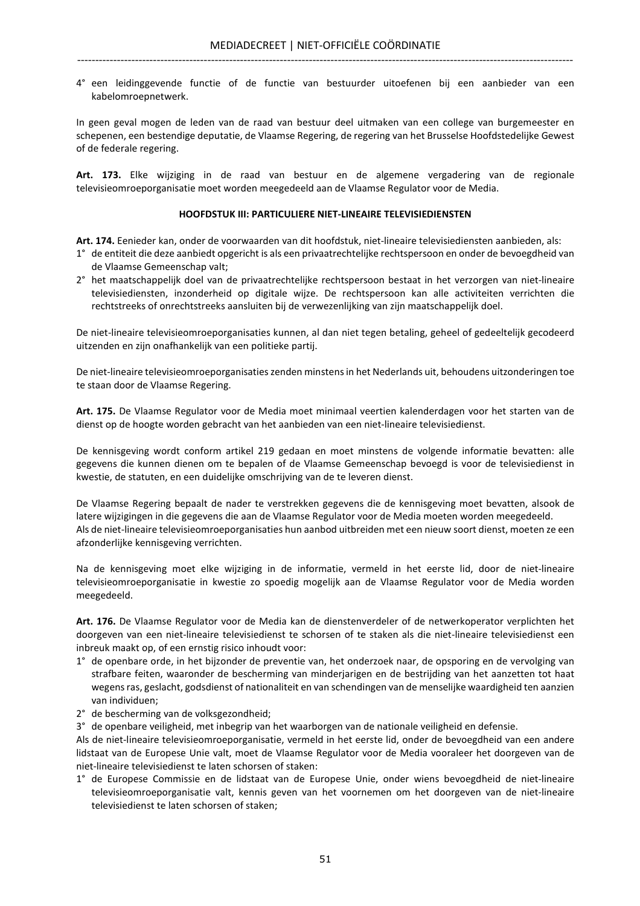4° een leidinggevende functie of de functie van bestuurder uitoefenen bij een aanbieder van een kabelomroepnetwerk.

In geen geval mogen de leden van de raad van bestuur deel uitmaken van een college van burgemeester en schepenen, een bestendige deputatie, de Vlaamse Regering, de regering van het Brusselse Hoofdstedelijke Gewest of de federale regering.

Art. 173. Elke wijziging in de raad van bestuur en de algemene vergadering van de regionale televisieomroeporganisatie moet worden meegedeeld aan de Vlaamse Regulator voor de Media.

#### HOOFDSTUK III: PARTICULIERE NIET-LINEAIRE TELEVISIEDIENSTEN

Art. 174. Eenieder kan, onder de voorwaarden van dit hoofdstuk, niet-lineaire televisiediensten aanbieden, als:

- 1° de entiteit die deze aanbiedt opgericht is als een privaatrechtelijke rechtspersoon en onder de bevoegdheid van de Vlaamse Gemeenschap valt;
- 2° het maatschappelijk doel van de privaatrechtelijke rechtspersoon bestaat in het verzorgen van niet-lineaire televisiediensten, inzonderheid op digitale wijze. De rechtspersoon kan alle activiteiten verrichten die rechtstreeks of onrechtstreeks aansluiten bij de verwezenlijking van zijn maatschappelijk doel.

De niet-lineaire televisieomroeporganisaties kunnen, al dan niet tegen betaling, geheel of gedeeltelijk gecodeerd uitzenden en zijn onafhankelijk van een politieke partij.

De niet-lineaire televisieomroeporganisaties zenden minstens in het Nederlands uit, behoudens uitzonderingen toe te staan door de Vlaamse Regering.

Art. 175. De Vlaamse Regulator voor de Media moet minimaal veertien kalenderdagen voor het starten van de dienst op de hoogte worden gebracht van het aanbieden van een niet-lineaire televisiedienst.

De kennisgeving wordt conform artikel 219 gedaan en moet minstens de volgende informatie bevatten: alle gegevens die kunnen dienen om te bepalen of de Vlaamse Gemeenschap bevoegd is voor de televisiedienst in kwestie, de statuten, en een duidelijke omschrijving van de te leveren dienst.

De Vlaamse Regering bepaalt de nader te verstrekken gegevens die de kennisgeving moet bevatten, alsook de latere wijzigingen in die gegevens die aan de Vlaamse Regulator voor de Media moeten worden meegedeeld. Als de niet-lineaire televisieomroeporganisaties hun aanbod uitbreiden met een nieuw soort dienst, moeten ze een afzonderlijke kennisgeving verrichten.

Na de kennisgeving moet elke wijziging in de informatie, vermeld in het eerste lid, door de niet-lineaire televisieomroeporganisatie in kwestie zo spoedig mogelijk aan de Vlaamse Regulator voor de Media worden meegedeeld.

Art. 176. De Vlaamse Regulator voor de Media kan de dienstenverdeler of de netwerkoperator verplichten het doorgeven van een niet-lineaire televisiedienst te schorsen of te staken als die niet-lineaire televisiedienst een inbreuk maakt op, of een ernstig risico inhoudt voor:

- 1° de openbare orde, in het bijzonder de preventie van, het onderzoek naar, de opsporing en de vervolging van strafbare feiten, waaronder de bescherming van minderjarigen en de bestrijding van het aanzetten tot haat wegens ras, geslacht, godsdienst of nationaliteit en van schendingen van de menselijke waardigheid ten aanzien van individuen;
- 2° de bescherming van de volksgezondheid;
- 3° de openbare veiligheid, met inbegrip van het waarborgen van de nationale veiligheid en defensie.

Als de niet-lineaire televisieomroeporganisatie, vermeld in het eerste lid, onder de bevoegdheid van een andere lidstaat van de Europese Unie valt, moet de Vlaamse Regulator voor de Media vooraleer het doorgeven van de niet-lineaire televisiedienst te laten schorsen of staken:

1° de Europese Commissie en de lidstaat van de Europese Unie, onder wiens bevoegdheid de niet-lineaire televisieomroeporganisatie valt, kennis geven van het voornemen om het doorgeven van de niet-lineaire televisiedienst te laten schorsen of staken;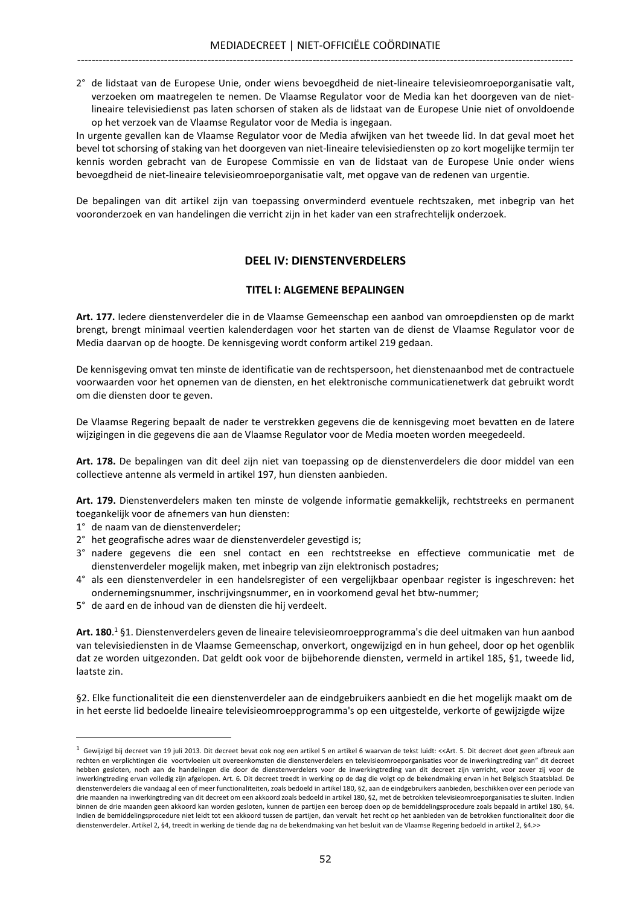2° de lidstaat van de Europese Unie, onder wiens bevoegdheid de niet-lineaire televisieomroeporganisatie valt, verzoeken om maatregelen te nemen. De Vlaamse Regulator voor de Media kan het doorgeven van de nietlineaire televisiedienst pas laten schorsen of staken als de lidstaat van de Europese Unie niet of onvoldoende op het verzoek van de Vlaamse Regulator voor de Media is ingegaan.

In urgente gevallen kan de Vlaamse Regulator voor de Media afwijken van het tweede lid. In dat geval moet het bevel tot schorsing of staking van het doorgeven van niet-lineaire televisiediensten op zo kort mogelijke termijn ter kennis worden gebracht van de Europese Commissie en van de lidstaat van de Europese Unie onder wiens bevoegdheid de niet-lineaire televisieomroeporganisatie valt, met opgave van de redenen van urgentie.

De bepalingen van dit artikel zijn van toepassing onverminderd eventuele rechtszaken, met inbegrip van het vooronderzoek en van handelingen die verricht zijn in het kader van een strafrechtelijk onderzoek.

## DEEL IV: DIENSTENVERDELERS

#### TITEL I: ALGEMENE BEPALINGEN

Art. 177. Iedere dienstenverdeler die in de Vlaamse Gemeenschap een aanbod van omroepdiensten op de markt brengt, brengt minimaal veertien kalenderdagen voor het starten van de dienst de Vlaamse Regulator voor de Media daarvan op de hoogte. De kennisgeving wordt conform artikel 219 gedaan.

De kennisgeving omvat ten minste de identificatie van de rechtspersoon, het dienstenaanbod met de contractuele voorwaarden voor het opnemen van de diensten, en het elektronische communicatienetwerk dat gebruikt wordt om die diensten door te geven.

De Vlaamse Regering bepaalt de nader te verstrekken gegevens die de kennisgeving moet bevatten en de latere wijzigingen in die gegevens die aan de Vlaamse Regulator voor de Media moeten worden meegedeeld.

Art. 178. De bepalingen van dit deel zijn niet van toepassing op de dienstenverdelers die door middel van een collectieve antenne als vermeld in artikel 197, hun diensten aanbieden.

Art. 179. Dienstenverdelers maken ten minste de volgende informatie gemakkelijk, rechtstreeks en permanent toegankelijk voor de afnemers van hun diensten:

1° de naam van de dienstenverdeler;

l.

- 2° het geografische adres waar de dienstenverdeler gevestigd is;
- 3° nadere gegevens die een snel contact en een rechtstreekse en effectieve communicatie met de dienstenverdeler mogelijk maken, met inbegrip van zijn elektronisch postadres;
- 4° als een dienstenverdeler in een handelsregister of een vergelijkbaar openbaar register is ingeschreven: het ondernemingsnummer, inschrijvingsnummer, en in voorkomend geval het btw-nummer;
- 5° de aard en de inhoud van de diensten die hij verdeelt.

Art. 180.<sup>1</sup>§1. Dienstenverdelers geven de lineaire televisieomroepprogramma's die deel uitmaken van hun aanbod van televisiediensten in de Vlaamse Gemeenschap, onverkort, ongewijzigd en in hun geheel, door op het ogenblik dat ze worden uitgezonden. Dat geldt ook voor de bijbehorende diensten, vermeld in artikel 185, §1, tweede lid, laatste zin.

§2. Elke functionaliteit die een dienstenverdeler aan de eindgebruikers aanbiedt en die het mogelijk maakt om de in het eerste lid bedoelde lineaire televisieomroepprogramma's op een uitgestelde, verkorte of gewijzigde wijze

<sup>&</sup>lt;sup>1</sup> Gewijzigd bij decreet van 19 juli 2013. Dit decreet bevat ook nog een artikel 5 en artikel 6 waarvan de tekst luidt: <<Art. 5. Dit decreet doet geen afbreuk aan rechten en verplichtingen die voortvloeien uit overeenkomsten die dienstenverdelers en televisieomroeporganisaties voor de inwerkingtreding van" dit decreet hebben gesloten, noch aan de handelingen die door de dienstenverdelers voor de inwerkingtreding van dit decreet zijn verricht, voor zover zij voor de inwerkingtreding ervan volledig zijn afgelopen. Art. 6. Dit decreet treedt in werking op de dag die volgt op de bekendmaking ervan in het Belgisch Staatsblad. De dienstenverdelers die vandaag al een of meer functionaliteiten, zoals bedoeld in artikel 180, §2, aan de eindgebruikers aanbieden, beschikken over een periode van drie maanden na inwerkingtreding van dit decreet om een akkoord zoals bedoeld in artikel 180, §2, met de betrokken televisieomroeporganisaties te sluiten. Indien binnen de drie maanden geen akkoord kan worden gesloten, kunnen de partijen een beroep doen op de bemiddelingsprocedure zoals bepaald in artikel 180, §4. Indien de bemiddelingsprocedure niet leidt tot een akkoord tussen de partijen, dan vervalt het recht op het aanbieden van de betrokken functionaliteit door die dienstenverdeler. Artikel 2, §4, treedt in werking de tiende dag na de bekendmaking van het besluit van de Vlaamse Regering bedoeld in artikel 2, §4.>>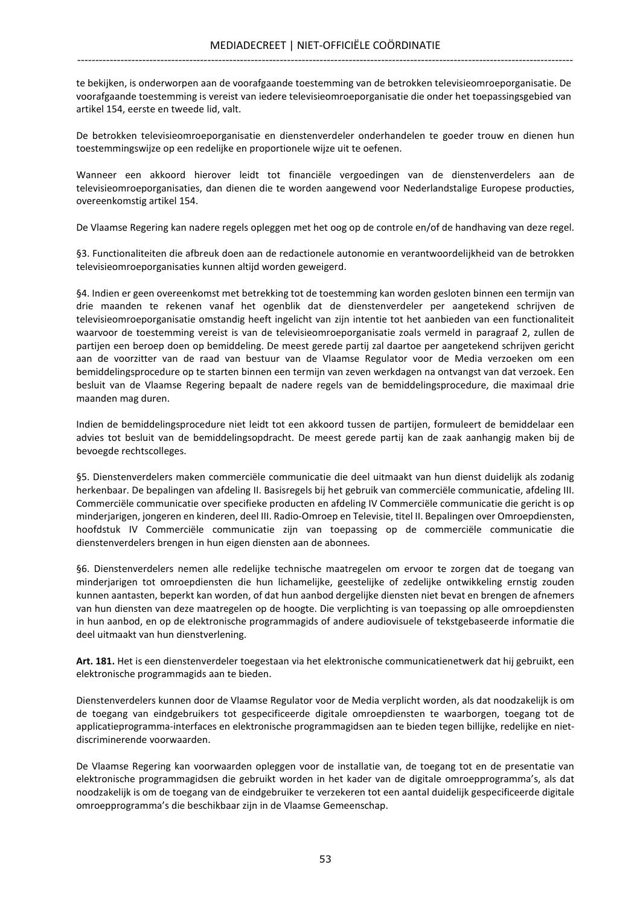te bekijken, is onderworpen aan de voorafgaande toestemming van de betrokken televisieomroeporganisatie. De voorafgaande toestemming is vereist van iedere televisieomroeporganisatie die onder het toepassingsgebied van artikel 154, eerste en tweede lid, valt.

De betrokken televisieomroeporganisatie en dienstenverdeler onderhandelen te goeder trouw en dienen hun toestemmingswijze op een redelijke en proportionele wijze uit te oefenen.

Wanneer een akkoord hierover leidt tot financiële vergoedingen van de dienstenverdelers aan de televisieomroeporganisaties, dan dienen die te worden aangewend voor Nederlandstalige Europese producties, overeenkomstig artikel 154.

De Vlaamse Regering kan nadere regels opleggen met het oog op de controle en/of de handhaving van deze regel.

§3. Functionaliteiten die afbreuk doen aan de redactionele autonomie en verantwoordelijkheid van de betrokken televisieomroeporganisaties kunnen altijd worden geweigerd.

§4. Indien er geen overeenkomst met betrekking tot de toestemming kan worden gesloten binnen een termijn van drie maanden te rekenen vanaf het ogenblik dat de dienstenverdeler per aangetekend schrijven de televisieomroeporganisatie omstandig heeft ingelicht van zijn intentie tot het aanbieden van een functionaliteit waarvoor de toestemming vereist is van de televisieomroeporganisatie zoals vermeld in paragraaf 2, zullen de partijen een beroep doen op bemiddeling. De meest gerede partij zal daartoe per aangetekend schrijven gericht aan de voorzitter van de raad van bestuur van de Vlaamse Regulator voor de Media verzoeken om een bemiddelingsprocedure op te starten binnen een termijn van zeven werkdagen na ontvangst van dat verzoek. Een besluit van de Vlaamse Regering bepaalt de nadere regels van de bemiddelingsprocedure, die maximaal drie maanden mag duren.

Indien de bemiddelingsprocedure niet leidt tot een akkoord tussen de partijen, formuleert de bemiddelaar een advies tot besluit van de bemiddelingsopdracht. De meest gerede partij kan de zaak aanhangig maken bij de bevoegde rechtscolleges.

§5. Dienstenverdelers maken commerciële communicatie die deel uitmaakt van hun dienst duidelijk als zodanig herkenbaar. De bepalingen van afdeling II. Basisregels bij het gebruik van commerciële communicatie, afdeling III. Commerciële communicatie over specifieke producten en afdeling IV Commerciële communicatie die gericht is op minderjarigen, jongeren en kinderen, deel III. Radio-Omroep en Televisie, titel II. Bepalingen over Omroepdiensten, hoofdstuk IV Commerciële communicatie zijn van toepassing op de commerciële communicatie die dienstenverdelers brengen in hun eigen diensten aan de abonnees.

§6. Dienstenverdelers nemen alle redelijke technische maatregelen om ervoor te zorgen dat de toegang van minderjarigen tot omroepdiensten die hun lichamelijke, geestelijke of zedelijke ontwikkeling ernstig zouden kunnen aantasten, beperkt kan worden, of dat hun aanbod dergelijke diensten niet bevat en brengen de afnemers van hun diensten van deze maatregelen op de hoogte. Die verplichting is van toepassing op alle omroepdiensten in hun aanbod, en op de elektronische programmagids of andere audiovisuele of tekstgebaseerde informatie die deel uitmaakt van hun dienstverlening.

Art. 181. Het is een dienstenverdeler toegestaan via het elektronische communicatienetwerk dat hij gebruikt, een elektronische programmagids aan te bieden.

Dienstenverdelers kunnen door de Vlaamse Regulator voor de Media verplicht worden, als dat noodzakelijk is om de toegang van eindgebruikers tot gespecificeerde digitale omroepdiensten te waarborgen, toegang tot de applicatieprogramma-interfaces en elektronische programmagidsen aan te bieden tegen billijke, redelijke en nietdiscriminerende voorwaarden.

De Vlaamse Regering kan voorwaarden opleggen voor de installatie van, de toegang tot en de presentatie van elektronische programmagidsen die gebruikt worden in het kader van de digitale omroepprogramma's, als dat noodzakelijk is om de toegang van de eindgebruiker te verzekeren tot een aantal duidelijk gespecificeerde digitale omroepprogramma's die beschikbaar zijn in de Vlaamse Gemeenschap.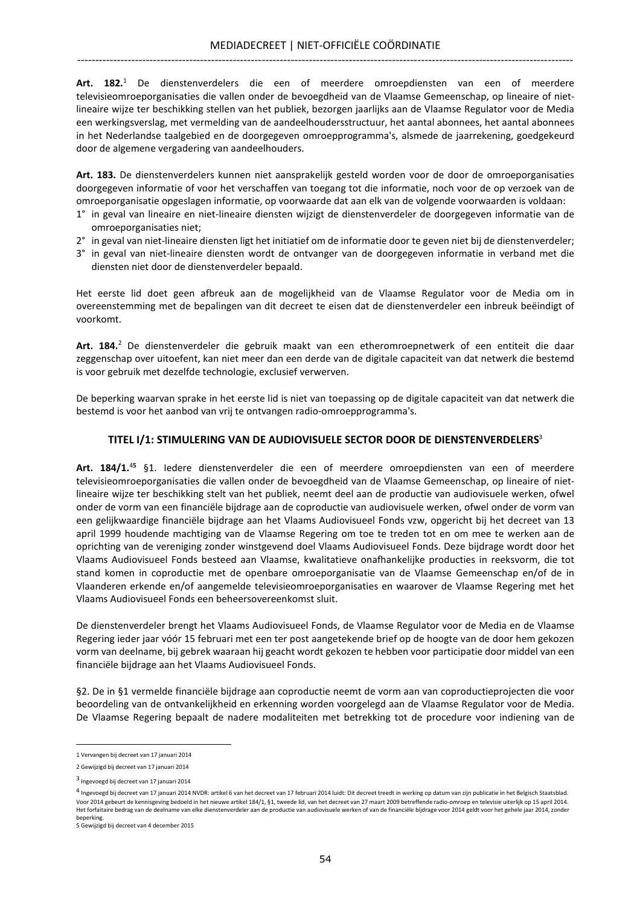Art. 182.<sup>1</sup> De dienstenverdelers die een of meerdere omroepdiensten van een of meerdere televisieomroeporganisaties die vallen onder de bevoegdheid van de Vlaamse Gemeenschap, op lineaire of nietlineaire wijze ter beschikking stellen van het publiek, bezorgen jaarlijks aan de Vlaamse Regulator voor de Media een werkingsverslag, met vermelding van de aandeelhoudersstructuur, het aantal abonnees, het aantal abonnees in het Nederlandse taalgebied en de doorgegeven omroepprogramma's, alsmede de jaarrekening, goedgekeurd door de algemene vergadering van aandeelhouders.

Art. 183. De dienstenverdelers kunnen niet aansprakelijk gesteld worden voor de door de omroeporganisaties doorgegeven informatie of voor het verschaffen van toegang tot die informatie, noch voor de op verzoek van de omroeporganisatie opgeslagen informatie, op voorwaarde dat aan elk van de volgende voorwaarden is voldaan:

- 1° in geval van lineaire en niet-lineaire diensten wijzigt de dienstenverdeler de doorgegeven informatie van de omroeporganisaties niet;
- 2° in geval van niet-lineaire diensten ligt het initiatief om de informatie door te geven niet bij de dienstenverdeler;
- 3° in geval van niet-lineaire diensten wordt de ontvanger van de doorgegeven informatie in verband met die diensten niet door de dienstenverdeler bepaald.

Het eerste lid doet geen afbreuk aan de mogelijkheid van de Vlaamse Regulator voor de Media om in overeenstemming met de bepalingen van dit decreet te eisen dat de dienstenverdeler een inbreuk beëindigt of voorkomt.

Art. 184.<sup>2</sup> De dienstenverdeler die gebruik maakt van een etheromroepnetwerk of een entiteit die daar zeggenschap over uitoefent, kan niet meer dan een derde van de digitale capaciteit van dat netwerk die bestemd is voor gebruik met dezelfde technologie, exclusief verwerven.

De beperking waarvan sprake in het eerste lid is niet van toepassing op de digitale capaciteit van dat netwerk die bestemd is voor het aanbod van vrij te ontvangen radio-omroepprogramma's.

### TITEL I/1: STIMULERING VAN DE AUDIOVISUELE SECTOR DOOR DE DIENSTENVERDELERS<sup>3</sup>

Art. 184/1.<sup>45</sup> §1. ledere dienstenverdeler die een of meerdere omroepdiensten van een of meerdere televisieomroeporganisaties die vallen onder de bevoegdheid van de Vlaamse Gemeenschap, op lineaire of nietlineaire wijze ter beschikking stelt van het publiek, neemt deel aan de productie van audiovisuele werken, ofwel onder de vorm van een financiële bijdrage aan de coproductie van audiovisuele werken, ofwel onder de vorm van een gelijkwaardige financiële bijdrage aan het Vlaams Audiovisueel Fonds vzw, opgericht bij het decreet van 13 april 1999 houdende machtiging van de Vlaamse Regering om toe te treden tot en om mee te werken aan de oprichting van de vereniging zonder winstgevend doel Vlaams Audiovisueel Fonds. Deze bijdrage wordt door het Vlaams Audiovisueel Fonds besteed aan Vlaamse, kwalitatieve onafhankelijke producties in reeksvorm, die tot stand komen in coproductie met de openbare omroeporganisatie van de Vlaamse Gemeenschap en/of de in Vlaanderen erkende en/of aangemelde televisieomroeporganisaties en waarover de Vlaamse Regering met het Vlaams Audiovisueel Fonds een beheersovereenkomst sluit.

De dienstenverdeler brengt het Vlaams Audiovisueel Fonds, de Vlaamse Regulator voor de Media en de Vlaamse Regering ieder jaar vóór 15 februari met een ter post aangetekende brief op de hoogte van de door hem gekozen vorm van deelname, bij gebrek waaraan hij geacht wordt gekozen te hebben voor participatie door middel van een financiële bijdrage aan het Vlaams Audiovisueel Fonds.

§2. De in §1 vermelde financiële bijdrage aan coproductie neemt de vorm aan van coproductieprojecten die voor beoordeling van de ontvankelijkheid en erkenning worden voorgelegd aan de Vlaamse Regulator voor de Media. De Vlaamse Regering bepaalt de nadere modaliteiten met betrekking tot de procedure voor indiening van de

<sup>1</sup> Vervangen bij decreet van 17 januari 2014

<sup>2</sup> Gewijzigd bij decreet van 17 januari 2014

<sup>3</sup> Ingevoegd bij decreet van 17 januari 2014

<sup>&</sup>lt;sup>4</sup> Ingevoegd bij decreet van 17 januari 2014 NVDR: artikel 6 van het decreet van 17 februari 2014 luidt: Dit decreet treedt in werking op datum van zijn publicatie in het Belgisch Staatsblad. Voor 2014 gebeurt de kennisgeving bedoeld in het nieuwe artikel 184/1, §1, tweede lid, van het decreet van 27 maart 2009 betreffende radio-omroep en televisie uiterlijk op 15 april 2014. Het forfaitaire bedrag van de deelname van elke dienstenverdeler aan de productie van audiovisuele werken of van de financiële bijdrage voor 2014 geldt voor het gehele jaar 2014, zonder beperking.

<sup>5</sup> Gewijzigd bij decreet van 4 december 2015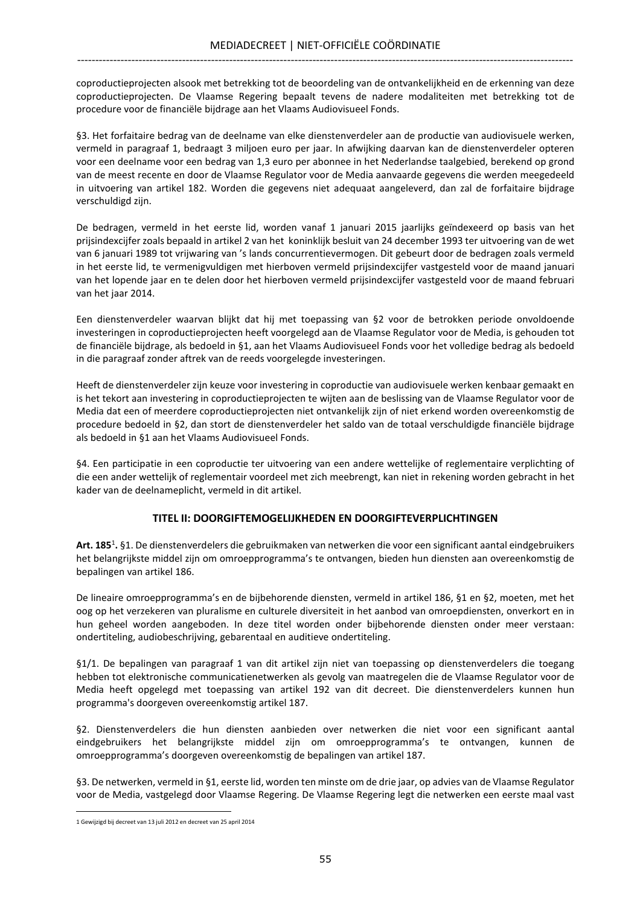coproductieprojecten alsook met betrekking tot de beoordeling van de ontvankelijkheid en de erkenning van deze coproductieprojecten. De Vlaamse Regering bepaalt tevens de nadere modaliteiten met betrekking tot de procedure voor de financiële bijdrage aan het Vlaams Audiovisueel Fonds.

§3. Het forfaitaire bedrag van de deelname van elke dienstenverdeler aan de productie van audiovisuele werken, vermeld in paragraaf 1, bedraagt 3 miljoen euro per jaar. In afwijking daarvan kan de dienstenverdeler opteren voor een deelname voor een bedrag van 1,3 euro per abonnee in het Nederlandse taalgebied, berekend op grond van de meest recente en door de Vlaamse Regulator voor de Media aanvaarde gegevens die werden meegedeeld in uitvoering van artikel 182. Worden die gegevens niet adequaat aangeleverd, dan zal de forfaitaire bijdrage verschuldigd zijn.

De bedragen, vermeld in het eerste lid, worden vanaf 1 januari 2015 jaarlijks geïndexeerd op basis van het prijsindexcijfer zoals bepaald in artikel 2 van het koninklijk besluit van 24 december 1993 ter uitvoering van de wet van 6 januari 1989 tot vrijwaring van 's lands concurrentievermogen. Dit gebeurt door de bedragen zoals vermeld in het eerste lid, te vermenigvuldigen met hierboven vermeld prijsindexcijfer vastgesteld voor de maand januari van het lopende jaar en te delen door het hierboven vermeld prijsindexcijfer vastgesteld voor de maand februari van het jaar 2014.

Een dienstenverdeler waarvan blijkt dat hij met toepassing van §2 voor de betrokken periode onvoldoende investeringen in coproductieprojecten heeft voorgelegd aan de Vlaamse Regulator voor de Media, is gehouden tot de financiële bijdrage, als bedoeld in §1, aan het Vlaams Audiovisueel Fonds voor het volledige bedrag als bedoeld in die paragraaf zonder aftrek van de reeds voorgelegde investeringen.

Heeft de dienstenverdeler zijn keuze voor investering in coproductie van audiovisuele werken kenbaar gemaakt en is het tekort aan investering in coproductieprojecten te wijten aan de beslissing van de Vlaamse Regulator voor de Media dat een of meerdere coproductieprojecten niet ontvankelijk zijn of niet erkend worden overeenkomstig de procedure bedoeld in §2, dan stort de dienstenverdeler het saldo van de totaal verschuldigde financiële bijdrage als bedoeld in §1 aan het Vlaams Audiovisueel Fonds.

§4. Een participatie in een coproductie ter uitvoering van een andere wettelijke of reglementaire verplichting of die een ander wettelijk of reglementair voordeel met zich meebrengt, kan niet in rekening worden gebracht in het kader van de deelnameplicht, vermeld in dit artikel.

## TITEL II: DOORGIFTEMOGELIJKHEDEN EN DOORGIFTEVERPLICHTINGEN

Art. 185<sup>1</sup>. §1. De dienstenverdelers die gebruikmaken van netwerken die voor een significant aantal eindgebruikers het belangrijkste middel zijn om omroepprogramma's te ontvangen, bieden hun diensten aan overeenkomstig de bepalingen van artikel 186.

De lineaire omroepprogramma's en de bijbehorende diensten, vermeld in artikel 186, §1 en §2, moeten, met het oog op het verzekeren van pluralisme en culturele diversiteit in het aanbod van omroepdiensten, onverkort en in hun geheel worden aangeboden. In deze titel worden onder bijbehorende diensten onder meer verstaan: ondertiteling, audiobeschrijving, gebarentaal en auditieve ondertiteling.

§1/1. De bepalingen van paragraaf 1 van dit artikel zijn niet van toepassing op dienstenverdelers die toegang hebben tot elektronische communicatienetwerken als gevolg van maatregelen die de Vlaamse Regulator voor de Media heeft opgelegd met toepassing van artikel 192 van dit decreet. Die dienstenverdelers kunnen hun programma's doorgeven overeenkomstig artikel 187.

§2. Dienstenverdelers die hun diensten aanbieden over netwerken die niet voor een significant aantal eindgebruikers het belangrijkste middel zijn om omroepprogramma's te ontvangen, kunnen de omroepprogramma's doorgeven overeenkomstig de bepalingen van artikel 187.

§3. De netwerken, vermeld in §1, eerste lid, worden ten minste om de drie jaar, op advies van de Vlaamse Regulator voor de Media, vastgelegd door Vlaamse Regering. De Vlaamse Regering legt die netwerken een eerste maal vast  $\overline{a}$ 

<sup>1</sup> Gewijzigd bij decreet van 13 juli 2012 en decreet van 25 april 2014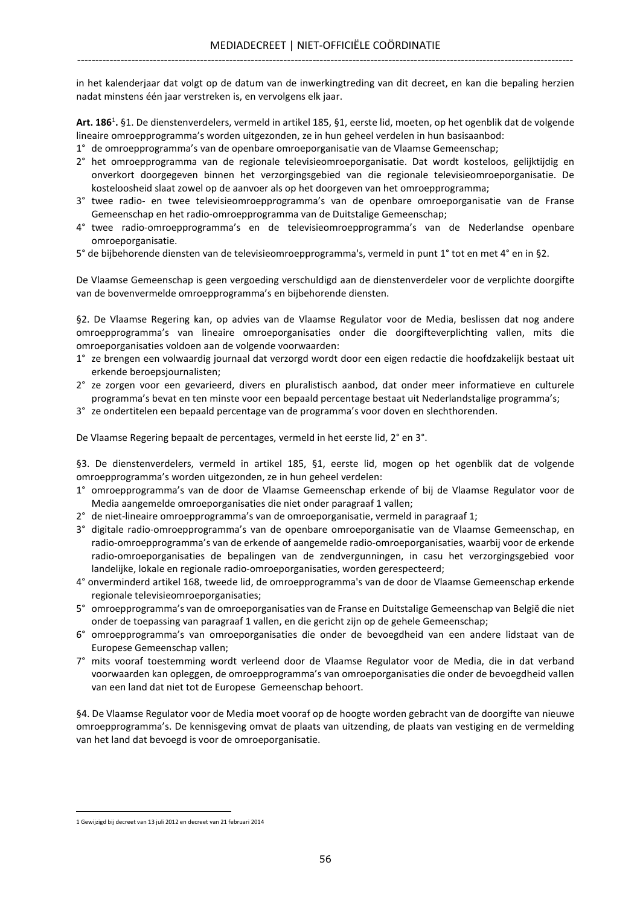in het kalenderjaar dat volgt op de datum van de inwerkingtreding van dit decreet, en kan die bepaling herzien nadat minstens één jaar verstreken is, en vervolgens elk jaar.

Art. 186<sup>1</sup>. §1. De dienstenverdelers, vermeld in artikel 185, §1, eerste lid, moeten, op het ogenblik dat de volgende lineaire omroepprogramma's worden uitgezonden, ze in hun geheel verdelen in hun basisaanbod:

- 1° de omroepprogramma's van de openbare omroeporganisatie van de Vlaamse Gemeenschap;
- 2° het omroepprogramma van de regionale televisieomroeporganisatie. Dat wordt kosteloos, gelijktijdig en onverkort doorgegeven binnen het verzorgingsgebied van die regionale televisieomroeporganisatie. De kosteloosheid slaat zowel op de aanvoer als op het doorgeven van het omroepprogramma;
- 3° twee radio- en twee televisieomroepprogramma's van de openbare omroeporganisatie van de Franse Gemeenschap en het radio-omroepprogramma van de Duitstalige Gemeenschap;
- 4° twee radio-omroepprogramma's en de televisieomroepprogramma's van de Nederlandse openbare omroeporganisatie.
- 5° de bijbehorende diensten van de televisieomroepprogramma's, vermeld in punt 1° tot en met 4° en in §2.

De Vlaamse Gemeenschap is geen vergoeding verschuldigd aan de dienstenverdeler voor de verplichte doorgifte van de bovenvermelde omroepprogramma's en bijbehorende diensten.

§2. De Vlaamse Regering kan, op advies van de Vlaamse Regulator voor de Media, beslissen dat nog andere omroepprogramma's van lineaire omroeporganisaties onder die doorgifteverplichting vallen, mits die omroeporganisaties voldoen aan de volgende voorwaarden:

- 1° ze brengen een volwaardig journaal dat verzorgd wordt door een eigen redactie die hoofdzakelijk bestaat uit erkende beroepsjournalisten;
- 2° ze zorgen voor een gevarieerd, divers en pluralistisch aanbod, dat onder meer informatieve en culturele programma's bevat en ten minste voor een bepaald percentage bestaat uit Nederlandstalige programma's;
- 3° ze ondertitelen een bepaald percentage van de programma's voor doven en slechthorenden.

De Vlaamse Regering bepaalt de percentages, vermeld in het eerste lid, 2° en 3°.

§3. De dienstenverdelers, vermeld in artikel 185, §1, eerste lid, mogen op het ogenblik dat de volgende omroepprogramma's worden uitgezonden, ze in hun geheel verdelen:

- 1° omroepprogramma's van de door de Vlaamse Gemeenschap erkende of bij de Vlaamse Regulator voor de Media aangemelde omroeporganisaties die niet onder paragraaf 1 vallen;
- 2° de niet-lineaire omroepprogramma's van de omroeporganisatie, vermeld in paragraaf 1;
- 3° digitale radio-omroepprogramma's van de openbare omroeporganisatie van de Vlaamse Gemeenschap, en radio-omroepprogramma's van de erkende of aangemelde radio-omroeporganisaties, waarbij voor de erkende radio-omroeporganisaties de bepalingen van de zendvergunningen, in casu het verzorgingsgebied voor landelijke, lokale en regionale radio-omroeporganisaties, worden gerespecteerd;
- 4° onverminderd artikel 168, tweede lid, de omroepprogramma's van de door de Vlaamse Gemeenschap erkende regionale televisieomroeporganisaties;
- 5° omroepprogramma's van de omroeporganisaties van de Franse en Duitstalige Gemeenschap van België die niet onder de toepassing van paragraaf 1 vallen, en die gericht zijn op de gehele Gemeenschap;
- 6° omroepprogramma's van omroeporganisaties die onder de bevoegdheid van een andere lidstaat van de Europese Gemeenschap vallen;
- 7° mits vooraf toestemming wordt verleend door de Vlaamse Regulator voor de Media, die in dat verband voorwaarden kan opleggen, de omroepprogramma's van omroeporganisaties die onder de bevoegdheid vallen van een land dat niet tot de Europese Gemeenschap behoort.

§4. De Vlaamse Regulator voor de Media moet vooraf op de hoogte worden gebracht van de doorgifte van nieuwe omroepprogramma's. De kennisgeving omvat de plaats van uitzending, de plaats van vestiging en de vermelding van het land dat bevoegd is voor de omroeporganisatie.

<sup>1</sup> Gewijzigd bij decreet van 13 juli 2012 en decreet van 21 februari 2014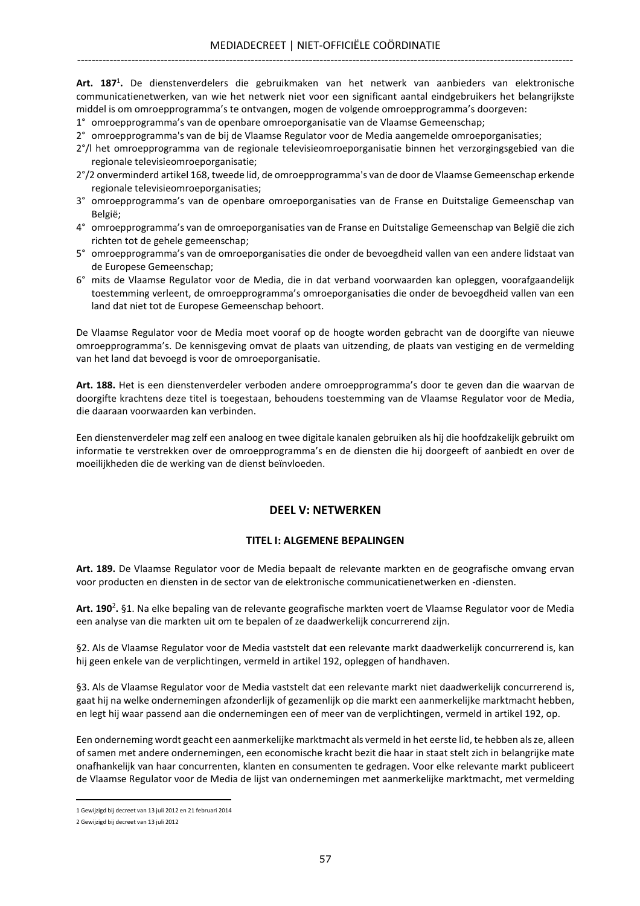Art. 187<sup>1</sup>. De dienstenverdelers die gebruikmaken van het netwerk van aanbieders van elektronische communicatienetwerken, van wie het netwerk niet voor een significant aantal eindgebruikers het belangrijkste middel is om omroepprogramma's te ontvangen, mogen de volgende omroepprogramma's doorgeven:

1° omroepprogramma's van de openbare omroeporganisatie van de Vlaamse Gemeenschap;

2° omroepprogramma's van de bij de Vlaamse Regulator voor de Media aangemelde omroeporganisaties;

- 2°/l het omroepprogramma van de regionale televisieomroeporganisatie binnen het verzorgingsgebied van die regionale televisieomroeporganisatie;
- 2°/2 onverminderd artikel 168, tweede lid, de omroepprogramma's van de door de Vlaamse Gemeenschap erkende regionale televisieomroeporganisaties;
- 3° omroepprogramma's van de openbare omroeporganisaties van de Franse en Duitstalige Gemeenschap van België;
- 4° omroepprogramma's van de omroeporganisaties van de Franse en Duitstalige Gemeenschap van België die zich richten tot de gehele gemeenschap;
- 5° omroepprogramma's van de omroeporganisaties die onder de bevoegdheid vallen van een andere lidstaat van de Europese Gemeenschap;
- 6° mits de Vlaamse Regulator voor de Media, die in dat verband voorwaarden kan opleggen, voorafgaandelijk toestemming verleent, de omroepprogramma's omroeporganisaties die onder de bevoegdheid vallen van een land dat niet tot de Europese Gemeenschap behoort.

De Vlaamse Regulator voor de Media moet vooraf op de hoogte worden gebracht van de doorgifte van nieuwe omroepprogramma's. De kennisgeving omvat de plaats van uitzending, de plaats van vestiging en de vermelding van het land dat bevoegd is voor de omroeporganisatie.

Art. 188. Het is een dienstenverdeler verboden andere omroepprogramma's door te geven dan die waarvan de doorgifte krachtens deze titel is toegestaan, behoudens toestemming van de Vlaamse Regulator voor de Media, die daaraan voorwaarden kan verbinden.

Een dienstenverdeler mag zelf een analoog en twee digitale kanalen gebruiken als hij die hoofdzakelijk gebruikt om informatie te verstrekken over de omroepprogramma's en de diensten die hij doorgeeft of aanbiedt en over de moeilijkheden die de werking van de dienst beïnvloeden.

## DEEL V: NETWERKEN

## TITEL I: ALGEMENE BEPALINGEN

Art. 189. De Vlaamse Regulator voor de Media bepaalt de relevante markten en de geografische omvang ervan voor producten en diensten in de sector van de elektronische communicatienetwerken en -diensten.

Art. 190<sup>2</sup>. §1. Na elke bepaling van de relevante geografische markten voert de Vlaamse Regulator voor de Media een analyse van die markten uit om te bepalen of ze daadwerkelijk concurrerend zijn.

§2. Als de Vlaamse Regulator voor de Media vaststelt dat een relevante markt daadwerkelijk concurrerend is, kan hij geen enkele van de verplichtingen, vermeld in artikel 192, opleggen of handhaven.

§3. Als de Vlaamse Regulator voor de Media vaststelt dat een relevante markt niet daadwerkelijk concurrerend is, gaat hij na welke ondernemingen afzonderlijk of gezamenlijk op die markt een aanmerkelijke marktmacht hebben, en legt hij waar passend aan die ondernemingen een of meer van de verplichtingen, vermeld in artikel 192, op.

Een onderneming wordt geacht een aanmerkelijke marktmacht als vermeld in het eerste lid, te hebben als ze, alleen of samen met andere ondernemingen, een economische kracht bezit die haar in staat stelt zich in belangrijke mate onafhankelijk van haar concurrenten, klanten en consumenten te gedragen. Voor elke relevante markt publiceert de Vlaamse Regulator voor de Media de lijst van ondernemingen met aanmerkelijke marktmacht, met vermelding

<sup>1</sup> Gewijzigd bij decreet van 13 juli 2012 en 21 februari 2014

<sup>2</sup> Gewijzigd bij decreet van 13 juli 2012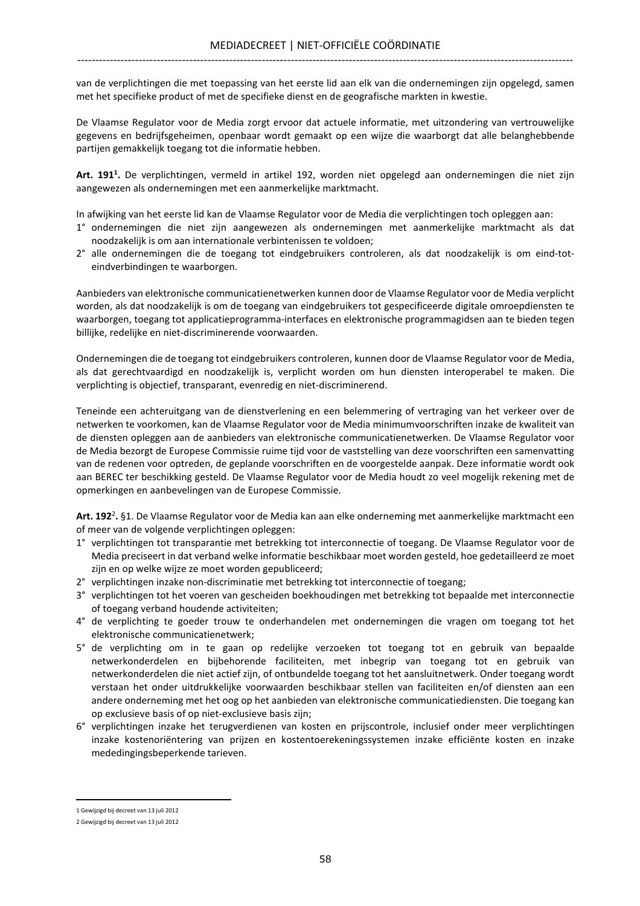van de verplichtingen die met toepassing van het eerste lid aan elk van die ondernemingen zijn opgelegd, samen met het specifieke product of met de specifieke dienst en de geografische markten in kwestie.

De Vlaamse Regulator voor de Media zorgt ervoor dat actuele informatie, met uitzondering van vertrouwelijke gegevens en bedrijfsgeheimen, openbaar wordt gemaakt op een wijze die waarborgt dat alle belanghebbende partijen gemakkelijk toegang tot die informatie hebben.

Art. 191<sup>1</sup>. De verplichtingen, vermeld in artikel 192, worden niet opgelegd aan ondernemingen die niet zijn aangewezen als ondernemingen met een aanmerkelijke marktmacht.

In afwijking van het eerste lid kan de Vlaamse Regulator voor de Media die verplichtingen toch opleggen aan:

- 1° ondernemingen die niet zijn aangewezen als ondernemingen met aanmerkelijke marktmacht als dat noodzakelijk is om aan internationale verbintenissen te voldoen;
- 2° alle ondernemingen die de toegang tot eindgebruikers controleren, als dat noodzakelijk is om eind-toteindverbindingen te waarborgen.

Aanbieders van elektronische communicatienetwerken kunnen door de Vlaamse Regulator voor de Media verplicht worden, als dat noodzakelijk is om de toegang van eindgebruikers tot gespecificeerde digitale omroepdiensten te waarborgen, toegang tot applicatieprogramma-interfaces en elektronische programmagidsen aan te bieden tegen billijke, redelijke en niet-discriminerende voorwaarden.

Ondernemingen die de toegang tot eindgebruikers controleren, kunnen door de Vlaamse Regulator voor de Media, als dat gerechtvaardigd en noodzakelijk is, verplicht worden om hun diensten interoperabel te maken. Die verplichting is objectief, transparant, evenredig en niet-discriminerend.

Teneinde een achteruitgang van de dienstverlening en een belemmering of vertraging van het verkeer over de netwerken te voorkomen, kan de Vlaamse Regulator voor de Media minimumvoorschriften inzake de kwaliteit van de diensten opleggen aan de aanbieders van elektronische communicatienetwerken. De Vlaamse Regulator voor de Media bezorgt de Europese Commissie ruime tijd voor de vaststelling van deze voorschriften een samenvatting van de redenen voor optreden, de geplande voorschriften en de voorgestelde aanpak. Deze informatie wordt ook aan BEREC ter beschikking gesteld. De Vlaamse Regulator voor de Media houdt zo veel mogelijk rekening met de opmerkingen en aanbevelingen van de Europese Commissie.

Art. 192<sup>2</sup>. §1. De Vlaamse Regulator voor de Media kan aan elke onderneming met aanmerkelijke marktmacht een of meer van de volgende verplichtingen opleggen:

- 1° verplichtingen tot transparantie met betrekking tot interconnectie of toegang. De Vlaamse Regulator voor de Media preciseert in dat verband welke informatie beschikbaar moet worden gesteld, hoe gedetailleerd ze moet zijn en op welke wijze ze moet worden gepubliceerd;
- 2° verplichtingen inzake non-discriminatie met betrekking tot interconnectie of toegang;
- 3° verplichtingen tot het voeren van gescheiden boekhoudingen met betrekking tot bepaalde met interconnectie of toegang verband houdende activiteiten;
- 4° de verplichting te goeder trouw te onderhandelen met ondernemingen die vragen om toegang tot het elektronische communicatienetwerk;
- 5° de verplichting om in te gaan op redelijke verzoeken tot toegang tot en gebruik van bepaalde netwerkonderdelen en bijbehorende faciliteiten, met inbegrip van toegang tot en gebruik van netwerkonderdelen die niet actief zijn, of ontbundelde toegang tot het aansluitnetwerk. Onder toegang wordt verstaan het onder uitdrukkelijke voorwaarden beschikbaar stellen van faciliteiten en/of diensten aan een andere onderneming met het oog op het aanbieden van elektronische communicatiediensten. Die toegang kan op exclusieve basis of op niet-exclusieve basis zijn;
- 6° verplichtingen inzake het terugverdienen van kosten en prijscontrole, inclusief onder meer verplichtingen inzake kostenoriëntering van prijzen en kostentoerekeningssystemen inzake efficiënte kosten en inzake mededingingsbeperkende tarieven.

<sup>1</sup> Gewijzigd bij decreet van 13 juli 2012

<sup>2</sup> Gewijzigd bij decreet van 13 juli 2012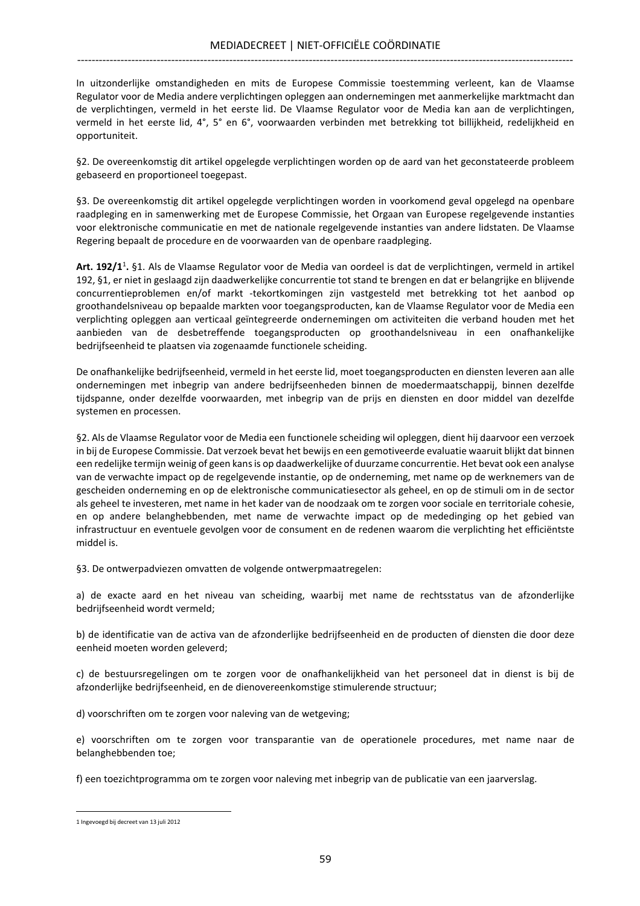In uitzonderlijke omstandigheden en mits de Europese Commissie toestemming verleent, kan de Vlaamse Regulator voor de Media andere verplichtingen opleggen aan ondernemingen met aanmerkelijke marktmacht dan de verplichtingen, vermeld in het eerste lid. De Vlaamse Regulator voor de Media kan aan de verplichtingen, vermeld in het eerste lid, 4°, 5° en 6°, voorwaarden verbinden met betrekking tot billijkheid, redelijkheid en opportuniteit.

§2. De overeenkomstig dit artikel opgelegde verplichtingen worden op de aard van het geconstateerde probleem gebaseerd en proportioneel toegepast.

§3. De overeenkomstig dit artikel opgelegde verplichtingen worden in voorkomend geval opgelegd na openbare raadpleging en in samenwerking met de Europese Commissie, het Orgaan van Europese regelgevende instanties voor elektronische communicatie en met de nationale regelgevende instanties van andere lidstaten. De Vlaamse Regering bepaalt de procedure en de voorwaarden van de openbare raadpleging.

Art. 192/1<sup>1</sup>. §1. Als de Vlaamse Regulator voor de Media van oordeel is dat de verplichtingen, vermeld in artikel 192, §1, er niet in geslaagd zijn daadwerkelijke concurrentie tot stand te brengen en dat er belangrijke en blijvende concurrentieproblemen en/of markt -tekortkomingen zijn vastgesteld met betrekking tot het aanbod op groothandelsniveau op bepaalde markten voor toegangsproducten, kan de Vlaamse Regulator voor de Media een verplichting opleggen aan verticaal geïntegreerde ondernemingen om activiteiten die verband houden met het aanbieden van de desbetreffende toegangsproducten op groothandelsniveau in een onafhankelijke bedrijfseenheid te plaatsen via zogenaamde functionele scheiding.

De onafhankelijke bedrijfseenheid, vermeld in het eerste lid, moet toegangsproducten en diensten leveren aan alle ondernemingen met inbegrip van andere bedrijfseenheden binnen de moedermaatschappij, binnen dezelfde tijdspanne, onder dezelfde voorwaarden, met inbegrip van de prijs en diensten en door middel van dezelfde systemen en processen.

§2. Als de Vlaamse Regulator voor de Media een functionele scheiding wil opleggen, dient hij daarvoor een verzoek in bij de Europese Commissie. Dat verzoek bevat het bewijs en een gemotiveerde evaluatie waaruit blijkt dat binnen een redelijke termijn weinig of geen kans is op daadwerkelijke of duurzame concurrentie. Het bevat ook een analyse van de verwachte impact op de regelgevende instantie, op de onderneming, met name op de werknemers van de gescheiden onderneming en op de elektronische communicatiesector als geheel, en op de stimuli om in de sector als geheel te investeren, met name in het kader van de noodzaak om te zorgen voor sociale en territoriale cohesie, en op andere belanghebbenden, met name de verwachte impact op de mededinging op het gebied van infrastructuur en eventuele gevolgen voor de consument en de redenen waarom die verplichting het efficiëntste middel is.

§3. De ontwerpadviezen omvatten de volgende ontwerpmaatregelen:

a) de exacte aard en het niveau van scheiding, waarbij met name de rechtsstatus van de afzonderlijke bedrijfseenheid wordt vermeld;

b) de identificatie van de activa van de afzonderlijke bedrijfseenheid en de producten of diensten die door deze eenheid moeten worden geleverd;

c) de bestuursregelingen om te zorgen voor de onafhankelijkheid van het personeel dat in dienst is bij de afzonderlijke bedrijfseenheid, en de dienovereenkomstige stimulerende structuur;

d) voorschriften om te zorgen voor naleving van de wetgeving;

e) voorschriften om te zorgen voor transparantie van de operationele procedures, met name naar de belanghebbenden toe;

f) een toezichtprogramma om te zorgen voor naleving met inbegrip van de publicatie van een jaarverslag.

<sup>1</sup> Ingevoegd bij decreet van 13 juli 2012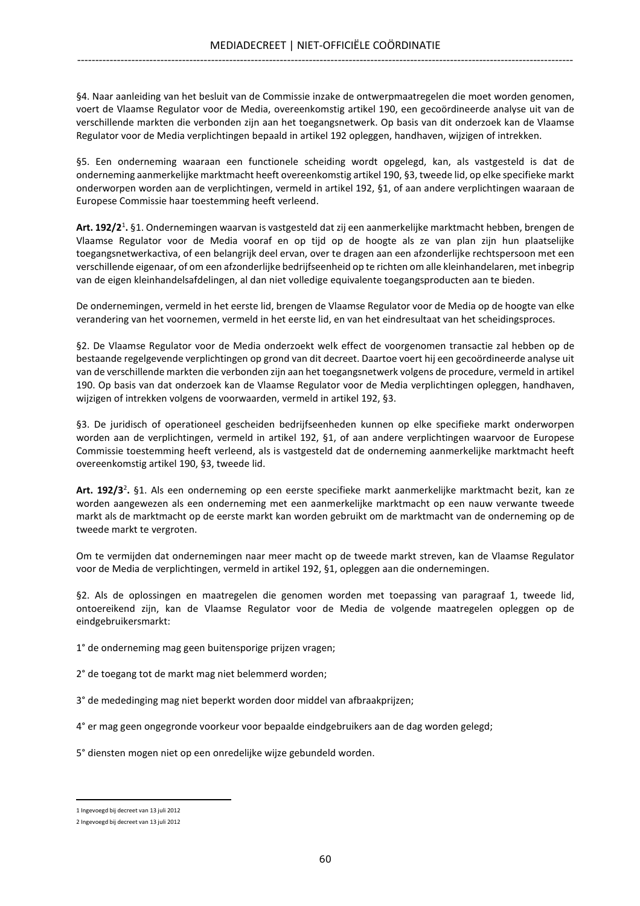§4. Naar aanleiding van het besluit van de Commissie inzake de ontwerpmaatregelen die moet worden genomen, voert de Vlaamse Regulator voor de Media, overeenkomstig artikel 190, een gecoördineerde analyse uit van de verschillende markten die verbonden zijn aan het toegangsnetwerk. Op basis van dit onderzoek kan de Vlaamse Regulator voor de Media verplichtingen bepaald in artikel 192 opleggen, handhaven, wijzigen of intrekken.

§5. Een onderneming waaraan een functionele scheiding wordt opgelegd, kan, als vastgesteld is dat de onderneming aanmerkelijke marktmacht heeft overeenkomstig artikel 190, §3, tweede lid, op elke specifieke markt onderworpen worden aan de verplichtingen, vermeld in artikel 192, §1, of aan andere verplichtingen waaraan de Europese Commissie haar toestemming heeft verleend.

Art. 192/2<sup>1</sup>. §1. Ondernemingen waarvan is vastgesteld dat zij een aanmerkelijke marktmacht hebben, brengen de Vlaamse Regulator voor de Media vooraf en op tijd op de hoogte als ze van plan zijn hun plaatselijke toegangsnetwerkactiva, of een belangrijk deel ervan, over te dragen aan een afzonderlijke rechtspersoon met een verschillende eigenaar, of om een afzonderlijke bedrijfseenheid op te richten om alle kleinhandelaren, met inbegrip van de eigen kleinhandelsafdelingen, al dan niet volledige equivalente toegangsproducten aan te bieden.

De ondernemingen, vermeld in het eerste lid, brengen de Vlaamse Regulator voor de Media op de hoogte van elke verandering van het voornemen, vermeld in het eerste lid, en van het eindresultaat van het scheidingsproces.

§2. De Vlaamse Regulator voor de Media onderzoekt welk effect de voorgenomen transactie zal hebben op de bestaande regelgevende verplichtingen op grond van dit decreet. Daartoe voert hij een gecoördineerde analyse uit van de verschillende markten die verbonden zijn aan het toegangsnetwerk volgens de procedure, vermeld in artikel 190. Op basis van dat onderzoek kan de Vlaamse Regulator voor de Media verplichtingen opleggen, handhaven, wijzigen of intrekken volgens de voorwaarden, vermeld in artikel 192, §3.

§3. De juridisch of operationeel gescheiden bedrijfseenheden kunnen op elke specifieke markt onderworpen worden aan de verplichtingen, vermeld in artikel 192, §1, of aan andere verplichtingen waarvoor de Europese Commissie toestemming heeft verleend, als is vastgesteld dat de onderneming aanmerkelijke marktmacht heeft overeenkomstig artikel 190, §3, tweede lid.

Art. 192/3<sup>2</sup>. §1. Als een onderneming op een eerste specifieke markt aanmerkelijke marktmacht bezit, kan ze worden aangewezen als een onderneming met een aanmerkelijke marktmacht op een nauw verwante tweede markt als de marktmacht op de eerste markt kan worden gebruikt om de marktmacht van de onderneming op de tweede markt te vergroten.

Om te vermijden dat ondernemingen naar meer macht op de tweede markt streven, kan de Vlaamse Regulator voor de Media de verplichtingen, vermeld in artikel 192, §1, opleggen aan die ondernemingen.

§2. Als de oplossingen en maatregelen die genomen worden met toepassing van paragraaf 1, tweede lid, ontoereikend zijn, kan de Vlaamse Regulator voor de Media de volgende maatregelen opleggen op de eindgebruikersmarkt:

1° de onderneming mag geen buitensporige prijzen vragen;

2° de toegang tot de markt mag niet belemmerd worden;

3° de mededinging mag niet beperkt worden door middel van afbraakprijzen;

4° er mag geen ongegronde voorkeur voor bepaalde eindgebruikers aan de dag worden gelegd;

5° diensten mogen niet op een onredelijke wijze gebundeld worden.

<sup>1</sup> Ingevoegd bij decreet van 13 juli 2012

<sup>2</sup> Ingevoegd bij decreet van 13 juli 2012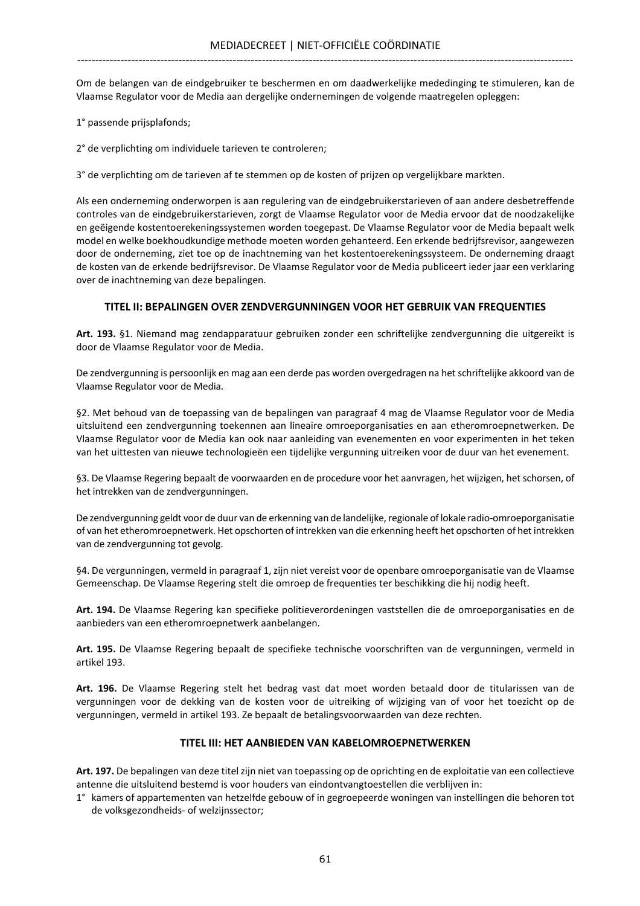Om de belangen van de eindgebruiker te beschermen en om daadwerkelijke mededinging te stimuleren, kan de Vlaamse Regulator voor de Media aan dergelijke ondernemingen de volgende maatregelen opleggen:

- 1° passende prijsplafonds;
- 2° de verplichting om individuele tarieven te controleren;

3° de verplichting om de tarieven af te stemmen op de kosten of prijzen op vergelijkbare markten.

Als een onderneming onderworpen is aan regulering van de eindgebruikerstarieven of aan andere desbetreffende controles van de eindgebruikerstarieven, zorgt de Vlaamse Regulator voor de Media ervoor dat de noodzakelijke en geëigende kostentoerekeningssystemen worden toegepast. De Vlaamse Regulator voor de Media bepaalt welk model en welke boekhoudkundige methode moeten worden gehanteerd. Een erkende bedrijfsrevisor, aangewezen door de onderneming, ziet toe op de inachtneming van het kostentoerekeningssysteem. De onderneming draagt de kosten van de erkende bedrijfsrevisor. De Vlaamse Regulator voor de Media publiceert ieder jaar een verklaring over de inachtneming van deze bepalingen.

## TITEL II: BEPALINGEN OVER ZENDVERGUNNINGEN VOOR HET GEBRUIK VAN FREQUENTIES

Art. 193. §1. Niemand mag zendapparatuur gebruiken zonder een schriftelijke zendvergunning die uitgereikt is door de Vlaamse Regulator voor de Media.

De zendvergunning is persoonlijk en mag aan een derde pas worden overgedragen na het schriftelijke akkoord van de Vlaamse Regulator voor de Media.

§2. Met behoud van de toepassing van de bepalingen van paragraaf 4 mag de Vlaamse Regulator voor de Media uitsluitend een zendvergunning toekennen aan lineaire omroeporganisaties en aan etheromroepnetwerken. De Vlaamse Regulator voor de Media kan ook naar aanleiding van evenementen en voor experimenten in het teken van het uittesten van nieuwe technologieën een tijdelijke vergunning uitreiken voor de duur van het evenement.

§3. De Vlaamse Regering bepaalt de voorwaarden en de procedure voor het aanvragen, het wijzigen, het schorsen, of het intrekken van de zendvergunningen.

De zendvergunning geldt voor de duur van de erkenning van de landelijke, regionale of lokale radio-omroeporganisatie of van het etheromroepnetwerk. Het opschorten of intrekken van die erkenning heeft het opschorten of het intrekken van de zendvergunning tot gevolg.

§4. De vergunningen, vermeld in paragraaf 1, zijn niet vereist voor de openbare omroeporganisatie van de Vlaamse Gemeenschap. De Vlaamse Regering stelt die omroep de frequenties ter beschikking die hij nodig heeft.

Art. 194. De Vlaamse Regering kan specifieke politieverordeningen vaststellen die de omroeporganisaties en de aanbieders van een etheromroepnetwerk aanbelangen.

Art. 195. De Vlaamse Regering bepaalt de specifieke technische voorschriften van de vergunningen, vermeld in artikel 193.

Art. 196. De Vlaamse Regering stelt het bedrag vast dat moet worden betaald door de titularissen van de vergunningen voor de dekking van de kosten voor de uitreiking of wijziging van of voor het toezicht op de vergunningen, vermeld in artikel 193. Ze bepaalt de betalingsvoorwaarden van deze rechten.

#### TITEL III: HET AANBIEDEN VAN KABELOMROEPNETWERKEN

Art. 197. De bepalingen van deze titel zijn niet van toepassing op de oprichting en de exploitatie van een collectieve antenne die uitsluitend bestemd is voor houders van eindontvangtoestellen die verblijven in:

1° kamers of appartementen van hetzelfde gebouw of in gegroepeerde woningen van instellingen die behoren tot de volksgezondheids- of welzijnssector;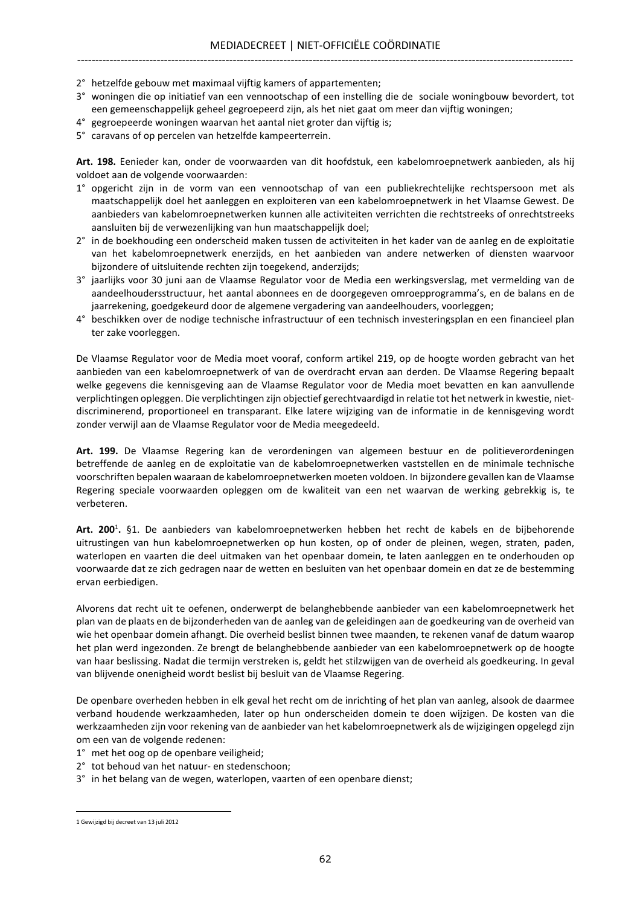- 2° hetzelfde gebouw met maximaal vijftig kamers of appartementen;
- 3° woningen die op initiatief van een vennootschap of een instelling die de sociale woningbouw bevordert, tot een gemeenschappelijk geheel gegroepeerd zijn, als het niet gaat om meer dan vijftig woningen;
- 4° gegroepeerde woningen waarvan het aantal niet groter dan vijftig is;
- 5° caravans of op percelen van hetzelfde kampeerterrein.

Art. 198. Eenieder kan, onder de voorwaarden van dit hoofdstuk, een kabelomroepnetwerk aanbieden, als hij voldoet aan de volgende voorwaarden:

- 1° opgericht zijn in de vorm van een vennootschap of van een publiekrechtelijke rechtspersoon met als maatschappelijk doel het aanleggen en exploiteren van een kabelomroepnetwerk in het Vlaamse Gewest. De aanbieders van kabelomroepnetwerken kunnen alle activiteiten verrichten die rechtstreeks of onrechtstreeks aansluiten bij de verwezenlijking van hun maatschappelijk doel;
- 2° in de boekhouding een onderscheid maken tussen de activiteiten in het kader van de aanleg en de exploitatie van het kabelomroepnetwerk enerzijds, en het aanbieden van andere netwerken of diensten waarvoor bijzondere of uitsluitende rechten zijn toegekend, anderzijds;
- 3° jaarlijks voor 30 juni aan de Vlaamse Regulator voor de Media een werkingsverslag, met vermelding van de aandeelhoudersstructuur, het aantal abonnees en de doorgegeven omroepprogramma's, en de balans en de jaarrekening, goedgekeurd door de algemene vergadering van aandeelhouders, voorleggen;
- 4° beschikken over de nodige technische infrastructuur of een technisch investeringsplan en een financieel plan ter zake voorleggen.

De Vlaamse Regulator voor de Media moet vooraf, conform artikel 219, op de hoogte worden gebracht van het aanbieden van een kabelomroepnetwerk of van de overdracht ervan aan derden. De Vlaamse Regering bepaalt welke gegevens die kennisgeving aan de Vlaamse Regulator voor de Media moet bevatten en kan aanvullende verplichtingen opleggen. Die verplichtingen zijn objectief gerechtvaardigd in relatie tot het netwerk in kwestie, nietdiscriminerend, proportioneel en transparant. Elke latere wijziging van de informatie in de kennisgeving wordt zonder verwijl aan de Vlaamse Regulator voor de Media meegedeeld.

Art. 199. De Vlaamse Regering kan de verordeningen van algemeen bestuur en de politieverordeningen betreffende de aanleg en de exploitatie van de kabelomroepnetwerken vaststellen en de minimale technische voorschriften bepalen waaraan de kabelomroepnetwerken moeten voldoen. In bijzondere gevallen kan de Vlaamse Regering speciale voorwaarden opleggen om de kwaliteit van een net waarvan de werking gebrekkig is, te verbeteren.

Art. 200<sup>1</sup>. §1. De aanbieders van kabelomroepnetwerken hebben het recht de kabels en de bijbehorende uitrustingen van hun kabelomroepnetwerken op hun kosten, op of onder de pleinen, wegen, straten, paden, waterlopen en vaarten die deel uitmaken van het openbaar domein, te laten aanleggen en te onderhouden op voorwaarde dat ze zich gedragen naar de wetten en besluiten van het openbaar domein en dat ze de bestemming ervan eerbiedigen.

Alvorens dat recht uit te oefenen, onderwerpt de belanghebbende aanbieder van een kabelomroepnetwerk het plan van de plaats en de bijzonderheden van de aanleg van de geleidingen aan de goedkeuring van de overheid van wie het openbaar domein afhangt. Die overheid beslist binnen twee maanden, te rekenen vanaf de datum waarop het plan werd ingezonden. Ze brengt de belanghebbende aanbieder van een kabelomroepnetwerk op de hoogte van haar beslissing. Nadat die termijn verstreken is, geldt het stilzwijgen van de overheid als goedkeuring. In geval van blijvende onenigheid wordt beslist bij besluit van de Vlaamse Regering.

De openbare overheden hebben in elk geval het recht om de inrichting of het plan van aanleg, alsook de daarmee verband houdende werkzaamheden, later op hun onderscheiden domein te doen wijzigen. De kosten van die werkzaamheden zijn voor rekening van de aanbieder van het kabelomroepnetwerk als de wijzigingen opgelegd zijn om een van de volgende redenen:

- 1° met het oog op de openbare veiligheid;
- 2° tot behoud van het natuur- en stedenschoon;
- 3° in het belang van de wegen, waterlopen, vaarten of een openbare dienst;

<sup>1</sup> Gewijzigd bij decreet van 13 juli 2012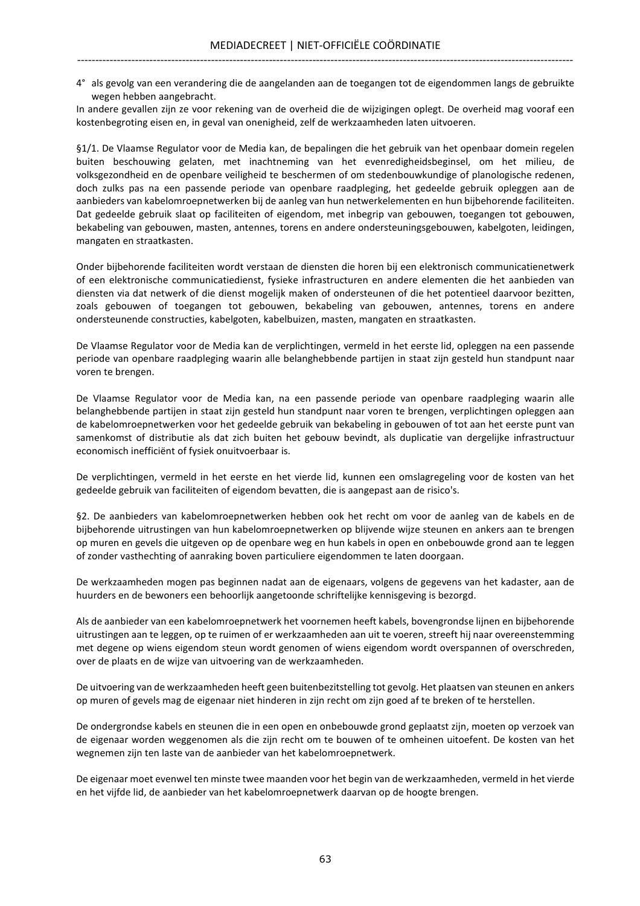4° als gevolg van een verandering die de aangelanden aan de toegangen tot de eigendommen langs de gebruikte wegen hebben aangebracht.

In andere gevallen zijn ze voor rekening van de overheid die de wijzigingen oplegt. De overheid mag vooraf een kostenbegroting eisen en, in geval van onenigheid, zelf de werkzaamheden laten uitvoeren.

§1/1. De Vlaamse Regulator voor de Media kan, de bepalingen die het gebruik van het openbaar domein regelen buiten beschouwing gelaten, met inachtneming van het evenredigheidsbeginsel, om het milieu, de volksgezondheid en de openbare veiligheid te beschermen of om stedenbouwkundige of planologische redenen, doch zulks pas na een passende periode van openbare raadpleging, het gedeelde gebruik opleggen aan de aanbieders van kabelomroepnetwerken bij de aanleg van hun netwerkelementen en hun bijbehorende faciliteiten. Dat gedeelde gebruik slaat op faciliteiten of eigendom, met inbegrip van gebouwen, toegangen tot gebouwen, bekabeling van gebouwen, masten, antennes, torens en andere ondersteuningsgebouwen, kabelgoten, leidingen, mangaten en straatkasten.

Onder bijbehorende faciliteiten wordt verstaan de diensten die horen bij een elektronisch communicatienetwerk of een elektronische communicatiedienst, fysieke infrastructuren en andere elementen die het aanbieden van diensten via dat netwerk of die dienst mogelijk maken of ondersteunen of die het potentieel daarvoor bezitten, zoals gebouwen of toegangen tot gebouwen, bekabeling van gebouwen, antennes, torens en andere ondersteunende constructies, kabelgoten, kabelbuizen, masten, mangaten en straatkasten.

De Vlaamse Regulator voor de Media kan de verplichtingen, vermeld in het eerste lid, opleggen na een passende periode van openbare raadpleging waarin alle belanghebbende partijen in staat zijn gesteld hun standpunt naar voren te brengen.

De Vlaamse Regulator voor de Media kan, na een passende periode van openbare raadpleging waarin alle belanghebbende partijen in staat zijn gesteld hun standpunt naar voren te brengen, verplichtingen opleggen aan de kabelomroepnetwerken voor het gedeelde gebruik van bekabeling in gebouwen of tot aan het eerste punt van samenkomst of distributie als dat zich buiten het gebouw bevindt, als duplicatie van dergelijke infrastructuur economisch inefficiënt of fysiek onuitvoerbaar is.

De verplichtingen, vermeld in het eerste en het vierde lid, kunnen een omslagregeling voor de kosten van het gedeelde gebruik van faciliteiten of eigendom bevatten, die is aangepast aan de risico's.

§2. De aanbieders van kabelomroepnetwerken hebben ook het recht om voor de aanleg van de kabels en de bijbehorende uitrustingen van hun kabelomroepnetwerken op blijvende wijze steunen en ankers aan te brengen op muren en gevels die uitgeven op de openbare weg en hun kabels in open en onbebouwde grond aan te leggen of zonder vasthechting of aanraking boven particuliere eigendommen te laten doorgaan.

De werkzaamheden mogen pas beginnen nadat aan de eigenaars, volgens de gegevens van het kadaster, aan de huurders en de bewoners een behoorlijk aangetoonde schriftelijke kennisgeving is bezorgd.

Als de aanbieder van een kabelomroepnetwerk het voornemen heeft kabels, bovengrondse lijnen en bijbehorende uitrustingen aan te leggen, op te ruimen of er werkzaamheden aan uit te voeren, streeft hij naar overeenstemming met degene op wiens eigendom steun wordt genomen of wiens eigendom wordt overspannen of overschreden, over de plaats en de wijze van uitvoering van de werkzaamheden.

De uitvoering van de werkzaamheden heeft geen buitenbezitstelling tot gevolg. Het plaatsen van steunen en ankers op muren of gevels mag de eigenaar niet hinderen in zijn recht om zijn goed af te breken of te herstellen.

De ondergrondse kabels en steunen die in een open en onbebouwde grond geplaatst zijn, moeten op verzoek van de eigenaar worden weggenomen als die zijn recht om te bouwen of te omheinen uitoefent. De kosten van het wegnemen zijn ten laste van de aanbieder van het kabelomroepnetwerk.

De eigenaar moet evenwel ten minste twee maanden voor het begin van de werkzaamheden, vermeld in het vierde en het vijfde lid, de aanbieder van het kabelomroepnetwerk daarvan op de hoogte brengen.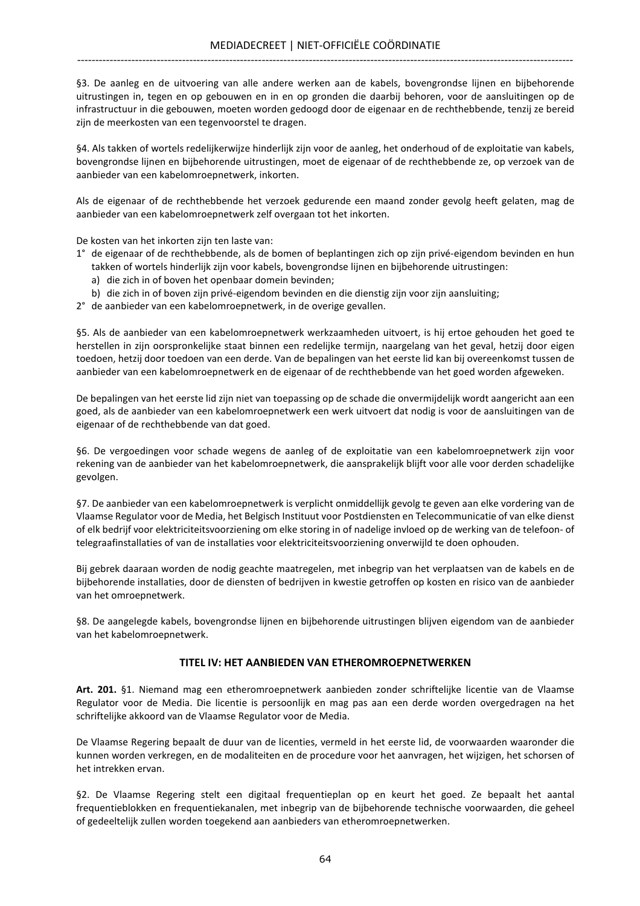§3. De aanleg en de uitvoering van alle andere werken aan de kabels, bovengrondse lijnen en bijbehorende uitrustingen in, tegen en op gebouwen en in en op gronden die daarbij behoren, voor de aansluitingen op de infrastructuur in die gebouwen, moeten worden gedoogd door de eigenaar en de rechthebbende, tenzij ze bereid zijn de meerkosten van een tegenvoorstel te dragen.

§4. Als takken of wortels redelijkerwijze hinderlijk zijn voor de aanleg, het onderhoud of de exploitatie van kabels, bovengrondse lijnen en bijbehorende uitrustingen, moet de eigenaar of de rechthebbende ze, op verzoek van de aanbieder van een kabelomroepnetwerk, inkorten.

Als de eigenaar of de rechthebbende het verzoek gedurende een maand zonder gevolg heeft gelaten, mag de aanbieder van een kabelomroepnetwerk zelf overgaan tot het inkorten.

De kosten van het inkorten zijn ten laste van:

- 1° de eigenaar of de rechthebbende, als de bomen of beplantingen zich op zijn privé-eigendom bevinden en hun takken of wortels hinderlijk zijn voor kabels, bovengrondse lijnen en bijbehorende uitrustingen:
	- a) die zich in of boven het openbaar domein bevinden;
	- b) die zich in of boven zijn privé-eigendom bevinden en die dienstig zijn voor zijn aansluiting;
- 2° de aanbieder van een kabelomroepnetwerk, in de overige gevallen.

§5. Als de aanbieder van een kabelomroepnetwerk werkzaamheden uitvoert, is hij ertoe gehouden het goed te herstellen in zijn oorspronkelijke staat binnen een redelijke termijn, naargelang van het geval, hetzij door eigen toedoen, hetzij door toedoen van een derde. Van de bepalingen van het eerste lid kan bij overeenkomst tussen de aanbieder van een kabelomroepnetwerk en de eigenaar of de rechthebbende van het goed worden afgeweken.

De bepalingen van het eerste lid zijn niet van toepassing op de schade die onvermijdelijk wordt aangericht aan een goed, als de aanbieder van een kabelomroepnetwerk een werk uitvoert dat nodig is voor de aansluitingen van de eigenaar of de rechthebbende van dat goed.

§6. De vergoedingen voor schade wegens de aanleg of de exploitatie van een kabelomroepnetwerk zijn voor rekening van de aanbieder van het kabelomroepnetwerk, die aansprakelijk blijft voor alle voor derden schadelijke gevolgen.

§7. De aanbieder van een kabelomroepnetwerk is verplicht onmiddellijk gevolg te geven aan elke vordering van de Vlaamse Regulator voor de Media, het Belgisch Instituut voor Postdiensten en Telecommunicatie of van elke dienst of elk bedrijf voor elektriciteitsvoorziening om elke storing in of nadelige invloed op de werking van de telefoon- of telegraafinstallaties of van de installaties voor elektriciteitsvoorziening onverwijld te doen ophouden.

Bij gebrek daaraan worden de nodig geachte maatregelen, met inbegrip van het verplaatsen van de kabels en de bijbehorende installaties, door de diensten of bedrijven in kwestie getroffen op kosten en risico van de aanbieder van het omroepnetwerk.

§8. De aangelegde kabels, bovengrondse lijnen en bijbehorende uitrustingen blijven eigendom van de aanbieder van het kabelomroepnetwerk.

## TITEL IV: HET AANBIEDEN VAN ETHEROMROEPNETWERKEN

Art. 201. §1. Niemand mag een etheromroepnetwerk aanbieden zonder schriftelijke licentie van de Vlaamse Regulator voor de Media. Die licentie is persoonlijk en mag pas aan een derde worden overgedragen na het schriftelijke akkoord van de Vlaamse Regulator voor de Media.

De Vlaamse Regering bepaalt de duur van de licenties, vermeld in het eerste lid, de voorwaarden waaronder die kunnen worden verkregen, en de modaliteiten en de procedure voor het aanvragen, het wijzigen, het schorsen of het intrekken ervan.

§2. De Vlaamse Regering stelt een digitaal frequentieplan op en keurt het goed. Ze bepaalt het aantal frequentieblokken en frequentiekanalen, met inbegrip van de bijbehorende technische voorwaarden, die geheel of gedeeltelijk zullen worden toegekend aan aanbieders van etheromroepnetwerken.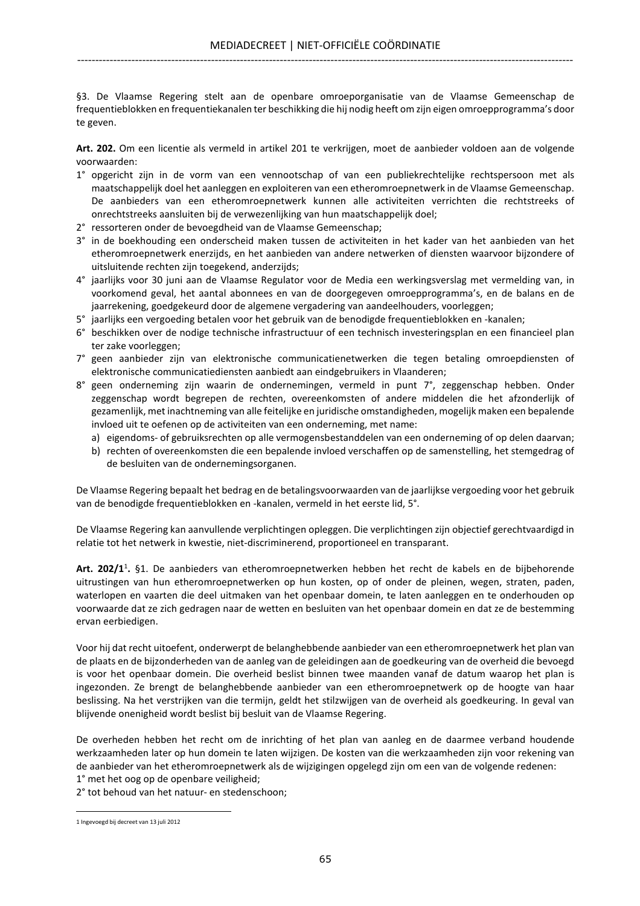§3. De Vlaamse Regering stelt aan de openbare omroeporganisatie van de Vlaamse Gemeenschap de frequentieblokken en frequentiekanalen ter beschikking die hij nodig heeft om zijn eigen omroepprogramma's door te geven.

Art. 202. Om een licentie als vermeld in artikel 201 te verkrijgen, moet de aanbieder voldoen aan de volgende voorwaarden:

- 1° opgericht zijn in de vorm van een vennootschap of van een publiekrechtelijke rechtspersoon met als maatschappelijk doel het aanleggen en exploiteren van een etheromroepnetwerk in de Vlaamse Gemeenschap. De aanbieders van een etheromroepnetwerk kunnen alle activiteiten verrichten die rechtstreeks of onrechtstreeks aansluiten bij de verwezenlijking van hun maatschappelijk doel;
- 2° ressorteren onder de bevoegdheid van de Vlaamse Gemeenschap;
- 3° in de boekhouding een onderscheid maken tussen de activiteiten in het kader van het aanbieden van het etheromroepnetwerk enerzijds, en het aanbieden van andere netwerken of diensten waarvoor bijzondere of uitsluitende rechten zijn toegekend, anderzijds;
- 4° jaarlijks voor 30 juni aan de Vlaamse Regulator voor de Media een werkingsverslag met vermelding van, in voorkomend geval, het aantal abonnees en van de doorgegeven omroepprogramma's, en de balans en de jaarrekening, goedgekeurd door de algemene vergadering van aandeelhouders, voorleggen;
- 5° jaarlijks een vergoeding betalen voor het gebruik van de benodigde frequentieblokken en -kanalen;
- 6° beschikken over de nodige technische infrastructuur of een technisch investeringsplan en een financieel plan ter zake voorleggen;
- 7° geen aanbieder zijn van elektronische communicatienetwerken die tegen betaling omroepdiensten of elektronische communicatiediensten aanbiedt aan eindgebruikers in Vlaanderen;
- 8° geen onderneming zijn waarin de ondernemingen, vermeld in punt 7°, zeggenschap hebben. Onder zeggenschap wordt begrepen de rechten, overeenkomsten of andere middelen die het afzonderlijk of gezamenlijk, met inachtneming van alle feitelijke en juridische omstandigheden, mogelijk maken een bepalende invloed uit te oefenen op de activiteiten van een onderneming, met name:
	- a) eigendoms- of gebruiksrechten op alle vermogensbestanddelen van een onderneming of op delen daarvan;
	- b) rechten of overeenkomsten die een bepalende invloed verschaffen op de samenstelling, het stemgedrag of de besluiten van de ondernemingsorganen.

De Vlaamse Regering bepaalt het bedrag en de betalingsvoorwaarden van de jaarlijkse vergoeding voor het gebruik van de benodigde frequentieblokken en -kanalen, vermeld in het eerste lid, 5°.

De Vlaamse Regering kan aanvullende verplichtingen opleggen. Die verplichtingen zijn objectief gerechtvaardigd in relatie tot het netwerk in kwestie, niet-discriminerend, proportioneel en transparant.

Art. 202/1<sup>1</sup>. §1. De aanbieders van etheromroepnetwerken hebben het recht de kabels en de bijbehorende uitrustingen van hun etheromroepnetwerken op hun kosten, op of onder de pleinen, wegen, straten, paden, waterlopen en vaarten die deel uitmaken van het openbaar domein, te laten aanleggen en te onderhouden op voorwaarde dat ze zich gedragen naar de wetten en besluiten van het openbaar domein en dat ze de bestemming ervan eerbiedigen.

Voor hij dat recht uitoefent, onderwerpt de belanghebbende aanbieder van een etheromroepnetwerk het plan van de plaats en de bijzonderheden van de aanleg van de geleidingen aan de goedkeuring van de overheid die bevoegd is voor het openbaar domein. Die overheid beslist binnen twee maanden vanaf de datum waarop het plan is ingezonden. Ze brengt de belanghebbende aanbieder van een etheromroepnetwerk op de hoogte van haar beslissing. Na het verstrijken van die termijn, geldt het stilzwijgen van de overheid als goedkeuring. In geval van blijvende onenigheid wordt beslist bij besluit van de Vlaamse Regering.

De overheden hebben het recht om de inrichting of het plan van aanleg en de daarmee verband houdende werkzaamheden later op hun domein te laten wijzigen. De kosten van die werkzaamheden zijn voor rekening van de aanbieder van het etheromroepnetwerk als de wijzigingen opgelegd zijn om een van de volgende redenen:

1° met het oog op de openbare veiligheid;

2° tot behoud van het natuur- en stedenschoon;

<sup>1</sup> Ingevoegd bij decreet van 13 juli 2012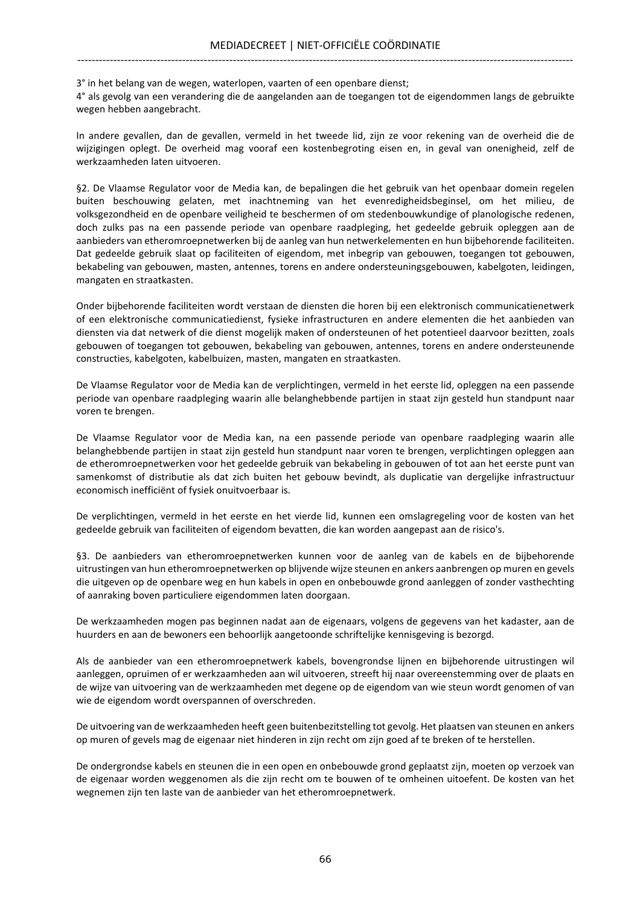3° in het belang van de wegen, waterlopen, vaarten of een openbare dienst;

4° als gevolg van een verandering die de aangelanden aan de toegangen tot de eigendommen langs de gebruikte wegen hebben aangebracht.

In andere gevallen, dan de gevallen, vermeld in het tweede lid, zijn ze voor rekening van de overheid die de wijzigingen oplegt. De overheid mag vooraf een kostenbegroting eisen en, in geval van onenigheid, zelf de werkzaamheden laten uitvoeren.

§2. De Vlaamse Regulator voor de Media kan, de bepalingen die het gebruik van het openbaar domein regelen buiten beschouwing gelaten, met inachtneming van het evenredigheidsbeginsel, om het milieu, de volksgezondheid en de openbare veiligheid te beschermen of om stedenbouwkundige of planologische redenen, doch zulks pas na een passende periode van openbare raadpleging, het gedeelde gebruik opleggen aan de aanbieders van etheromroepnetwerken bij de aanleg van hun netwerkelementen en hun bijbehorende faciliteiten. Dat gedeelde gebruik slaat op faciliteiten of eigendom, met inbegrip van gebouwen, toegangen tot gebouwen, bekabeling van gebouwen, masten, antennes, torens en andere ondersteuningsgebouwen, kabelgoten, leidingen, mangaten en straatkasten.

Onder bijbehorende faciliteiten wordt verstaan de diensten die horen bij een elektronisch communicatienetwerk of een elektronische communicatiedienst, fysieke infrastructuren en andere elementen die het aanbieden van diensten via dat netwerk of die dienst mogelijk maken of ondersteunen of het potentieel daarvoor bezitten, zoals gebouwen of toegangen tot gebouwen, bekabeling van gebouwen, antennes, torens en andere ondersteunende constructies, kabelgoten, kabelbuizen, masten, mangaten en straatkasten.

De Vlaamse Regulator voor de Media kan de verplichtingen, vermeld in het eerste lid, opleggen na een passende periode van openbare raadpleging waarin alle belanghebbende partijen in staat zijn gesteld hun standpunt naar voren te brengen.

De Vlaamse Regulator voor de Media kan, na een passende periode van openbare raadpleging waarin alle belanghebbende partijen in staat zijn gesteld hun standpunt naar voren te brengen, verplichtingen opleggen aan de etheromroepnetwerken voor het gedeelde gebruik van bekabeling in gebouwen of tot aan het eerste punt van samenkomst of distributie als dat zich buiten het gebouw bevindt, als duplicatie van dergelijke infrastructuur economisch inefficiënt of fysiek onuitvoerbaar is.

De verplichtingen, vermeld in het eerste en het vierde lid, kunnen een omslagregeling voor de kosten van het gedeelde gebruik van faciliteiten of eigendom bevatten, die kan worden aangepast aan de risico's.

§3. De aanbieders van etheromroepnetwerken kunnen voor de aanleg van de kabels en de bijbehorende uitrustingen van hun etheromroepnetwerken op blijvende wijze steunen en ankers aanbrengen op muren en gevels die uitgeven op de openbare weg en hun kabels in open en onbebouwde grond aanleggen of zonder vasthechting of aanraking boven particuliere eigendommen laten doorgaan.

De werkzaamheden mogen pas beginnen nadat aan de eigenaars, volgens de gegevens van het kadaster, aan de huurders en aan de bewoners een behoorlijk aangetoonde schriftelijke kennisgeving is bezorgd.

Als de aanbieder van een etheromroepnetwerk kabels, bovengrondse lijnen en bijbehorende uitrustingen wil aanleggen, opruimen of er werkzaamheden aan wil uitvoeren, streeft hij naar overeenstemming over de plaats en de wijze van uitvoering van de werkzaamheden met degene op de eigendom van wie steun wordt genomen of van wie de eigendom wordt overspannen of overschreden.

De uitvoering van de werkzaamheden heeft geen buitenbezitstelling tot gevolg. Het plaatsen van steunen en ankers op muren of gevels mag de eigenaar niet hinderen in zijn recht om zijn goed af te breken of te herstellen.

De ondergrondse kabels en steunen die in een open en onbebouwde grond geplaatst zijn, moeten op verzoek van de eigenaar worden weggenomen als die zijn recht om te bouwen of te omheinen uitoefent. De kosten van het wegnemen zijn ten laste van de aanbieder van het etheromroepnetwerk.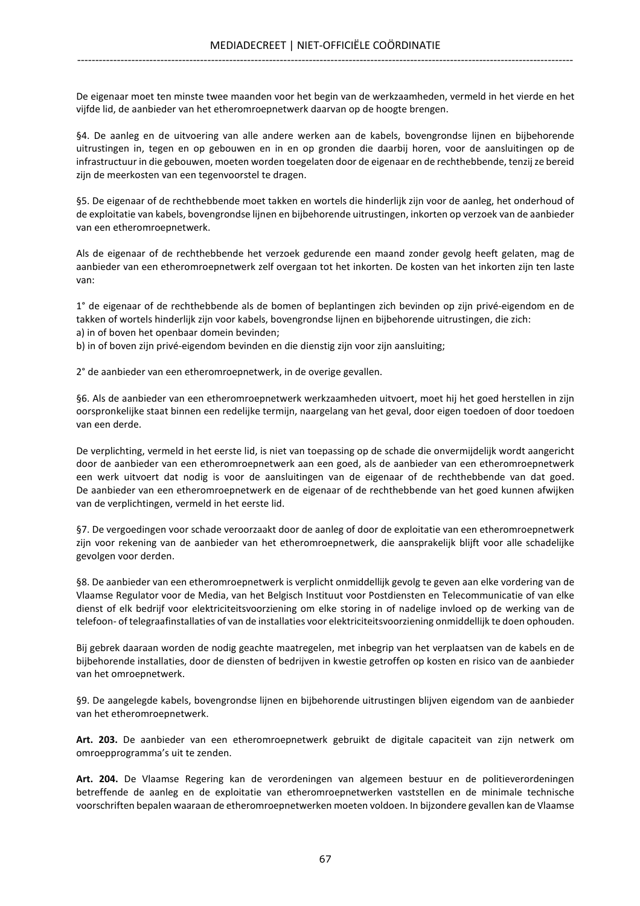De eigenaar moet ten minste twee maanden voor het begin van de werkzaamheden, vermeld in het vierde en het vijfde lid, de aanbieder van het etheromroepnetwerk daarvan op de hoogte brengen.

§4. De aanleg en de uitvoering van alle andere werken aan de kabels, bovengrondse lijnen en bijbehorende uitrustingen in, tegen en op gebouwen en in en op gronden die daarbij horen, voor de aansluitingen op de infrastructuur in die gebouwen, moeten worden toegelaten door de eigenaar en de rechthebbende, tenzij ze bereid zijn de meerkosten van een tegenvoorstel te dragen.

§5. De eigenaar of de rechthebbende moet takken en wortels die hinderlijk zijn voor de aanleg, het onderhoud of de exploitatie van kabels, bovengrondse lijnen en bijbehorende uitrustingen, inkorten op verzoek van de aanbieder van een etheromroepnetwerk.

Als de eigenaar of de rechthebbende het verzoek gedurende een maand zonder gevolg heeft gelaten, mag de aanbieder van een etheromroepnetwerk zelf overgaan tot het inkorten. De kosten van het inkorten zijn ten laste van:

1° de eigenaar of de rechthebbende als de bomen of beplantingen zich bevinden op zijn privé-eigendom en de takken of wortels hinderlijk zijn voor kabels, bovengrondse lijnen en bijbehorende uitrustingen, die zich: a) in of boven het openbaar domein bevinden;

b) in of boven zijn privé-eigendom bevinden en die dienstig zijn voor zijn aansluiting;

2° de aanbieder van een etheromroepnetwerk, in de overige gevallen.

§6. Als de aanbieder van een etheromroepnetwerk werkzaamheden uitvoert, moet hij het goed herstellen in zijn oorspronkelijke staat binnen een redelijke termijn, naargelang van het geval, door eigen toedoen of door toedoen van een derde.

De verplichting, vermeld in het eerste lid, is niet van toepassing op de schade die onvermijdelijk wordt aangericht door de aanbieder van een etheromroepnetwerk aan een goed, als de aanbieder van een etheromroepnetwerk een werk uitvoert dat nodig is voor de aansluitingen van de eigenaar of de rechthebbende van dat goed. De aanbieder van een etheromroepnetwerk en de eigenaar of de rechthebbende van het goed kunnen afwijken van de verplichtingen, vermeld in het eerste lid.

§7. De vergoedingen voor schade veroorzaakt door de aanleg of door de exploitatie van een etheromroepnetwerk zijn voor rekening van de aanbieder van het etheromroepnetwerk, die aansprakelijk blijft voor alle schadelijke gevolgen voor derden.

§8. De aanbieder van een etheromroepnetwerk is verplicht onmiddellijk gevolg te geven aan elke vordering van de Vlaamse Regulator voor de Media, van het Belgisch Instituut voor Postdiensten en Telecommunicatie of van elke dienst of elk bedrijf voor elektriciteitsvoorziening om elke storing in of nadelige invloed op de werking van de telefoon- of telegraafinstallaties of van de installaties voor elektriciteitsvoorziening onmiddellijk te doen ophouden.

Bij gebrek daaraan worden de nodig geachte maatregelen, met inbegrip van het verplaatsen van de kabels en de bijbehorende installaties, door de diensten of bedrijven in kwestie getroffen op kosten en risico van de aanbieder van het omroepnetwerk.

§9. De aangelegde kabels, bovengrondse lijnen en bijbehorende uitrustingen blijven eigendom van de aanbieder van het etheromroepnetwerk.

Art. 203. De aanbieder van een etheromroepnetwerk gebruikt de digitale capaciteit van zijn netwerk om omroepprogramma's uit te zenden.

Art. 204. De Vlaamse Regering kan de verordeningen van algemeen bestuur en de politieverordeningen betreffende de aanleg en de exploitatie van etheromroepnetwerken vaststellen en de minimale technische voorschriften bepalen waaraan de etheromroepnetwerken moeten voldoen. In bijzondere gevallen kan de Vlaamse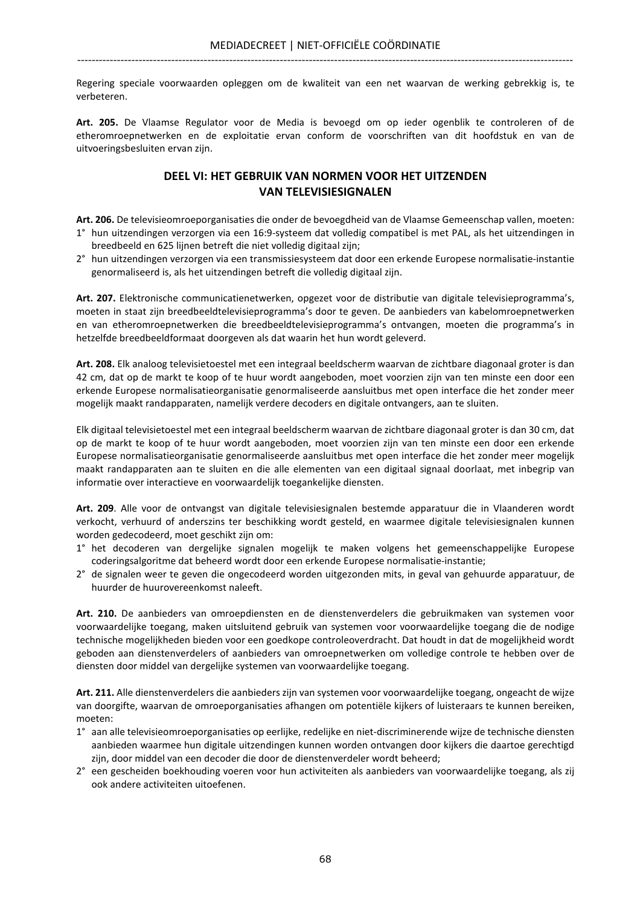Regering speciale voorwaarden opleggen om de kwaliteit van een net waarvan de werking gebrekkig is, te verbeteren.

Art. 205. De Vlaamse Regulator voor de Media is bevoegd om op ieder ogenblik te controleren of de etheromroepnetwerken en de exploitatie ervan conform de voorschriften van dit hoofdstuk en van de uitvoeringsbesluiten ervan zijn.

## DEEL VI: HET GEBRUIK VAN NORMEN VOOR HET UITZENDEN VAN TELEVISIESIGNALEN

Art. 206. De televisieomroeporganisaties die onder de bevoegdheid van de Vlaamse Gemeenschap vallen, moeten: 1° hun uitzendingen verzorgen via een 16:9-systeem dat volledig compatibel is met PAL, als het uitzendingen in breedbeeld en 625 lijnen betreft die niet volledig digitaal zijn;

2° hun uitzendingen verzorgen via een transmissiesysteem dat door een erkende Europese normalisatie-instantie genormaliseerd is, als het uitzendingen betreft die volledig digitaal zijn.

Art. 207. Elektronische communicatienetwerken, opgezet voor de distributie van digitale televisieprogramma's, moeten in staat zijn breedbeeldtelevisieprogramma's door te geven. De aanbieders van kabelomroepnetwerken en van etheromroepnetwerken die breedbeeldtelevisieprogramma's ontvangen, moeten die programma's in hetzelfde breedbeeldformaat doorgeven als dat waarin het hun wordt geleverd.

Art. 208. Elk analoog televisietoestel met een integraal beeldscherm waarvan de zichtbare diagonaal groter is dan 42 cm, dat op de markt te koop of te huur wordt aangeboden, moet voorzien zijn van ten minste een door een erkende Europese normalisatieorganisatie genormaliseerde aansluitbus met open interface die het zonder meer mogelijk maakt randapparaten, namelijk verdere decoders en digitale ontvangers, aan te sluiten.

Elk digitaal televisietoestel met een integraal beeldscherm waarvan de zichtbare diagonaal groter is dan 30 cm, dat op de markt te koop of te huur wordt aangeboden, moet voorzien zijn van ten minste een door een erkende Europese normalisatieorganisatie genormaliseerde aansluitbus met open interface die het zonder meer mogelijk maakt randapparaten aan te sluiten en die alle elementen van een digitaal signaal doorlaat, met inbegrip van informatie over interactieve en voorwaardelijk toegankelijke diensten.

Art. 209. Alle voor de ontvangst van digitale televisiesignalen bestemde apparatuur die in Vlaanderen wordt verkocht, verhuurd of anderszins ter beschikking wordt gesteld, en waarmee digitale televisiesignalen kunnen worden gedecodeerd, moet geschikt zijn om:

- 1° het decoderen van dergelijke signalen mogelijk te maken volgens het gemeenschappelijke Europese coderingsalgoritme dat beheerd wordt door een erkende Europese normalisatie-instantie;
- 2° de signalen weer te geven die ongecodeerd worden uitgezonden mits, in geval van gehuurde apparatuur, de huurder de huurovereenkomst naleeft.

Art. 210. De aanbieders van omroepdiensten en de dienstenverdelers die gebruikmaken van systemen voor voorwaardelijke toegang, maken uitsluitend gebruik van systemen voor voorwaardelijke toegang die de nodige technische mogelijkheden bieden voor een goedkope controleoverdracht. Dat houdt in dat de mogelijkheid wordt geboden aan dienstenverdelers of aanbieders van omroepnetwerken om volledige controle te hebben over de diensten door middel van dergelijke systemen van voorwaardelijke toegang.

Art. 211. Alle dienstenverdelers die aanbieders zijn van systemen voor voorwaardelijke toegang, ongeacht de wijze van doorgifte, waarvan de omroeporganisaties afhangen om potentiële kijkers of luisteraars te kunnen bereiken, moeten:

- 1° aan alle televisieomroeporganisaties op eerlijke, redelijke en niet-discriminerende wijze de technische diensten aanbieden waarmee hun digitale uitzendingen kunnen worden ontvangen door kijkers die daartoe gerechtigd zijn, door middel van een decoder die door de dienstenverdeler wordt beheerd;
- 2° een gescheiden boekhouding voeren voor hun activiteiten als aanbieders van voorwaardelijke toegang, als zij ook andere activiteiten uitoefenen.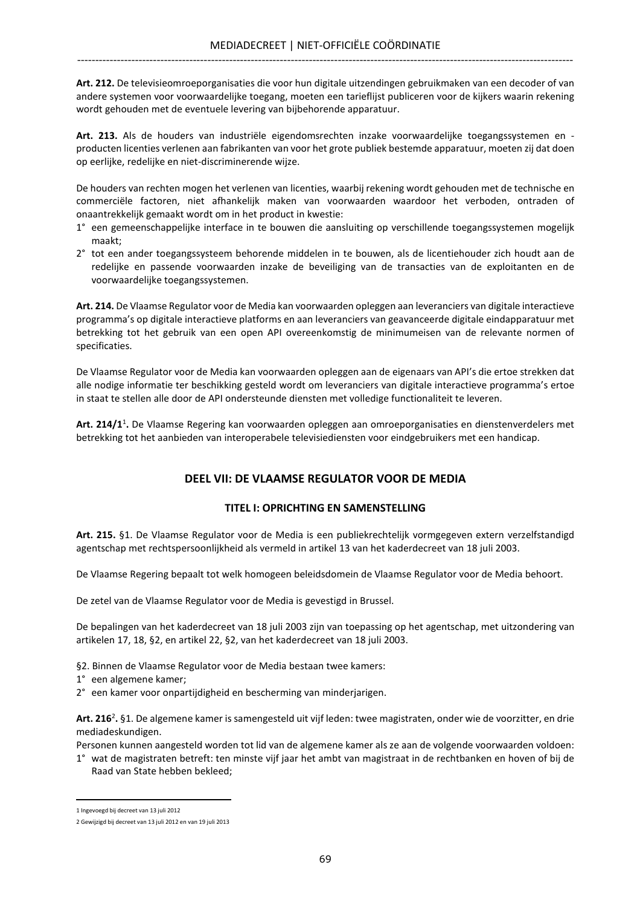Art. 212. De televisieomroeporganisaties die voor hun digitale uitzendingen gebruikmaken van een decoder of van andere systemen voor voorwaardelijke toegang, moeten een tarieflijst publiceren voor de kijkers waarin rekening wordt gehouden met de eventuele levering van bijbehorende apparatuur.

Art. 213. Als de houders van industriële eigendomsrechten inzake voorwaardelijke toegangssystemen en producten licenties verlenen aan fabrikanten van voor het grote publiek bestemde apparatuur, moeten zij dat doen op eerlijke, redelijke en niet-discriminerende wijze.

De houders van rechten mogen het verlenen van licenties, waarbij rekening wordt gehouden met de technische en commerciële factoren, niet afhankelijk maken van voorwaarden waardoor het verboden, ontraden of onaantrekkelijk gemaakt wordt om in het product in kwestie:

- 1° een gemeenschappelijke interface in te bouwen die aansluiting op verschillende toegangssystemen mogelijk maakt;
- 2° tot een ander toegangssysteem behorende middelen in te bouwen, als de licentiehouder zich houdt aan de redelijke en passende voorwaarden inzake de beveiliging van de transacties van de exploitanten en de voorwaardelijke toegangssystemen.

Art. 214. De Vlaamse Regulator voor de Media kan voorwaarden opleggen aan leveranciers van digitale interactieve programma's op digitale interactieve platforms en aan leveranciers van geavanceerde digitale eindapparatuur met betrekking tot het gebruik van een open API overeenkomstig de minimumeisen van de relevante normen of specificaties.

De Vlaamse Regulator voor de Media kan voorwaarden opleggen aan de eigenaars van API's die ertoe strekken dat alle nodige informatie ter beschikking gesteld wordt om leveranciers van digitale interactieve programma's ertoe in staat te stellen alle door de API ondersteunde diensten met volledige functionaliteit te leveren.

Art. 214/1<sup>1</sup>. De Vlaamse Regering kan voorwaarden opleggen aan omroeporganisaties en dienstenverdelers met betrekking tot het aanbieden van interoperabele televisiediensten voor eindgebruikers met een handicap.

# DEEL VII: DE VLAAMSE REGULATOR VOOR DE MEDIA

## TITEL I: OPRICHTING EN SAMENSTELLING

Art. 215. §1. De Vlaamse Regulator voor de Media is een publiekrechtelijk vormgegeven extern verzelfstandigd agentschap met rechtspersoonlijkheid als vermeld in artikel 13 van het kaderdecreet van 18 juli 2003.

De Vlaamse Regering bepaalt tot welk homogeen beleidsdomein de Vlaamse Regulator voor de Media behoort.

De zetel van de Vlaamse Regulator voor de Media is gevestigd in Brussel.

De bepalingen van het kaderdecreet van 18 juli 2003 zijn van toepassing op het agentschap, met uitzondering van artikelen 17, 18, §2, en artikel 22, §2, van het kaderdecreet van 18 juli 2003.

§2. Binnen de Vlaamse Regulator voor de Media bestaan twee kamers:

- 1° een algemene kamer;
- 2° een kamer voor onpartijdigheid en bescherming van minderjarigen.

Art. 216<sup>2</sup>. §1. De algemene kamer is samengesteld uit vijf leden: twee magistraten, onder wie de voorzitter, en drie mediadeskundigen.

Personen kunnen aangesteld worden tot lid van de algemene kamer als ze aan de volgende voorwaarden voldoen:

1° wat de magistraten betreft: ten minste vijf jaar het ambt van magistraat in de rechtbanken en hoven of bij de Raad van State hebben bekleed;

1 Ingevoegd bij decreet van 13 juli 2012

<sup>2</sup> Gewijzigd bij decreet van 13 juli 2012 en van 19 juli 2013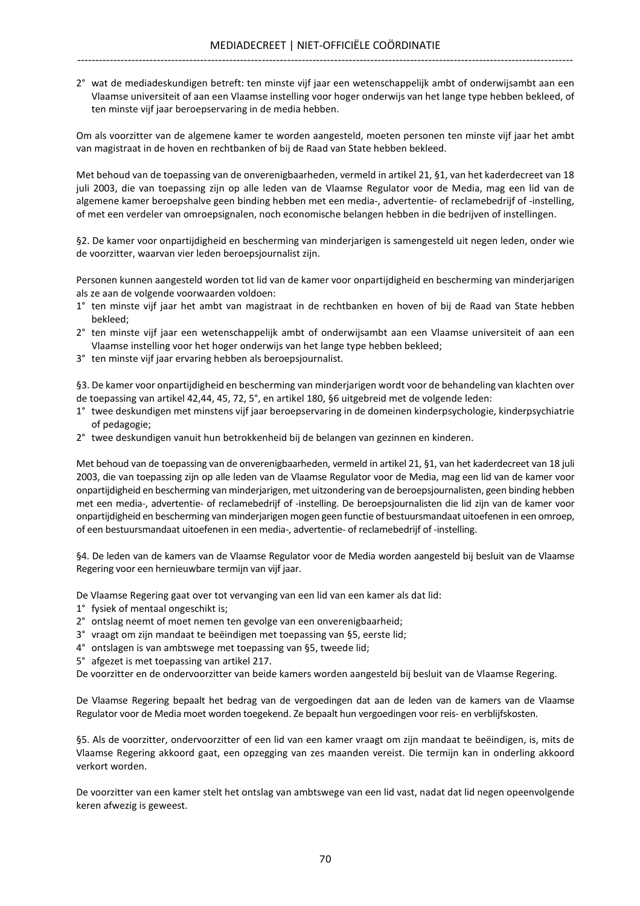2° wat de mediadeskundigen betreft: ten minste vijf jaar een wetenschappelijk ambt of onderwijsambt aan een Vlaamse universiteit of aan een Vlaamse instelling voor hoger onderwijs van het lange type hebben bekleed, of ten minste vijf jaar beroepservaring in de media hebben.

Om als voorzitter van de algemene kamer te worden aangesteld, moeten personen ten minste vijf jaar het ambt van magistraat in de hoven en rechtbanken of bij de Raad van State hebben bekleed.

Met behoud van de toepassing van de onverenigbaarheden, vermeld in artikel 21, §1, van het kaderdecreet van 18 juli 2003, die van toepassing zijn op alle leden van de Vlaamse Regulator voor de Media, mag een lid van de algemene kamer beroepshalve geen binding hebben met een media-, advertentie- of reclamebedrijf of -instelling, of met een verdeler van omroepsignalen, noch economische belangen hebben in die bedrijven of instellingen.

§2. De kamer voor onpartijdigheid en bescherming van minderjarigen is samengesteld uit negen leden, onder wie de voorzitter, waarvan vier leden beroepsjournalist zijn.

Personen kunnen aangesteld worden tot lid van de kamer voor onpartijdigheid en bescherming van minderjarigen als ze aan de volgende voorwaarden voldoen:

- 1° ten minste vijf jaar het ambt van magistraat in de rechtbanken en hoven of bij de Raad van State hebben bekleed;
- 2° ten minste vijf jaar een wetenschappelijk ambt of onderwijsambt aan een Vlaamse universiteit of aan een Vlaamse instelling voor het hoger onderwijs van het lange type hebben bekleed;
- 3° ten minste vijf jaar ervaring hebben als beroepsjournalist.

§3. De kamer voor onpartijdigheid en bescherming van minderjarigen wordt voor de behandeling van klachten over de toepassing van artikel 42,44, 45, 72, 5°, en artikel 180, §6 uitgebreid met de volgende leden:

- 1° twee deskundigen met minstens vijf jaar beroepservaring in de domeinen kinderpsychologie, kinderpsychiatrie of pedagogie;
- 2° twee deskundigen vanuit hun betrokkenheid bij de belangen van gezinnen en kinderen.

Met behoud van de toepassing van de onverenigbaarheden, vermeld in artikel 21, §1, van het kaderdecreet van 18 juli 2003, die van toepassing zijn op alle leden van de Vlaamse Regulator voor de Media, mag een lid van de kamer voor onpartijdigheid en bescherming van minderjarigen, met uitzondering van de beroepsjournalisten, geen binding hebben met een media-, advertentie- of reclamebedrijf of -instelling. De beroepsjournalisten die lid zijn van de kamer voor onpartijdigheid en bescherming van minderjarigen mogen geen functie of bestuursmandaat uitoefenen in een omroep, of een bestuursmandaat uitoefenen in een media-, advertentie- of reclamebedrijf of -instelling.

§4. De leden van de kamers van de Vlaamse Regulator voor de Media worden aangesteld bij besluit van de Vlaamse Regering voor een hernieuwbare termijn van vijf jaar.

De Vlaamse Regering gaat over tot vervanging van een lid van een kamer als dat lid:

- 1° fysiek of mentaal ongeschikt is;
- 2° ontslag neemt of moet nemen ten gevolge van een onverenigbaarheid;
- 3° vraagt om zijn mandaat te beëindigen met toepassing van §5, eerste lid;
- 4° ontslagen is van ambtswege met toepassing van §5, tweede lid;
- 5° afgezet is met toepassing van artikel 217.

De voorzitter en de ondervoorzitter van beide kamers worden aangesteld bij besluit van de Vlaamse Regering.

De Vlaamse Regering bepaalt het bedrag van de vergoedingen dat aan de leden van de kamers van de Vlaamse Regulator voor de Media moet worden toegekend. Ze bepaalt hun vergoedingen voor reis- en verblijfskosten.

§5. Als de voorzitter, ondervoorzitter of een lid van een kamer vraagt om zijn mandaat te beëindigen, is, mits de Vlaamse Regering akkoord gaat, een opzegging van zes maanden vereist. Die termijn kan in onderling akkoord verkort worden.

De voorzitter van een kamer stelt het ontslag van ambtswege van een lid vast, nadat dat lid negen opeenvolgende keren afwezig is geweest.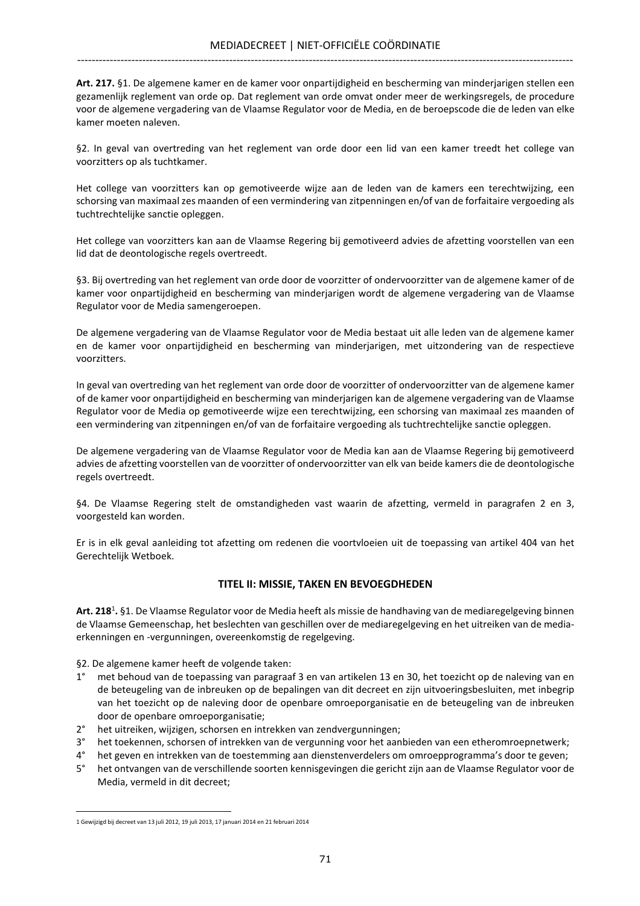Art. 217. §1. De algemene kamer en de kamer voor onpartijdigheid en bescherming van minderjarigen stellen een gezamenlijk reglement van orde op. Dat reglement van orde omvat onder meer de werkingsregels, de procedure voor de algemene vergadering van de Vlaamse Regulator voor de Media, en de beroepscode die de leden van elke kamer moeten naleven.

§2. In geval van overtreding van het reglement van orde door een lid van een kamer treedt het college van voorzitters op als tuchtkamer.

Het college van voorzitters kan op gemotiveerde wijze aan de leden van de kamers een terechtwijzing, een schorsing van maximaal zes maanden of een vermindering van zitpenningen en/of van de forfaitaire vergoeding als tuchtrechtelijke sanctie opleggen.

Het college van voorzitters kan aan de Vlaamse Regering bij gemotiveerd advies de afzetting voorstellen van een lid dat de deontologische regels overtreedt.

§3. Bij overtreding van het reglement van orde door de voorzitter of ondervoorzitter van de algemene kamer of de kamer voor onpartijdigheid en bescherming van minderjarigen wordt de algemene vergadering van de Vlaamse Regulator voor de Media samengeroepen.

De algemene vergadering van de Vlaamse Regulator voor de Media bestaat uit alle leden van de algemene kamer en de kamer voor onpartijdigheid en bescherming van minderjarigen, met uitzondering van de respectieve voorzitters.

In geval van overtreding van het reglement van orde door de voorzitter of ondervoorzitter van de algemene kamer of de kamer voor onpartijdigheid en bescherming van minderjarigen kan de algemene vergadering van de Vlaamse Regulator voor de Media op gemotiveerde wijze een terechtwijzing, een schorsing van maximaal zes maanden of een vermindering van zitpenningen en/of van de forfaitaire vergoeding als tuchtrechtelijke sanctie opleggen.

De algemene vergadering van de Vlaamse Regulator voor de Media kan aan de Vlaamse Regering bij gemotiveerd advies de afzetting voorstellen van de voorzitter of ondervoorzitter van elk van beide kamers die de deontologische regels overtreedt.

§4. De Vlaamse Regering stelt de omstandigheden vast waarin de afzetting, vermeld in paragrafen 2 en 3, voorgesteld kan worden.

Er is in elk geval aanleiding tot afzetting om redenen die voortvloeien uit de toepassing van artikel 404 van het Gerechtelijk Wetboek.

## TITEL II: MISSIE, TAKEN EN BEVOEGDHEDEN

Art. 218<sup>1</sup>. §1. De Vlaamse Regulator voor de Media heeft als missie de handhaving van de mediaregelgeving binnen de Vlaamse Gemeenschap, het beslechten van geschillen over de mediaregelgeving en het uitreiken van de mediaerkenningen en -vergunningen, overeenkomstig de regelgeving.

§2. De algemene kamer heeft de volgende taken:

- 1° met behoud van de toepassing van paragraaf 3 en van artikelen 13 en 30, het toezicht op de naleving van en de beteugeling van de inbreuken op de bepalingen van dit decreet en zijn uitvoeringsbesluiten, met inbegrip van het toezicht op de naleving door de openbare omroeporganisatie en de beteugeling van de inbreuken door de openbare omroeporganisatie;
- 2° het uitreiken, wijzigen, schorsen en intrekken van zendvergunningen;
- 3° het toekennen, schorsen of intrekken van de vergunning voor het aanbieden van een etheromroepnetwerk;
- 4° het geven en intrekken van de toestemming aan dienstenverdelers om omroepprogramma's door te geven;
- 5° het ontvangen van de verschillende soorten kennisgevingen die gericht zijn aan de Vlaamse Regulator voor de Media, vermeld in dit decreet;

<sup>1</sup> Gewijzigd bij decreet van 13 juli 2012, 19 juli 2013, 17 januari 2014 en 21 februari 2014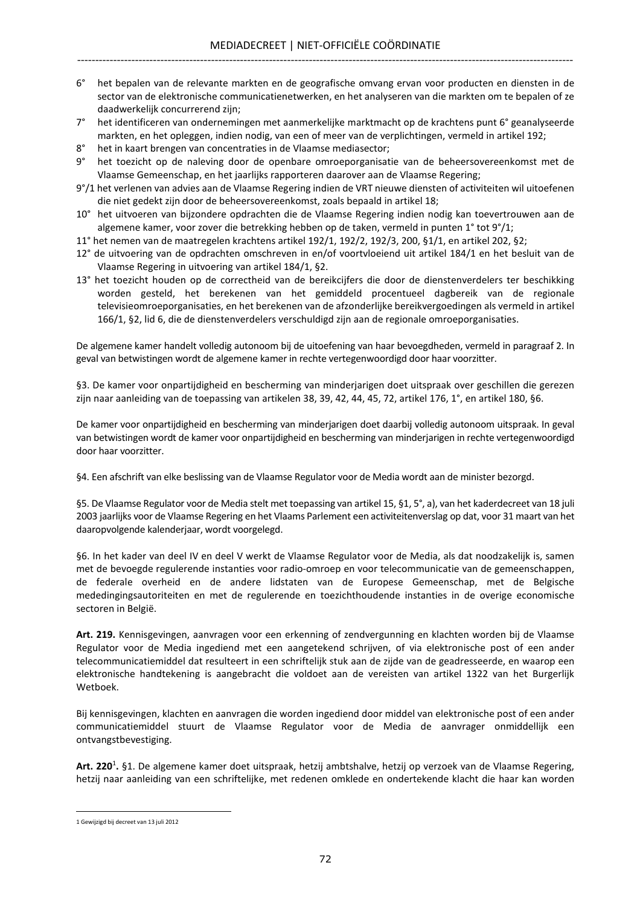- 6° het bepalen van de relevante markten en de geografische omvang ervan voor producten en diensten in de sector van de elektronische communicatienetwerken, en het analyseren van die markten om te bepalen of ze daadwerkelijk concurrerend zijn;
- 7° het identificeren van ondernemingen met aanmerkelijke marktmacht op de krachtens punt 6° geanalyseerde markten, en het opleggen, indien nodig, van een of meer van de verplichtingen, vermeld in artikel 192;
- 8° het in kaart brengen van concentraties in de Vlaamse mediasector;
- 9° het toezicht op de naleving door de openbare omroeporganisatie van de beheersovereenkomst met de Vlaamse Gemeenschap, en het jaarlijks rapporteren daarover aan de Vlaamse Regering;
- 9°/1 het verlenen van advies aan de Vlaamse Regering indien de VRT nieuwe diensten of activiteiten wil uitoefenen die niet gedekt zijn door de beheersovereenkomst, zoals bepaald in artikel 18;
- 10° het uitvoeren van bijzondere opdrachten die de Vlaamse Regering indien nodig kan toevertrouwen aan de algemene kamer, voor zover die betrekking hebben op de taken, vermeld in punten 1° tot 9°/1;
- 11° het nemen van de maatregelen krachtens artikel 192/1, 192/2, 192/3, 200, §1/1, en artikel 202, §2;
- 12° de uitvoering van de opdrachten omschreven in en/of voortvloeiend uit artikel 184/1 en het besluit van de Vlaamse Regering in uitvoering van artikel 184/1, §2.
- 13° het toezicht houden op de correctheid van de bereikcijfers die door de dienstenverdelers ter beschikking worden gesteld, het berekenen van het gemiddeld procentueel dagbereik van de regionale televisieomroeporganisaties, en het berekenen van de afzonderlijke bereikvergoedingen als vermeld in artikel 166/1, §2, lid 6, die de dienstenverdelers verschuldigd zijn aan de regionale omroeporganisaties.

De algemene kamer handelt volledig autonoom bij de uitoefening van haar bevoegdheden, vermeld in paragraaf 2. In geval van betwistingen wordt de algemene kamer in rechte vertegenwoordigd door haar voorzitter.

§3. De kamer voor onpartijdigheid en bescherming van minderjarigen doet uitspraak over geschillen die gerezen zijn naar aanleiding van de toepassing van artikelen 38, 39, 42, 44, 45, 72, artikel 176, 1°, en artikel 180, §6.

De kamer voor onpartijdigheid en bescherming van minderjarigen doet daarbij volledig autonoom uitspraak. In geval van betwistingen wordt de kamer voor onpartijdigheid en bescherming van minderjarigen in rechte vertegenwoordigd door haar voorzitter.

§4. Een afschrift van elke beslissing van de Vlaamse Regulator voor de Media wordt aan de minister bezorgd.

§5. De Vlaamse Regulator voor de Media stelt met toepassing van artikel 15, §1, 5°, a), van het kaderdecreet van 18 juli 2003 jaarlijks voor de Vlaamse Regering en het Vlaams Parlement een activiteitenverslag op dat, voor 31 maart van het daaropvolgende kalenderjaar, wordt voorgelegd.

§6. In het kader van deel IV en deel V werkt de Vlaamse Regulator voor de Media, als dat noodzakelijk is, samen met de bevoegde regulerende instanties voor radio-omroep en voor telecommunicatie van de gemeenschappen, de federale overheid en de andere lidstaten van de Europese Gemeenschap, met de Belgische mededingingsautoriteiten en met de regulerende en toezichthoudende instanties in de overige economische sectoren in België.

Art. 219. Kennisgevingen, aanvragen voor een erkenning of zendvergunning en klachten worden bij de Vlaamse Regulator voor de Media ingediend met een aangetekend schrijven, of via elektronische post of een ander telecommunicatiemiddel dat resulteert in een schriftelijk stuk aan de zijde van de geadresseerde, en waarop een elektronische handtekening is aangebracht die voldoet aan de vereisten van artikel 1322 van het Burgerlijk Wetboek.

Bij kennisgevingen, klachten en aanvragen die worden ingediend door middel van elektronische post of een ander communicatiemiddel stuurt de Vlaamse Regulator voor de Media de aanvrager onmiddellijk een ontvangstbevestiging.

Art. 220<sup>1</sup>. §1. De algemene kamer doet uitspraak, hetzij ambtshalve, hetzij op verzoek van de Vlaamse Regering, hetzij naar aanleiding van een schriftelijke, met redenen omklede en ondertekende klacht die haar kan worden

<sup>1</sup> Gewijzigd bij decreet van 13 juli 2012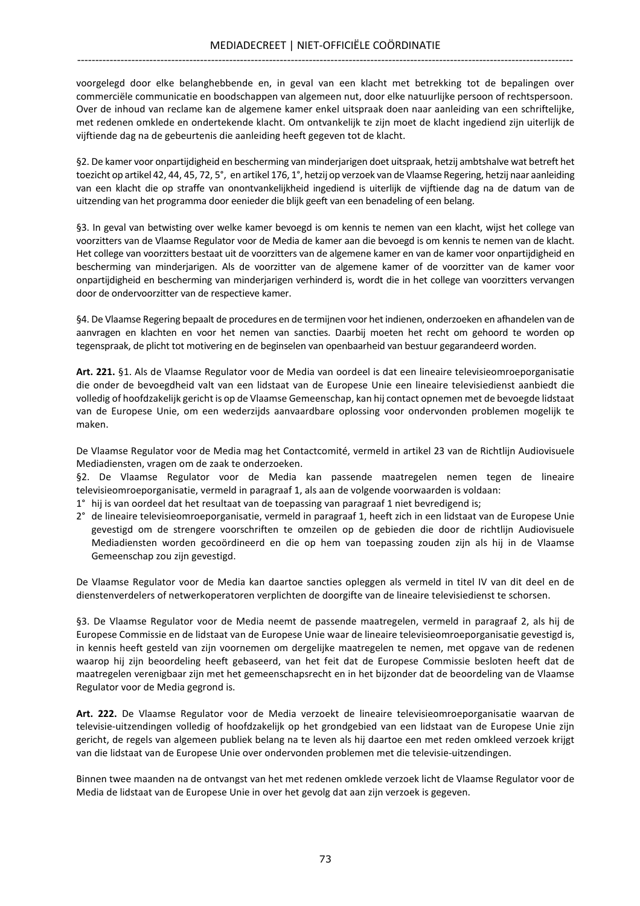voorgelegd door elke belanghebbende en, in geval van een klacht met betrekking tot de bepalingen over commerciële communicatie en boodschappen van algemeen nut, door elke natuurlijke persoon of rechtspersoon. Over de inhoud van reclame kan de algemene kamer enkel uitspraak doen naar aanleiding van een schriftelijke, met redenen omklede en ondertekende klacht. Om ontvankelijk te zijn moet de klacht ingediend zijn uiterlijk de vijftiende dag na de gebeurtenis die aanleiding heeft gegeven tot de klacht.

§2. De kamer voor onpartijdigheid en bescherming van minderjarigen doet uitspraak, hetzij ambtshalve wat betreft het toezicht op artikel 42, 44, 45, 72, 5°, en artikel 176, 1°, hetzij op verzoek van de Vlaamse Regering, hetzij naar aanleiding van een klacht die op straffe van onontvankelijkheid ingediend is uiterlijk de vijftiende dag na de datum van de uitzending van het programma door eenieder die blijk geeft van een benadeling of een belang.

§3. In geval van betwisting over welke kamer bevoegd is om kennis te nemen van een klacht, wijst het college van voorzitters van de Vlaamse Regulator voor de Media de kamer aan die bevoegd is om kennis te nemen van de klacht. Het college van voorzitters bestaat uit de voorzitters van de algemene kamer en van de kamer voor onpartijdigheid en bescherming van minderjarigen. Als de voorzitter van de algemene kamer of de voorzitter van de kamer voor onpartijdigheid en bescherming van minderjarigen verhinderd is, wordt die in het college van voorzitters vervangen door de ondervoorzitter van de respectieve kamer.

§4. De Vlaamse Regering bepaalt de procedures en de termijnen voor het indienen, onderzoeken en afhandelen van de aanvragen en klachten en voor het nemen van sancties. Daarbij moeten het recht om gehoord te worden op tegenspraak, de plicht tot motivering en de beginselen van openbaarheid van bestuur gegarandeerd worden.

Art. 221. §1. Als de Vlaamse Regulator voor de Media van oordeel is dat een lineaire televisieomroeporganisatie die onder de bevoegdheid valt van een lidstaat van de Europese Unie een lineaire televisiedienst aanbiedt die volledig of hoofdzakelijk gericht is op de Vlaamse Gemeenschap, kan hij contact opnemen met de bevoegde lidstaat van de Europese Unie, om een wederzijds aanvaardbare oplossing voor ondervonden problemen mogelijk te maken.

De Vlaamse Regulator voor de Media mag het Contactcomité, vermeld in artikel 23 van de Richtlijn Audiovisuele Mediadiensten, vragen om de zaak te onderzoeken.

§2. De Vlaamse Regulator voor de Media kan passende maatregelen nemen tegen de lineaire televisieomroeporganisatie, vermeld in paragraaf 1, als aan de volgende voorwaarden is voldaan:

- 1° hij is van oordeel dat het resultaat van de toepassing van paragraaf 1 niet bevredigend is;
- 2° de lineaire televisieomroeporganisatie, vermeld in paragraaf 1, heeft zich in een lidstaat van de Europese Unie gevestigd om de strengere voorschriften te omzeilen op de gebieden die door de richtlijn Audiovisuele Mediadiensten worden gecoördineerd en die op hem van toepassing zouden zijn als hij in de Vlaamse Gemeenschap zou zijn gevestigd.

De Vlaamse Regulator voor de Media kan daartoe sancties opleggen als vermeld in titel IV van dit deel en de dienstenverdelers of netwerkoperatoren verplichten de doorgifte van de lineaire televisiedienst te schorsen.

§3. De Vlaamse Regulator voor de Media neemt de passende maatregelen, vermeld in paragraaf 2, als hij de Europese Commissie en de lidstaat van de Europese Unie waar de lineaire televisieomroeporganisatie gevestigd is, in kennis heeft gesteld van zijn voornemen om dergelijke maatregelen te nemen, met opgave van de redenen waarop hij zijn beoordeling heeft gebaseerd, van het feit dat de Europese Commissie besloten heeft dat de maatregelen verenigbaar zijn met het gemeenschapsrecht en in het bijzonder dat de beoordeling van de Vlaamse Regulator voor de Media gegrond is.

Art. 222. De Vlaamse Regulator voor de Media verzoekt de lineaire televisieomroeporganisatie waarvan de televisie-uitzendingen volledig of hoofdzakelijk op het grondgebied van een lidstaat van de Europese Unie zijn gericht, de regels van algemeen publiek belang na te leven als hij daartoe een met reden omkleed verzoek krijgt van die lidstaat van de Europese Unie over ondervonden problemen met die televisie-uitzendingen.

Binnen twee maanden na de ontvangst van het met redenen omklede verzoek licht de Vlaamse Regulator voor de Media de lidstaat van de Europese Unie in over het gevolg dat aan zijn verzoek is gegeven.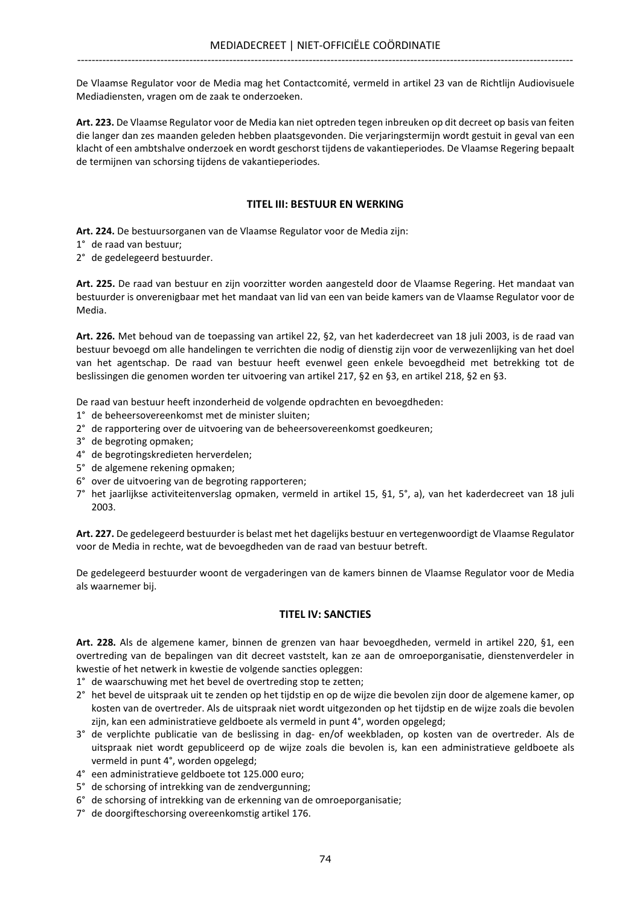De Vlaamse Regulator voor de Media mag het Contactcomité, vermeld in artikel 23 van de Richtlijn Audiovisuele Mediadiensten, vragen om de zaak te onderzoeken.

Art. 223. De Vlaamse Regulator voor de Media kan niet optreden tegen inbreuken op dit decreet op basis van feiten die langer dan zes maanden geleden hebben plaatsgevonden. Die verjaringstermijn wordt gestuit in geval van een klacht of een ambtshalve onderzoek en wordt geschorst tijdens de vakantieperiodes. De Vlaamse Regering bepaalt de termijnen van schorsing tijdens de vakantieperiodes.

## TITEL III: BESTUUR EN WERKING

Art. 224. De bestuursorganen van de Vlaamse Regulator voor de Media zijn:

1° de raad van bestuur;

2° de gedelegeerd bestuurder.

Art. 225. De raad van bestuur en zijn voorzitter worden aangesteld door de Vlaamse Regering. Het mandaat van bestuurder is onverenigbaar met het mandaat van lid van een van beide kamers van de Vlaamse Regulator voor de Media.

Art. 226. Met behoud van de toepassing van artikel 22, §2, van het kaderdecreet van 18 juli 2003, is de raad van bestuur bevoegd om alle handelingen te verrichten die nodig of dienstig zijn voor de verwezenlijking van het doel van het agentschap. De raad van bestuur heeft evenwel geen enkele bevoegdheid met betrekking tot de beslissingen die genomen worden ter uitvoering van artikel 217, §2 en §3, en artikel 218, §2 en §3.

De raad van bestuur heeft inzonderheid de volgende opdrachten en bevoegdheden:

- 1° de beheersovereenkomst met de minister sluiten;
- 2° de rapportering over de uitvoering van de beheersovereenkomst goedkeuren;
- 3° de begroting opmaken;
- 4° de begrotingskredieten herverdelen;
- 5° de algemene rekening opmaken;
- 6° over de uitvoering van de begroting rapporteren;
- 7° het jaarlijkse activiteitenverslag opmaken, vermeld in artikel 15, §1, 5°, a), van het kaderdecreet van 18 juli 2003.

Art. 227. De gedelegeerd bestuurder is belast met het dagelijks bestuur en vertegenwoordigt de Vlaamse Regulator voor de Media in rechte, wat de bevoegdheden van de raad van bestuur betreft.

De gedelegeerd bestuurder woont de vergaderingen van de kamers binnen de Vlaamse Regulator voor de Media als waarnemer bij.

## TITEL IV: SANCTIES

Art. 228. Als de algemene kamer, binnen de grenzen van haar bevoegdheden, vermeld in artikel 220, §1, een overtreding van de bepalingen van dit decreet vaststelt, kan ze aan de omroeporganisatie, dienstenverdeler in kwestie of het netwerk in kwestie de volgende sancties opleggen:

1° de waarschuwing met het bevel de overtreding stop te zetten;

- 2° het bevel de uitspraak uit te zenden op het tijdstip en op de wijze die bevolen zijn door de algemene kamer, op kosten van de overtreder. Als de uitspraak niet wordt uitgezonden op het tijdstip en de wijze zoals die bevolen zijn, kan een administratieve geldboete als vermeld in punt 4°, worden opgelegd;
- 3° de verplichte publicatie van de beslissing in dag- en/of weekbladen, op kosten van de overtreder. Als de uitspraak niet wordt gepubliceerd op de wijze zoals die bevolen is, kan een administratieve geldboete als vermeld in punt 4°, worden opgelegd;
- 4° een administratieve geldboete tot 125.000 euro;
- 5° de schorsing of intrekking van de zendvergunning;
- 6° de schorsing of intrekking van de erkenning van de omroeporganisatie;
- 7° de doorgifteschorsing overeenkomstig artikel 176.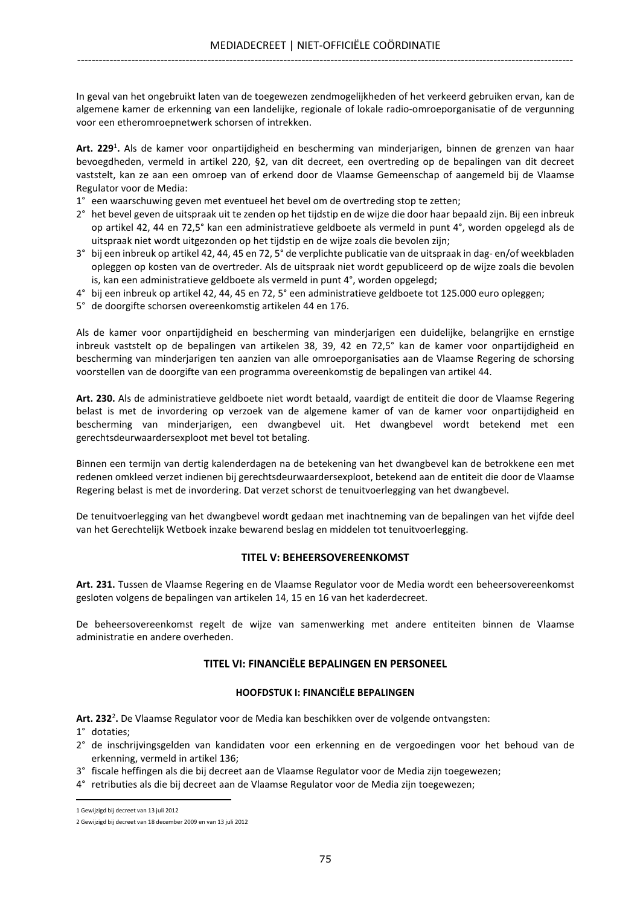In geval van het ongebruikt laten van de toegewezen zendmogelijkheden of het verkeerd gebruiken ervan, kan de algemene kamer de erkenning van een landelijke, regionale of lokale radio-omroeporganisatie of de vergunning voor een etheromroepnetwerk schorsen of intrekken.

Art. 229<sup>1</sup>. Als de kamer voor onpartijdigheid en bescherming van minderjarigen, binnen de grenzen van haar bevoegdheden, vermeld in artikel 220, §2, van dit decreet, een overtreding op de bepalingen van dit decreet vaststelt, kan ze aan een omroep van of erkend door de Vlaamse Gemeenschap of aangemeld bij de Vlaamse Regulator voor de Media:

- 1° een waarschuwing geven met eventueel het bevel om de overtreding stop te zetten;
- 2° het bevel geven de uitspraak uit te zenden op het tijdstip en de wijze die door haar bepaald zijn. Bij een inbreuk op artikel 42, 44 en 72,5° kan een administratieve geldboete als vermeld in punt 4°, worden opgelegd als de uitspraak niet wordt uitgezonden op het tijdstip en de wijze zoals die bevolen zijn;
- 3° bij een inbreuk op artikel 42, 44, 45 en 72, 5° de verplichte publicatie van de uitspraak in dag- en/of weekbladen opleggen op kosten van de overtreder. Als de uitspraak niet wordt gepubliceerd op de wijze zoals die bevolen is, kan een administratieve geldboete als vermeld in punt 4°, worden opgelegd;
- 4° bij een inbreuk op artikel 42, 44, 45 en 72, 5° een administratieve geldboete tot 125.000 euro opleggen;
- 5° de doorgifte schorsen overeenkomstig artikelen 44 en 176.

Als de kamer voor onpartijdigheid en bescherming van minderjarigen een duidelijke, belangrijke en ernstige inbreuk vaststelt op de bepalingen van artikelen 38, 39, 42 en 72,5° kan de kamer voor onpartijdigheid en bescherming van minderjarigen ten aanzien van alle omroeporganisaties aan de Vlaamse Regering de schorsing voorstellen van de doorgifte van een programma overeenkomstig de bepalingen van artikel 44.

Art. 230. Als de administratieve geldboete niet wordt betaald, vaardigt de entiteit die door de Vlaamse Regering belast is met de invordering op verzoek van de algemene kamer of van de kamer voor onpartijdigheid en bescherming van minderjarigen, een dwangbevel uit. Het dwangbevel wordt betekend met een gerechtsdeurwaardersexploot met bevel tot betaling.

Binnen een termijn van dertig kalenderdagen na de betekening van het dwangbevel kan de betrokkene een met redenen omkleed verzet indienen bij gerechtsdeurwaardersexploot, betekend aan de entiteit die door de Vlaamse Regering belast is met de invordering. Dat verzet schorst de tenuitvoerlegging van het dwangbevel.

De tenuitvoerlegging van het dwangbevel wordt gedaan met inachtneming van de bepalingen van het vijfde deel van het Gerechtelijk Wetboek inzake bewarend beslag en middelen tot tenuitvoerlegging.

### TITEL V: BEHEERSOVEREENKOMST

Art. 231. Tussen de Vlaamse Regering en de Vlaamse Regulator voor de Media wordt een beheersovereenkomst gesloten volgens de bepalingen van artikelen 14, 15 en 16 van het kaderdecreet.

De beheersovereenkomst regelt de wijze van samenwerking met andere entiteiten binnen de Vlaamse administratie en andere overheden.

### TITEL VI: FINANCIËLE BEPALINGEN EN PERSONEEL

#### HOOFDSTUK I: FINANCIËLE BEPALINGEN

Art. 232<sup>2</sup>. De Vlaamse Regulator voor de Media kan beschikken over de volgende ontvangsten:

- 1° dotaties;
- 2° de inschrijvingsgelden van kandidaten voor een erkenning en de vergoedingen voor het behoud van de erkenning, vermeld in artikel 136;
- 3° fiscale heffingen als die bij decreet aan de Vlaamse Regulator voor de Media zijn toegewezen;
- 4° retributies als die bij decreet aan de Vlaamse Regulator voor de Media zijn toegewezen;  $\overline{a}$

<sup>1</sup> Gewijzigd bij decreet van 13 juli 2012

<sup>2</sup> Gewijzigd bij decreet van 18 december 2009 en van 13 juli 2012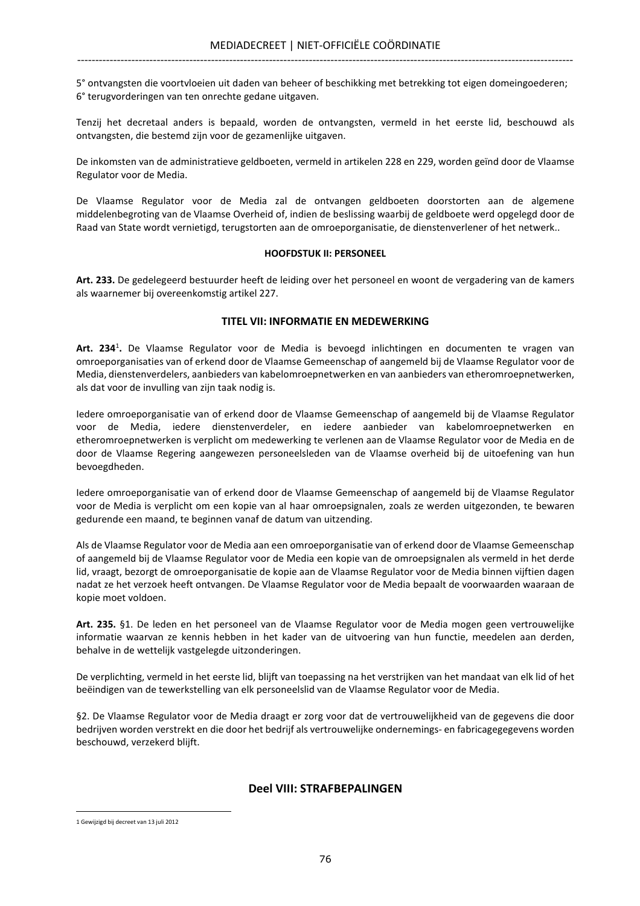5° ontvangsten die voortvloeien uit daden van beheer of beschikking met betrekking tot eigen domeingoederen; 6° terugvorderingen van ten onrechte gedane uitgaven.

Tenzij het decretaal anders is bepaald, worden de ontvangsten, vermeld in het eerste lid, beschouwd als ontvangsten, die bestemd zijn voor de gezamenlijke uitgaven.

De inkomsten van de administratieve geldboeten, vermeld in artikelen 228 en 229, worden geïnd door de Vlaamse Regulator voor de Media.

De Vlaamse Regulator voor de Media zal de ontvangen geldboeten doorstorten aan de algemene middelenbegroting van de Vlaamse Overheid of, indien de beslissing waarbij de geldboete werd opgelegd door de Raad van State wordt vernietigd, terugstorten aan de omroeporganisatie, de dienstenverlener of het netwerk..

#### HOOFDSTUK II: PERSONEEL

Art. 233. De gedelegeerd bestuurder heeft de leiding over het personeel en woont de vergadering van de kamers als waarnemer bij overeenkomstig artikel 227.

### TITEL VII: INFORMATIE EN MEDEWERKING

Art. 234<sup>1</sup>. De Vlaamse Regulator voor de Media is bevoegd inlichtingen en documenten te vragen van omroeporganisaties van of erkend door de Vlaamse Gemeenschap of aangemeld bij de Vlaamse Regulator voor de Media, dienstenverdelers, aanbieders van kabelomroepnetwerken en van aanbieders van etheromroepnetwerken, als dat voor de invulling van zijn taak nodig is.

Iedere omroeporganisatie van of erkend door de Vlaamse Gemeenschap of aangemeld bij de Vlaamse Regulator voor de Media, iedere dienstenverdeler, en iedere aanbieder van kabelomroepnetwerken en etheromroepnetwerken is verplicht om medewerking te verlenen aan de Vlaamse Regulator voor de Media en de door de Vlaamse Regering aangewezen personeelsleden van de Vlaamse overheid bij de uitoefening van hun bevoegdheden.

Iedere omroeporganisatie van of erkend door de Vlaamse Gemeenschap of aangemeld bij de Vlaamse Regulator voor de Media is verplicht om een kopie van al haar omroepsignalen, zoals ze werden uitgezonden, te bewaren gedurende een maand, te beginnen vanaf de datum van uitzending.

Als de Vlaamse Regulator voor de Media aan een omroeporganisatie van of erkend door de Vlaamse Gemeenschap of aangemeld bij de Vlaamse Regulator voor de Media een kopie van de omroepsignalen als vermeld in het derde lid, vraagt, bezorgt de omroeporganisatie de kopie aan de Vlaamse Regulator voor de Media binnen vijftien dagen nadat ze het verzoek heeft ontvangen. De Vlaamse Regulator voor de Media bepaalt de voorwaarden waaraan de kopie moet voldoen.

Art. 235. §1. De leden en het personeel van de Vlaamse Regulator voor de Media mogen geen vertrouwelijke informatie waarvan ze kennis hebben in het kader van de uitvoering van hun functie, meedelen aan derden, behalve in de wettelijk vastgelegde uitzonderingen.

De verplichting, vermeld in het eerste lid, blijft van toepassing na het verstrijken van het mandaat van elk lid of het beëindigen van de tewerkstelling van elk personeelslid van de Vlaamse Regulator voor de Media.

§2. De Vlaamse Regulator voor de Media draagt er zorg voor dat de vertrouwelijkheid van de gegevens die door bedrijven worden verstrekt en die door het bedrijf als vertrouwelijke ondernemings- en fabricagegegevens worden beschouwd, verzekerd blijft.

## Deel VIII: STRAFBEPALINGEN

 $\overline{a}$ 

<sup>1</sup> Gewijzigd bij decreet van 13 juli 2012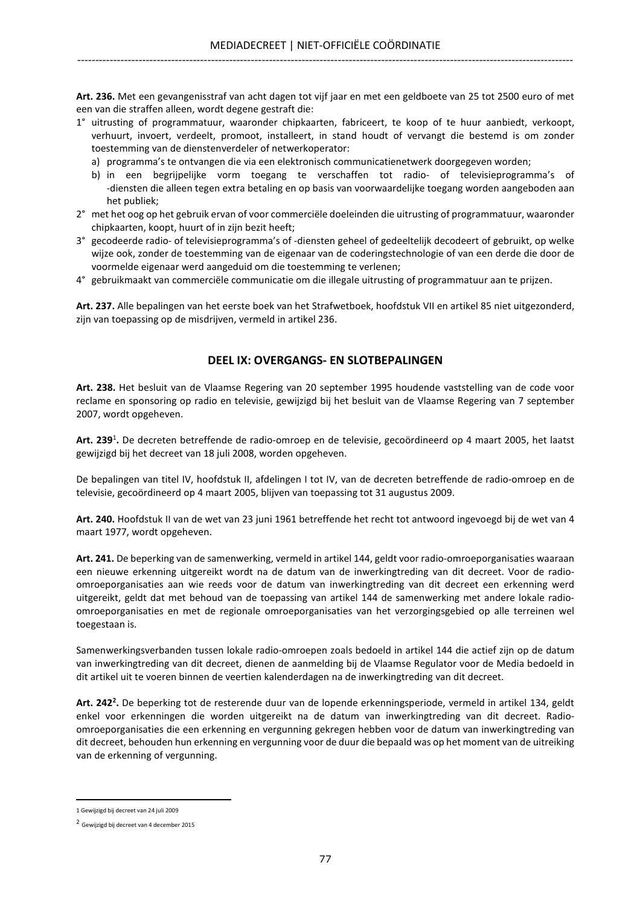Art. 236. Met een gevangenisstraf van acht dagen tot vijf jaar en met een geldboete van 25 tot 2500 euro of met een van die straffen alleen, wordt degene gestraft die:

- 1° uitrusting of programmatuur, waaronder chipkaarten, fabriceert, te koop of te huur aanbiedt, verkoopt, verhuurt, invoert, verdeelt, promoot, installeert, in stand houdt of vervangt die bestemd is om zonder toestemming van de dienstenverdeler of netwerkoperator:
	- a) programma's te ontvangen die via een elektronisch communicatienetwerk doorgegeven worden;
	- b) in een begrijpelijke vorm toegang te verschaffen tot radio- of televisieprogramma's of -diensten die alleen tegen extra betaling en op basis van voorwaardelijke toegang worden aangeboden aan het publiek;
- 2° met het oog op het gebruik ervan of voor commerciële doeleinden die uitrusting of programmatuur, waaronder chipkaarten, koopt, huurt of in zijn bezit heeft;
- 3° gecodeerde radio- of televisieprogramma's of -diensten geheel of gedeeltelijk decodeert of gebruikt, op welke wijze ook, zonder de toestemming van de eigenaar van de coderingstechnologie of van een derde die door de voormelde eigenaar werd aangeduid om die toestemming te verlenen;
- 4° gebruikmaakt van commerciële communicatie om die illegale uitrusting of programmatuur aan te prijzen.

Art. 237. Alle bepalingen van het eerste boek van het Strafwetboek, hoofdstuk VII en artikel 85 niet uitgezonderd, zijn van toepassing op de misdrijven, vermeld in artikel 236.

# DEEL IX: OVERGANGS- EN SLOTBEPALINGEN

Art. 238. Het besluit van de Vlaamse Regering van 20 september 1995 houdende vaststelling van de code voor reclame en sponsoring op radio en televisie, gewijzigd bij het besluit van de Vlaamse Regering van 7 september 2007, wordt opgeheven.

Art. 239<sup>1</sup>. De decreten betreffende de radio-omroep en de televisie, gecoördineerd op 4 maart 2005, het laatst gewijzigd bij het decreet van 18 juli 2008, worden opgeheven.

De bepalingen van titel IV, hoofdstuk II, afdelingen I tot IV, van de decreten betreffende de radio-omroep en de televisie, gecoördineerd op 4 maart 2005, blijven van toepassing tot 31 augustus 2009.

Art. 240. Hoofdstuk II van de wet van 23 juni 1961 betreffende het recht tot antwoord ingevoegd bij de wet van 4 maart 1977, wordt opgeheven.

Art. 241. De beperking van de samenwerking, vermeld in artikel 144, geldt voor radio-omroeporganisaties waaraan een nieuwe erkenning uitgereikt wordt na de datum van de inwerkingtreding van dit decreet. Voor de radioomroeporganisaties aan wie reeds voor de datum van inwerkingtreding van dit decreet een erkenning werd uitgereikt, geldt dat met behoud van de toepassing van artikel 144 de samenwerking met andere lokale radioomroeporganisaties en met de regionale omroeporganisaties van het verzorgingsgebied op alle terreinen wel toegestaan is.

Samenwerkingsverbanden tussen lokale radio-omroepen zoals bedoeld in artikel 144 die actief zijn op de datum van inwerkingtreding van dit decreet, dienen de aanmelding bij de Vlaamse Regulator voor de Media bedoeld in dit artikel uit te voeren binnen de veertien kalenderdagen na de inwerkingtreding van dit decreet.

Art. 242<sup>2</sup>. De beperking tot de resterende duur van de lopende erkenningsperiode, vermeld in artikel 134, geldt enkel voor erkenningen die worden uitgereikt na de datum van inwerkingtreding van dit decreet. Radioomroeporganisaties die een erkenning en vergunning gekregen hebben voor de datum van inwerkingtreding van dit decreet, behouden hun erkenning en vergunning voor de duur die bepaald was op het moment van de uitreiking van de erkenning of vergunning.

 $\overline{a}$ 

<sup>1</sup> Gewijzigd bij decreet van 24 juli 2009

<sup>2</sup> Gewijzigd bij decreet van 4 december 2015